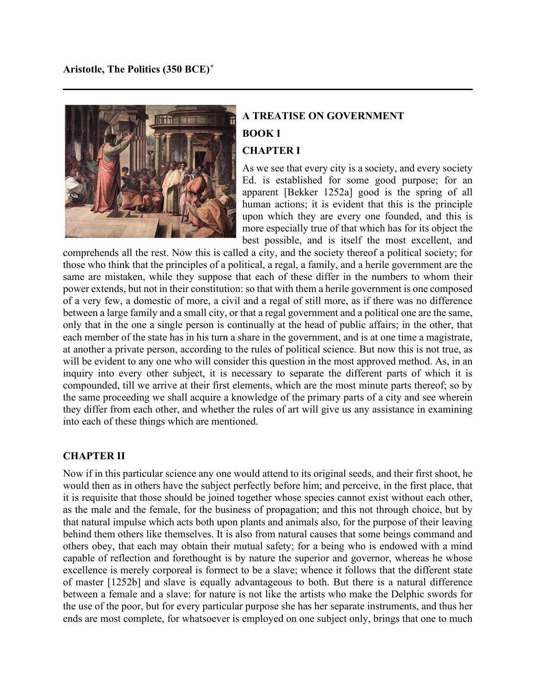

# **A TREATISE ON GOVERNMENT BOOK I CHAPTER I**

As we see that every city is a society, and every society Ed. is established for some good purpose; for an apparent [Bekker 1252a] good is the spring of all human actions; it is evident that this is the principle upon which they are every one founded, and this is more especially true of that which has for its object the best possible, and is itself the most excellent, and

comprehends all the rest. Now this is called a city, and the society thereof a political society; for those who think that the principles of a political, a regal, a family, and a herile government are the same are mistaken, while they suppose that each of these differ in the numbers to whom their power extends, but not in their constitution: so that with them a herile government is one composed of a very few, a domestic of more, a civil and a regal of still more, as if there was no difference between a large family and a small city, or that a regal government and a political one are the same, only that in the one a single person is continually at the head of public affairs; in the other, that each member of the state has in his turn a share in the government, and is at one time a magistrate, at another a private person, according to the rules of political science. But now this is not true, as will be evident to any one who will consider this question in the most approved method. As, in an inquiry into every other subject, it is necessary to separate the different parts of which it is compounded, till we arrive at their first elements, which are the most minute parts thereof; so by the same proceeding we shall acquire a knowledge of the primary parts of a city and see wherein they differ from each other, and whether the rules of art will give us any assistance in examining into each of these things which are mentioned.

# **CHAPTER II**

Now if in this particular science any one would attend to its original seeds, and their first shoot, he would then as in others have the subject perfectly before him; and perceive, in the first place, that it is requisite that those should be joined together whose species cannot exist without each other, as the male and the female, for the business of propagation; and this not through choice, but by that natural impulse which acts both upon plants and animals also, for the purpose of their leaving behind them others like themselves. It is also from natural causes that some beings command and others obey, that each may obtain their mutual safety; for a being who is endowed with a mind capable of reflection and forethought is by nature the superior and governor, whereas he whose excellence is merely corporeal is formect to be a slave; whence it follows that the different state of master [1252b] and slave is equally advantageous to both. But there is a natural difference between a female and a slave: for nature is not like the artists who make the Delphic swords for the use of the poor, but for every particular purpose she has her separate instruments, and thus her ends are most complete, for whatsoever is employed on one subject only, brings that one to much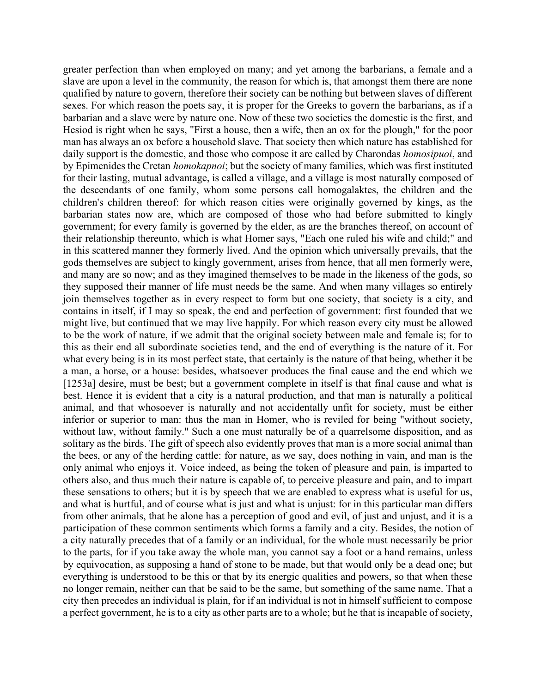greater perfection than when employed on many; and yet among the barbarians, a female and a slave are upon a level in the community, the reason for which is, that amongst them there are none qualified by nature to govern, therefore their society can be nothing but between slaves of different sexes. For which reason the poets say, it is proper for the Greeks to govern the barbarians, as if a barbarian and a slave were by nature one. Now of these two societies the domestic is the first, and Hesiod is right when he says, "First a house, then a wife, then an ox for the plough," for the poor man has always an ox before a household slave. That society then which nature has established for daily support is the domestic, and those who compose it are called by Charondas *homosipuoi*, and by Epimenides the Cretan *homokapnoi*; but the society of many families, which was first instituted for their lasting, mutual advantage, is called a village, and a village is most naturally composed of the descendants of one family, whom some persons call homogalaktes, the children and the children's children thereof: for which reason cities were originally governed by kings, as the barbarian states now are, which are composed of those who had before submitted to kingly government; for every family is governed by the elder, as are the branches thereof, on account of their relationship thereunto, which is what Homer says, "Each one ruled his wife and child;" and in this scattered manner they formerly lived. And the opinion which universally prevails, that the gods themselves are subject to kingly government, arises from hence, that all men formerly were, and many are so now; and as they imagined themselves to be made in the likeness of the gods, so they supposed their manner of life must needs be the same. And when many villages so entirely join themselves together as in every respect to form but one society, that society is a city, and contains in itself, if I may so speak, the end and perfection of government: first founded that we might live, but continued that we may live happily. For which reason every city must be allowed to be the work of nature, if we admit that the original society between male and female is; for to this as their end all subordinate societies tend, and the end of everything is the nature of it. For what every being is in its most perfect state, that certainly is the nature of that being, whether it be a man, a horse, or a house: besides, whatsoever produces the final cause and the end which we [1253a] desire, must be best; but a government complete in itself is that final cause and what is best. Hence it is evident that a city is a natural production, and that man is naturally a political animal, and that whosoever is naturally and not accidentally unfit for society, must be either inferior or superior to man: thus the man in Homer, who is reviled for being "without society, without law, without family." Such a one must naturally be of a quarrelsome disposition, and as solitary as the birds. The gift of speech also evidently proves that man is a more social animal than the bees, or any of the herding cattle: for nature, as we say, does nothing in vain, and man is the only animal who enjoys it. Voice indeed, as being the token of pleasure and pain, is imparted to others also, and thus much their nature is capable of, to perceive pleasure and pain, and to impart these sensations to others; but it is by speech that we are enabled to express what is useful for us, and what is hurtful, and of course what is just and what is unjust: for in this particular man differs from other animals, that he alone has a perception of good and evil, of just and unjust, and it is a participation of these common sentiments which forms a family and a city. Besides, the notion of a city naturally precedes that of a family or an individual, for the whole must necessarily be prior to the parts, for if you take away the whole man, you cannot say a foot or a hand remains, unless by equivocation, as supposing a hand of stone to be made, but that would only be a dead one; but everything is understood to be this or that by its energic qualities and powers, so that when these no longer remain, neither can that be said to be the same, but something of the same name. That a city then precedes an individual is plain, for if an individual is not in himself sufficient to compose a perfect government, he is to a city as other parts are to a whole; but he that is incapable of society,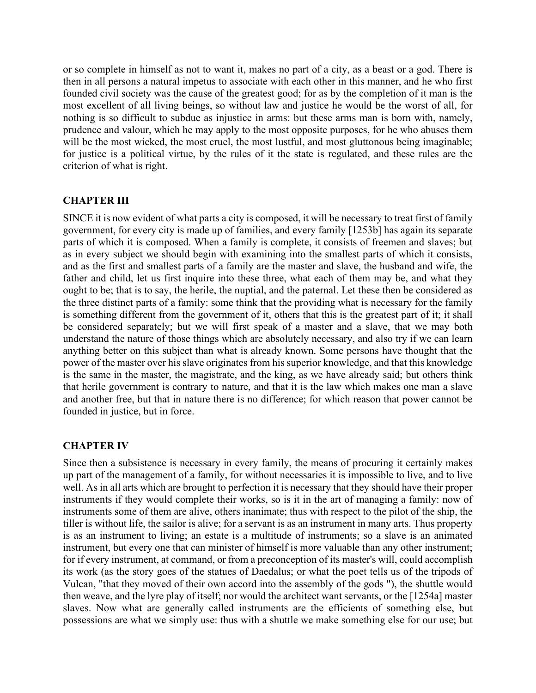or so complete in himself as not to want it, makes no part of a city, as a beast or a god. There is then in all persons a natural impetus to associate with each other in this manner, and he who first founded civil society was the cause of the greatest good; for as by the completion of it man is the most excellent of all living beings, so without law and justice he would be the worst of all, for nothing is so difficult to subdue as injustice in arms: but these arms man is born with, namely, prudence and valour, which he may apply to the most opposite purposes, for he who abuses them will be the most wicked, the most cruel, the most lustful, and most gluttonous being imaginable; for justice is a political virtue, by the rules of it the state is regulated, and these rules are the criterion of what is right.

### **CHAPTER III**

SINCE it is now evident of what parts a city is composed, it will be necessary to treat first of family government, for every city is made up of families, and every family [1253b] has again its separate parts of which it is composed. When a family is complete, it consists of freemen and slaves; but as in every subject we should begin with examining into the smallest parts of which it consists, and as the first and smallest parts of a family are the master and slave, the husband and wife, the father and child, let us first inquire into these three, what each of them may be, and what they ought to be; that is to say, the herile, the nuptial, and the paternal. Let these then be considered as the three distinct parts of a family: some think that the providing what is necessary for the family is something different from the government of it, others that this is the greatest part of it; it shall be considered separately; but we will first speak of a master and a slave, that we may both understand the nature of those things which are absolutely necessary, and also try if we can learn anything better on this subject than what is already known. Some persons have thought that the power of the master over his slave originates from his superior knowledge, and that this knowledge is the same in the master, the magistrate, and the king, as we have already said; but others think that herile government is contrary to nature, and that it is the law which makes one man a slave and another free, but that in nature there is no difference; for which reason that power cannot be founded in justice, but in force.

### **CHAPTER IV**

Since then a subsistence is necessary in every family, the means of procuring it certainly makes up part of the management of a family, for without necessaries it is impossible to live, and to live well. As in all arts which are brought to perfection it is necessary that they should have their proper instruments if they would complete their works, so is it in the art of managing a family: now of instruments some of them are alive, others inanimate; thus with respect to the pilot of the ship, the tiller is without life, the sailor is alive; for a servant is as an instrument in many arts. Thus property is as an instrument to living; an estate is a multitude of instruments; so a slave is an animated instrument, but every one that can minister of himself is more valuable than any other instrument; for if every instrument, at command, or from a preconception of its master's will, could accomplish its work (as the story goes of the statues of Daedalus; or what the poet tells us of the tripods of Vulcan, "that they moved of their own accord into the assembly of the gods "), the shuttle would then weave, and the lyre play of itself; nor would the architect want servants, or the [1254a] master slaves. Now what are generally called instruments are the efficients of something else, but possessions are what we simply use: thus with a shuttle we make something else for our use; but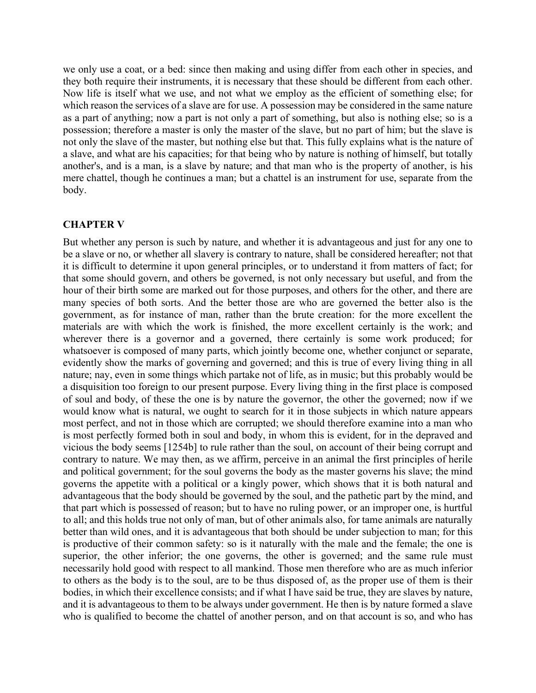we only use a coat, or a bed: since then making and using differ from each other in species, and they both require their instruments, it is necessary that these should be different from each other. Now life is itself what we use, and not what we employ as the efficient of something else; for which reason the services of a slave are for use. A possession may be considered in the same nature as a part of anything; now a part is not only a part of something, but also is nothing else; so is a possession; therefore a master is only the master of the slave, but no part of him; but the slave is not only the slave of the master, but nothing else but that. This fully explains what is the nature of a slave, and what are his capacities; for that being who by nature is nothing of himself, but totally another's, and is a man, is a slave by nature; and that man who is the property of another, is his mere chattel, though he continues a man; but a chattel is an instrument for use, separate from the body.

### **CHAPTER V**

But whether any person is such by nature, and whether it is advantageous and just for any one to be a slave or no, or whether all slavery is contrary to nature, shall be considered hereafter; not that it is difficult to determine it upon general principles, or to understand it from matters of fact; for that some should govern, and others be governed, is not only necessary but useful, and from the hour of their birth some are marked out for those purposes, and others for the other, and there are many species of both sorts. And the better those are who are governed the better also is the government, as for instance of man, rather than the brute creation: for the more excellent the materials are with which the work is finished, the more excellent certainly is the work; and wherever there is a governor and a governed, there certainly is some work produced; for whatsoever is composed of many parts, which jointly become one, whether conjunct or separate, evidently show the marks of governing and governed; and this is true of every living thing in all nature; nay, even in some things which partake not of life, as in music; but this probably would be a disquisition too foreign to our present purpose. Every living thing in the first place is composed of soul and body, of these the one is by nature the governor, the other the governed; now if we would know what is natural, we ought to search for it in those subjects in which nature appears most perfect, and not in those which are corrupted; we should therefore examine into a man who is most perfectly formed both in soul and body, in whom this is evident, for in the depraved and vicious the body seems [1254b] to rule rather than the soul, on account of their being corrupt and contrary to nature. We may then, as we affirm, perceive in an animal the first principles of herile and political government; for the soul governs the body as the master governs his slave; the mind governs the appetite with a political or a kingly power, which shows that it is both natural and advantageous that the body should be governed by the soul, and the pathetic part by the mind, and that part which is possessed of reason; but to have no ruling power, or an improper one, is hurtful to all; and this holds true not only of man, but of other animals also, for tame animals are naturally better than wild ones, and it is advantageous that both should be under subjection to man; for this is productive of their common safety: so is it naturally with the male and the female; the one is superior, the other inferior; the one governs, the other is governed; and the same rule must necessarily hold good with respect to all mankind. Those men therefore who are as much inferior to others as the body is to the soul, are to be thus disposed of, as the proper use of them is their bodies, in which their excellence consists; and if what I have said be true, they are slaves by nature, and it is advantageous to them to be always under government. He then is by nature formed a slave who is qualified to become the chattel of another person, and on that account is so, and who has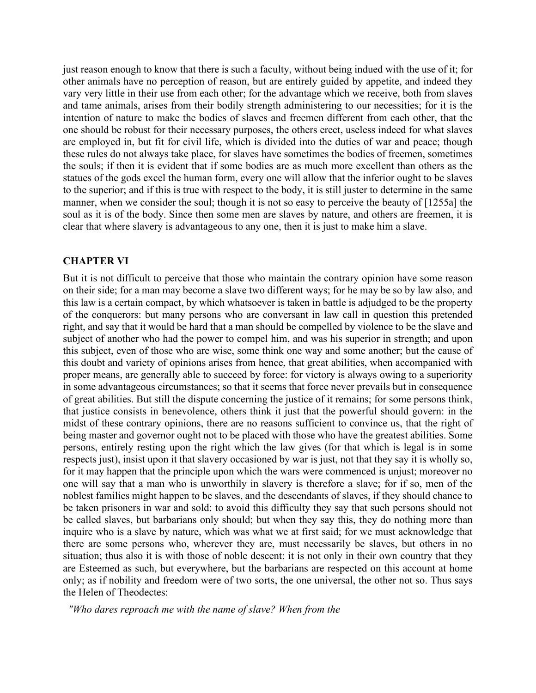just reason enough to know that there is such a faculty, without being indued with the use of it; for other animals have no perception of reason, but are entirely guided by appetite, and indeed they vary very little in their use from each other; for the advantage which we receive, both from slaves and tame animals, arises from their bodily strength administering to our necessities; for it is the intention of nature to make the bodies of slaves and freemen different from each other, that the one should be robust for their necessary purposes, the others erect, useless indeed for what slaves are employed in, but fit for civil life, which is divided into the duties of war and peace; though these rules do not always take place, for slaves have sometimes the bodies of freemen, sometimes the souls; if then it is evident that if some bodies are as much more excellent than others as the statues of the gods excel the human form, every one will allow that the inferior ought to be slaves to the superior; and if this is true with respect to the body, it is still juster to determine in the same manner, when we consider the soul; though it is not so easy to perceive the beauty of [1255a] the soul as it is of the body. Since then some men are slaves by nature, and others are freemen, it is clear that where slavery is advantageous to any one, then it is just to make him a slave.

### **CHAPTER VI**

But it is not difficult to perceive that those who maintain the contrary opinion have some reason on their side; for a man may become a slave two different ways; for he may be so by law also, and this law is a certain compact, by which whatsoever is taken in battle is adjudged to be the property of the conquerors: but many persons who are conversant in law call in question this pretended right, and say that it would be hard that a man should be compelled by violence to be the slave and subject of another who had the power to compel him, and was his superior in strength; and upon this subject, even of those who are wise, some think one way and some another; but the cause of this doubt and variety of opinions arises from hence, that great abilities, when accompanied with proper means, are generally able to succeed by force: for victory is always owing to a superiority in some advantageous circumstances; so that it seems that force never prevails but in consequence of great abilities. But still the dispute concerning the justice of it remains; for some persons think, that justice consists in benevolence, others think it just that the powerful should govern: in the midst of these contrary opinions, there are no reasons sufficient to convince us, that the right of being master and governor ought not to be placed with those who have the greatest abilities. Some persons, entirely resting upon the right which the law gives (for that which is legal is in some respects just), insist upon it that slavery occasioned by war is just, not that they say it is wholly so, for it may happen that the principle upon which the wars were commenced is unjust; moreover no one will say that a man who is unworthily in slavery is therefore a slave; for if so, men of the noblest families might happen to be slaves, and the descendants of slaves, if they should chance to be taken prisoners in war and sold: to avoid this difficulty they say that such persons should not be called slaves, but barbarians only should; but when they say this, they do nothing more than inquire who is a slave by nature, which was what we at first said; for we must acknowledge that there are some persons who, wherever they are, must necessarily be slaves, but others in no situation; thus also it is with those of noble descent: it is not only in their own country that they are Esteemed as such, but everywhere, but the barbarians are respected on this account at home only; as if nobility and freedom were of two sorts, the one universal, the other not so. Thus says the Helen of Theodectes:

 *"Who dares reproach me with the name of slave? When from the*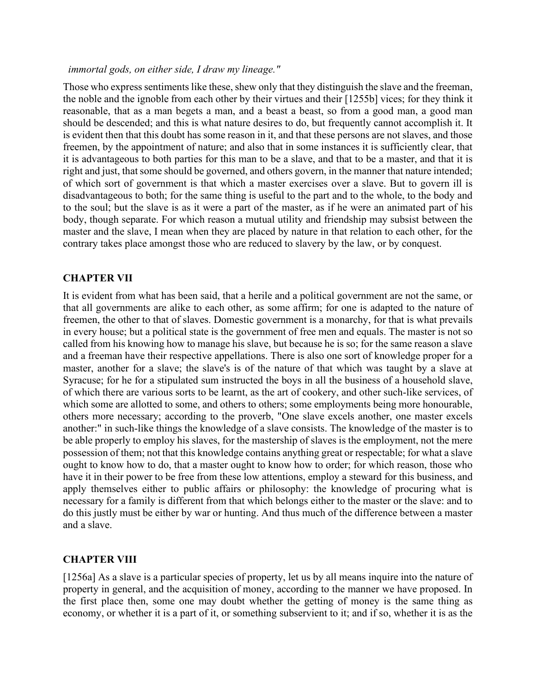### *immortal gods, on either side, I draw my lineage."*

Those who express sentiments like these, shew only that they distinguish the slave and the freeman, the noble and the ignoble from each other by their virtues and their [1255b] vices; for they think it reasonable, that as a man begets a man, and a beast a beast, so from a good man, a good man should be descended; and this is what nature desires to do, but frequently cannot accomplish it. It is evident then that this doubt has some reason in it, and that these persons are not slaves, and those freemen, by the appointment of nature; and also that in some instances it is sufficiently clear, that it is advantageous to both parties for this man to be a slave, and that to be a master, and that it is right and just, that some should be governed, and others govern, in the manner that nature intended; of which sort of government is that which a master exercises over a slave. But to govern ill is disadvantageous to both; for the same thing is useful to the part and to the whole, to the body and to the soul; but the slave is as it were a part of the master, as if he were an animated part of his body, though separate. For which reason a mutual utility and friendship may subsist between the master and the slave, I mean when they are placed by nature in that relation to each other, for the contrary takes place amongst those who are reduced to slavery by the law, or by conquest.

### **CHAPTER VII**

It is evident from what has been said, that a herile and a political government are not the same, or that all governments are alike to each other, as some affirm; for one is adapted to the nature of freemen, the other to that of slaves. Domestic government is a monarchy, for that is what prevails in every house; but a political state is the government of free men and equals. The master is not so called from his knowing how to manage his slave, but because he is so; for the same reason a slave and a freeman have their respective appellations. There is also one sort of knowledge proper for a master, another for a slave; the slave's is of the nature of that which was taught by a slave at Syracuse; for he for a stipulated sum instructed the boys in all the business of a household slave, of which there are various sorts to be learnt, as the art of cookery, and other such-like services, of which some are allotted to some, and others to others; some employments being more honourable, others more necessary; according to the proverb, "One slave excels another, one master excels another:" in such-like things the knowledge of a slave consists. The knowledge of the master is to be able properly to employ his slaves, for the mastership of slaves is the employment, not the mere possession of them; not that this knowledge contains anything great or respectable; for what a slave ought to know how to do, that a master ought to know how to order; for which reason, those who have it in their power to be free from these low attentions, employ a steward for this business, and apply themselves either to public affairs or philosophy: the knowledge of procuring what is necessary for a family is different from that which belongs either to the master or the slave: and to do this justly must be either by war or hunting. And thus much of the difference between a master and a slave.

# **CHAPTER VIII**

[1256a] As a slave is a particular species of property, let us by all means inquire into the nature of property in general, and the acquisition of money, according to the manner we have proposed. In the first place then, some one may doubt whether the getting of money is the same thing as economy, or whether it is a part of it, or something subservient to it; and if so, whether it is as the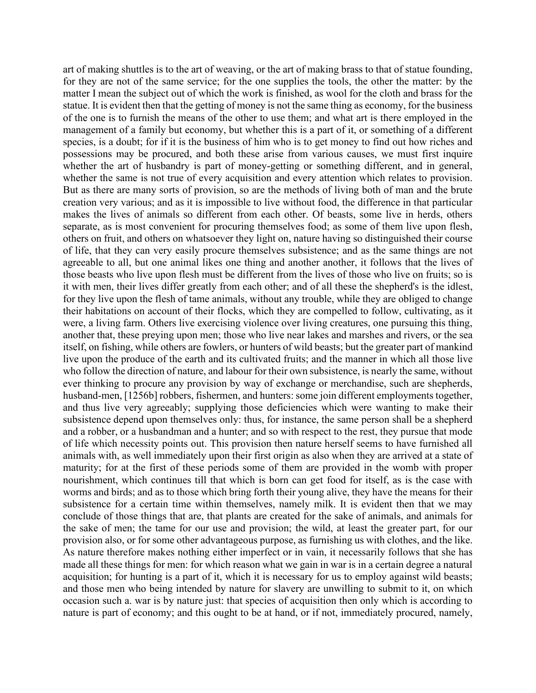art of making shuttles is to the art of weaving, or the art of making brass to that of statue founding, for they are not of the same service; for the one supplies the tools, the other the matter: by the matter I mean the subject out of which the work is finished, as wool for the cloth and brass for the statue. It is evident then that the getting of money is not the same thing as economy, for the business of the one is to furnish the means of the other to use them; and what art is there employed in the management of a family but economy, but whether this is a part of it, or something of a different species, is a doubt; for if it is the business of him who is to get money to find out how riches and possessions may be procured, and both these arise from various causes, we must first inquire whether the art of husbandry is part of money-getting or something different, and in general, whether the same is not true of every acquisition and every attention which relates to provision. But as there are many sorts of provision, so are the methods of living both of man and the brute creation very various; and as it is impossible to live without food, the difference in that particular makes the lives of animals so different from each other. Of beasts, some live in herds, others separate, as is most convenient for procuring themselves food; as some of them live upon flesh, others on fruit, and others on whatsoever they light on, nature having so distinguished their course of life, that they can very easily procure themselves subsistence; and as the same things are not agreeable to all, but one animal likes one thing and another another, it follows that the lives of those beasts who live upon flesh must be different from the lives of those who live on fruits; so is it with men, their lives differ greatly from each other; and of all these the shepherd's is the idlest, for they live upon the flesh of tame animals, without any trouble, while they are obliged to change their habitations on account of their flocks, which they are compelled to follow, cultivating, as it were, a living farm. Others live exercising violence over living creatures, one pursuing this thing, another that, these preying upon men; those who live near lakes and marshes and rivers, or the sea itself, on fishing, while others are fowlers, or hunters of wild beasts; but the greater part of mankind live upon the produce of the earth and its cultivated fruits; and the manner in which all those live who follow the direction of nature, and labour for their own subsistence, is nearly the same, without ever thinking to procure any provision by way of exchange or merchandise, such are shepherds, husband-men, [1256b] robbers, fishermen, and hunters: some join different employments together, and thus live very agreeably; supplying those deficiencies which were wanting to make their subsistence depend upon themselves only: thus, for instance, the same person shall be a shepherd and a robber, or a husbandman and a hunter; and so with respect to the rest, they pursue that mode of life which necessity points out. This provision then nature herself seems to have furnished all animals with, as well immediately upon their first origin as also when they are arrived at a state of maturity; for at the first of these periods some of them are provided in the womb with proper nourishment, which continues till that which is born can get food for itself, as is the case with worms and birds; and as to those which bring forth their young alive, they have the means for their subsistence for a certain time within themselves, namely milk. It is evident then that we may conclude of those things that are, that plants are created for the sake of animals, and animals for the sake of men; the tame for our use and provision; the wild, at least the greater part, for our provision also, or for some other advantageous purpose, as furnishing us with clothes, and the like. As nature therefore makes nothing either imperfect or in vain, it necessarily follows that she has made all these things for men: for which reason what we gain in war is in a certain degree a natural acquisition; for hunting is a part of it, which it is necessary for us to employ against wild beasts; and those men who being intended by nature for slavery are unwilling to submit to it, on which occasion such a. war is by nature just: that species of acquisition then only which is according to nature is part of economy; and this ought to be at hand, or if not, immediately procured, namely,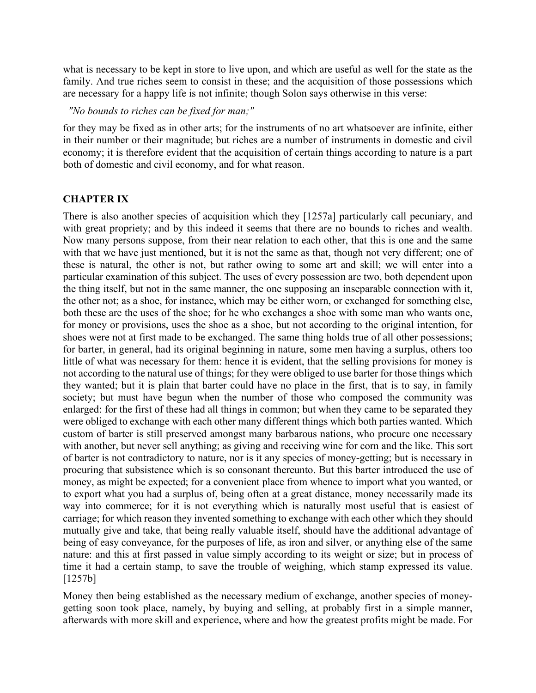what is necessary to be kept in store to live upon, and which are useful as well for the state as the family. And true riches seem to consist in these; and the acquisition of those possessions which are necessary for a happy life is not infinite; though Solon says otherwise in this verse:

### *"No bounds to riches can be fixed for man;"*

for they may be fixed as in other arts; for the instruments of no art whatsoever are infinite, either in their number or their magnitude; but riches are a number of instruments in domestic and civil economy; it is therefore evident that the acquisition of certain things according to nature is a part both of domestic and civil economy, and for what reason.

### **CHAPTER IX**

There is also another species of acquisition which they [1257a] particularly call pecuniary, and with great propriety; and by this indeed it seems that there are no bounds to riches and wealth. Now many persons suppose, from their near relation to each other, that this is one and the same with that we have just mentioned, but it is not the same as that, though not very different; one of these is natural, the other is not, but rather owing to some art and skill; we will enter into a particular examination of this subject. The uses of every possession are two, both dependent upon the thing itself, but not in the same manner, the one supposing an inseparable connection with it, the other not; as a shoe, for instance, which may be either worn, or exchanged for something else, both these are the uses of the shoe; for he who exchanges a shoe with some man who wants one, for money or provisions, uses the shoe as a shoe, but not according to the original intention, for shoes were not at first made to be exchanged. The same thing holds true of all other possessions; for barter, in general, had its original beginning in nature, some men having a surplus, others too little of what was necessary for them: hence it is evident, that the selling provisions for money is not according to the natural use of things; for they were obliged to use barter for those things which they wanted; but it is plain that barter could have no place in the first, that is to say, in family society; but must have begun when the number of those who composed the community was enlarged: for the first of these had all things in common; but when they came to be separated they were obliged to exchange with each other many different things which both parties wanted. Which custom of barter is still preserved amongst many barbarous nations, who procure one necessary with another, but never sell anything; as giving and receiving wine for corn and the like. This sort of barter is not contradictory to nature, nor is it any species of money-getting; but is necessary in procuring that subsistence which is so consonant thereunto. But this barter introduced the use of money, as might be expected; for a convenient place from whence to import what you wanted, or to export what you had a surplus of, being often at a great distance, money necessarily made its way into commerce; for it is not everything which is naturally most useful that is easiest of carriage; for which reason they invented something to exchange with each other which they should mutually give and take, that being really valuable itself, should have the additional advantage of being of easy conveyance, for the purposes of life, as iron and silver, or anything else of the same nature: and this at first passed in value simply according to its weight or size; but in process of time it had a certain stamp, to save the trouble of weighing, which stamp expressed its value. [1257b]

Money then being established as the necessary medium of exchange, another species of moneygetting soon took place, namely, by buying and selling, at probably first in a simple manner, afterwards with more skill and experience, where and how the greatest profits might be made. For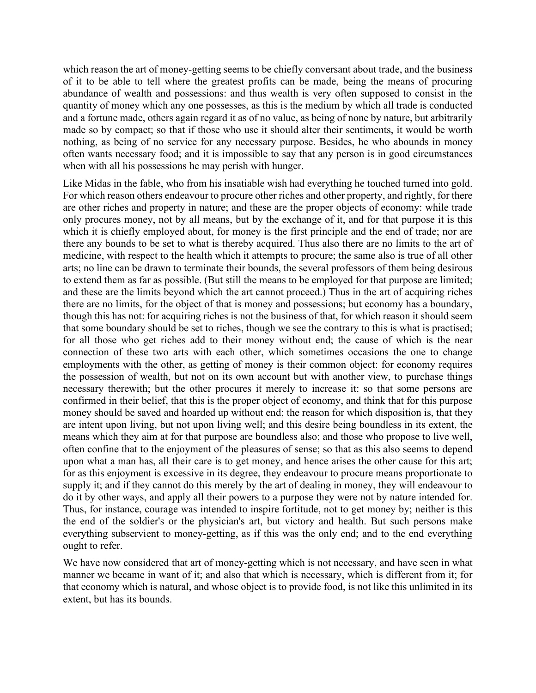which reason the art of money-getting seems to be chiefly conversant about trade, and the business of it to be able to tell where the greatest profits can be made, being the means of procuring abundance of wealth and possessions: and thus wealth is very often supposed to consist in the quantity of money which any one possesses, as this is the medium by which all trade is conducted and a fortune made, others again regard it as of no value, as being of none by nature, but arbitrarily made so by compact; so that if those who use it should alter their sentiments, it would be worth nothing, as being of no service for any necessary purpose. Besides, he who abounds in money often wants necessary food; and it is impossible to say that any person is in good circumstances when with all his possessions he may perish with hunger.

Like Midas in the fable, who from his insatiable wish had everything he touched turned into gold. For which reason others endeavour to procure other riches and other property, and rightly, for there are other riches and property in nature; and these are the proper objects of economy: while trade only procures money, not by all means, but by the exchange of it, and for that purpose it is this which it is chiefly employed about, for money is the first principle and the end of trade; nor are there any bounds to be set to what is thereby acquired. Thus also there are no limits to the art of medicine, with respect to the health which it attempts to procure; the same also is true of all other arts; no line can be drawn to terminate their bounds, the several professors of them being desirous to extend them as far as possible. (But still the means to be employed for that purpose are limited; and these are the limits beyond which the art cannot proceed.) Thus in the art of acquiring riches there are no limits, for the object of that is money and possessions; but economy has a boundary, though this has not: for acquiring riches is not the business of that, for which reason it should seem that some boundary should be set to riches, though we see the contrary to this is what is practised; for all those who get riches add to their money without end; the cause of which is the near connection of these two arts with each other, which sometimes occasions the one to change employments with the other, as getting of money is their common object: for economy requires the possession of wealth, but not on its own account but with another view, to purchase things necessary therewith; but the other procures it merely to increase it: so that some persons are confirmed in their belief, that this is the proper object of economy, and think that for this purpose money should be saved and hoarded up without end; the reason for which disposition is, that they are intent upon living, but not upon living well; and this desire being boundless in its extent, the means which they aim at for that purpose are boundless also; and those who propose to live well, often confine that to the enjoyment of the pleasures of sense; so that as this also seems to depend upon what a man has, all their care is to get money, and hence arises the other cause for this art; for as this enjoyment is excessive in its degree, they endeavour to procure means proportionate to supply it; and if they cannot do this merely by the art of dealing in money, they will endeavour to do it by other ways, and apply all their powers to a purpose they were not by nature intended for. Thus, for instance, courage was intended to inspire fortitude, not to get money by; neither is this the end of the soldier's or the physician's art, but victory and health. But such persons make everything subservient to money-getting, as if this was the only end; and to the end everything ought to refer.

We have now considered that art of money-getting which is not necessary, and have seen in what manner we became in want of it; and also that which is necessary, which is different from it; for that economy which is natural, and whose object is to provide food, is not like this unlimited in its extent, but has its bounds.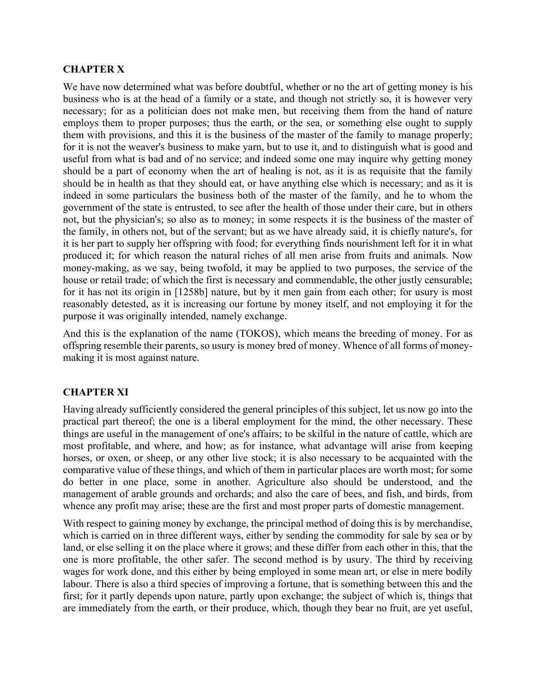### **CHAPTER X**

We have now determined what was before doubtful, whether or no the art of getting money is his business who is at the head of a family or a state, and though not strictly so, it is however very necessary; for as a politician does not make men, but receiving them from the hand of nature employs them to proper purposes; thus the earth, or the sea, or something else ought to supply them with provisions, and this it is the business of the master of the family to manage properly; for it is not the weaver's business to make yarn, but to use it, and to distinguish what is good and useful from what is bad and of no service; and indeed some one may inquire why getting money should be a part of economy when the art of healing is not, as it is as requisite that the family should be in health as that they should eat, or have anything else which is necessary; and as it is indeed in some particulars the business both of the master of the family, and he to whom the government of the state is entrusted, to see after the health of those under their care, but in others not, but the physician's; so also as to money; in some respects it is the business of the master of the family, in others not, but of the servant; but as we have already said, it is chiefly nature's, for it is her part to supply her offspring with food; for everything finds nourishment left for it in what produced it; for which reason the natural riches of all men arise from fruits and animals. Now money-making, as we say, being twofold, it may be applied to two purposes, the service of the house or retail trade; of which the first is necessary and commendable, the other justly censurable; for it has not its origin in [1258b] nature, but by it men gain from each other; for usury is most reasonably detested, as it is increasing our fortune by money itself, and not employing it for the purpose it was originally intended, namely exchange.

And this is the explanation of the name (TOKOS), which means the breeding of money. For as offspring resemble their parents, so usury is money bred of money. Whence of all forms of moneymaking it is most against nature.

# **CHAPTER XI**

Having already sufficiently considered the general principles of this subject, let us now go into the practical part thereof; the one is a liberal employment for the mind, the other necessary. These things are useful in the management of one's affairs; to be skilful in the nature of cattle, which are most profitable, and where, and how; as for instance, what advantage will arise from keeping horses, or oxen, or sheep, or any other live stock; it is also necessary to be acquainted with the comparative value of these things, and which of them in particular places are worth most; for some do better in one place, some in another. Agriculture also should be understood, and the management of arable grounds and orchards; and also the care of bees, and fish, and birds, from whence any profit may arise; these are the first and most proper parts of domestic management.

With respect to gaining money by exchange, the principal method of doing this is by merchandise, which is carried on in three different ways, either by sending the commodity for sale by sea or by land, or else selling it on the place where it grows; and these differ from each other in this, that the one is more profitable, the other safer. The second method is by usury. The third by receiving wages for work done, and this either by being employed in some mean art, or else in mere bodily labour. There is also a third species of improving a fortune, that is something between this and the first; for it partly depends upon nature, partly upon exchange; the subject of which is, things that are immediately from the earth, or their produce, which, though they bear no fruit, are yet useful,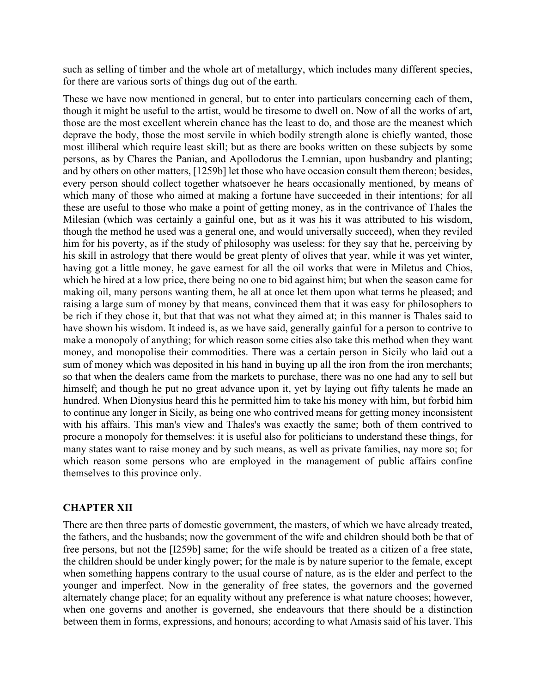such as selling of timber and the whole art of metallurgy, which includes many different species, for there are various sorts of things dug out of the earth.

These we have now mentioned in general, but to enter into particulars concerning each of them, though it might be useful to the artist, would be tiresome to dwell on. Now of all the works of art, those are the most excellent wherein chance has the least to do, and those are the meanest which deprave the body, those the most servile in which bodily strength alone is chiefly wanted, those most illiberal which require least skill; but as there are books written on these subjects by some persons, as by Chares the Panian, and Apollodorus the Lemnian, upon husbandry and planting; and by others on other matters, [1259b] let those who have occasion consult them thereon; besides, every person should collect together whatsoever he hears occasionally mentioned, by means of which many of those who aimed at making a fortune have succeeded in their intentions; for all these are useful to those who make a point of getting money, as in the contrivance of Thales the Milesian (which was certainly a gainful one, but as it was his it was attributed to his wisdom, though the method he used was a general one, and would universally succeed), when they reviled him for his poverty, as if the study of philosophy was useless: for they say that he, perceiving by his skill in astrology that there would be great plenty of olives that year, while it was yet winter, having got a little money, he gave earnest for all the oil works that were in Miletus and Chios, which he hired at a low price, there being no one to bid against him; but when the season came for making oil, many persons wanting them, he all at once let them upon what terms he pleased; and raising a large sum of money by that means, convinced them that it was easy for philosophers to be rich if they chose it, but that that was not what they aimed at; in this manner is Thales said to have shown his wisdom. It indeed is, as we have said, generally gainful for a person to contrive to make a monopoly of anything; for which reason some cities also take this method when they want money, and monopolise their commodities. There was a certain person in Sicily who laid out a sum of money which was deposited in his hand in buying up all the iron from the iron merchants; so that when the dealers came from the markets to purchase, there was no one had any to sell but himself; and though he put no great advance upon it, yet by laying out fifty talents he made an hundred. When Dionysius heard this he permitted him to take his money with him, but forbid him to continue any longer in Sicily, as being one who contrived means for getting money inconsistent with his affairs. This man's view and Thales's was exactly the same; both of them contrived to procure a monopoly for themselves: it is useful also for politicians to understand these things, for many states want to raise money and by such means, as well as private families, nay more so; for which reason some persons who are employed in the management of public affairs confine themselves to this province only.

### **CHAPTER XII**

There are then three parts of domestic government, the masters, of which we have already treated, the fathers, and the husbands; now the government of the wife and children should both be that of free persons, but not the [I259b] same; for the wife should be treated as a citizen of a free state, the children should be under kingly power; for the male is by nature superior to the female, except when something happens contrary to the usual course of nature, as is the elder and perfect to the younger and imperfect. Now in the generality of free states, the governors and the governed alternately change place; for an equality without any preference is what nature chooses; however, when one governs and another is governed, she endeavours that there should be a distinction between them in forms, expressions, and honours; according to what Amasis said of his laver. This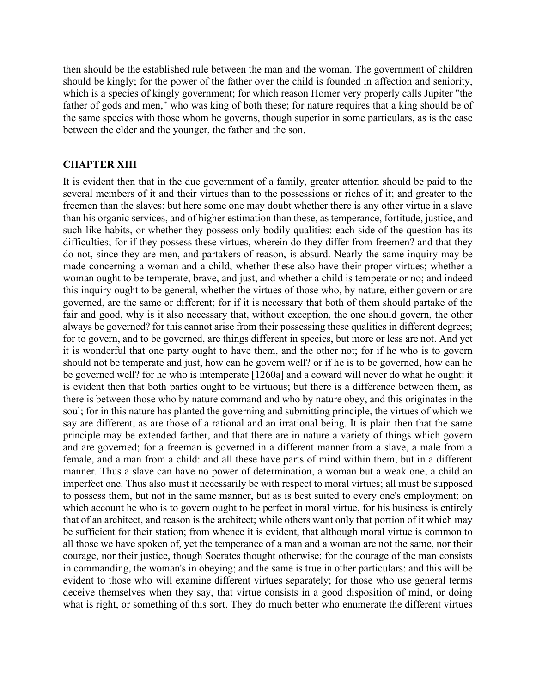then should be the established rule between the man and the woman. The government of children should be kingly; for the power of the father over the child is founded in affection and seniority, which is a species of kingly government; for which reason Homer very properly calls Jupiter "the father of gods and men," who was king of both these; for nature requires that a king should be of the same species with those whom he governs, though superior in some particulars, as is the case between the elder and the younger, the father and the son.

#### **CHAPTER XIII**

It is evident then that in the due government of a family, greater attention should be paid to the several members of it and their virtues than to the possessions or riches of it; and greater to the freemen than the slaves: but here some one may doubt whether there is any other virtue in a slave than his organic services, and of higher estimation than these, as temperance, fortitude, justice, and such-like habits, or whether they possess only bodily qualities: each side of the question has its difficulties; for if they possess these virtues, wherein do they differ from freemen? and that they do not, since they are men, and partakers of reason, is absurd. Nearly the same inquiry may be made concerning a woman and a child, whether these also have their proper virtues; whether a woman ought to be temperate, brave, and just, and whether a child is temperate or no; and indeed this inquiry ought to be general, whether the virtues of those who, by nature, either govern or are governed, are the same or different; for if it is necessary that both of them should partake of the fair and good, why is it also necessary that, without exception, the one should govern, the other always be governed? for this cannot arise from their possessing these qualities in different degrees; for to govern, and to be governed, are things different in species, but more or less are not. And yet it is wonderful that one party ought to have them, and the other not; for if he who is to govern should not be temperate and just, how can he govern well? or if he is to be governed, how can he be governed well? for he who is intemperate [1260a] and a coward will never do what he ought: it is evident then that both parties ought to be virtuous; but there is a difference between them, as there is between those who by nature command and who by nature obey, and this originates in the soul; for in this nature has planted the governing and submitting principle, the virtues of which we say are different, as are those of a rational and an irrational being. It is plain then that the same principle may be extended farther, and that there are in nature a variety of things which govern and are governed; for a freeman is governed in a different manner from a slave, a male from a female, and a man from a child: and all these have parts of mind within them, but in a different manner. Thus a slave can have no power of determination, a woman but a weak one, a child an imperfect one. Thus also must it necessarily be with respect to moral virtues; all must be supposed to possess them, but not in the same manner, but as is best suited to every one's employment; on which account he who is to govern ought to be perfect in moral virtue, for his business is entirely that of an architect, and reason is the architect; while others want only that portion of it which may be sufficient for their station; from whence it is evident, that although moral virtue is common to all those we have spoken of, yet the temperance of a man and a woman are not the same, nor their courage, nor their justice, though Socrates thought otherwise; for the courage of the man consists in commanding, the woman's in obeying; and the same is true in other particulars: and this will be evident to those who will examine different virtues separately; for those who use general terms deceive themselves when they say, that virtue consists in a good disposition of mind, or doing what is right, or something of this sort. They do much better who enumerate the different virtues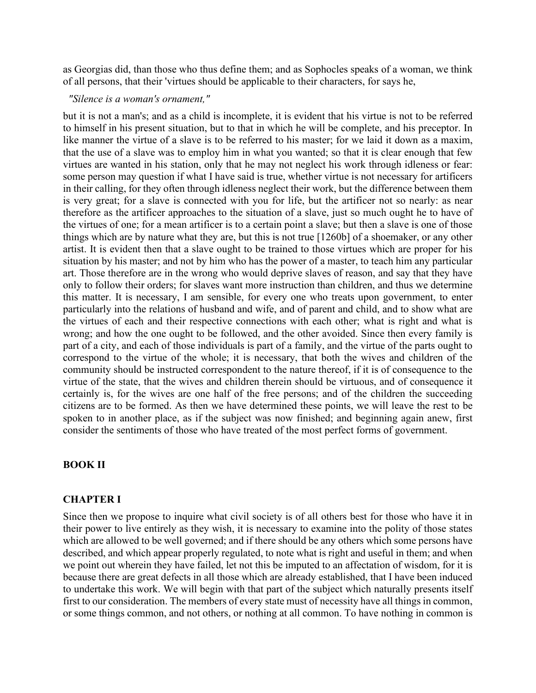as Georgias did, than those who thus define them; and as Sophocles speaks of a woman, we think of all persons, that their 'virtues should be applicable to their characters, for says he,

### *"Silence is a woman's ornament,"*

but it is not a man's; and as a child is incomplete, it is evident that his virtue is not to be referred to himself in his present situation, but to that in which he will be complete, and his preceptor. In like manner the virtue of a slave is to be referred to his master; for we laid it down as a maxim, that the use of a slave was to employ him in what you wanted; so that it is clear enough that few virtues are wanted in his station, only that he may not neglect his work through idleness or fear: some person may question if what I have said is true, whether virtue is not necessary for artificers in their calling, for they often through idleness neglect their work, but the difference between them is very great; for a slave is connected with you for life, but the artificer not so nearly: as near therefore as the artificer approaches to the situation of a slave, just so much ought he to have of the virtues of one; for a mean artificer is to a certain point a slave; but then a slave is one of those things which are by nature what they are, but this is not true [1260b] of a shoemaker, or any other artist. It is evident then that a slave ought to be trained to those virtues which are proper for his situation by his master; and not by him who has the power of a master, to teach him any particular art. Those therefore are in the wrong who would deprive slaves of reason, and say that they have only to follow their orders; for slaves want more instruction than children, and thus we determine this matter. It is necessary, I am sensible, for every one who treats upon government, to enter particularly into the relations of husband and wife, and of parent and child, and to show what are the virtues of each and their respective connections with each other; what is right and what is wrong; and how the one ought to be followed, and the other avoided. Since then every family is part of a city, and each of those individuals is part of a family, and the virtue of the parts ought to correspond to the virtue of the whole; it is necessary, that both the wives and children of the community should be instructed correspondent to the nature thereof, if it is of consequence to the virtue of the state, that the wives and children therein should be virtuous, and of consequence it certainly is, for the wives are one half of the free persons; and of the children the succeeding citizens are to be formed. As then we have determined these points, we will leave the rest to be spoken to in another place, as if the subject was now finished; and beginning again anew, first consider the sentiments of those who have treated of the most perfect forms of government.

#### **BOOK II**

#### **CHAPTER I**

Since then we propose to inquire what civil society is of all others best for those who have it in their power to live entirely as they wish, it is necessary to examine into the polity of those states which are allowed to be well governed; and if there should be any others which some persons have described, and which appear properly regulated, to note what is right and useful in them; and when we point out wherein they have failed, let not this be imputed to an affectation of wisdom, for it is because there are great defects in all those which are already established, that I have been induced to undertake this work. We will begin with that part of the subject which naturally presents itself first to our consideration. The members of every state must of necessity have all things in common, or some things common, and not others, or nothing at all common. To have nothing in common is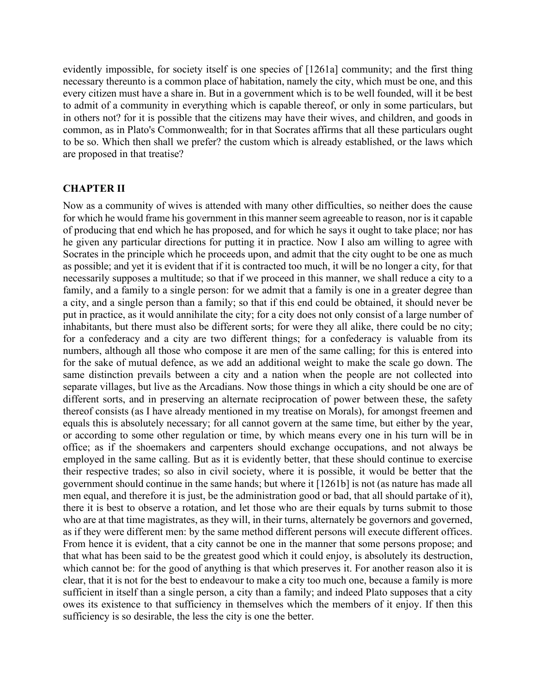evidently impossible, for society itself is one species of [1261a] community; and the first thing necessary thereunto is a common place of habitation, namely the city, which must be one, and this every citizen must have a share in. But in a government which is to be well founded, will it be best to admit of a community in everything which is capable thereof, or only in some particulars, but in others not? for it is possible that the citizens may have their wives, and children, and goods in common, as in Plato's Commonwealth; for in that Socrates affirms that all these particulars ought to be so. Which then shall we prefer? the custom which is already established, or the laws which are proposed in that treatise?

### **CHAPTER II**

Now as a community of wives is attended with many other difficulties, so neither does the cause for which he would frame his government in this manner seem agreeable to reason, nor is it capable of producing that end which he has proposed, and for which he says it ought to take place; nor has he given any particular directions for putting it in practice. Now I also am willing to agree with Socrates in the principle which he proceeds upon, and admit that the city ought to be one as much as possible; and yet it is evident that if it is contracted too much, it will be no longer a city, for that necessarily supposes a multitude; so that if we proceed in this manner, we shall reduce a city to a family, and a family to a single person: for we admit that a family is one in a greater degree than a city, and a single person than a family; so that if this end could be obtained, it should never be put in practice, as it would annihilate the city; for a city does not only consist of a large number of inhabitants, but there must also be different sorts; for were they all alike, there could be no city; for a confederacy and a city are two different things; for a confederacy is valuable from its numbers, although all those who compose it are men of the same calling; for this is entered into for the sake of mutual defence, as we add an additional weight to make the scale go down. The same distinction prevails between a city and a nation when the people are not collected into separate villages, but live as the Arcadians. Now those things in which a city should be one are of different sorts, and in preserving an alternate reciprocation of power between these, the safety thereof consists (as I have already mentioned in my treatise on Morals), for amongst freemen and equals this is absolutely necessary; for all cannot govern at the same time, but either by the year, or according to some other regulation or time, by which means every one in his turn will be in office; as if the shoemakers and carpenters should exchange occupations, and not always be employed in the same calling. But as it is evidently better, that these should continue to exercise their respective trades; so also in civil society, where it is possible, it would be better that the government should continue in the same hands; but where it [1261b] is not (as nature has made all men equal, and therefore it is just, be the administration good or bad, that all should partake of it), there it is best to observe a rotation, and let those who are their equals by turns submit to those who are at that time magistrates, as they will, in their turns, alternately be governors and governed, as if they were different men: by the same method different persons will execute different offices. From hence it is evident, that a city cannot be one in the manner that some persons propose; and that what has been said to be the greatest good which it could enjoy, is absolutely its destruction, which cannot be: for the good of anything is that which preserves it. For another reason also it is clear, that it is not for the best to endeavour to make a city too much one, because a family is more sufficient in itself than a single person, a city than a family; and indeed Plato supposes that a city owes its existence to that sufficiency in themselves which the members of it enjoy. If then this sufficiency is so desirable, the less the city is one the better.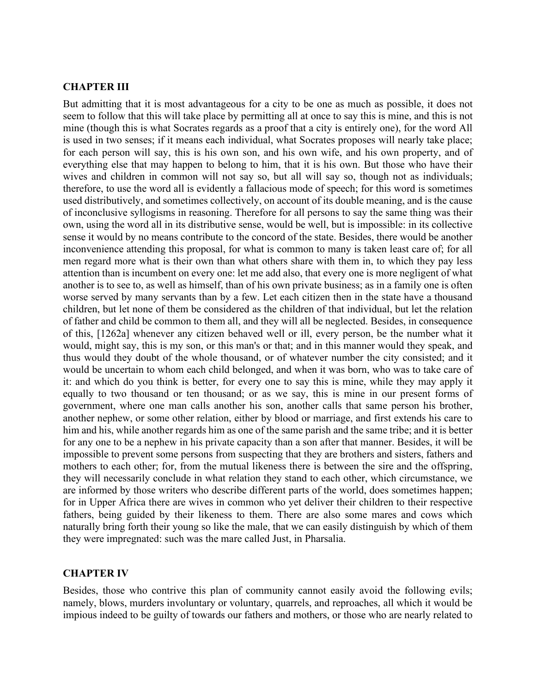#### **CHAPTER III**

But admitting that it is most advantageous for a city to be one as much as possible, it does not seem to follow that this will take place by permitting all at once to say this is mine, and this is not mine (though this is what Socrates regards as a proof that a city is entirely one), for the word All is used in two senses; if it means each individual, what Socrates proposes will nearly take place; for each person will say, this is his own son, and his own wife, and his own property, and of everything else that may happen to belong to him, that it is his own. But those who have their wives and children in common will not say so, but all will say so, though not as individuals; therefore, to use the word all is evidently a fallacious mode of speech; for this word is sometimes used distributively, and sometimes collectively, on account of its double meaning, and is the cause of inconclusive syllogisms in reasoning. Therefore for all persons to say the same thing was their own, using the word all in its distributive sense, would be well, but is impossible: in its collective sense it would by no means contribute to the concord of the state. Besides, there would be another inconvenience attending this proposal, for what is common to many is taken least care of; for all men regard more what is their own than what others share with them in, to which they pay less attention than is incumbent on every one: let me add also, that every one is more negligent of what another is to see to, as well as himself, than of his own private business; as in a family one is often worse served by many servants than by a few. Let each citizen then in the state have a thousand children, but let none of them be considered as the children of that individual, but let the relation of father and child be common to them all, and they will all be neglected. Besides, in consequence of this, [1262a] whenever any citizen behaved well or ill, every person, be the number what it would, might say, this is my son, or this man's or that; and in this manner would they speak, and thus would they doubt of the whole thousand, or of whatever number the city consisted; and it would be uncertain to whom each child belonged, and when it was born, who was to take care of it: and which do you think is better, for every one to say this is mine, while they may apply it equally to two thousand or ten thousand; or as we say, this is mine in our present forms of government, where one man calls another his son, another calls that same person his brother, another nephew, or some other relation, either by blood or marriage, and first extends his care to him and his, while another regards him as one of the same parish and the same tribe; and it is better for any one to be a nephew in his private capacity than a son after that manner. Besides, it will be impossible to prevent some persons from suspecting that they are brothers and sisters, fathers and mothers to each other; for, from the mutual likeness there is between the sire and the offspring, they will necessarily conclude in what relation they stand to each other, which circumstance, we are informed by those writers who describe different parts of the world, does sometimes happen; for in Upper Africa there are wives in common who yet deliver their children to their respective fathers, being guided by their likeness to them. There are also some mares and cows which naturally bring forth their young so like the male, that we can easily distinguish by which of them they were impregnated: such was the mare called Just, in Pharsalia.

#### **CHAPTER IV**

Besides, those who contrive this plan of community cannot easily avoid the following evils; namely, blows, murders involuntary or voluntary, quarrels, and reproaches, all which it would be impious indeed to be guilty of towards our fathers and mothers, or those who are nearly related to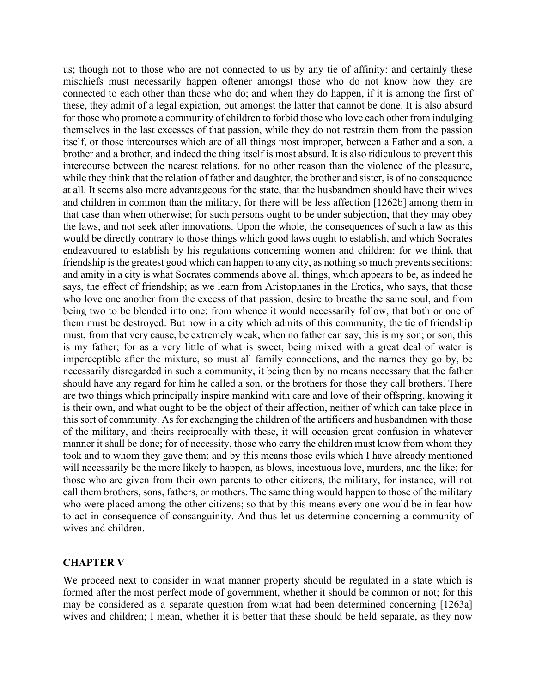us; though not to those who are not connected to us by any tie of affinity: and certainly these mischiefs must necessarily happen oftener amongst those who do not know how they are connected to each other than those who do; and when they do happen, if it is among the first of these, they admit of a legal expiation, but amongst the latter that cannot be done. It is also absurd for those who promote a community of children to forbid those who love each other from indulging themselves in the last excesses of that passion, while they do not restrain them from the passion itself, or those intercourses which are of all things most improper, between a Father and a son, a brother and a brother, and indeed the thing itself is most absurd. It is also ridiculous to prevent this intercourse between the nearest relations, for no other reason than the violence of the pleasure, while they think that the relation of father and daughter, the brother and sister, is of no consequence at all. It seems also more advantageous for the state, that the husbandmen should have their wives and children in common than the military, for there will be less affection [1262b] among them in that case than when otherwise; for such persons ought to be under subjection, that they may obey the laws, and not seek after innovations. Upon the whole, the consequences of such a law as this would be directly contrary to those things which good laws ought to establish, and which Socrates endeavoured to establish by his regulations concerning women and children: for we think that friendship is the greatest good which can happen to any city, as nothing so much prevents seditions: and amity in a city is what Socrates commends above all things, which appears to be, as indeed he says, the effect of friendship; as we learn from Aristophanes in the Erotics, who says, that those who love one another from the excess of that passion, desire to breathe the same soul, and from being two to be blended into one: from whence it would necessarily follow, that both or one of them must be destroyed. But now in a city which admits of this community, the tie of friendship must, from that very cause, be extremely weak, when no father can say, this is my son; or son, this is my father; for as a very little of what is sweet, being mixed with a great deal of water is imperceptible after the mixture, so must all family connections, and the names they go by, be necessarily disregarded in such a community, it being then by no means necessary that the father should have any regard for him he called a son, or the brothers for those they call brothers. There are two things which principally inspire mankind with care and love of their offspring, knowing it is their own, and what ought to be the object of their affection, neither of which can take place in this sort of community. As for exchanging the children of the artificers and husbandmen with those of the military, and theirs reciprocally with these, it will occasion great confusion in whatever manner it shall be done; for of necessity, those who carry the children must know from whom they took and to whom they gave them; and by this means those evils which I have already mentioned will necessarily be the more likely to happen, as blows, incestuous love, murders, and the like; for those who are given from their own parents to other citizens, the military, for instance, will not call them brothers, sons, fathers, or mothers. The same thing would happen to those of the military who were placed among the other citizens; so that by this means every one would be in fear how to act in consequence of consanguinity. And thus let us determine concerning a community of wives and children.

#### **CHAPTER V**

We proceed next to consider in what manner property should be regulated in a state which is formed after the most perfect mode of government, whether it should be common or not; for this may be considered as a separate question from what had been determined concerning [1263a] wives and children; I mean, whether it is better that these should be held separate, as they now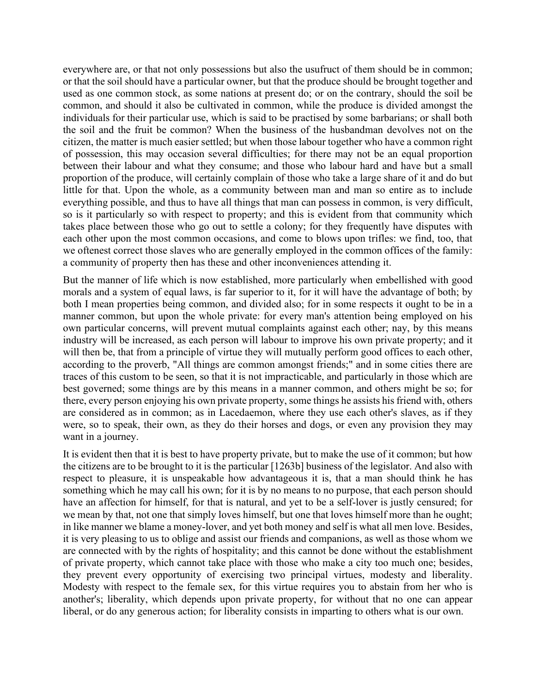everywhere are, or that not only possessions but also the usufruct of them should be in common; or that the soil should have a particular owner, but that the produce should be brought together and used as one common stock, as some nations at present do; or on the contrary, should the soil be common, and should it also be cultivated in common, while the produce is divided amongst the individuals for their particular use, which is said to be practised by some barbarians; or shall both the soil and the fruit be common? When the business of the husbandman devolves not on the citizen, the matter is much easier settled; but when those labour together who have a common right of possession, this may occasion several difficulties; for there may not be an equal proportion between their labour and what they consume; and those who labour hard and have but a small proportion of the produce, will certainly complain of those who take a large share of it and do but little for that. Upon the whole, as a community between man and man so entire as to include everything possible, and thus to have all things that man can possess in common, is very difficult, so is it particularly so with respect to property; and this is evident from that community which takes place between those who go out to settle a colony; for they frequently have disputes with each other upon the most common occasions, and come to blows upon trifles: we find, too, that we oftenest correct those slaves who are generally employed in the common offices of the family: a community of property then has these and other inconveniences attending it.

But the manner of life which is now established, more particularly when embellished with good morals and a system of equal laws, is far superior to it, for it will have the advantage of both; by both I mean properties being common, and divided also; for in some respects it ought to be in a manner common, but upon the whole private: for every man's attention being employed on his own particular concerns, will prevent mutual complaints against each other; nay, by this means industry will be increased, as each person will labour to improve his own private property; and it will then be, that from a principle of virtue they will mutually perform good offices to each other, according to the proverb, "All things are common amongst friends;" and in some cities there are traces of this custom to be seen, so that it is not impracticable, and particularly in those which are best governed; some things are by this means in a manner common, and others might be so; for there, every person enjoying his own private property, some things he assists his friend with, others are considered as in common; as in Lacedaemon, where they use each other's slaves, as if they were, so to speak, their own, as they do their horses and dogs, or even any provision they may want in a journey.

It is evident then that it is best to have property private, but to make the use of it common; but how the citizens are to be brought to it is the particular [1263b] business of the legislator. And also with respect to pleasure, it is unspeakable how advantageous it is, that a man should think he has something which he may call his own; for it is by no means to no purpose, that each person should have an affection for himself, for that is natural, and yet to be a self-lover is justly censured; for we mean by that, not one that simply loves himself, but one that loves himself more than he ought; in like manner we blame a money-lover, and yet both money and self is what all men love. Besides, it is very pleasing to us to oblige and assist our friends and companions, as well as those whom we are connected with by the rights of hospitality; and this cannot be done without the establishment of private property, which cannot take place with those who make a city too much one; besides, they prevent every opportunity of exercising two principal virtues, modesty and liberality. Modesty with respect to the female sex, for this virtue requires you to abstain from her who is another's; liberality, which depends upon private property, for without that no one can appear liberal, or do any generous action; for liberality consists in imparting to others what is our own.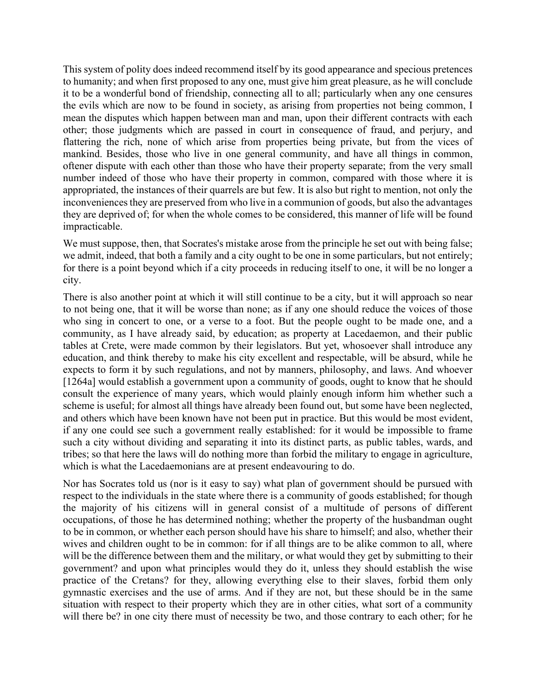This system of polity does indeed recommend itself by its good appearance and specious pretences to humanity; and when first proposed to any one, must give him great pleasure, as he will conclude it to be a wonderful bond of friendship, connecting all to all; particularly when any one censures the evils which are now to be found in society, as arising from properties not being common, I mean the disputes which happen between man and man, upon their different contracts with each other; those judgments which are passed in court in consequence of fraud, and perjury, and flattering the rich, none of which arise from properties being private, but from the vices of mankind. Besides, those who live in one general community, and have all things in common, oftener dispute with each other than those who have their property separate; from the very small number indeed of those who have their property in common, compared with those where it is appropriated, the instances of their quarrels are but few. It is also but right to mention, not only the inconveniences they are preserved from who live in a communion of goods, but also the advantages they are deprived of; for when the whole comes to be considered, this manner of life will be found impracticable.

We must suppose, then, that Socrates's mistake arose from the principle he set out with being false; we admit, indeed, that both a family and a city ought to be one in some particulars, but not entirely; for there is a point beyond which if a city proceeds in reducing itself to one, it will be no longer a city.

There is also another point at which it will still continue to be a city, but it will approach so near to not being one, that it will be worse than none; as if any one should reduce the voices of those who sing in concert to one, or a verse to a foot. But the people ought to be made one, and a community, as I have already said, by education; as property at Lacedaemon, and their public tables at Crete, were made common by their legislators. But yet, whosoever shall introduce any education, and think thereby to make his city excellent and respectable, will be absurd, while he expects to form it by such regulations, and not by manners, philosophy, and laws. And whoever [1264a] would establish a government upon a community of goods, ought to know that he should consult the experience of many years, which would plainly enough inform him whether such a scheme is useful; for almost all things have already been found out, but some have been neglected, and others which have been known have not been put in practice. But this would be most evident, if any one could see such a government really established: for it would be impossible to frame such a city without dividing and separating it into its distinct parts, as public tables, wards, and tribes; so that here the laws will do nothing more than forbid the military to engage in agriculture, which is what the Lacedaemonians are at present endeavouring to do.

Nor has Socrates told us (nor is it easy to say) what plan of government should be pursued with respect to the individuals in the state where there is a community of goods established; for though the majority of his citizens will in general consist of a multitude of persons of different occupations, of those he has determined nothing; whether the property of the husbandman ought to be in common, or whether each person should have his share to himself; and also, whether their wives and children ought to be in common: for if all things are to be alike common to all, where will be the difference between them and the military, or what would they get by submitting to their government? and upon what principles would they do it, unless they should establish the wise practice of the Cretans? for they, allowing everything else to their slaves, forbid them only gymnastic exercises and the use of arms. And if they are not, but these should be in the same situation with respect to their property which they are in other cities, what sort of a community will there be? in one city there must of necessity be two, and those contrary to each other; for he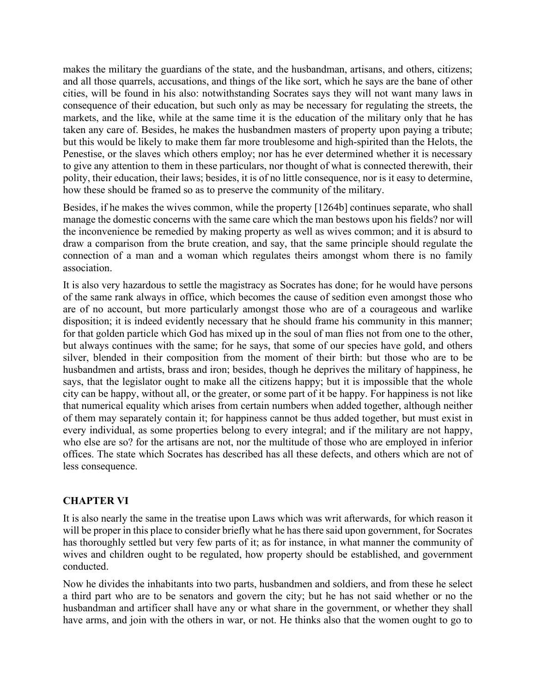makes the military the guardians of the state, and the husbandman, artisans, and others, citizens; and all those quarrels, accusations, and things of the like sort, which he says are the bane of other cities, will be found in his also: notwithstanding Socrates says they will not want many laws in consequence of their education, but such only as may be necessary for regulating the streets, the markets, and the like, while at the same time it is the education of the military only that he has taken any care of. Besides, he makes the husbandmen masters of property upon paying a tribute; but this would be likely to make them far more troublesome and high-spirited than the Helots, the Penestise, or the slaves which others employ; nor has he ever determined whether it is necessary to give any attention to them in these particulars, nor thought of what is connected therewith, their polity, their education, their laws; besides, it is of no little consequence, nor is it easy to determine, how these should be framed so as to preserve the community of the military.

Besides, if he makes the wives common, while the property [1264b] continues separate, who shall manage the domestic concerns with the same care which the man bestows upon his fields? nor will the inconvenience be remedied by making property as well as wives common; and it is absurd to draw a comparison from the brute creation, and say, that the same principle should regulate the connection of a man and a woman which regulates theirs amongst whom there is no family association.

It is also very hazardous to settle the magistracy as Socrates has done; for he would have persons of the same rank always in office, which becomes the cause of sedition even amongst those who are of no account, but more particularly amongst those who are of a courageous and warlike disposition; it is indeed evidently necessary that he should frame his community in this manner; for that golden particle which God has mixed up in the soul of man flies not from one to the other, but always continues with the same; for he says, that some of our species have gold, and others silver, blended in their composition from the moment of their birth: but those who are to be husbandmen and artists, brass and iron; besides, though he deprives the military of happiness, he says, that the legislator ought to make all the citizens happy; but it is impossible that the whole city can be happy, without all, or the greater, or some part of it be happy. For happiness is not like that numerical equality which arises from certain numbers when added together, although neither of them may separately contain it; for happiness cannot be thus added together, but must exist in every individual, as some properties belong to every integral; and if the military are not happy, who else are so? for the artisans are not, nor the multitude of those who are employed in inferior offices. The state which Socrates has described has all these defects, and others which are not of less consequence.

# **CHAPTER VI**

It is also nearly the same in the treatise upon Laws which was writ afterwards, for which reason it will be proper in this place to consider briefly what he has there said upon government, for Socrates has thoroughly settled but very few parts of it; as for instance, in what manner the community of wives and children ought to be regulated, how property should be established, and government conducted.

Now he divides the inhabitants into two parts, husbandmen and soldiers, and from these he select a third part who are to be senators and govern the city; but he has not said whether or no the husbandman and artificer shall have any or what share in the government, or whether they shall have arms, and join with the others in war, or not. He thinks also that the women ought to go to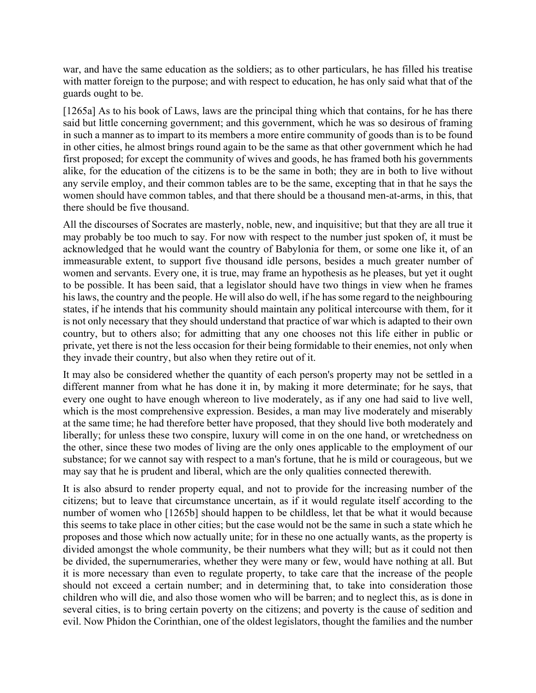war, and have the same education as the soldiers; as to other particulars, he has filled his treatise with matter foreign to the purpose; and with respect to education, he has only said what that of the guards ought to be.

[1265a] As to his book of Laws, laws are the principal thing which that contains, for he has there said but little concerning government; and this government, which he was so desirous of framing in such a manner as to impart to its members a more entire community of goods than is to be found in other cities, he almost brings round again to be the same as that other government which he had first proposed; for except the community of wives and goods, he has framed both his governments alike, for the education of the citizens is to be the same in both; they are in both to live without any servile employ, and their common tables are to be the same, excepting that in that he says the women should have common tables, and that there should be a thousand men-at-arms, in this, that there should be five thousand.

All the discourses of Socrates are masterly, noble, new, and inquisitive; but that they are all true it may probably be too much to say. For now with respect to the number just spoken of, it must be acknowledged that he would want the country of Babylonia for them, or some one like it, of an immeasurable extent, to support five thousand idle persons, besides a much greater number of women and servants. Every one, it is true, may frame an hypothesis as he pleases, but yet it ought to be possible. It has been said, that a legislator should have two things in view when he frames his laws, the country and the people. He will also do well, if he has some regard to the neighbouring states, if he intends that his community should maintain any political intercourse with them, for it is not only necessary that they should understand that practice of war which is adapted to their own country, but to others also; for admitting that any one chooses not this life either in public or private, yet there is not the less occasion for their being formidable to their enemies, not only when they invade their country, but also when they retire out of it.

It may also be considered whether the quantity of each person's property may not be settled in a different manner from what he has done it in, by making it more determinate; for he says, that every one ought to have enough whereon to live moderately, as if any one had said to live well, which is the most comprehensive expression. Besides, a man may live moderately and miserably at the same time; he had therefore better have proposed, that they should live both moderately and liberally; for unless these two conspire, luxury will come in on the one hand, or wretchedness on the other, since these two modes of living are the only ones applicable to the employment of our substance; for we cannot say with respect to a man's fortune, that he is mild or courageous, but we may say that he is prudent and liberal, which are the only qualities connected therewith.

It is also absurd to render property equal, and not to provide for the increasing number of the citizens; but to leave that circumstance uncertain, as if it would regulate itself according to the number of women who [1265b] should happen to be childless, let that be what it would because this seems to take place in other cities; but the case would not be the same in such a state which he proposes and those which now actually unite; for in these no one actually wants, as the property is divided amongst the whole community, be their numbers what they will; but as it could not then be divided, the supernumeraries, whether they were many or few, would have nothing at all. But it is more necessary than even to regulate property, to take care that the increase of the people should not exceed a certain number; and in determining that, to take into consideration those children who will die, and also those women who will be barren; and to neglect this, as is done in several cities, is to bring certain poverty on the citizens; and poverty is the cause of sedition and evil. Now Phidon the Corinthian, one of the oldest legislators, thought the families and the number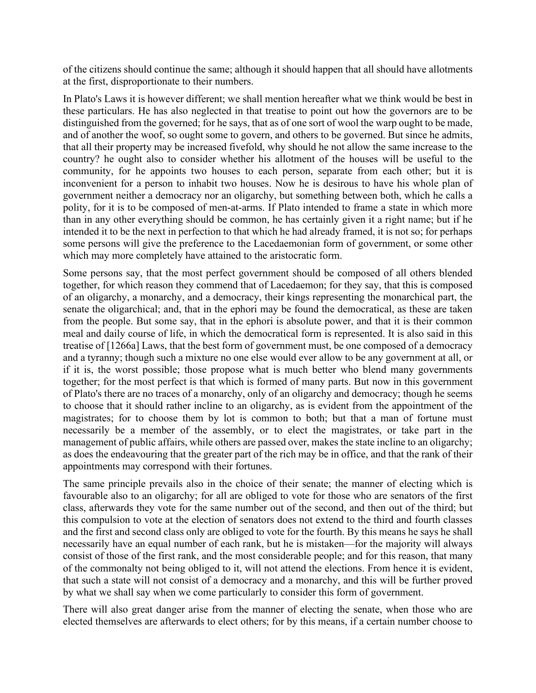of the citizens should continue the same; although it should happen that all should have allotments at the first, disproportionate to their numbers.

In Plato's Laws it is however different; we shall mention hereafter what we think would be best in these particulars. He has also neglected in that treatise to point out how the governors are to be distinguished from the governed; for he says, that as of one sort of wool the warp ought to be made, and of another the woof, so ought some to govern, and others to be governed. But since he admits, that all their property may be increased fivefold, why should he not allow the same increase to the country? he ought also to consider whether his allotment of the houses will be useful to the community, for he appoints two houses to each person, separate from each other; but it is inconvenient for a person to inhabit two houses. Now he is desirous to have his whole plan of government neither a democracy nor an oligarchy, but something between both, which he calls a polity, for it is to be composed of men-at-arms. If Plato intended to frame a state in which more than in any other everything should be common, he has certainly given it a right name; but if he intended it to be the next in perfection to that which he had already framed, it is not so; for perhaps some persons will give the preference to the Lacedaemonian form of government, or some other which may more completely have attained to the aristocratic form.

Some persons say, that the most perfect government should be composed of all others blended together, for which reason they commend that of Lacedaemon; for they say, that this is composed of an oligarchy, a monarchy, and a democracy, their kings representing the monarchical part, the senate the oligarchical; and, that in the ephori may be found the democratical, as these are taken from the people. But some say, that in the ephori is absolute power, and that it is their common meal and daily course of life, in which the democratical form is represented. It is also said in this treatise of [1266a] Laws, that the best form of government must, be one composed of a democracy and a tyranny; though such a mixture no one else would ever allow to be any government at all, or if it is, the worst possible; those propose what is much better who blend many governments together; for the most perfect is that which is formed of many parts. But now in this government of Plato's there are no traces of a monarchy, only of an oligarchy and democracy; though he seems to choose that it should rather incline to an oligarchy, as is evident from the appointment of the magistrates; for to choose them by lot is common to both; but that a man of fortune must necessarily be a member of the assembly, or to elect the magistrates, or take part in the management of public affairs, while others are passed over, makes the state incline to an oligarchy; as does the endeavouring that the greater part of the rich may be in office, and that the rank of their appointments may correspond with their fortunes.

The same principle prevails also in the choice of their senate; the manner of electing which is favourable also to an oligarchy; for all are obliged to vote for those who are senators of the first class, afterwards they vote for the same number out of the second, and then out of the third; but this compulsion to vote at the election of senators does not extend to the third and fourth classes and the first and second class only are obliged to vote for the fourth. By this means he says he shall necessarily have an equal number of each rank, but he is mistaken—for the majority will always consist of those of the first rank, and the most considerable people; and for this reason, that many of the commonalty not being obliged to it, will not attend the elections. From hence it is evident, that such a state will not consist of a democracy and a monarchy, and this will be further proved by what we shall say when we come particularly to consider this form of government.

There will also great danger arise from the manner of electing the senate, when those who are elected themselves are afterwards to elect others; for by this means, if a certain number choose to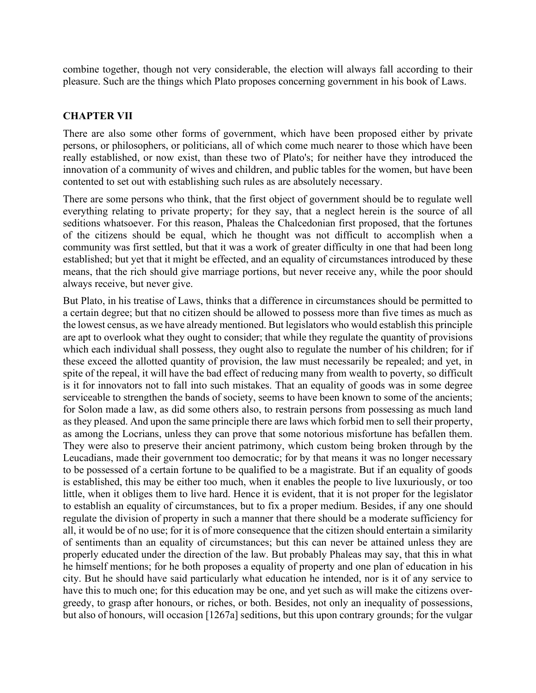combine together, though not very considerable, the election will always fall according to their pleasure. Such are the things which Plato proposes concerning government in his book of Laws.

### **CHAPTER VII**

There are also some other forms of government, which have been proposed either by private persons, or philosophers, or politicians, all of which come much nearer to those which have been really established, or now exist, than these two of Plato's; for neither have they introduced the innovation of a community of wives and children, and public tables for the women, but have been contented to set out with establishing such rules as are absolutely necessary.

There are some persons who think, that the first object of government should be to regulate well everything relating to private property; for they say, that a neglect herein is the source of all seditions whatsoever. For this reason, Phaleas the Chalcedonian first proposed, that the fortunes of the citizens should be equal, which he thought was not difficult to accomplish when a community was first settled, but that it was a work of greater difficulty in one that had been long established; but yet that it might be effected, and an equality of circumstances introduced by these means, that the rich should give marriage portions, but never receive any, while the poor should always receive, but never give.

But Plato, in his treatise of Laws, thinks that a difference in circumstances should be permitted to a certain degree; but that no citizen should be allowed to possess more than five times as much as the lowest census, as we have already mentioned. But legislators who would establish this principle are apt to overlook what they ought to consider; that while they regulate the quantity of provisions which each individual shall possess, they ought also to regulate the number of his children; for if these exceed the allotted quantity of provision, the law must necessarily be repealed; and yet, in spite of the repeal, it will have the bad effect of reducing many from wealth to poverty, so difficult is it for innovators not to fall into such mistakes. That an equality of goods was in some degree serviceable to strengthen the bands of society, seems to have been known to some of the ancients; for Solon made a law, as did some others also, to restrain persons from possessing as much land as they pleased. And upon the same principle there are laws which forbid men to sell their property, as among the Locrians, unless they can prove that some notorious misfortune has befallen them. They were also to preserve their ancient patrimony, which custom being broken through by the Leucadians, made their government too democratic; for by that means it was no longer necessary to be possessed of a certain fortune to be qualified to be a magistrate. But if an equality of goods is established, this may be either too much, when it enables the people to live luxuriously, or too little, when it obliges them to live hard. Hence it is evident, that it is not proper for the legislator to establish an equality of circumstances, but to fix a proper medium. Besides, if any one should regulate the division of property in such a manner that there should be a moderate sufficiency for all, it would be of no use; for it is of more consequence that the citizen should entertain a similarity of sentiments than an equality of circumstances; but this can never be attained unless they are properly educated under the direction of the law. But probably Phaleas may say, that this in what he himself mentions; for he both proposes a equality of property and one plan of education in his city. But he should have said particularly what education he intended, nor is it of any service to have this to much one; for this education may be one, and yet such as will make the citizens overgreedy, to grasp after honours, or riches, or both. Besides, not only an inequality of possessions, but also of honours, will occasion [1267a] seditions, but this upon contrary grounds; for the vulgar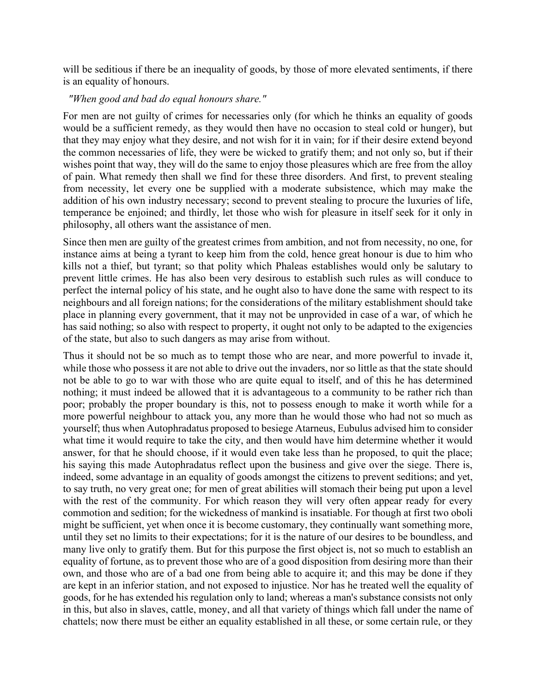will be seditious if there be an inequality of goods, by those of more elevated sentiments, if there is an equality of honours.

### *"When good and bad do equal honours share."*

For men are not guilty of crimes for necessaries only (for which he thinks an equality of goods would be a sufficient remedy, as they would then have no occasion to steal cold or hunger), but that they may enjoy what they desire, and not wish for it in vain; for if their desire extend beyond the common necessaries of life, they were be wicked to gratify them; and not only so, but if their wishes point that way, they will do the same to enjoy those pleasures which are free from the alloy of pain. What remedy then shall we find for these three disorders. And first, to prevent stealing from necessity, let every one be supplied with a moderate subsistence, which may make the addition of his own industry necessary; second to prevent stealing to procure the luxuries of life, temperance be enjoined; and thirdly, let those who wish for pleasure in itself seek for it only in philosophy, all others want the assistance of men.

Since then men are guilty of the greatest crimes from ambition, and not from necessity, no one, for instance aims at being a tyrant to keep him from the cold, hence great honour is due to him who kills not a thief, but tyrant; so that polity which Phaleas establishes would only be salutary to prevent little crimes. He has also been very desirous to establish such rules as will conduce to perfect the internal policy of his state, and he ought also to have done the same with respect to its neighbours and all foreign nations; for the considerations of the military establishment should take place in planning every government, that it may not be unprovided in case of a war, of which he has said nothing; so also with respect to property, it ought not only to be adapted to the exigencies of the state, but also to such dangers as may arise from without.

Thus it should not be so much as to tempt those who are near, and more powerful to invade it, while those who possess it are not able to drive out the invaders, nor so little as that the state should not be able to go to war with those who are quite equal to itself, and of this he has determined nothing; it must indeed be allowed that it is advantageous to a community to be rather rich than poor; probably the proper boundary is this, not to possess enough to make it worth while for a more powerful neighbour to attack you, any more than he would those who had not so much as yourself; thus when Autophradatus proposed to besiege Atarneus, Eubulus advised him to consider what time it would require to take the city, and then would have him determine whether it would answer, for that he should choose, if it would even take less than he proposed, to quit the place; his saying this made Autophradatus reflect upon the business and give over the siege. There is, indeed, some advantage in an equality of goods amongst the citizens to prevent seditions; and yet, to say truth, no very great one; for men of great abilities will stomach their being put upon a level with the rest of the community. For which reason they will very often appear ready for every commotion and sedition; for the wickedness of mankind is insatiable. For though at first two oboli might be sufficient, yet when once it is become customary, they continually want something more, until they set no limits to their expectations; for it is the nature of our desires to be boundless, and many live only to gratify them. But for this purpose the first object is, not so much to establish an equality of fortune, as to prevent those who are of a good disposition from desiring more than their own, and those who are of a bad one from being able to acquire it; and this may be done if they are kept in an inferior station, and not exposed to injustice. Nor has he treated well the equality of goods, for he has extended his regulation only to land; whereas a man's substance consists not only in this, but also in slaves, cattle, money, and all that variety of things which fall under the name of chattels; now there must be either an equality established in all these, or some certain rule, or they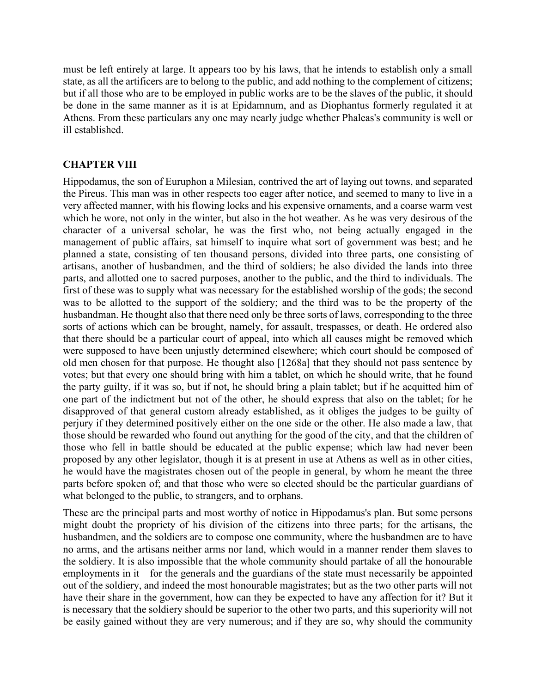must be left entirely at large. It appears too by his laws, that he intends to establish only a small state, as all the artificers are to belong to the public, and add nothing to the complement of citizens; but if all those who are to be employed in public works are to be the slaves of the public, it should be done in the same manner as it is at Epidamnum, and as Diophantus formerly regulated it at Athens. From these particulars any one may nearly judge whether Phaleas's community is well or ill established.

### **CHAPTER VIII**

Hippodamus, the son of Euruphon a Milesian, contrived the art of laying out towns, and separated the Pireus. This man was in other respects too eager after notice, and seemed to many to live in a very affected manner, with his flowing locks and his expensive ornaments, and a coarse warm vest which he wore, not only in the winter, but also in the hot weather. As he was very desirous of the character of a universal scholar, he was the first who, not being actually engaged in the management of public affairs, sat himself to inquire what sort of government was best; and he planned a state, consisting of ten thousand persons, divided into three parts, one consisting of artisans, another of husbandmen, and the third of soldiers; he also divided the lands into three parts, and allotted one to sacred purposes, another to the public, and the third to individuals. The first of these was to supply what was necessary for the established worship of the gods; the second was to be allotted to the support of the soldiery; and the third was to be the property of the husbandman. He thought also that there need only be three sorts of laws, corresponding to the three sorts of actions which can be brought, namely, for assault, trespasses, or death. He ordered also that there should be a particular court of appeal, into which all causes might be removed which were supposed to have been unjustly determined elsewhere; which court should be composed of old men chosen for that purpose. He thought also [1268a] that they should not pass sentence by votes; but that every one should bring with him a tablet, on which he should write, that he found the party guilty, if it was so, but if not, he should bring a plain tablet; but if he acquitted him of one part of the indictment but not of the other, he should express that also on the tablet; for he disapproved of that general custom already established, as it obliges the judges to be guilty of perjury if they determined positively either on the one side or the other. He also made a law, that those should be rewarded who found out anything for the good of the city, and that the children of those who fell in battle should be educated at the public expense; which law had never been proposed by any other legislator, though it is at present in use at Athens as well as in other cities, he would have the magistrates chosen out of the people in general, by whom he meant the three parts before spoken of; and that those who were so elected should be the particular guardians of what belonged to the public, to strangers, and to orphans.

These are the principal parts and most worthy of notice in Hippodamus's plan. But some persons might doubt the propriety of his division of the citizens into three parts; for the artisans, the husbandmen, and the soldiers are to compose one community, where the husbandmen are to have no arms, and the artisans neither arms nor land, which would in a manner render them slaves to the soldiery. It is also impossible that the whole community should partake of all the honourable employments in it—for the generals and the guardians of the state must necessarily be appointed out of the soldiery, and indeed the most honourable magistrates; but as the two other parts will not have their share in the government, how can they be expected to have any affection for it? But it is necessary that the soldiery should be superior to the other two parts, and this superiority will not be easily gained without they are very numerous; and if they are so, why should the community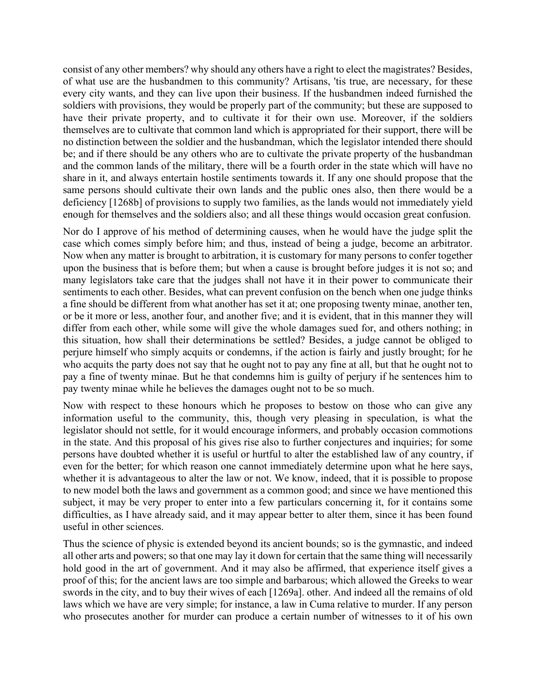consist of any other members? why should any others have a right to elect the magistrates? Besides, of what use are the husbandmen to this community? Artisans, 'tis true, are necessary, for these every city wants, and they can live upon their business. If the husbandmen indeed furnished the soldiers with provisions, they would be properly part of the community; but these are supposed to have their private property, and to cultivate it for their own use. Moreover, if the soldiers themselves are to cultivate that common land which is appropriated for their support, there will be no distinction between the soldier and the husbandman, which the legislator intended there should be; and if there should be any others who are to cultivate the private property of the husbandman and the common lands of the military, there will be a fourth order in the state which will have no share in it, and always entertain hostile sentiments towards it. If any one should propose that the same persons should cultivate their own lands and the public ones also, then there would be a deficiency [1268b] of provisions to supply two families, as the lands would not immediately yield enough for themselves and the soldiers also; and all these things would occasion great confusion.

Nor do I approve of his method of determining causes, when he would have the judge split the case which comes simply before him; and thus, instead of being a judge, become an arbitrator. Now when any matter is brought to arbitration, it is customary for many persons to confer together upon the business that is before them; but when a cause is brought before judges it is not so; and many legislators take care that the judges shall not have it in their power to communicate their sentiments to each other. Besides, what can prevent confusion on the bench when one judge thinks a fine should be different from what another has set it at; one proposing twenty minae, another ten, or be it more or less, another four, and another five; and it is evident, that in this manner they will differ from each other, while some will give the whole damages sued for, and others nothing; in this situation, how shall their determinations be settled? Besides, a judge cannot be obliged to perjure himself who simply acquits or condemns, if the action is fairly and justly brought; for he who acquits the party does not say that he ought not to pay any fine at all, but that he ought not to pay a fine of twenty minae. But he that condemns him is guilty of perjury if he sentences him to pay twenty minae while he believes the damages ought not to be so much.

Now with respect to these honours which he proposes to bestow on those who can give any information useful to the community, this, though very pleasing in speculation, is what the legislator should not settle, for it would encourage informers, and probably occasion commotions in the state. And this proposal of his gives rise also to further conjectures and inquiries; for some persons have doubted whether it is useful or hurtful to alter the established law of any country, if even for the better; for which reason one cannot immediately determine upon what he here says, whether it is advantageous to alter the law or not. We know, indeed, that it is possible to propose to new model both the laws and government as a common good; and since we have mentioned this subject, it may be very proper to enter into a few particulars concerning it, for it contains some difficulties, as I have already said, and it may appear better to alter them, since it has been found useful in other sciences.

Thus the science of physic is extended beyond its ancient bounds; so is the gymnastic, and indeed all other arts and powers; so that one may lay it down for certain that the same thing will necessarily hold good in the art of government. And it may also be affirmed, that experience itself gives a proof of this; for the ancient laws are too simple and barbarous; which allowed the Greeks to wear swords in the city, and to buy their wives of each [1269a]. other. And indeed all the remains of old laws which we have are very simple; for instance, a law in Cuma relative to murder. If any person who prosecutes another for murder can produce a certain number of witnesses to it of his own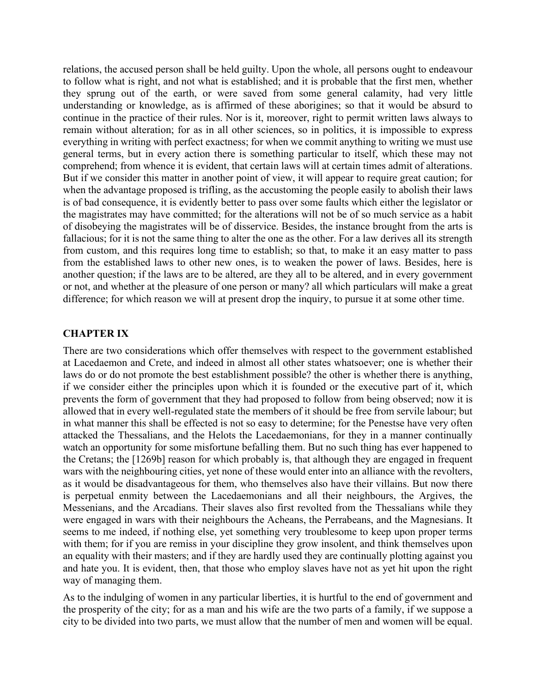relations, the accused person shall be held guilty. Upon the whole, all persons ought to endeavour to follow what is right, and not what is established; and it is probable that the first men, whether they sprung out of the earth, or were saved from some general calamity, had very little understanding or knowledge, as is affirmed of these aborigines; so that it would be absurd to continue in the practice of their rules. Nor is it, moreover, right to permit written laws always to remain without alteration; for as in all other sciences, so in politics, it is impossible to express everything in writing with perfect exactness; for when we commit anything to writing we must use general terms, but in every action there is something particular to itself, which these may not comprehend; from whence it is evident, that certain laws will at certain times admit of alterations. But if we consider this matter in another point of view, it will appear to require great caution; for when the advantage proposed is trifling, as the accustoming the people easily to abolish their laws is of bad consequence, it is evidently better to pass over some faults which either the legislator or the magistrates may have committed; for the alterations will not be of so much service as a habit of disobeying the magistrates will be of disservice. Besides, the instance brought from the arts is fallacious; for it is not the same thing to alter the one as the other. For a law derives all its strength from custom, and this requires long time to establish; so that, to make it an easy matter to pass from the established laws to other new ones, is to weaken the power of laws. Besides, here is another question; if the laws are to be altered, are they all to be altered, and in every government or not, and whether at the pleasure of one person or many? all which particulars will make a great difference; for which reason we will at present drop the inquiry, to pursue it at some other time.

### **CHAPTER IX**

There are two considerations which offer themselves with respect to the government established at Lacedaemon and Crete, and indeed in almost all other states whatsoever; one is whether their laws do or do not promote the best establishment possible? the other is whether there is anything, if we consider either the principles upon which it is founded or the executive part of it, which prevents the form of government that they had proposed to follow from being observed; now it is allowed that in every well-regulated state the members of it should be free from servile labour; but in what manner this shall be effected is not so easy to determine; for the Penestse have very often attacked the Thessalians, and the Helots the Lacedaemonians, for they in a manner continually watch an opportunity for some misfortune befalling them. But no such thing has ever happened to the Cretans; the [1269b] reason for which probably is, that although they are engaged in frequent wars with the neighbouring cities, yet none of these would enter into an alliance with the revolters, as it would be disadvantageous for them, who themselves also have their villains. But now there is perpetual enmity between the Lacedaemonians and all their neighbours, the Argives, the Messenians, and the Arcadians. Their slaves also first revolted from the Thessalians while they were engaged in wars with their neighbours the Acheans, the Perrabeans, and the Magnesians. It seems to me indeed, if nothing else, yet something very troublesome to keep upon proper terms with them; for if you are remiss in your discipline they grow insolent, and think themselves upon an equality with their masters; and if they are hardly used they are continually plotting against you and hate you. It is evident, then, that those who employ slaves have not as yet hit upon the right way of managing them.

As to the indulging of women in any particular liberties, it is hurtful to the end of government and the prosperity of the city; for as a man and his wife are the two parts of a family, if we suppose a city to be divided into two parts, we must allow that the number of men and women will be equal.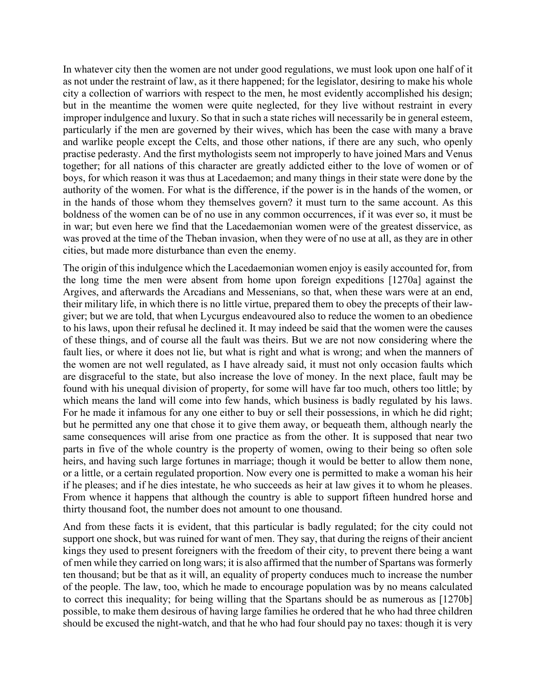In whatever city then the women are not under good regulations, we must look upon one half of it as not under the restraint of law, as it there happened; for the legislator, desiring to make his whole city a collection of warriors with respect to the men, he most evidently accomplished his design; but in the meantime the women were quite neglected, for they live without restraint in every improper indulgence and luxury. So that in such a state riches will necessarily be in general esteem, particularly if the men are governed by their wives, which has been the case with many a brave and warlike people except the Celts, and those other nations, if there are any such, who openly practise pederasty. And the first mythologists seem not improperly to have joined Mars and Venus together; for all nations of this character are greatly addicted either to the love of women or of boys, for which reason it was thus at Lacedaemon; and many things in their state were done by the authority of the women. For what is the difference, if the power is in the hands of the women, or in the hands of those whom they themselves govern? it must turn to the same account. As this boldness of the women can be of no use in any common occurrences, if it was ever so, it must be in war; but even here we find that the Lacedaemonian women were of the greatest disservice, as was proved at the time of the Theban invasion, when they were of no use at all, as they are in other cities, but made more disturbance than even the enemy.

The origin of this indulgence which the Lacedaemonian women enjoy is easily accounted for, from the long time the men were absent from home upon foreign expeditions [1270a] against the Argives, and afterwards the Arcadians and Messenians, so that, when these wars were at an end, their military life, in which there is no little virtue, prepared them to obey the precepts of their lawgiver; but we are told, that when Lycurgus endeavoured also to reduce the women to an obedience to his laws, upon their refusal he declined it. It may indeed be said that the women were the causes of these things, and of course all the fault was theirs. But we are not now considering where the fault lies, or where it does not lie, but what is right and what is wrong; and when the manners of the women are not well regulated, as I have already said, it must not only occasion faults which are disgraceful to the state, but also increase the love of money. In the next place, fault may be found with his unequal division of property, for some will have far too much, others too little; by which means the land will come into few hands, which business is badly regulated by his laws. For he made it infamous for any one either to buy or sell their possessions, in which he did right; but he permitted any one that chose it to give them away, or bequeath them, although nearly the same consequences will arise from one practice as from the other. It is supposed that near two parts in five of the whole country is the property of women, owing to their being so often sole heirs, and having such large fortunes in marriage; though it would be better to allow them none, or a little, or a certain regulated proportion. Now every one is permitted to make a woman his heir if he pleases; and if he dies intestate, he who succeeds as heir at law gives it to whom he pleases. From whence it happens that although the country is able to support fifteen hundred horse and thirty thousand foot, the number does not amount to one thousand.

And from these facts it is evident, that this particular is badly regulated; for the city could not support one shock, but was ruined for want of men. They say, that during the reigns of their ancient kings they used to present foreigners with the freedom of their city, to prevent there being a want of men while they carried on long wars; it is also affirmed that the number of Spartans was formerly ten thousand; but be that as it will, an equality of property conduces much to increase the number of the people. The law, too, which he made to encourage population was by no means calculated to correct this inequality; for being willing that the Spartans should be as numerous as [1270b] possible, to make them desirous of having large families he ordered that he who had three children should be excused the night-watch, and that he who had four should pay no taxes: though it is very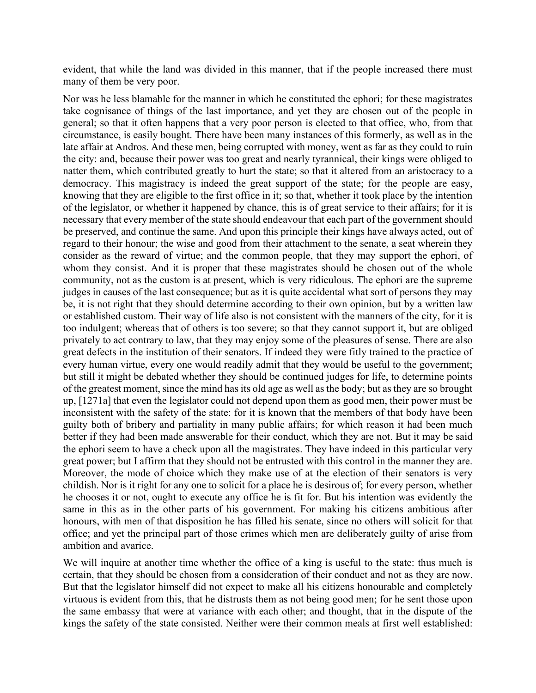evident, that while the land was divided in this manner, that if the people increased there must many of them be very poor.

Nor was he less blamable for the manner in which he constituted the ephori; for these magistrates take cognisance of things of the last importance, and yet they are chosen out of the people in general; so that it often happens that a very poor person is elected to that office, who, from that circumstance, is easily bought. There have been many instances of this formerly, as well as in the late affair at Andros. And these men, being corrupted with money, went as far as they could to ruin the city: and, because their power was too great and nearly tyrannical, their kings were obliged to natter them, which contributed greatly to hurt the state; so that it altered from an aristocracy to a democracy. This magistracy is indeed the great support of the state; for the people are easy, knowing that they are eligible to the first office in it; so that, whether it took place by the intention of the legislator, or whether it happened by chance, this is of great service to their affairs; for it is necessary that every member of the state should endeavour that each part of the government should be preserved, and continue the same. And upon this principle their kings have always acted, out of regard to their honour; the wise and good from their attachment to the senate, a seat wherein they consider as the reward of virtue; and the common people, that they may support the ephori, of whom they consist. And it is proper that these magistrates should be chosen out of the whole community, not as the custom is at present, which is very ridiculous. The ephori are the supreme judges in causes of the last consequence; but as it is quite accidental what sort of persons they may be, it is not right that they should determine according to their own opinion, but by a written law or established custom. Their way of life also is not consistent with the manners of the city, for it is too indulgent; whereas that of others is too severe; so that they cannot support it, but are obliged privately to act contrary to law, that they may enjoy some of the pleasures of sense. There are also great defects in the institution of their senators. If indeed they were fitly trained to the practice of every human virtue, every one would readily admit that they would be useful to the government; but still it might be debated whether they should be continued judges for life, to determine points of the greatest moment, since the mind has its old age as well as the body; but as they are so brought up, [1271a] that even the legislator could not depend upon them as good men, their power must be inconsistent with the safety of the state: for it is known that the members of that body have been guilty both of bribery and partiality in many public affairs; for which reason it had been much better if they had been made answerable for their conduct, which they are not. But it may be said the ephori seem to have a check upon all the magistrates. They have indeed in this particular very great power; but I affirm that they should not be entrusted with this control in the manner they are. Moreover, the mode of choice which they make use of at the election of their senators is very childish. Nor is it right for any one to solicit for a place he is desirous of; for every person, whether he chooses it or not, ought to execute any office he is fit for. But his intention was evidently the same in this as in the other parts of his government. For making his citizens ambitious after honours, with men of that disposition he has filled his senate, since no others will solicit for that office; and yet the principal part of those crimes which men are deliberately guilty of arise from ambition and avarice.

We will inquire at another time whether the office of a king is useful to the state: thus much is certain, that they should be chosen from a consideration of their conduct and not as they are now. But that the legislator himself did not expect to make all his citizens honourable and completely virtuous is evident from this, that he distrusts them as not being good men; for he sent those upon the same embassy that were at variance with each other; and thought, that in the dispute of the kings the safety of the state consisted. Neither were their common meals at first well established: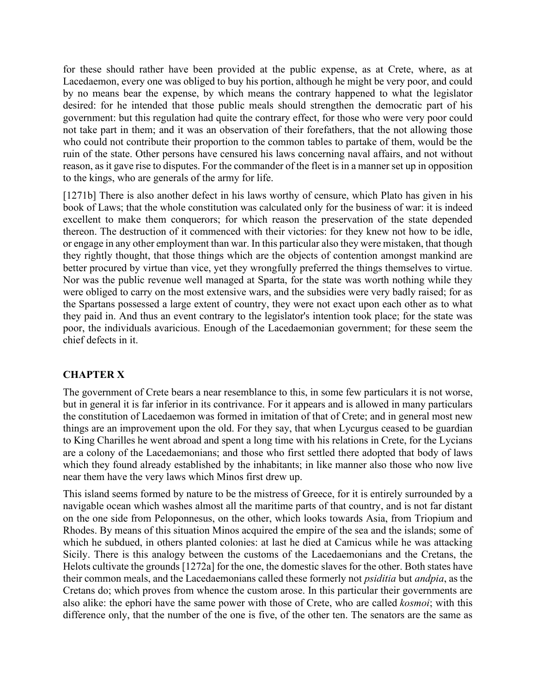for these should rather have been provided at the public expense, as at Crete, where, as at Lacedaemon, every one was obliged to buy his portion, although he might be very poor, and could by no means bear the expense, by which means the contrary happened to what the legislator desired: for he intended that those public meals should strengthen the democratic part of his government: but this regulation had quite the contrary effect, for those who were very poor could not take part in them; and it was an observation of their forefathers, that the not allowing those who could not contribute their proportion to the common tables to partake of them, would be the ruin of the state. Other persons have censured his laws concerning naval affairs, and not without reason, as it gave rise to disputes. For the commander of the fleet is in a manner set up in opposition to the kings, who are generals of the army for life.

[1271b] There is also another defect in his laws worthy of censure, which Plato has given in his book of Laws; that the whole constitution was calculated only for the business of war: it is indeed excellent to make them conquerors; for which reason the preservation of the state depended thereon. The destruction of it commenced with their victories: for they knew not how to be idle, or engage in any other employment than war. In this particular also they were mistaken, that though they rightly thought, that those things which are the objects of contention amongst mankind are better procured by virtue than vice, yet they wrongfully preferred the things themselves to virtue. Nor was the public revenue well managed at Sparta, for the state was worth nothing while they were obliged to carry on the most extensive wars, and the subsidies were very badly raised; for as the Spartans possessed a large extent of country, they were not exact upon each other as to what they paid in. And thus an event contrary to the legislator's intention took place; for the state was poor, the individuals avaricious. Enough of the Lacedaemonian government; for these seem the chief defects in it.

# **CHAPTER X**

The government of Crete bears a near resemblance to this, in some few particulars it is not worse, but in general it is far inferior in its contrivance. For it appears and is allowed in many particulars the constitution of Lacedaemon was formed in imitation of that of Crete; and in general most new things are an improvement upon the old. For they say, that when Lycurgus ceased to be guardian to King Charilles he went abroad and spent a long time with his relations in Crete, for the Lycians are a colony of the Lacedaemonians; and those who first settled there adopted that body of laws which they found already established by the inhabitants; in like manner also those who now live near them have the very laws which Minos first drew up.

This island seems formed by nature to be the mistress of Greece, for it is entirely surrounded by a navigable ocean which washes almost all the maritime parts of that country, and is not far distant on the one side from Peloponnesus, on the other, which looks towards Asia, from Triopium and Rhodes. By means of this situation Minos acquired the empire of the sea and the islands; some of which he subdued, in others planted colonies: at last he died at Camicus while he was attacking Sicily. There is this analogy between the customs of the Lacedaemonians and the Cretans, the Helots cultivate the grounds [1272a] for the one, the domestic slaves for the other. Both states have their common meals, and the Lacedaemonians called these formerly not *psiditia* but *andpia*, as the Cretans do; which proves from whence the custom arose. In this particular their governments are also alike: the ephori have the same power with those of Crete, who are called *kosmoi*; with this difference only, that the number of the one is five, of the other ten. The senators are the same as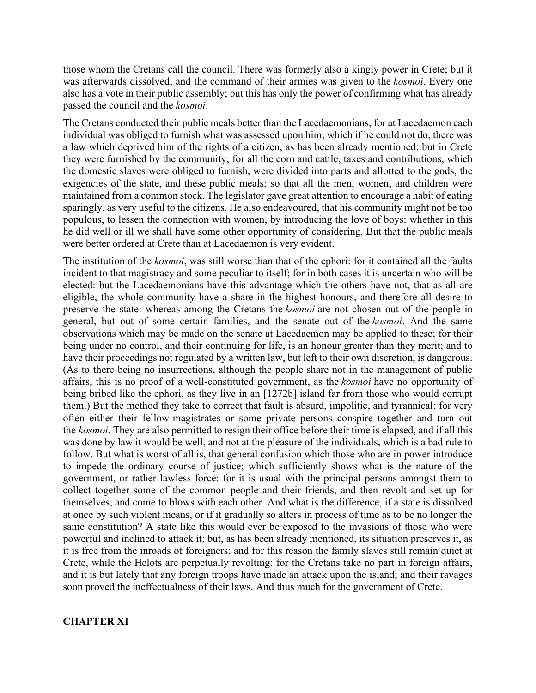those whom the Cretans call the council. There was formerly also a kingly power in Crete; but it was afterwards dissolved, and the command of their armies was given to the *kosmoi*. Every one also has a vote in their public assembly; but this has only the power of confirming what has already passed the council and the *kosmoi*.

The Cretans conducted their public meals better than the Lacedaemonians, for at Lacedaemon each individual was obliged to furnish what was assessed upon him; which if he could not do, there was a law which deprived him of the rights of a citizen, as has been already mentioned: but in Crete they were furnished by the community; for all the corn and cattle, taxes and contributions, which the domestic slaves were obliged to furnish, were divided into parts and allotted to the gods, the exigencies of the state, and these public meals; so that all the men, women, and children were maintained from a common stock. The legislator gave great attention to encourage a habit of eating sparingly, as very useful to the citizens. He also endeavoured, that his community might not be too populous, to lessen the connection with women, by introducing the love of boys: whether in this he did well or ill we shall have some other opportunity of considering. But that the public meals were better ordered at Crete than at Lacedaemon is very evident.

The institution of the *kosmoi*, was still worse than that of the ephori: for it contained all the faults incident to that magistracy and some peculiar to itself; for in both cases it is uncertain who will be elected: but the Lacedaemonians have this advantage which the others have not, that as all are eligible, the whole community have a share in the highest honours, and therefore all desire to preserve the state: whereas among the Cretans the *kosmoi* are not chosen out of the people in general, but out of some certain families, and the senate out of the *kosmoi*. And the same observations which may be made on the senate at Lacedaemon may be applied to these; for their being under no control, and their continuing for life, is an honour greater than they merit; and to have their proceedings not regulated by a written law, but left to their own discretion, is dangerous. (As to there being no insurrections, although the people share not in the management of public affairs, this is no proof of a well-constituted government, as the *kosmoi* have no opportunity of being bribed like the ephori, as they live in an [1272b] island far from those who would corrupt them.) But the method they take to correct that fault is absurd, impolitic, and tyrannical: for very often either their fellow-magistrates or some private persons conspire together and turn out the *kosmoi*. They are also permitted to resign their office before their time is elapsed, and if all this was done by law it would be well, and not at the pleasure of the individuals, which is a bad rule to follow. But what is worst of all is, that general confusion which those who are in power introduce to impede the ordinary course of justice; which sufficiently shows what is the nature of the government, or rather lawless force: for it is usual with the principal persons amongst them to collect together some of the common people and their friends, and then revolt and set up for themselves, and come to blows with each other. And what is the difference, if a state is dissolved at once by such violent means, or if it gradually so alters in process of time as to be no longer the same constitution? A state like this would ever be exposed to the invasions of those who were powerful and inclined to attack it; but, as has been already mentioned, its situation preserves it, as it is free from the inroads of foreigners; and for this reason the family slaves still remain quiet at Crete, while the Helots are perpetually revolting: for the Cretans take no part in foreign affairs, and it is but lately that any foreign troops have made an attack upon the island; and their ravages soon proved the ineffectualness of their laws. And thus much for the government of Crete.

### **CHAPTER XI**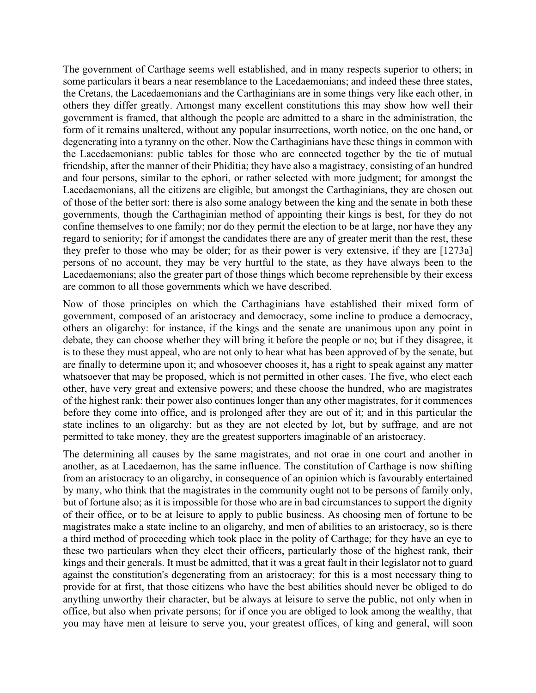The government of Carthage seems well established, and in many respects superior to others; in some particulars it bears a near resemblance to the Lacedaemonians; and indeed these three states, the Cretans, the Lacedaemonians and the Carthaginians are in some things very like each other, in others they differ greatly. Amongst many excellent constitutions this may show how well their government is framed, that although the people are admitted to a share in the administration, the form of it remains unaltered, without any popular insurrections, worth notice, on the one hand, or degenerating into a tyranny on the other. Now the Carthaginians have these things in common with the Lacedaemonians: public tables for those who are connected together by the tie of mutual friendship, after the manner of their Phiditia; they have also a magistracy, consisting of an hundred and four persons, similar to the ephori, or rather selected with more judgment; for amongst the Lacedaemonians, all the citizens are eligible, but amongst the Carthaginians, they are chosen out of those of the better sort: there is also some analogy between the king and the senate in both these governments, though the Carthaginian method of appointing their kings is best, for they do not confine themselves to one family; nor do they permit the election to be at large, nor have they any regard to seniority; for if amongst the candidates there are any of greater merit than the rest, these they prefer to those who may be older; for as their power is very extensive, if they are [1273a] persons of no account, they may be very hurtful to the state, as they have always been to the Lacedaemonians; also the greater part of those things which become reprehensible by their excess are common to all those governments which we have described.

Now of those principles on which the Carthaginians have established their mixed form of government, composed of an aristocracy and democracy, some incline to produce a democracy, others an oligarchy: for instance, if the kings and the senate are unanimous upon any point in debate, they can choose whether they will bring it before the people or no; but if they disagree, it is to these they must appeal, who are not only to hear what has been approved of by the senate, but are finally to determine upon it; and whosoever chooses it, has a right to speak against any matter whatsoever that may be proposed, which is not permitted in other cases. The five, who elect each other, have very great and extensive powers; and these choose the hundred, who are magistrates of the highest rank: their power also continues longer than any other magistrates, for it commences before they come into office, and is prolonged after they are out of it; and in this particular the state inclines to an oligarchy: but as they are not elected by lot, but by suffrage, and are not permitted to take money, they are the greatest supporters imaginable of an aristocracy.

The determining all causes by the same magistrates, and not orae in one court and another in another, as at Lacedaemon, has the same influence. The constitution of Carthage is now shifting from an aristocracy to an oligarchy, in consequence of an opinion which is favourably entertained by many, who think that the magistrates in the community ought not to be persons of family only, but of fortune also; as it is impossible for those who are in bad circumstances to support the dignity of their office, or to be at leisure to apply to public business. As choosing men of fortune to be magistrates make a state incline to an oligarchy, and men of abilities to an aristocracy, so is there a third method of proceeding which took place in the polity of Carthage; for they have an eye to these two particulars when they elect their officers, particularly those of the highest rank, their kings and their generals. It must be admitted, that it was a great fault in their legislator not to guard against the constitution's degenerating from an aristocracy; for this is a most necessary thing to provide for at first, that those citizens who have the best abilities should never be obliged to do anything unworthy their character, but be always at leisure to serve the public, not only when in office, but also when private persons; for if once you are obliged to look among the wealthy, that you may have men at leisure to serve you, your greatest offices, of king and general, will soon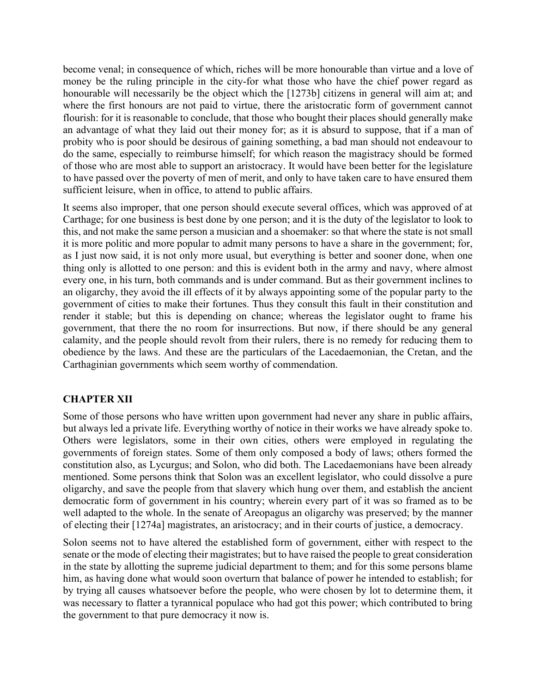become venal; in consequence of which, riches will be more honourable than virtue and a love of money be the ruling principle in the city-for what those who have the chief power regard as honourable will necessarily be the object which the [1273b] citizens in general will aim at; and where the first honours are not paid to virtue, there the aristocratic form of government cannot flourish: for it is reasonable to conclude, that those who bought their places should generally make an advantage of what they laid out their money for; as it is absurd to suppose, that if a man of probity who is poor should be desirous of gaining something, a bad man should not endeavour to do the same, especially to reimburse himself; for which reason the magistracy should be formed of those who are most able to support an aristocracy. It would have been better for the legislature to have passed over the poverty of men of merit, and only to have taken care to have ensured them sufficient leisure, when in office, to attend to public affairs.

It seems also improper, that one person should execute several offices, which was approved of at Carthage; for one business is best done by one person; and it is the duty of the legislator to look to this, and not make the same person a musician and a shoemaker: so that where the state is not small it is more politic and more popular to admit many persons to have a share in the government; for, as I just now said, it is not only more usual, but everything is better and sooner done, when one thing only is allotted to one person: and this is evident both in the army and navy, where almost every one, in his turn, both commands and is under command. But as their government inclines to an oligarchy, they avoid the ill effects of it by always appointing some of the popular party to the government of cities to make their fortunes. Thus they consult this fault in their constitution and render it stable; but this is depending on chance; whereas the legislator ought to frame his government, that there the no room for insurrections. But now, if there should be any general calamity, and the people should revolt from their rulers, there is no remedy for reducing them to obedience by the laws. And these are the particulars of the Lacedaemonian, the Cretan, and the Carthaginian governments which seem worthy of commendation.

# **CHAPTER XII**

Some of those persons who have written upon government had never any share in public affairs, but always led a private life. Everything worthy of notice in their works we have already spoke to. Others were legislators, some in their own cities, others were employed in regulating the governments of foreign states. Some of them only composed a body of laws; others formed the constitution also, as Lycurgus; and Solon, who did both. The Lacedaemonians have been already mentioned. Some persons think that Solon was an excellent legislator, who could dissolve a pure oligarchy, and save the people from that slavery which hung over them, and establish the ancient democratic form of government in his country; wherein every part of it was so framed as to be well adapted to the whole. In the senate of Areopagus an oligarchy was preserved; by the manner of electing their [1274a] magistrates, an aristocracy; and in their courts of justice, a democracy.

Solon seems not to have altered the established form of government, either with respect to the senate or the mode of electing their magistrates; but to have raised the people to great consideration in the state by allotting the supreme judicial department to them; and for this some persons blame him, as having done what would soon overturn that balance of power he intended to establish; for by trying all causes whatsoever before the people, who were chosen by lot to determine them, it was necessary to flatter a tyrannical populace who had got this power; which contributed to bring the government to that pure democracy it now is.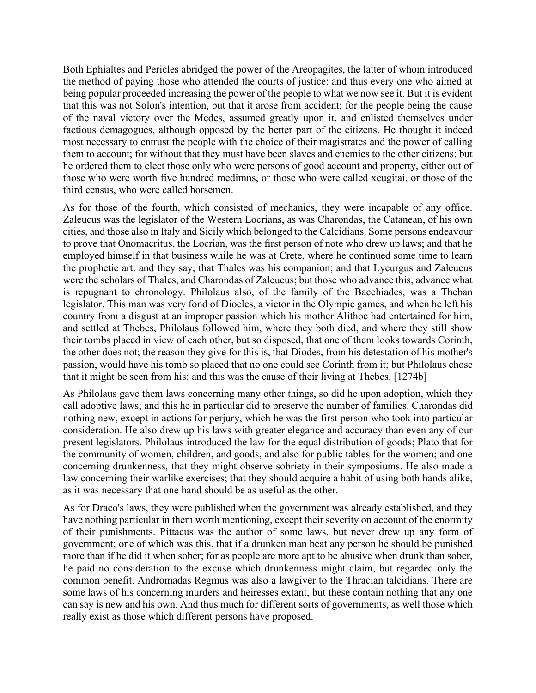Both Ephialtes and Pericles abridged the power of the Areopagites, the latter of whom introduced the method of paying those who attended the courts of justice: and thus every one who aimed at being popular proceeded increasing the power of the people to what we now see it. But it is evident that this was not Solon's intention, but that it arose from accident; for the people being the cause of the naval victory over the Medes, assumed greatly upon it, and enlisted themselves under factious demagogues, although opposed by the better part of the citizens. He thought it indeed most necessary to entrust the people with the choice of their magistrates and the power of calling them to account; for without that they must have been slaves and enemies to the other citizens: but he ordered them to elect those only who were persons of good account and property, either out of those who were worth five hundred medimns, or those who were called xeugitai, or those of the third census, who were called horsemen.

As for those of the fourth, which consisted of mechanics, they were incapable of any office. Zaleucus was the legislator of the Western Locrians, as was Charondas, the Catanean, of his own cities, and those also in Italy and Sicily which belonged to the Calcidians. Some persons endeavour to prove that Onomacritus, the Locrian, was the first person of note who drew up laws; and that he employed himself in that business while he was at Crete, where he continued some time to learn the prophetic art: and they say, that Thales was his companion; and that Lycurgus and Zaleucus were the scholars of Thales, and Charondas of Zaleucus; but those who advance this, advance what is repugnant to chronology. Philolaus also, of the family of the Bacchiades, was a Theban legislator. This man was very fond of Diocles, a victor in the Olympic games, and when he left his country from a disgust at an improper passion which his mother Alithoe had entertained for him, and settled at Thebes, Philolaus followed him, where they both died, and where they still show their tombs placed in view of each other, but so disposed, that one of them looks towards Corinth, the other does not; the reason they give for this is, that Diodes, from his detestation of his mother's passion, would have his tomb so placed that no one could see Corinth from it; but Philolaus chose that it might be seen from his: and this was the cause of their living at Thebes. [1274b]

As Philolaus gave them laws concerning many other things, so did he upon adoption, which they call adoptive laws; and this he in particular did to preserve the number of families. Charondas did nothing new, except in actions for perjury, which he was the first person who took into particular consideration. He also drew up his laws with greater elegance and accuracy than even any of our present legislators. Philolaus introduced the law for the equal distribution of goods; Plato that for the community of women, children, and goods, and also for public tables for the women; and one concerning drunkenness, that they might observe sobriety in their symposiums. He also made a law concerning their warlike exercises; that they should acquire a habit of using both hands alike, as it was necessary that one hand should be as useful as the other.

As for Draco's laws, they were published when the government was already established, and they have nothing particular in them worth mentioning, except their severity on account of the enormity of their punishments. Pittacus was the author of some laws, but never drew up any form of government; one of which was this, that if a drunken man beat any person he should be punished more than if he did it when sober; for as people are more apt to be abusive when drunk than sober, he paid no consideration to the excuse which drunkenness might claim, but regarded only the common benefit. Andromadas Regmus was also a lawgiver to the Thracian talcidians. There are some laws of his concerning murders and heiresses extant, but these contain nothing that any one can say is new and his own. And thus much for different sorts of governments, as well those which really exist as those which different persons have proposed.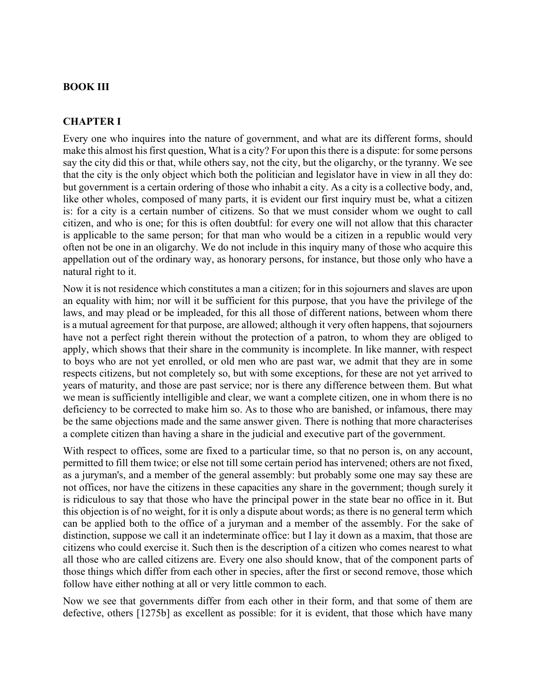### **BOOK III**

### **CHAPTER I**

Every one who inquires into the nature of government, and what are its different forms, should make this almost his first question, What is a city? For upon this there is a dispute: for some persons say the city did this or that, while others say, not the city, but the oligarchy, or the tyranny. We see that the city is the only object which both the politician and legislator have in view in all they do: but government is a certain ordering of those who inhabit a city. As a city is a collective body, and, like other wholes, composed of many parts, it is evident our first inquiry must be, what a citizen is: for a city is a certain number of citizens. So that we must consider whom we ought to call citizen, and who is one; for this is often doubtful: for every one will not allow that this character is applicable to the same person; for that man who would be a citizen in a republic would very often not be one in an oligarchy. We do not include in this inquiry many of those who acquire this appellation out of the ordinary way, as honorary persons, for instance, but those only who have a natural right to it.

Now it is not residence which constitutes a man a citizen; for in this sojourners and slaves are upon an equality with him; nor will it be sufficient for this purpose, that you have the privilege of the laws, and may plead or be impleaded, for this all those of different nations, between whom there is a mutual agreement for that purpose, are allowed; although it very often happens, that sojourners have not a perfect right therein without the protection of a patron, to whom they are obliged to apply, which shows that their share in the community is incomplete. In like manner, with respect to boys who are not yet enrolled, or old men who are past war, we admit that they are in some respects citizens, but not completely so, but with some exceptions, for these are not yet arrived to years of maturity, and those are past service; nor is there any difference between them. But what we mean is sufficiently intelligible and clear, we want a complete citizen, one in whom there is no deficiency to be corrected to make him so. As to those who are banished, or infamous, there may be the same objections made and the same answer given. There is nothing that more characterises a complete citizen than having a share in the judicial and executive part of the government.

With respect to offices, some are fixed to a particular time, so that no person is, on any account, permitted to fill them twice; or else not till some certain period has intervened; others are not fixed, as a juryman's, and a member of the general assembly: but probably some one may say these are not offices, nor have the citizens in these capacities any share in the government; though surely it is ridiculous to say that those who have the principal power in the state bear no office in it. But this objection is of no weight, for it is only a dispute about words; as there is no general term which can be applied both to the office of a juryman and a member of the assembly. For the sake of distinction, suppose we call it an indeterminate office: but I lay it down as a maxim, that those are citizens who could exercise it. Such then is the description of a citizen who comes nearest to what all those who are called citizens are. Every one also should know, that of the component parts of those things which differ from each other in species, after the first or second remove, those which follow have either nothing at all or very little common to each.

Now we see that governments differ from each other in their form, and that some of them are defective, others [1275b] as excellent as possible: for it is evident, that those which have many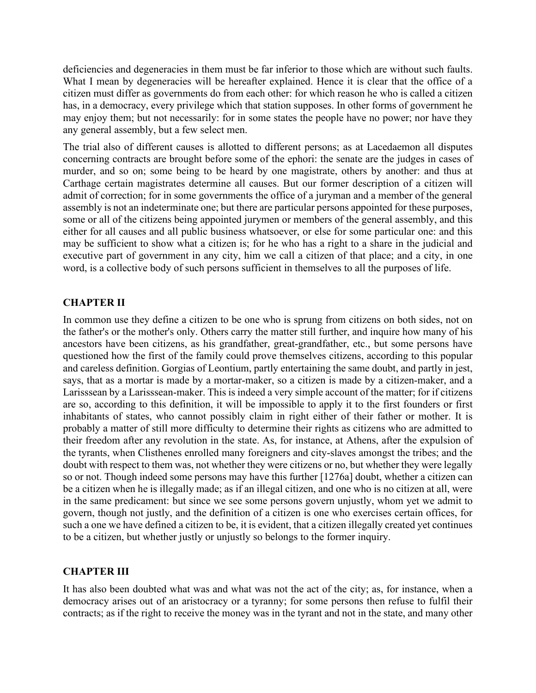deficiencies and degeneracies in them must be far inferior to those which are without such faults. What I mean by degeneracies will be hereafter explained. Hence it is clear that the office of a citizen must differ as governments do from each other: for which reason he who is called a citizen has, in a democracy, every privilege which that station supposes. In other forms of government he may enjoy them; but not necessarily: for in some states the people have no power; nor have they any general assembly, but a few select men.

The trial also of different causes is allotted to different persons; as at Lacedaemon all disputes concerning contracts are brought before some of the ephori: the senate are the judges in cases of murder, and so on; some being to be heard by one magistrate, others by another: and thus at Carthage certain magistrates determine all causes. But our former description of a citizen will admit of correction; for in some governments the office of a juryman and a member of the general assembly is not an indeterminate one; but there are particular persons appointed for these purposes, some or all of the citizens being appointed jurymen or members of the general assembly, and this either for all causes and all public business whatsoever, or else for some particular one: and this may be sufficient to show what a citizen is; for he who has a right to a share in the judicial and executive part of government in any city, him we call a citizen of that place; and a city, in one word, is a collective body of such persons sufficient in themselves to all the purposes of life.

### **CHAPTER II**

In common use they define a citizen to be one who is sprung from citizens on both sides, not on the father's or the mother's only. Others carry the matter still further, and inquire how many of his ancestors have been citizens, as his grandfather, great-grandfather, etc., but some persons have questioned how the first of the family could prove themselves citizens, according to this popular and careless definition. Gorgias of Leontium, partly entertaining the same doubt, and partly in jest, says, that as a mortar is made by a mortar-maker, so a citizen is made by a citizen-maker, and a Larisssean by a Larisssean-maker. This is indeed a very simple account of the matter; for if citizens are so, according to this definition, it will be impossible to apply it to the first founders or first inhabitants of states, who cannot possibly claim in right either of their father or mother. It is probably a matter of still more difficulty to determine their rights as citizens who are admitted to their freedom after any revolution in the state. As, for instance, at Athens, after the expulsion of the tyrants, when Clisthenes enrolled many foreigners and city-slaves amongst the tribes; and the doubt with respect to them was, not whether they were citizens or no, but whether they were legally so or not. Though indeed some persons may have this further [1276a] doubt, whether a citizen can be a citizen when he is illegally made; as if an illegal citizen, and one who is no citizen at all, were in the same predicament: but since we see some persons govern unjustly, whom yet we admit to govern, though not justly, and the definition of a citizen is one who exercises certain offices, for such a one we have defined a citizen to be, it is evident, that a citizen illegally created yet continues to be a citizen, but whether justly or unjustly so belongs to the former inquiry.

# **CHAPTER III**

It has also been doubted what was and what was not the act of the city; as, for instance, when a democracy arises out of an aristocracy or a tyranny; for some persons then refuse to fulfil their contracts; as if the right to receive the money was in the tyrant and not in the state, and many other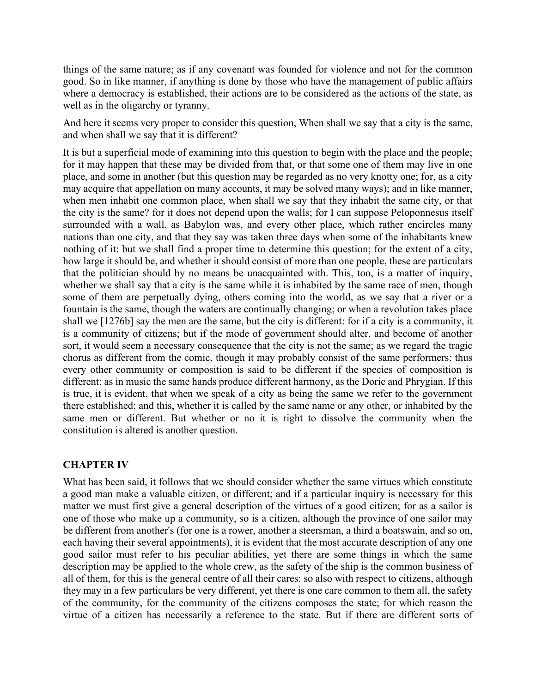things of the same nature; as if any covenant was founded for violence and not for the common good. So in like manner, if anything is done by those who have the management of public affairs where a democracy is established, their actions are to be considered as the actions of the state, as well as in the oligarchy or tyranny.

And here it seems very proper to consider this question, When shall we say that a city is the same, and when shall we say that it is different?

It is but a superficial mode of examining into this question to begin with the place and the people; for it may happen that these may be divided from that, or that some one of them may live in one place, and some in another (but this question may be regarded as no very knotty one; for, as a city may acquire that appellation on many accounts, it may be solved many ways); and in like manner, when men inhabit one common place, when shall we say that they inhabit the same city, or that the city is the same? for it does not depend upon the walls; for I can suppose Peloponnesus itself surrounded with a wall, as Babylon was, and every other place, which rather encircles many nations than one city, and that they say was taken three days when some of the inhabitants knew nothing of it: but we shall find a proper time to determine this question; for the extent of a city, how large it should be, and whether it should consist of more than one people, these are particulars that the politician should by no means be unacquainted with. This, too, is a matter of inquiry, whether we shall say that a city is the same while it is inhabited by the same race of men, though some of them are perpetually dying, others coming into the world, as we say that a river or a fountain is the same, though the waters are continually changing; or when a revolution takes place shall we [1276b] say the men are the same, but the city is different: for if a city is a community, it is a community of citizens; but if the mode of government should alter, and become of another sort, it would seem a necessary consequence that the city is not the same; as we regard the tragic chorus as different from the comic, though it may probably consist of the same performers: thus every other community or composition is said to be different if the species of composition is different; as in music the same hands produce different harmony, as the Doric and Phrygian. If this is true, it is evident, that when we speak of a city as being the same we refer to the government there established; and this, whether it is called by the same name or any other, or inhabited by the same men or different. But whether or no it is right to dissolve the community when the constitution is altered is another question.

# **CHAPTER IV**

What has been said, it follows that we should consider whether the same virtues which constitute a good man make a valuable citizen, or different; and if a particular inquiry is necessary for this matter we must first give a general description of the virtues of a good citizen; for as a sailor is one of those who make up a community, so is a citizen, although the province of one sailor may be different from another's (for one is a rower, another a steersman, a third a boatswain, and so on, each having their several appointments), it is evident that the most accurate description of any one good sailor must refer to his peculiar abilities, yet there are some things in which the same description may be applied to the whole crew, as the safety of the ship is the common business of all of them, for this is the general centre of all their cares: so also with respect to citizens, although they may in a few particulars be very different, yet there is one care common to them all, the safety of the community, for the community of the citizens composes the state; for which reason the virtue of a citizen has necessarily a reference to the state. But if there are different sorts of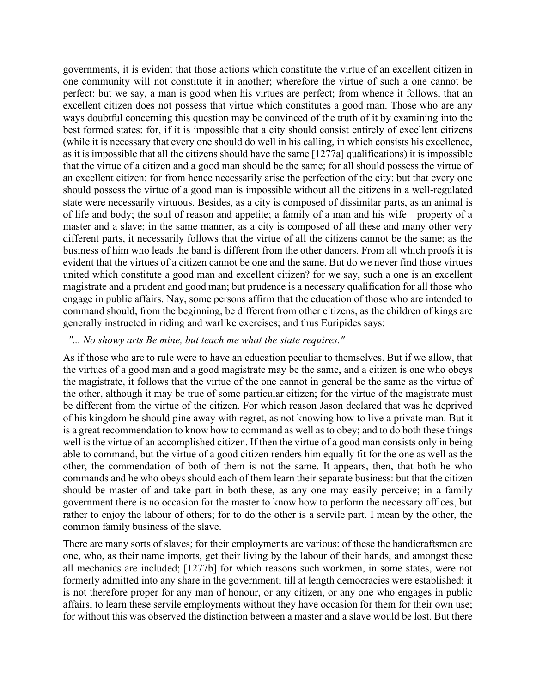governments, it is evident that those actions which constitute the virtue of an excellent citizen in one community will not constitute it in another; wherefore the virtue of such a one cannot be perfect: but we say, a man is good when his virtues are perfect; from whence it follows, that an excellent citizen does not possess that virtue which constitutes a good man. Those who are any ways doubtful concerning this question may be convinced of the truth of it by examining into the best formed states: for, if it is impossible that a city should consist entirely of excellent citizens (while it is necessary that every one should do well in his calling, in which consists his excellence, as it is impossible that all the citizens should have the same [1277a] qualifications) it is impossible that the virtue of a citizen and a good man should be the same; for all should possess the virtue of an excellent citizen: for from hence necessarily arise the perfection of the city: but that every one should possess the virtue of a good man is impossible without all the citizens in a well-regulated state were necessarily virtuous. Besides, as a city is composed of dissimilar parts, as an animal is of life and body; the soul of reason and appetite; a family of a man and his wife—property of a master and a slave; in the same manner, as a city is composed of all these and many other very different parts, it necessarily follows that the virtue of all the citizens cannot be the same; as the business of him who leads the band is different from the other dancers. From all which proofs it is evident that the virtues of a citizen cannot be one and the same. But do we never find those virtues united which constitute a good man and excellent citizen? for we say, such a one is an excellent magistrate and a prudent and good man; but prudence is a necessary qualification for all those who engage in public affairs. Nay, some persons affirm that the education of those who are intended to command should, from the beginning, be different from other citizens, as the children of kings are generally instructed in riding and warlike exercises; and thus Euripides says:

#### *"... No showy arts Be mine, but teach me what the state requires."*

As if those who are to rule were to have an education peculiar to themselves. But if we allow, that the virtues of a good man and a good magistrate may be the same, and a citizen is one who obeys the magistrate, it follows that the virtue of the one cannot in general be the same as the virtue of the other, although it may be true of some particular citizen; for the virtue of the magistrate must be different from the virtue of the citizen. For which reason Jason declared that was he deprived of his kingdom he should pine away with regret, as not knowing how to live a private man. But it is a great recommendation to know how to command as well as to obey; and to do both these things well is the virtue of an accomplished citizen. If then the virtue of a good man consists only in being able to command, but the virtue of a good citizen renders him equally fit for the one as well as the other, the commendation of both of them is not the same. It appears, then, that both he who commands and he who obeys should each of them learn their separate business: but that the citizen should be master of and take part in both these, as any one may easily perceive; in a family government there is no occasion for the master to know how to perform the necessary offices, but rather to enjoy the labour of others; for to do the other is a servile part. I mean by the other, the common family business of the slave.

There are many sorts of slaves; for their employments are various: of these the handicraftsmen are one, who, as their name imports, get their living by the labour of their hands, and amongst these all mechanics are included; [1277b] for which reasons such workmen, in some states, were not formerly admitted into any share in the government; till at length democracies were established: it is not therefore proper for any man of honour, or any citizen, or any one who engages in public affairs, to learn these servile employments without they have occasion for them for their own use; for without this was observed the distinction between a master and a slave would be lost. But there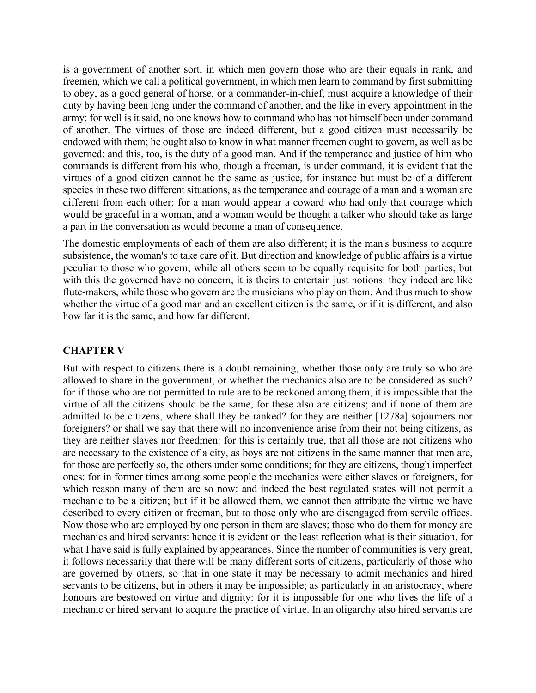is a government of another sort, in which men govern those who are their equals in rank, and freemen, which we call a political government, in which men learn to command by first submitting to obey, as a good general of horse, or a commander-in-chief, must acquire a knowledge of their duty by having been long under the command of another, and the like in every appointment in the army: for well is it said, no one knows how to command who has not himself been under command of another. The virtues of those are indeed different, but a good citizen must necessarily be endowed with them; he ought also to know in what manner freemen ought to govern, as well as be governed: and this, too, is the duty of a good man. And if the temperance and justice of him who commands is different from his who, though a freeman, is under command, it is evident that the virtues of a good citizen cannot be the same as justice, for instance but must be of a different species in these two different situations, as the temperance and courage of a man and a woman are different from each other; for a man would appear a coward who had only that courage which would be graceful in a woman, and a woman would be thought a talker who should take as large a part in the conversation as would become a man of consequence.

The domestic employments of each of them are also different; it is the man's business to acquire subsistence, the woman's to take care of it. But direction and knowledge of public affairs is a virtue peculiar to those who govern, while all others seem to be equally requisite for both parties; but with this the governed have no concern, it is theirs to entertain just notions: they indeed are like flute-makers, while those who govern are the musicians who play on them. And thus much to show whether the virtue of a good man and an excellent citizen is the same, or if it is different, and also how far it is the same, and how far different.

## **CHAPTER V**

But with respect to citizens there is a doubt remaining, whether those only are truly so who are allowed to share in the government, or whether the mechanics also are to be considered as such? for if those who are not permitted to rule are to be reckoned among them, it is impossible that the virtue of all the citizens should be the same, for these also are citizens; and if none of them are admitted to be citizens, where shall they be ranked? for they are neither [1278a] sojourners nor foreigners? or shall we say that there will no inconvenience arise from their not being citizens, as they are neither slaves nor freedmen: for this is certainly true, that all those are not citizens who are necessary to the existence of a city, as boys are not citizens in the same manner that men are, for those are perfectly so, the others under some conditions; for they are citizens, though imperfect ones: for in former times among some people the mechanics were either slaves or foreigners, for which reason many of them are so now: and indeed the best regulated states will not permit a mechanic to be a citizen; but if it be allowed them, we cannot then attribute the virtue we have described to every citizen or freeman, but to those only who are disengaged from servile offices. Now those who are employed by one person in them are slaves; those who do them for money are mechanics and hired servants: hence it is evident on the least reflection what is their situation, for what I have said is fully explained by appearances. Since the number of communities is very great, it follows necessarily that there will be many different sorts of citizens, particularly of those who are governed by others, so that in one state it may be necessary to admit mechanics and hired servants to be citizens, but in others it may be impossible; as particularly in an aristocracy, where honours are bestowed on virtue and dignity: for it is impossible for one who lives the life of a mechanic or hired servant to acquire the practice of virtue. In an oligarchy also hired servants are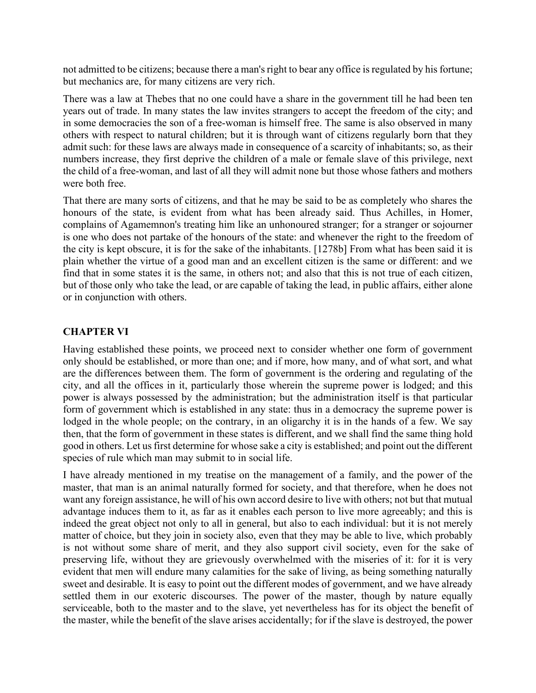not admitted to be citizens; because there a man's right to bear any office is regulated by his fortune; but mechanics are, for many citizens are very rich.

There was a law at Thebes that no one could have a share in the government till he had been ten years out of trade. In many states the law invites strangers to accept the freedom of the city; and in some democracies the son of a free-woman is himself free. The same is also observed in many others with respect to natural children; but it is through want of citizens regularly born that they admit such: for these laws are always made in consequence of a scarcity of inhabitants; so, as their numbers increase, they first deprive the children of a male or female slave of this privilege, next the child of a free-woman, and last of all they will admit none but those whose fathers and mothers were both free.

That there are many sorts of citizens, and that he may be said to be as completely who shares the honours of the state, is evident from what has been already said. Thus Achilles, in Homer, complains of Agamemnon's treating him like an unhonoured stranger; for a stranger or sojourner is one who does not partake of the honours of the state: and whenever the right to the freedom of the city is kept obscure, it is for the sake of the inhabitants. [1278b] From what has been said it is plain whether the virtue of a good man and an excellent citizen is the same or different: and we find that in some states it is the same, in others not; and also that this is not true of each citizen, but of those only who take the lead, or are capable of taking the lead, in public affairs, either alone or in conjunction with others.

## **CHAPTER VI**

Having established these points, we proceed next to consider whether one form of government only should be established, or more than one; and if more, how many, and of what sort, and what are the differences between them. The form of government is the ordering and regulating of the city, and all the offices in it, particularly those wherein the supreme power is lodged; and this power is always possessed by the administration; but the administration itself is that particular form of government which is established in any state: thus in a democracy the supreme power is lodged in the whole people; on the contrary, in an oligarchy it is in the hands of a few. We say then, that the form of government in these states is different, and we shall find the same thing hold good in others. Let us first determine for whose sake a city is established; and point out the different species of rule which man may submit to in social life.

I have already mentioned in my treatise on the management of a family, and the power of the master, that man is an animal naturally formed for society, and that therefore, when he does not want any foreign assistance, he will of his own accord desire to live with others; not but that mutual advantage induces them to it, as far as it enables each person to live more agreeably; and this is indeed the great object not only to all in general, but also to each individual: but it is not merely matter of choice, but they join in society also, even that they may be able to live, which probably is not without some share of merit, and they also support civil society, even for the sake of preserving life, without they are grievously overwhelmed with the miseries of it: for it is very evident that men will endure many calamities for the sake of living, as being something naturally sweet and desirable. It is easy to point out the different modes of government, and we have already settled them in our exoteric discourses. The power of the master, though by nature equally serviceable, both to the master and to the slave, yet nevertheless has for its object the benefit of the master, while the benefit of the slave arises accidentally; for if the slave is destroyed, the power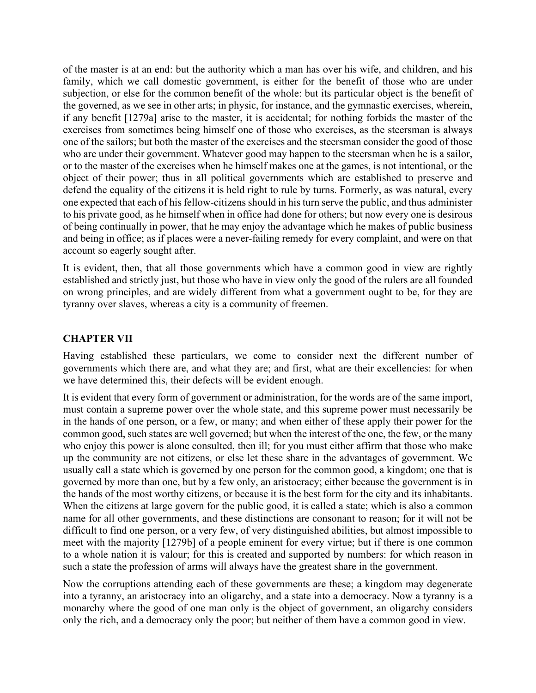of the master is at an end: but the authority which a man has over his wife, and children, and his family, which we call domestic government, is either for the benefit of those who are under subjection, or else for the common benefit of the whole: but its particular object is the benefit of the governed, as we see in other arts; in physic, for instance, and the gymnastic exercises, wherein, if any benefit [1279a] arise to the master, it is accidental; for nothing forbids the master of the exercises from sometimes being himself one of those who exercises, as the steersman is always one of the sailors; but both the master of the exercises and the steersman consider the good of those who are under their government. Whatever good may happen to the steersman when he is a sailor, or to the master of the exercises when he himself makes one at the games, is not intentional, or the object of their power; thus in all political governments which are established to preserve and defend the equality of the citizens it is held right to rule by turns. Formerly, as was natural, every one expected that each of his fellow-citizens should in his turn serve the public, and thus administer to his private good, as he himself when in office had done for others; but now every one is desirous of being continually in power, that he may enjoy the advantage which he makes of public business and being in office; as if places were a never-failing remedy for every complaint, and were on that account so eagerly sought after.

It is evident, then, that all those governments which have a common good in view are rightly established and strictly just, but those who have in view only the good of the rulers are all founded on wrong principles, and are widely different from what a government ought to be, for they are tyranny over slaves, whereas a city is a community of freemen.

## **CHAPTER VII**

Having established these particulars, we come to consider next the different number of governments which there are, and what they are; and first, what are their excellencies: for when we have determined this, their defects will be evident enough.

It is evident that every form of government or administration, for the words are of the same import, must contain a supreme power over the whole state, and this supreme power must necessarily be in the hands of one person, or a few, or many; and when either of these apply their power for the common good, such states are well governed; but when the interest of the one, the few, or the many who enjoy this power is alone consulted, then ill; for you must either affirm that those who make up the community are not citizens, or else let these share in the advantages of government. We usually call a state which is governed by one person for the common good, a kingdom; one that is governed by more than one, but by a few only, an aristocracy; either because the government is in the hands of the most worthy citizens, or because it is the best form for the city and its inhabitants. When the citizens at large govern for the public good, it is called a state; which is also a common name for all other governments, and these distinctions are consonant to reason; for it will not be difficult to find one person, or a very few, of very distinguished abilities, but almost impossible to meet with the majority [1279b] of a people eminent for every virtue; but if there is one common to a whole nation it is valour; for this is created and supported by numbers: for which reason in such a state the profession of arms will always have the greatest share in the government.

Now the corruptions attending each of these governments are these; a kingdom may degenerate into a tyranny, an aristocracy into an oligarchy, and a state into a democracy. Now a tyranny is a monarchy where the good of one man only is the object of government, an oligarchy considers only the rich, and a democracy only the poor; but neither of them have a common good in view.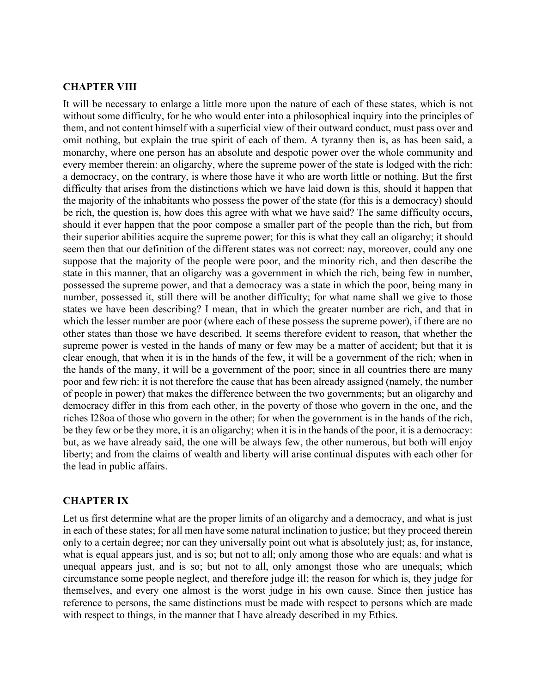#### **CHAPTER VIII**

It will be necessary to enlarge a little more upon the nature of each of these states, which is not without some difficulty, for he who would enter into a philosophical inquiry into the principles of them, and not content himself with a superficial view of their outward conduct, must pass over and omit nothing, but explain the true spirit of each of them. A tyranny then is, as has been said, a monarchy, where one person has an absolute and despotic power over the whole community and every member therein: an oligarchy, where the supreme power of the state is lodged with the rich: a democracy, on the contrary, is where those have it who are worth little or nothing. But the first difficulty that arises from the distinctions which we have laid down is this, should it happen that the majority of the inhabitants who possess the power of the state (for this is a democracy) should be rich, the question is, how does this agree with what we have said? The same difficulty occurs, should it ever happen that the poor compose a smaller part of the people than the rich, but from their superior abilities acquire the supreme power; for this is what they call an oligarchy; it should seem then that our definition of the different states was not correct: nay, moreover, could any one suppose that the majority of the people were poor, and the minority rich, and then describe the state in this manner, that an oligarchy was a government in which the rich, being few in number, possessed the supreme power, and that a democracy was a state in which the poor, being many in number, possessed it, still there will be another difficulty; for what name shall we give to those states we have been describing? I mean, that in which the greater number are rich, and that in which the lesser number are poor (where each of these possess the supreme power), if there are no other states than those we have described. It seems therefore evident to reason, that whether the supreme power is vested in the hands of many or few may be a matter of accident; but that it is clear enough, that when it is in the hands of the few, it will be a government of the rich; when in the hands of the many, it will be a government of the poor; since in all countries there are many poor and few rich: it is not therefore the cause that has been already assigned (namely, the number of people in power) that makes the difference between the two governments; but an oligarchy and democracy differ in this from each other, in the poverty of those who govern in the one, and the riches I28oa of those who govern in the other; for when the government is in the hands of the rich, be they few or be they more, it is an oligarchy; when it is in the hands of the poor, it is a democracy: but, as we have already said, the one will be always few, the other numerous, but both will enjoy liberty; and from the claims of wealth and liberty will arise continual disputes with each other for the lead in public affairs.

#### **CHAPTER IX**

Let us first determine what are the proper limits of an oligarchy and a democracy, and what is just in each of these states; for all men have some natural inclination to justice; but they proceed therein only to a certain degree; nor can they universally point out what is absolutely just; as, for instance, what is equal appears just, and is so; but not to all; only among those who are equals: and what is unequal appears just, and is so; but not to all, only amongst those who are unequals; which circumstance some people neglect, and therefore judge ill; the reason for which is, they judge for themselves, and every one almost is the worst judge in his own cause. Since then justice has reference to persons, the same distinctions must be made with respect to persons which are made with respect to things, in the manner that I have already described in my Ethics.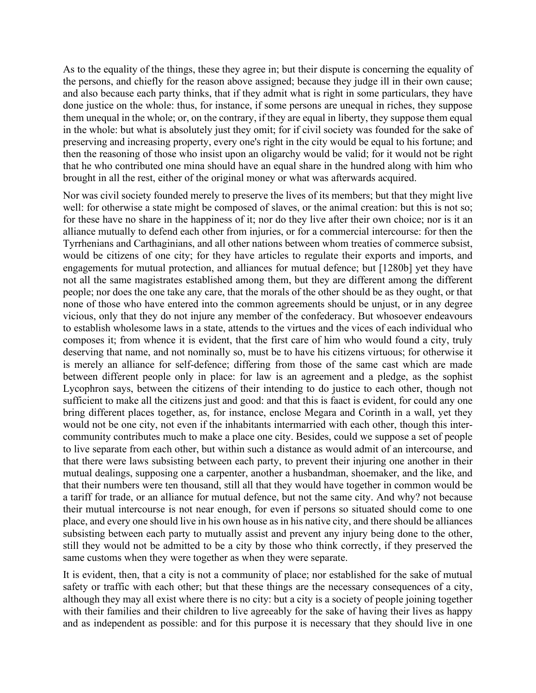As to the equality of the things, these they agree in; but their dispute is concerning the equality of the persons, and chiefly for the reason above assigned; because they judge ill in their own cause; and also because each party thinks, that if they admit what is right in some particulars, they have done justice on the whole: thus, for instance, if some persons are unequal in riches, they suppose them unequal in the whole; or, on the contrary, if they are equal in liberty, they suppose them equal in the whole: but what is absolutely just they omit; for if civil society was founded for the sake of preserving and increasing property, every one's right in the city would be equal to his fortune; and then the reasoning of those who insist upon an oligarchy would be valid; for it would not be right that he who contributed one mina should have an equal share in the hundred along with him who brought in all the rest, either of the original money or what was afterwards acquired.

Nor was civil society founded merely to preserve the lives of its members; but that they might live well: for otherwise a state might be composed of slaves, or the animal creation: but this is not so; for these have no share in the happiness of it; nor do they live after their own choice; nor is it an alliance mutually to defend each other from injuries, or for a commercial intercourse: for then the Tyrrhenians and Carthaginians, and all other nations between whom treaties of commerce subsist, would be citizens of one city; for they have articles to regulate their exports and imports, and engagements for mutual protection, and alliances for mutual defence; but [1280b] yet they have not all the same magistrates established among them, but they are different among the different people; nor does the one take any care, that the morals of the other should be as they ought, or that none of those who have entered into the common agreements should be unjust, or in any degree vicious, only that they do not injure any member of the confederacy. But whosoever endeavours to establish wholesome laws in a state, attends to the virtues and the vices of each individual who composes it; from whence it is evident, that the first care of him who would found a city, truly deserving that name, and not nominally so, must be to have his citizens virtuous; for otherwise it is merely an alliance for self-defence; differing from those of the same cast which are made between different people only in place: for law is an agreement and a pledge, as the sophist Lycophron says, between the citizens of their intending to do justice to each other, though not sufficient to make all the citizens just and good: and that this is faact is evident, for could any one bring different places together, as, for instance, enclose Megara and Corinth in a wall, yet they would not be one city, not even if the inhabitants intermarried with each other, though this intercommunity contributes much to make a place one city. Besides, could we suppose a set of people to live separate from each other, but within such a distance as would admit of an intercourse, and that there were laws subsisting between each party, to prevent their injuring one another in their mutual dealings, supposing one a carpenter, another a husbandman, shoemaker, and the like, and that their numbers were ten thousand, still all that they would have together in common would be a tariff for trade, or an alliance for mutual defence, but not the same city. And why? not because their mutual intercourse is not near enough, for even if persons so situated should come to one place, and every one should live in his own house as in his native city, and there should be alliances subsisting between each party to mutually assist and prevent any injury being done to the other, still they would not be admitted to be a city by those who think correctly, if they preserved the same customs when they were together as when they were separate.

It is evident, then, that a city is not a community of place; nor established for the sake of mutual safety or traffic with each other; but that these things are the necessary consequences of a city, although they may all exist where there is no city: but a city is a society of people joining together with their families and their children to live agreeably for the sake of having their lives as happy and as independent as possible: and for this purpose it is necessary that they should live in one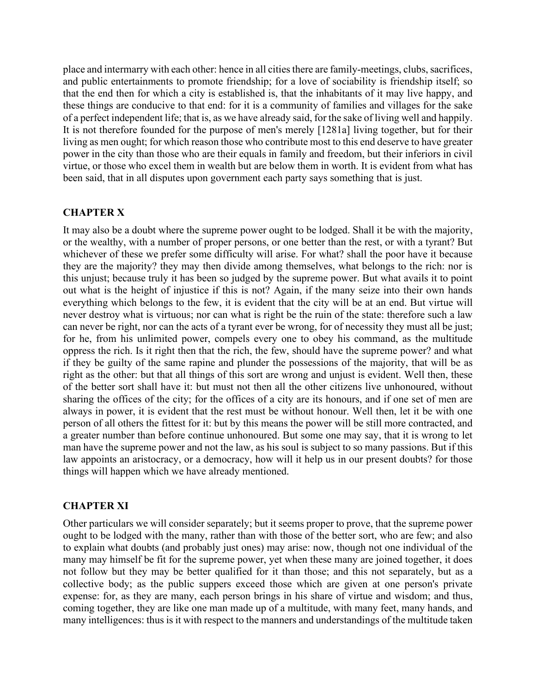place and intermarry with each other: hence in all cities there are family-meetings, clubs, sacrifices, and public entertainments to promote friendship; for a love of sociability is friendship itself; so that the end then for which a city is established is, that the inhabitants of it may live happy, and these things are conducive to that end: for it is a community of families and villages for the sake of a perfect independent life; that is, as we have already said, for the sake of living well and happily. It is not therefore founded for the purpose of men's merely [1281a] living together, but for their living as men ought; for which reason those who contribute most to this end deserve to have greater power in the city than those who are their equals in family and freedom, but their inferiors in civil virtue, or those who excel them in wealth but are below them in worth. It is evident from what has been said, that in all disputes upon government each party says something that is just.

#### **CHAPTER X**

It may also be a doubt where the supreme power ought to be lodged. Shall it be with the majority, or the wealthy, with a number of proper persons, or one better than the rest, or with a tyrant? But whichever of these we prefer some difficulty will arise. For what? shall the poor have it because they are the majority? they may then divide among themselves, what belongs to the rich: nor is this unjust; because truly it has been so judged by the supreme power. But what avails it to point out what is the height of injustice if this is not? Again, if the many seize into their own hands everything which belongs to the few, it is evident that the city will be at an end. But virtue will never destroy what is virtuous; nor can what is right be the ruin of the state: therefore such a law can never be right, nor can the acts of a tyrant ever be wrong, for of necessity they must all be just; for he, from his unlimited power, compels every one to obey his command, as the multitude oppress the rich. Is it right then that the rich, the few, should have the supreme power? and what if they be guilty of the same rapine and plunder the possessions of the majority, that will be as right as the other: but that all things of this sort are wrong and unjust is evident. Well then, these of the better sort shall have it: but must not then all the other citizens live unhonoured, without sharing the offices of the city; for the offices of a city are its honours, and if one set of men are always in power, it is evident that the rest must be without honour. Well then, let it be with one person of all others the fittest for it: but by this means the power will be still more contracted, and a greater number than before continue unhonoured. But some one may say, that it is wrong to let man have the supreme power and not the law, as his soul is subject to so many passions. But if this law appoints an aristocracy, or a democracy, how will it help us in our present doubts? for those things will happen which we have already mentioned.

#### **CHAPTER XI**

Other particulars we will consider separately; but it seems proper to prove, that the supreme power ought to be lodged with the many, rather than with those of the better sort, who are few; and also to explain what doubts (and probably just ones) may arise: now, though not one individual of the many may himself be fit for the supreme power, yet when these many are joined together, it does not follow but they may be better qualified for it than those; and this not separately, but as a collective body; as the public suppers exceed those which are given at one person's private expense: for, as they are many, each person brings in his share of virtue and wisdom; and thus, coming together, they are like one man made up of a multitude, with many feet, many hands, and many intelligences: thus is it with respect to the manners and understandings of the multitude taken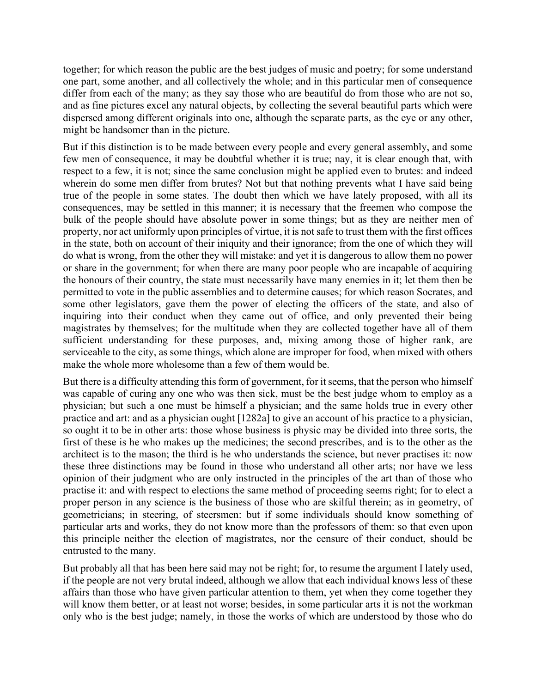together; for which reason the public are the best judges of music and poetry; for some understand one part, some another, and all collectively the whole; and in this particular men of consequence differ from each of the many; as they say those who are beautiful do from those who are not so, and as fine pictures excel any natural objects, by collecting the several beautiful parts which were dispersed among different originals into one, although the separate parts, as the eye or any other, might be handsomer than in the picture.

But if this distinction is to be made between every people and every general assembly, and some few men of consequence, it may be doubtful whether it is true; nay, it is clear enough that, with respect to a few, it is not; since the same conclusion might be applied even to brutes: and indeed wherein do some men differ from brutes? Not but that nothing prevents what I have said being true of the people in some states. The doubt then which we have lately proposed, with all its consequences, may be settled in this manner; it is necessary that the freemen who compose the bulk of the people should have absolute power in some things; but as they are neither men of property, nor act uniformly upon principles of virtue, it is not safe to trust them with the first offices in the state, both on account of their iniquity and their ignorance; from the one of which they will do what is wrong, from the other they will mistake: and yet it is dangerous to allow them no power or share in the government; for when there are many poor people who are incapable of acquiring the honours of their country, the state must necessarily have many enemies in it; let them then be permitted to vote in the public assemblies and to determine causes; for which reason Socrates, and some other legislators, gave them the power of electing the officers of the state, and also of inquiring into their conduct when they came out of office, and only prevented their being magistrates by themselves; for the multitude when they are collected together have all of them sufficient understanding for these purposes, and, mixing among those of higher rank, are serviceable to the city, as some things, which alone are improper for food, when mixed with others make the whole more wholesome than a few of them would be.

But there is a difficulty attending this form of government, for it seems, that the person who himself was capable of curing any one who was then sick, must be the best judge whom to employ as a physician; but such a one must be himself a physician; and the same holds true in every other practice and art: and as a physician ought [1282a] to give an account of his practice to a physician, so ought it to be in other arts: those whose business is physic may be divided into three sorts, the first of these is he who makes up the medicines; the second prescribes, and is to the other as the architect is to the mason; the third is he who understands the science, but never practises it: now these three distinctions may be found in those who understand all other arts; nor have we less opinion of their judgment who are only instructed in the principles of the art than of those who practise it: and with respect to elections the same method of proceeding seems right; for to elect a proper person in any science is the business of those who are skilful therein; as in geometry, of geometricians; in steering, of steersmen: but if some individuals should know something of particular arts and works, they do not know more than the professors of them: so that even upon this principle neither the election of magistrates, nor the censure of their conduct, should be entrusted to the many.

But probably all that has been here said may not be right; for, to resume the argument I lately used, if the people are not very brutal indeed, although we allow that each individual knows less of these affairs than those who have given particular attention to them, yet when they come together they will know them better, or at least not worse; besides, in some particular arts it is not the workman only who is the best judge; namely, in those the works of which are understood by those who do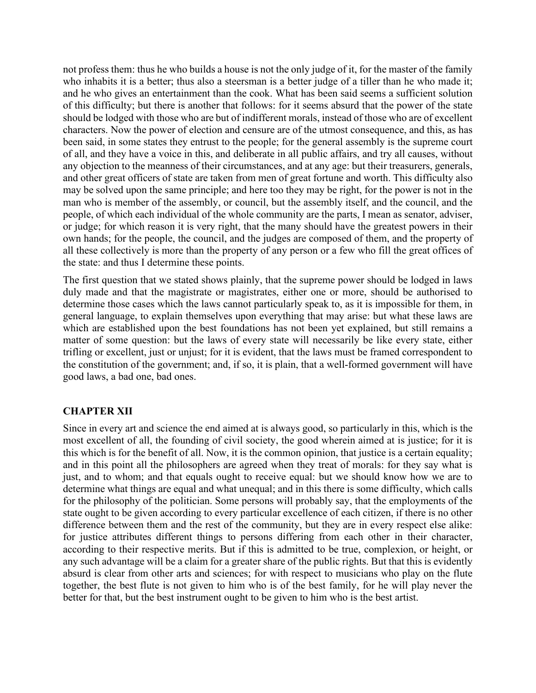not profess them: thus he who builds a house is not the only judge of it, for the master of the family who inhabits it is a better; thus also a steersman is a better judge of a tiller than he who made it; and he who gives an entertainment than the cook. What has been said seems a sufficient solution of this difficulty; but there is another that follows: for it seems absurd that the power of the state should be lodged with those who are but of indifferent morals, instead of those who are of excellent characters. Now the power of election and censure are of the utmost consequence, and this, as has been said, in some states they entrust to the people; for the general assembly is the supreme court of all, and they have a voice in this, and deliberate in all public affairs, and try all causes, without any objection to the meanness of their circumstances, and at any age: but their treasurers, generals, and other great officers of state are taken from men of great fortune and worth. This difficulty also may be solved upon the same principle; and here too they may be right, for the power is not in the man who is member of the assembly, or council, but the assembly itself, and the council, and the people, of which each individual of the whole community are the parts, I mean as senator, adviser, or judge; for which reason it is very right, that the many should have the greatest powers in their own hands; for the people, the council, and the judges are composed of them, and the property of all these collectively is more than the property of any person or a few who fill the great offices of the state: and thus I determine these points.

The first question that we stated shows plainly, that the supreme power should be lodged in laws duly made and that the magistrate or magistrates, either one or more, should be authorised to determine those cases which the laws cannot particularly speak to, as it is impossible for them, in general language, to explain themselves upon everything that may arise: but what these laws are which are established upon the best foundations has not been yet explained, but still remains a matter of some question: but the laws of every state will necessarily be like every state, either trifling or excellent, just or unjust; for it is evident, that the laws must be framed correspondent to the constitution of the government; and, if so, it is plain, that a well-formed government will have good laws, a bad one, bad ones.

## **CHAPTER XII**

Since in every art and science the end aimed at is always good, so particularly in this, which is the most excellent of all, the founding of civil society, the good wherein aimed at is justice; for it is this which is for the benefit of all. Now, it is the common opinion, that justice is a certain equality; and in this point all the philosophers are agreed when they treat of morals: for they say what is just, and to whom; and that equals ought to receive equal: but we should know how we are to determine what things are equal and what unequal; and in this there is some difficulty, which calls for the philosophy of the politician. Some persons will probably say, that the employments of the state ought to be given according to every particular excellence of each citizen, if there is no other difference between them and the rest of the community, but they are in every respect else alike: for justice attributes different things to persons differing from each other in their character, according to their respective merits. But if this is admitted to be true, complexion, or height, or any such advantage will be a claim for a greater share of the public rights. But that this is evidently absurd is clear from other arts and sciences; for with respect to musicians who play on the flute together, the best flute is not given to him who is of the best family, for he will play never the better for that, but the best instrument ought to be given to him who is the best artist.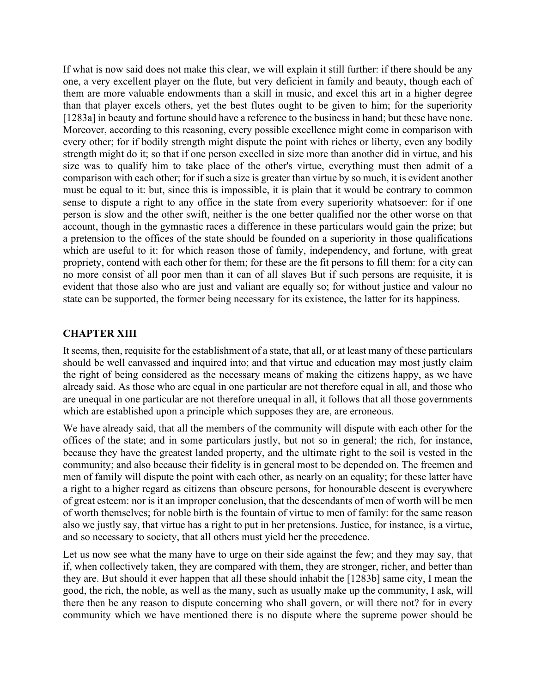If what is now said does not make this clear, we will explain it still further: if there should be any one, a very excellent player on the flute, but very deficient in family and beauty, though each of them are more valuable endowments than a skill in music, and excel this art in a higher degree than that player excels others, yet the best flutes ought to be given to him; for the superiority [1283a] in beauty and fortune should have a reference to the business in hand; but these have none. Moreover, according to this reasoning, every possible excellence might come in comparison with every other; for if bodily strength might dispute the point with riches or liberty, even any bodily strength might do it; so that if one person excelled in size more than another did in virtue, and his size was to qualify him to take place of the other's virtue, everything must then admit of a comparison with each other; for if such a size is greater than virtue by so much, it is evident another must be equal to it: but, since this is impossible, it is plain that it would be contrary to common sense to dispute a right to any office in the state from every superiority whatsoever: for if one person is slow and the other swift, neither is the one better qualified nor the other worse on that account, though in the gymnastic races a difference in these particulars would gain the prize; but a pretension to the offices of the state should be founded on a superiority in those qualifications which are useful to it: for which reason those of family, independency, and fortune, with great propriety, contend with each other for them; for these are the fit persons to fill them: for a city can no more consist of all poor men than it can of all slaves But if such persons are requisite, it is evident that those also who are just and valiant are equally so; for without justice and valour no state can be supported, the former being necessary for its existence, the latter for its happiness.

### **CHAPTER XIII**

It seems, then, requisite for the establishment of a state, that all, or at least many of these particulars should be well canvassed and inquired into; and that virtue and education may most justly claim the right of being considered as the necessary means of making the citizens happy, as we have already said. As those who are equal in one particular are not therefore equal in all, and those who are unequal in one particular are not therefore unequal in all, it follows that all those governments which are established upon a principle which supposes they are, are erroneous.

We have already said, that all the members of the community will dispute with each other for the offices of the state; and in some particulars justly, but not so in general; the rich, for instance, because they have the greatest landed property, and the ultimate right to the soil is vested in the community; and also because their fidelity is in general most to be depended on. The freemen and men of family will dispute the point with each other, as nearly on an equality; for these latter have a right to a higher regard as citizens than obscure persons, for honourable descent is everywhere of great esteem: nor is it an improper conclusion, that the descendants of men of worth will be men of worth themselves; for noble birth is the fountain of virtue to men of family: for the same reason also we justly say, that virtue has a right to put in her pretensions. Justice, for instance, is a virtue, and so necessary to society, that all others must yield her the precedence.

Let us now see what the many have to urge on their side against the few; and they may say, that if, when collectively taken, they are compared with them, they are stronger, richer, and better than they are. But should it ever happen that all these should inhabit the [1283b] same city, I mean the good, the rich, the noble, as well as the many, such as usually make up the community, I ask, will there then be any reason to dispute concerning who shall govern, or will there not? for in every community which we have mentioned there is no dispute where the supreme power should be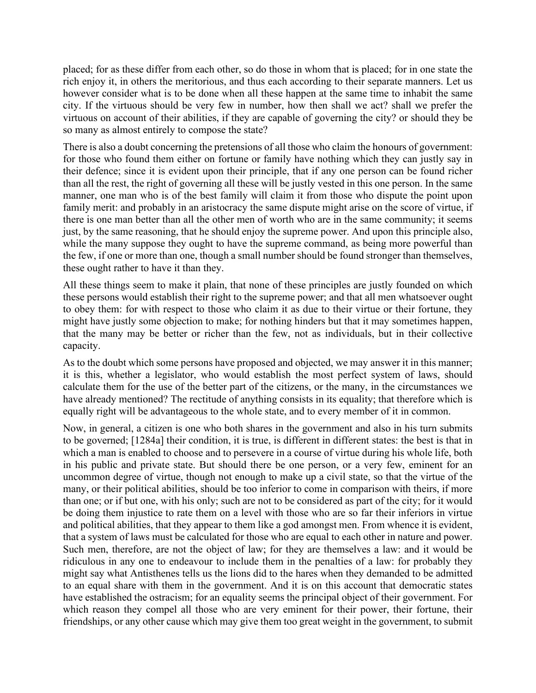placed; for as these differ from each other, so do those in whom that is placed; for in one state the rich enjoy it, in others the meritorious, and thus each according to their separate manners. Let us however consider what is to be done when all these happen at the same time to inhabit the same city. If the virtuous should be very few in number, how then shall we act? shall we prefer the virtuous on account of their abilities, if they are capable of governing the city? or should they be so many as almost entirely to compose the state?

There is also a doubt concerning the pretensions of all those who claim the honours of government: for those who found them either on fortune or family have nothing which they can justly say in their defence; since it is evident upon their principle, that if any one person can be found richer than all the rest, the right of governing all these will be justly vested in this one person. In the same manner, one man who is of the best family will claim it from those who dispute the point upon family merit: and probably in an aristocracy the same dispute might arise on the score of virtue, if there is one man better than all the other men of worth who are in the same community; it seems just, by the same reasoning, that he should enjoy the supreme power. And upon this principle also, while the many suppose they ought to have the supreme command, as being more powerful than the few, if one or more than one, though a small number should be found stronger than themselves, these ought rather to have it than they.

All these things seem to make it plain, that none of these principles are justly founded on which these persons would establish their right to the supreme power; and that all men whatsoever ought to obey them: for with respect to those who claim it as due to their virtue or their fortune, they might have justly some objection to make; for nothing hinders but that it may sometimes happen, that the many may be better or richer than the few, not as individuals, but in their collective capacity.

As to the doubt which some persons have proposed and objected, we may answer it in this manner; it is this, whether a legislator, who would establish the most perfect system of laws, should calculate them for the use of the better part of the citizens, or the many, in the circumstances we have already mentioned? The rectitude of anything consists in its equality; that therefore which is equally right will be advantageous to the whole state, and to every member of it in common.

Now, in general, a citizen is one who both shares in the government and also in his turn submits to be governed; [1284a] their condition, it is true, is different in different states: the best is that in which a man is enabled to choose and to persevere in a course of virtue during his whole life, both in his public and private state. But should there be one person, or a very few, eminent for an uncommon degree of virtue, though not enough to make up a civil state, so that the virtue of the many, or their political abilities, should be too inferior to come in comparison with theirs, if more than one; or if but one, with his only; such are not to be considered as part of the city; for it would be doing them injustice to rate them on a level with those who are so far their inferiors in virtue and political abilities, that they appear to them like a god amongst men. From whence it is evident, that a system of laws must be calculated for those who are equal to each other in nature and power. Such men, therefore, are not the object of law; for they are themselves a law: and it would be ridiculous in any one to endeavour to include them in the penalties of a law: for probably they might say what Antisthenes tells us the lions did to the hares when they demanded to be admitted to an equal share with them in the government. And it is on this account that democratic states have established the ostracism; for an equality seems the principal object of their government. For which reason they compel all those who are very eminent for their power, their fortune, their friendships, or any other cause which may give them too great weight in the government, to submit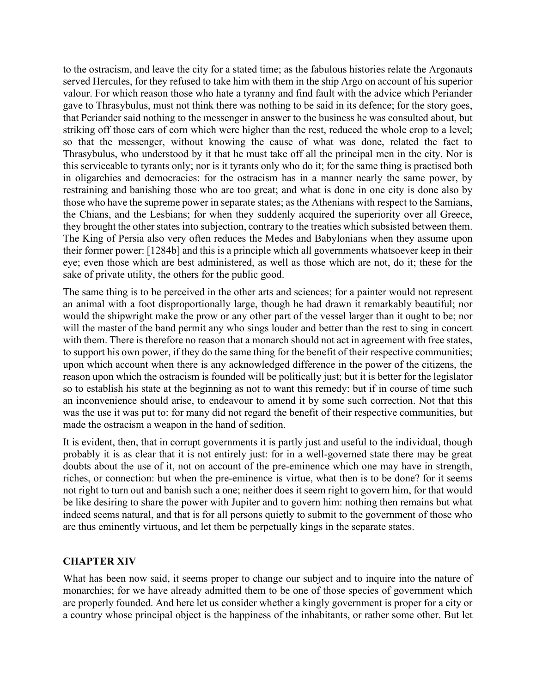to the ostracism, and leave the city for a stated time; as the fabulous histories relate the Argonauts served Hercules, for they refused to take him with them in the ship Argo on account of his superior valour. For which reason those who hate a tyranny and find fault with the advice which Periander gave to Thrasybulus, must not think there was nothing to be said in its defence; for the story goes, that Periander said nothing to the messenger in answer to the business he was consulted about, but striking off those ears of corn which were higher than the rest, reduced the whole crop to a level; so that the messenger, without knowing the cause of what was done, related the fact to Thrasybulus, who understood by it that he must take off all the principal men in the city. Nor is this serviceable to tyrants only; nor is it tyrants only who do it; for the same thing is practised both in oligarchies and democracies: for the ostracism has in a manner nearly the same power, by restraining and banishing those who are too great; and what is done in one city is done also by those who have the supreme power in separate states; as the Athenians with respect to the Samians, the Chians, and the Lesbians; for when they suddenly acquired the superiority over all Greece, they brought the other states into subjection, contrary to the treaties which subsisted between them. The King of Persia also very often reduces the Medes and Babylonians when they assume upon their former power: [1284b] and this is a principle which all governments whatsoever keep in their eye; even those which are best administered, as well as those which are not, do it; these for the sake of private utility, the others for the public good.

The same thing is to be perceived in the other arts and sciences; for a painter would not represent an animal with a foot disproportionally large, though he had drawn it remarkably beautiful; nor would the shipwright make the prow or any other part of the vessel larger than it ought to be; nor will the master of the band permit any who sings louder and better than the rest to sing in concert with them. There is therefore no reason that a monarch should not act in agreement with free states, to support his own power, if they do the same thing for the benefit of their respective communities; upon which account when there is any acknowledged difference in the power of the citizens, the reason upon which the ostracism is founded will be politically just; but it is better for the legislator so to establish his state at the beginning as not to want this remedy: but if in course of time such an inconvenience should arise, to endeavour to amend it by some such correction. Not that this was the use it was put to: for many did not regard the benefit of their respective communities, but made the ostracism a weapon in the hand of sedition.

It is evident, then, that in corrupt governments it is partly just and useful to the individual, though probably it is as clear that it is not entirely just: for in a well-governed state there may be great doubts about the use of it, not on account of the pre-eminence which one may have in strength, riches, or connection: but when the pre-eminence is virtue, what then is to be done? for it seems not right to turn out and banish such a one; neither does it seem right to govern him, for that would be like desiring to share the power with Jupiter and to govern him: nothing then remains but what indeed seems natural, and that is for all persons quietly to submit to the government of those who are thus eminently virtuous, and let them be perpetually kings in the separate states.

## **CHAPTER XIV**

What has been now said, it seems proper to change our subject and to inquire into the nature of monarchies; for we have already admitted them to be one of those species of government which are properly founded. And here let us consider whether a kingly government is proper for a city or a country whose principal object is the happiness of the inhabitants, or rather some other. But let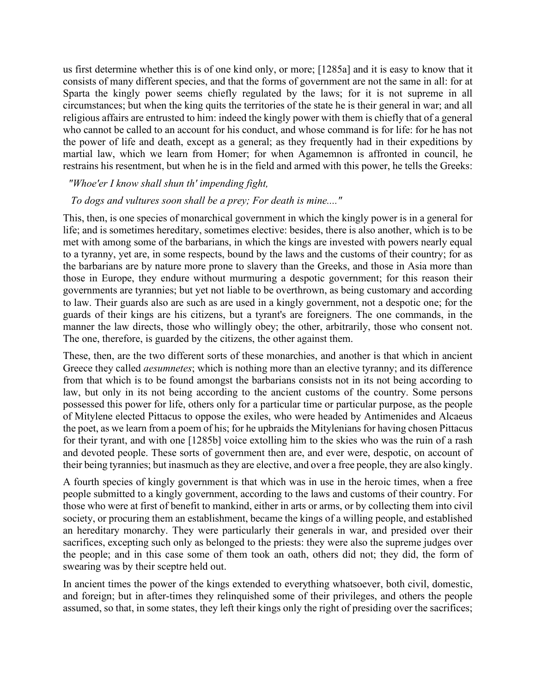us first determine whether this is of one kind only, or more; [1285a] and it is easy to know that it consists of many different species, and that the forms of government are not the same in all: for at Sparta the kingly power seems chiefly regulated by the laws; for it is not supreme in all circumstances; but when the king quits the territories of the state he is their general in war; and all religious affairs are entrusted to him: indeed the kingly power with them is chiefly that of a general who cannot be called to an account for his conduct, and whose command is for life: for he has not the power of life and death, except as a general; as they frequently had in their expeditions by martial law, which we learn from Homer; for when Agamemnon is affronted in council, he restrains his resentment, but when he is in the field and armed with this power, he tells the Greeks:

#### *"Whoe'er I know shall shun th' impending fight,*

#### *To dogs and vultures soon shall be a prey; For death is mine...."*

This, then, is one species of monarchical government in which the kingly power is in a general for life; and is sometimes hereditary, sometimes elective: besides, there is also another, which is to be met with among some of the barbarians, in which the kings are invested with powers nearly equal to a tyranny, yet are, in some respects, bound by the laws and the customs of their country; for as the barbarians are by nature more prone to slavery than the Greeks, and those in Asia more than those in Europe, they endure without murmuring a despotic government; for this reason their governments are tyrannies; but yet not liable to be overthrown, as being customary and according to law. Their guards also are such as are used in a kingly government, not a despotic one; for the guards of their kings are his citizens, but a tyrant's are foreigners. The one commands, in the manner the law directs, those who willingly obey; the other, arbitrarily, those who consent not. The one, therefore, is guarded by the citizens, the other against them.

These, then, are the two different sorts of these monarchies, and another is that which in ancient Greece they called *aesumnetes*; which is nothing more than an elective tyranny; and its difference from that which is to be found amongst the barbarians consists not in its not being according to law, but only in its not being according to the ancient customs of the country. Some persons possessed this power for life, others only for a particular time or particular purpose, as the people of Mitylene elected Pittacus to oppose the exiles, who were headed by Antimenides and Alcaeus the poet, as we learn from a poem of his; for he upbraids the Mitylenians for having chosen Pittacus for their tyrant, and with one [1285b] voice extolling him to the skies who was the ruin of a rash and devoted people. These sorts of government then are, and ever were, despotic, on account of their being tyrannies; but inasmuch as they are elective, and over a free people, they are also kingly.

A fourth species of kingly government is that which was in use in the heroic times, when a free people submitted to a kingly government, according to the laws and customs of their country. For those who were at first of benefit to mankind, either in arts or arms, or by collecting them into civil society, or procuring them an establishment, became the kings of a willing people, and established an hereditary monarchy. They were particularly their generals in war, and presided over their sacrifices, excepting such only as belonged to the priests: they were also the supreme judges over the people; and in this case some of them took an oath, others did not; they did, the form of swearing was by their sceptre held out.

In ancient times the power of the kings extended to everything whatsoever, both civil, domestic, and foreign; but in after-times they relinquished some of their privileges, and others the people assumed, so that, in some states, they left their kings only the right of presiding over the sacrifices;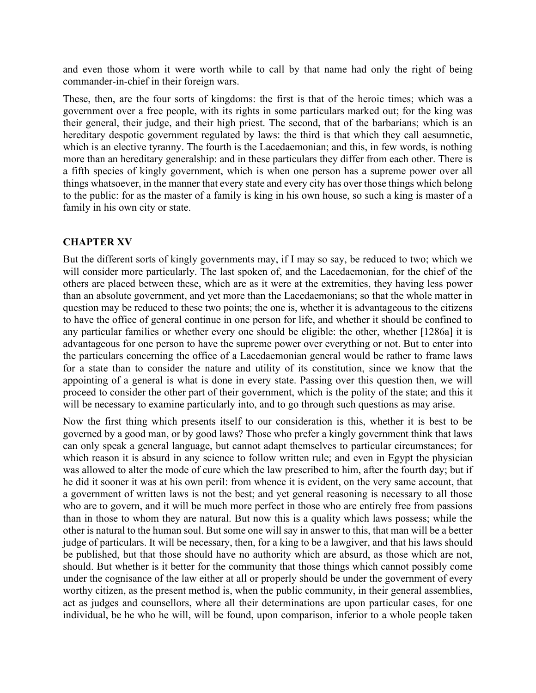and even those whom it were worth while to call by that name had only the right of being commander-in-chief in their foreign wars.

These, then, are the four sorts of kingdoms: the first is that of the heroic times; which was a government over a free people, with its rights in some particulars marked out; for the king was their general, their judge, and their high priest. The second, that of the barbarians; which is an hereditary despotic government regulated by laws: the third is that which they call aesumnetic, which is an elective tyranny. The fourth is the Lacedaemonian; and this, in few words, is nothing more than an hereditary generalship: and in these particulars they differ from each other. There is a fifth species of kingly government, which is when one person has a supreme power over all things whatsoever, in the manner that every state and every city has over those things which belong to the public: for as the master of a family is king in his own house, so such a king is master of a family in his own city or state.

## **CHAPTER XV**

But the different sorts of kingly governments may, if I may so say, be reduced to two; which we will consider more particularly. The last spoken of, and the Lacedaemonian, for the chief of the others are placed between these, which are as it were at the extremities, they having less power than an absolute government, and yet more than the Lacedaemonians; so that the whole matter in question may be reduced to these two points; the one is, whether it is advantageous to the citizens to have the office of general continue in one person for life, and whether it should be confined to any particular families or whether every one should be eligible: the other, whether [1286a] it is advantageous for one person to have the supreme power over everything or not. But to enter into the particulars concerning the office of a Lacedaemonian general would be rather to frame laws for a state than to consider the nature and utility of its constitution, since we know that the appointing of a general is what is done in every state. Passing over this question then, we will proceed to consider the other part of their government, which is the polity of the state; and this it will be necessary to examine particularly into, and to go through such questions as may arise.

Now the first thing which presents itself to our consideration is this, whether it is best to be governed by a good man, or by good laws? Those who prefer a kingly government think that laws can only speak a general language, but cannot adapt themselves to particular circumstances; for which reason it is absurd in any science to follow written rule; and even in Egypt the physician was allowed to alter the mode of cure which the law prescribed to him, after the fourth day; but if he did it sooner it was at his own peril: from whence it is evident, on the very same account, that a government of written laws is not the best; and yet general reasoning is necessary to all those who are to govern, and it will be much more perfect in those who are entirely free from passions than in those to whom they are natural. But now this is a quality which laws possess; while the other is natural to the human soul. But some one will say in answer to this, that man will be a better judge of particulars. It will be necessary, then, for a king to be a lawgiver, and that his laws should be published, but that those should have no authority which are absurd, as those which are not, should. But whether is it better for the community that those things which cannot possibly come under the cognisance of the law either at all or properly should be under the government of every worthy citizen, as the present method is, when the public community, in their general assemblies, act as judges and counsellors, where all their determinations are upon particular cases, for one individual, be he who he will, will be found, upon comparison, inferior to a whole people taken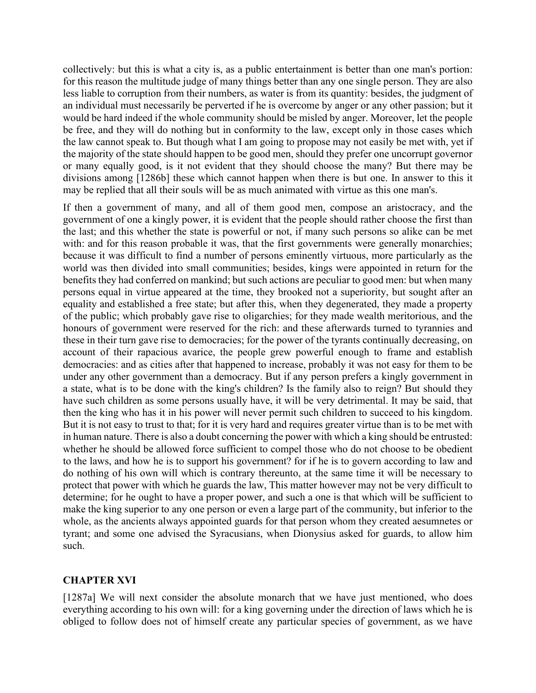collectively: but this is what a city is, as a public entertainment is better than one man's portion: for this reason the multitude judge of many things better than any one single person. They are also less liable to corruption from their numbers, as water is from its quantity: besides, the judgment of an individual must necessarily be perverted if he is overcome by anger or any other passion; but it would be hard indeed if the whole community should be misled by anger. Moreover, let the people be free, and they will do nothing but in conformity to the law, except only in those cases which the law cannot speak to. But though what I am going to propose may not easily be met with, yet if the majority of the state should happen to be good men, should they prefer one uncorrupt governor or many equally good, is it not evident that they should choose the many? But there may be divisions among [1286b] these which cannot happen when there is but one. In answer to this it may be replied that all their souls will be as much animated with virtue as this one man's.

If then a government of many, and all of them good men, compose an aristocracy, and the government of one a kingly power, it is evident that the people should rather choose the first than the last; and this whether the state is powerful or not, if many such persons so alike can be met with: and for this reason probable it was, that the first governments were generally monarchies; because it was difficult to find a number of persons eminently virtuous, more particularly as the world was then divided into small communities; besides, kings were appointed in return for the benefits they had conferred on mankind; but such actions are peculiar to good men: but when many persons equal in virtue appeared at the time, they brooked not a superiority, but sought after an equality and established a free state; but after this, when they degenerated, they made a property of the public; which probably gave rise to oligarchies; for they made wealth meritorious, and the honours of government were reserved for the rich: and these afterwards turned to tyrannies and these in their turn gave rise to democracies; for the power of the tyrants continually decreasing, on account of their rapacious avarice, the people grew powerful enough to frame and establish democracies: and as cities after that happened to increase, probably it was not easy for them to be under any other government than a democracy. But if any person prefers a kingly government in a state, what is to be done with the king's children? Is the family also to reign? But should they have such children as some persons usually have, it will be very detrimental. It may be said, that then the king who has it in his power will never permit such children to succeed to his kingdom. But it is not easy to trust to that; for it is very hard and requires greater virtue than is to be met with in human nature. There is also a doubt concerning the power with which a king should be entrusted: whether he should be allowed force sufficient to compel those who do not choose to be obedient to the laws, and how he is to support his government? for if he is to govern according to law and do nothing of his own will which is contrary thereunto, at the same time it will be necessary to protect that power with which he guards the law, This matter however may not be very difficult to determine; for he ought to have a proper power, and such a one is that which will be sufficient to make the king superior to any one person or even a large part of the community, but inferior to the whole, as the ancients always appointed guards for that person whom they created aesumnetes or tyrant; and some one advised the Syracusians, when Dionysius asked for guards, to allow him such.

## **CHAPTER XVI**

[1287a] We will next consider the absolute monarch that we have just mentioned, who does everything according to his own will: for a king governing under the direction of laws which he is obliged to follow does not of himself create any particular species of government, as we have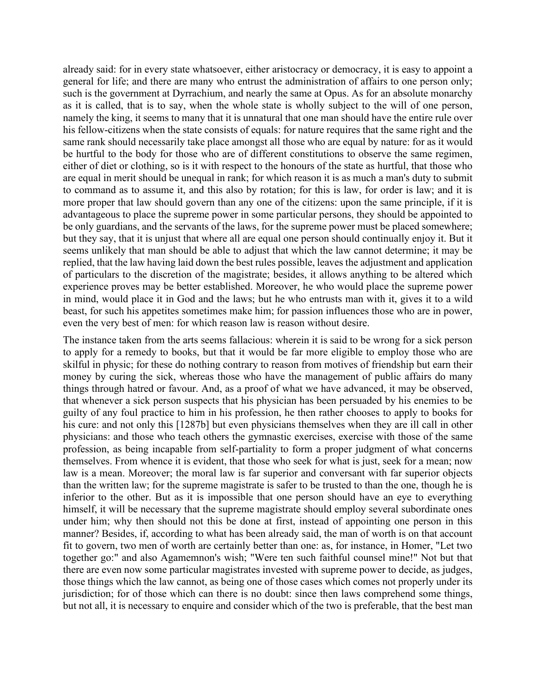already said: for in every state whatsoever, either aristocracy or democracy, it is easy to appoint a general for life; and there are many who entrust the administration of affairs to one person only; such is the government at Dyrrachium, and nearly the same at Opus. As for an absolute monarchy as it is called, that is to say, when the whole state is wholly subject to the will of one person, namely the king, it seems to many that it is unnatural that one man should have the entire rule over his fellow-citizens when the state consists of equals: for nature requires that the same right and the same rank should necessarily take place amongst all those who are equal by nature: for as it would be hurtful to the body for those who are of different constitutions to observe the same regimen, either of diet or clothing, so is it with respect to the honours of the state as hurtful, that those who are equal in merit should be unequal in rank; for which reason it is as much a man's duty to submit to command as to assume it, and this also by rotation; for this is law, for order is law; and it is more proper that law should govern than any one of the citizens: upon the same principle, if it is advantageous to place the supreme power in some particular persons, they should be appointed to be only guardians, and the servants of the laws, for the supreme power must be placed somewhere; but they say, that it is unjust that where all are equal one person should continually enjoy it. But it seems unlikely that man should be able to adjust that which the law cannot determine; it may be replied, that the law having laid down the best rules possible, leaves the adjustment and application of particulars to the discretion of the magistrate; besides, it allows anything to be altered which experience proves may be better established. Moreover, he who would place the supreme power in mind, would place it in God and the laws; but he who entrusts man with it, gives it to a wild beast, for such his appetites sometimes make him; for passion influences those who are in power, even the very best of men: for which reason law is reason without desire.

The instance taken from the arts seems fallacious: wherein it is said to be wrong for a sick person to apply for a remedy to books, but that it would be far more eligible to employ those who are skilful in physic; for these do nothing contrary to reason from motives of friendship but earn their money by curing the sick, whereas those who have the management of public affairs do many things through hatred or favour. And, as a proof of what we have advanced, it may be observed, that whenever a sick person suspects that his physician has been persuaded by his enemies to be guilty of any foul practice to him in his profession, he then rather chooses to apply to books for his cure: and not only this [1287b] but even physicians themselves when they are ill call in other physicians: and those who teach others the gymnastic exercises, exercise with those of the same profession, as being incapable from self-partiality to form a proper judgment of what concerns themselves. From whence it is evident, that those who seek for what is just, seek for a mean; now law is a mean. Moreover; the moral law is far superior and conversant with far superior objects than the written law; for the supreme magistrate is safer to be trusted to than the one, though he is inferior to the other. But as it is impossible that one person should have an eye to everything himself, it will be necessary that the supreme magistrate should employ several subordinate ones under him; why then should not this be done at first, instead of appointing one person in this manner? Besides, if, according to what has been already said, the man of worth is on that account fit to govern, two men of worth are certainly better than one: as, for instance, in Homer, "Let two together go:" and also Agamemnon's wish; "Were ten such faithful counsel mine!" Not but that there are even now some particular magistrates invested with supreme power to decide, as judges, those things which the law cannot, as being one of those cases which comes not properly under its jurisdiction; for of those which can there is no doubt: since then laws comprehend some things, but not all, it is necessary to enquire and consider which of the two is preferable, that the best man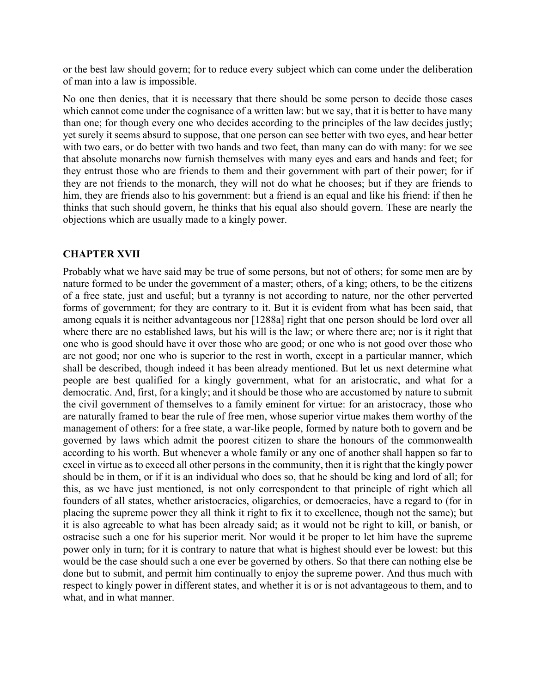or the best law should govern; for to reduce every subject which can come under the deliberation of man into a law is impossible.

No one then denies, that it is necessary that there should be some person to decide those cases which cannot come under the cognisance of a written law: but we say, that it is better to have many than one; for though every one who decides according to the principles of the law decides justly; yet surely it seems absurd to suppose, that one person can see better with two eyes, and hear better with two ears, or do better with two hands and two feet, than many can do with many: for we see that absolute monarchs now furnish themselves with many eyes and ears and hands and feet; for they entrust those who are friends to them and their government with part of their power; for if they are not friends to the monarch, they will not do what he chooses; but if they are friends to him, they are friends also to his government: but a friend is an equal and like his friend: if then he thinks that such should govern, he thinks that his equal also should govern. These are nearly the objections which are usually made to a kingly power.

### **CHAPTER XVII**

Probably what we have said may be true of some persons, but not of others; for some men are by nature formed to be under the government of a master; others, of a king; others, to be the citizens of a free state, just and useful; but a tyranny is not according to nature, nor the other perverted forms of government; for they are contrary to it. But it is evident from what has been said, that among equals it is neither advantageous nor [1288a] right that one person should be lord over all where there are no established laws, but his will is the law; or where there are; nor is it right that one who is good should have it over those who are good; or one who is not good over those who are not good; nor one who is superior to the rest in worth, except in a particular manner, which shall be described, though indeed it has been already mentioned. But let us next determine what people are best qualified for a kingly government, what for an aristocratic, and what for a democratic. And, first, for a kingly; and it should be those who are accustomed by nature to submit the civil government of themselves to a family eminent for virtue: for an aristocracy, those who are naturally framed to bear the rule of free men, whose superior virtue makes them worthy of the management of others: for a free state, a war-like people, formed by nature both to govern and be governed by laws which admit the poorest citizen to share the honours of the commonwealth according to his worth. But whenever a whole family or any one of another shall happen so far to excel in virtue as to exceed all other persons in the community, then it is right that the kingly power should be in them, or if it is an individual who does so, that he should be king and lord of all; for this, as we have just mentioned, is not only correspondent to that principle of right which all founders of all states, whether aristocracies, oligarchies, or democracies, have a regard to (for in placing the supreme power they all think it right to fix it to excellence, though not the same); but it is also agreeable to what has been already said; as it would not be right to kill, or banish, or ostracise such a one for his superior merit. Nor would it be proper to let him have the supreme power only in turn; for it is contrary to nature that what is highest should ever be lowest: but this would be the case should such a one ever be governed by others. So that there can nothing else be done but to submit, and permit him continually to enjoy the supreme power. And thus much with respect to kingly power in different states, and whether it is or is not advantageous to them, and to what, and in what manner.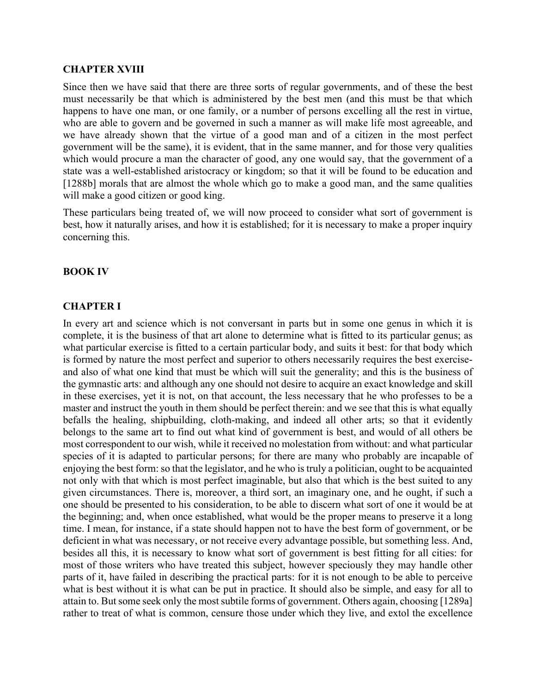#### **CHAPTER XVIII**

Since then we have said that there are three sorts of regular governments, and of these the best must necessarily be that which is administered by the best men (and this must be that which happens to have one man, or one family, or a number of persons excelling all the rest in virtue, who are able to govern and be governed in such a manner as will make life most agreeable, and we have already shown that the virtue of a good man and of a citizen in the most perfect government will be the same), it is evident, that in the same manner, and for those very qualities which would procure a man the character of good, any one would say, that the government of a state was a well-established aristocracy or kingdom; so that it will be found to be education and [1288b] morals that are almost the whole which go to make a good man, and the same qualities will make a good citizen or good king.

These particulars being treated of, we will now proceed to consider what sort of government is best, how it naturally arises, and how it is established; for it is necessary to make a proper inquiry concerning this.

#### **BOOK IV**

#### **CHAPTER I**

In every art and science which is not conversant in parts but in some one genus in which it is complete, it is the business of that art alone to determine what is fitted to its particular genus; as what particular exercise is fitted to a certain particular body, and suits it best: for that body which is formed by nature the most perfect and superior to others necessarily requires the best exerciseand also of what one kind that must be which will suit the generality; and this is the business of the gymnastic arts: and although any one should not desire to acquire an exact knowledge and skill in these exercises, yet it is not, on that account, the less necessary that he who professes to be a master and instruct the youth in them should be perfect therein: and we see that this is what equally befalls the healing, shipbuilding, cloth-making, and indeed all other arts; so that it evidently belongs to the same art to find out what kind of government is best, and would of all others be most correspondent to our wish, while it received no molestation from without: and what particular species of it is adapted to particular persons; for there are many who probably are incapable of enjoying the best form: so that the legislator, and he who is truly a politician, ought to be acquainted not only with that which is most perfect imaginable, but also that which is the best suited to any given circumstances. There is, moreover, a third sort, an imaginary one, and he ought, if such a one should be presented to his consideration, to be able to discern what sort of one it would be at the beginning; and, when once established, what would be the proper means to preserve it a long time. I mean, for instance, if a state should happen not to have the best form of government, or be deficient in what was necessary, or not receive every advantage possible, but something less. And, besides all this, it is necessary to know what sort of government is best fitting for all cities: for most of those writers who have treated this subject, however speciously they may handle other parts of it, have failed in describing the practical parts: for it is not enough to be able to perceive what is best without it is what can be put in practice. It should also be simple, and easy for all to attain to. But some seek only the most subtile forms of government. Others again, choosing [1289a] rather to treat of what is common, censure those under which they live, and extol the excellence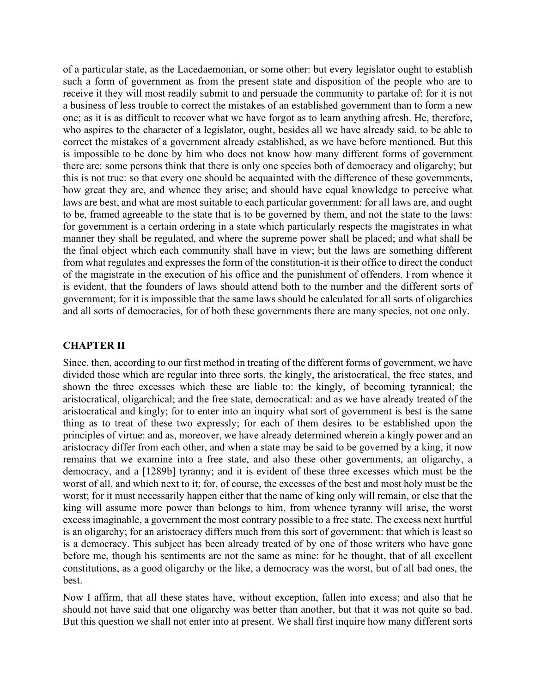of a particular state, as the Lacedaemonian, or some other: but every legislator ought to establish such a form of government as from the present state and disposition of the people who are to receive it they will most readily submit to and persuade the community to partake of: for it is not a business of less trouble to correct the mistakes of an established government than to form a new one; as it is as difficult to recover what we have forgot as to learn anything afresh. He, therefore, who aspires to the character of a legislator, ought, besides all we have already said, to be able to correct the mistakes of a government already established, as we have before mentioned. But this is impossible to be done by him who does not know how many different forms of government there are: some persons think that there is only one species both of democracy and oligarchy; but this is not true: so that every one should be acquainted with the difference of these governments, how great they are, and whence they arise; and should have equal knowledge to perceive what laws are best, and what are most suitable to each particular government: for all laws are, and ought to be, framed agreeable to the state that is to be governed by them, and not the state to the laws: for government is a certain ordering in a state which particularly respects the magistrates in what manner they shall be regulated, and where the supreme power shall be placed; and what shall be the final object which each community shall have in view; but the laws are something different from what regulates and expresses the form of the constitution-it is their office to direct the conduct of the magistrate in the execution of his office and the punishment of offenders. From whence it is evident, that the founders of laws should attend both to the number and the different sorts of government; for it is impossible that the same laws should be calculated for all sorts of oligarchies and all sorts of democracies, for of both these governments there are many species, not one only.

### **CHAPTER II**

Since, then, according to our first method in treating of the different forms of government, we have divided those which are regular into three sorts, the kingly, the aristocratical, the free states, and shown the three excesses which these are liable to: the kingly, of becoming tyrannical; the aristocratical, oligarchical; and the free state, democratical: and as we have already treated of the aristocratical and kingly; for to enter into an inquiry what sort of government is best is the same thing as to treat of these two expressly; for each of them desires to be established upon the principles of virtue: and as, moreover, we have already determined wherein a kingly power and an aristocracy differ from each other, and when a state may be said to be governed by a king, it now remains that we examine into a free state, and also these other governments, an oligarchy, a democracy, and a [1289b] tyranny; and it is evident of these three excesses which must be the worst of all, and which next to it; for, of course, the excesses of the best and most holy must be the worst; for it must necessarily happen either that the name of king only will remain, or else that the king will assume more power than belongs to him, from whence tyranny will arise, the worst excess imaginable, a government the most contrary possible to a free state. The excess next hurtful is an oligarchy; for an aristocracy differs much from this sort of government: that which is least so is a democracy. This subject has been already treated of by one of those writers who have gone before me, though his sentiments are not the same as mine: for he thought, that of all excellent constitutions, as a good oligarchy or the like, a democracy was the worst, but of all bad ones, the best.

Now I affirm, that all these states have, without exception, fallen into excess; and also that he should not have said that one oligarchy was better than another, but that it was not quite so bad. But this question we shall not enter into at present. We shall first inquire how many different sorts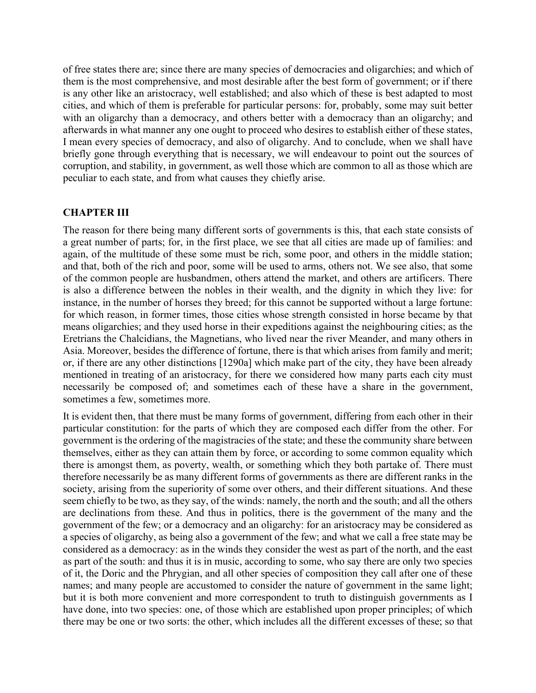of free states there are; since there are many species of democracies and oligarchies; and which of them is the most comprehensive, and most desirable after the best form of government; or if there is any other like an aristocracy, well established; and also which of these is best adapted to most cities, and which of them is preferable for particular persons: for, probably, some may suit better with an oligarchy than a democracy, and others better with a democracy than an oligarchy; and afterwards in what manner any one ought to proceed who desires to establish either of these states, I mean every species of democracy, and also of oligarchy. And to conclude, when we shall have briefly gone through everything that is necessary, we will endeavour to point out the sources of corruption, and stability, in government, as well those which are common to all as those which are peculiar to each state, and from what causes they chiefly arise.

## **CHAPTER III**

The reason for there being many different sorts of governments is this, that each state consists of a great number of parts; for, in the first place, we see that all cities are made up of families: and again, of the multitude of these some must be rich, some poor, and others in the middle station; and that, both of the rich and poor, some will be used to arms, others not. We see also, that some of the common people are husbandmen, others attend the market, and others are artificers. There is also a difference between the nobles in their wealth, and the dignity in which they live: for instance, in the number of horses they breed; for this cannot be supported without a large fortune: for which reason, in former times, those cities whose strength consisted in horse became by that means oligarchies; and they used horse in their expeditions against the neighbouring cities; as the Eretrians the Chalcidians, the Magnetians, who lived near the river Meander, and many others in Asia. Moreover, besides the difference of fortune, there is that which arises from family and merit; or, if there are any other distinctions [1290a] which make part of the city, they have been already mentioned in treating of an aristocracy, for there we considered how many parts each city must necessarily be composed of; and sometimes each of these have a share in the government, sometimes a few, sometimes more.

It is evident then, that there must be many forms of government, differing from each other in their particular constitution: for the parts of which they are composed each differ from the other. For government is the ordering of the magistracies of the state; and these the community share between themselves, either as they can attain them by force, or according to some common equality which there is amongst them, as poverty, wealth, or something which they both partake of. There must therefore necessarily be as many different forms of governments as there are different ranks in the society, arising from the superiority of some over others, and their different situations. And these seem chiefly to be two, as they say, of the winds: namely, the north and the south; and all the others are declinations from these. And thus in politics, there is the government of the many and the government of the few; or a democracy and an oligarchy: for an aristocracy may be considered as a species of oligarchy, as being also a government of the few; and what we call a free state may be considered as a democracy: as in the winds they consider the west as part of the north, and the east as part of the south: and thus it is in music, according to some, who say there are only two species of it, the Doric and the Phrygian, and all other species of composition they call after one of these names; and many people are accustomed to consider the nature of government in the same light; but it is both more convenient and more correspondent to truth to distinguish governments as I have done, into two species: one, of those which are established upon proper principles; of which there may be one or two sorts: the other, which includes all the different excesses of these; so that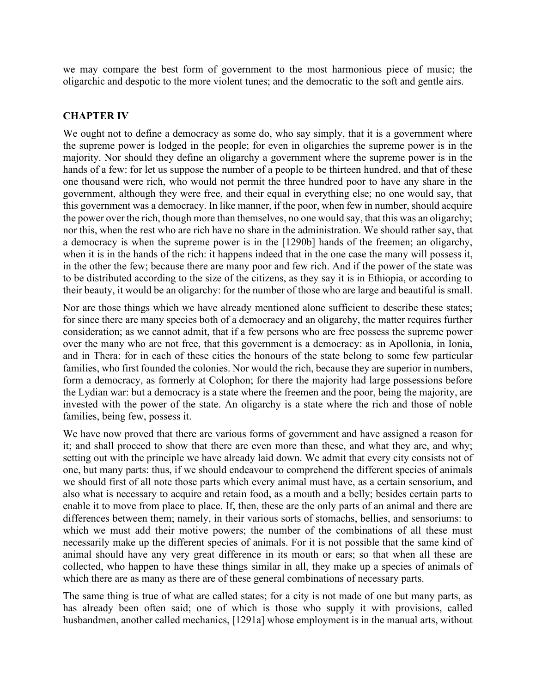we may compare the best form of government to the most harmonious piece of music; the oligarchic and despotic to the more violent tunes; and the democratic to the soft and gentle airs.

#### **CHAPTER IV**

We ought not to define a democracy as some do, who say simply, that it is a government where the supreme power is lodged in the people; for even in oligarchies the supreme power is in the majority. Nor should they define an oligarchy a government where the supreme power is in the hands of a few: for let us suppose the number of a people to be thirteen hundred, and that of these one thousand were rich, who would not permit the three hundred poor to have any share in the government, although they were free, and their equal in everything else; no one would say, that this government was a democracy. In like manner, if the poor, when few in number, should acquire the power over the rich, though more than themselves, no one would say, that this was an oligarchy; nor this, when the rest who are rich have no share in the administration. We should rather say, that a democracy is when the supreme power is in the [1290b] hands of the freemen; an oligarchy, when it is in the hands of the rich: it happens indeed that in the one case the many will possess it, in the other the few; because there are many poor and few rich. And if the power of the state was to be distributed according to the size of the citizens, as they say it is in Ethiopia, or according to their beauty, it would be an oligarchy: for the number of those who are large and beautiful is small.

Nor are those things which we have already mentioned alone sufficient to describe these states; for since there are many species both of a democracy and an oligarchy, the matter requires further consideration; as we cannot admit, that if a few persons who are free possess the supreme power over the many who are not free, that this government is a democracy: as in Apollonia, in Ionia, and in Thera: for in each of these cities the honours of the state belong to some few particular families, who first founded the colonies. Nor would the rich, because they are superior in numbers, form a democracy, as formerly at Colophon; for there the majority had large possessions before the Lydian war: but a democracy is a state where the freemen and the poor, being the majority, are invested with the power of the state. An oligarchy is a state where the rich and those of noble families, being few, possess it.

We have now proved that there are various forms of government and have assigned a reason for it; and shall proceed to show that there are even more than these, and what they are, and why; setting out with the principle we have already laid down. We admit that every city consists not of one, but many parts: thus, if we should endeavour to comprehend the different species of animals we should first of all note those parts which every animal must have, as a certain sensorium, and also what is necessary to acquire and retain food, as a mouth and a belly; besides certain parts to enable it to move from place to place. If, then, these are the only parts of an animal and there are differences between them; namely, in their various sorts of stomachs, bellies, and sensoriums: to which we must add their motive powers; the number of the combinations of all these must necessarily make up the different species of animals. For it is not possible that the same kind of animal should have any very great difference in its mouth or ears; so that when all these are collected, who happen to have these things similar in all, they make up a species of animals of which there are as many as there are of these general combinations of necessary parts.

The same thing is true of what are called states; for a city is not made of one but many parts, as has already been often said; one of which is those who supply it with provisions, called husbandmen, another called mechanics, [1291a] whose employment is in the manual arts, without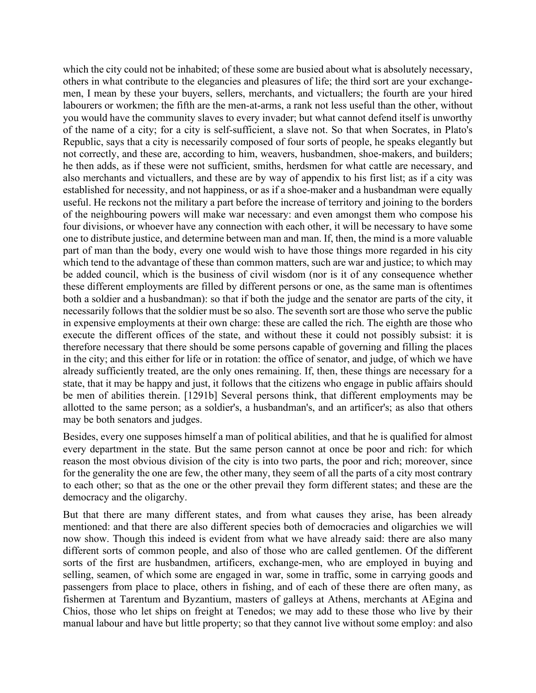which the city could not be inhabited; of these some are busied about what is absolutely necessary, others in what contribute to the elegancies and pleasures of life; the third sort are your exchangemen, I mean by these your buyers, sellers, merchants, and victuallers; the fourth are your hired labourers or workmen; the fifth are the men-at-arms, a rank not less useful than the other, without you would have the community slaves to every invader; but what cannot defend itself is unworthy of the name of a city; for a city is self-sufficient, a slave not. So that when Socrates, in Plato's Republic, says that a city is necessarily composed of four sorts of people, he speaks elegantly but not correctly, and these are, according to him, weavers, husbandmen, shoe-makers, and builders; he then adds, as if these were not sufficient, smiths, herdsmen for what cattle are necessary, and also merchants and victuallers, and these are by way of appendix to his first list; as if a city was established for necessity, and not happiness, or as if a shoe-maker and a husbandman were equally useful. He reckons not the military a part before the increase of territory and joining to the borders of the neighbouring powers will make war necessary: and even amongst them who compose his four divisions, or whoever have any connection with each other, it will be necessary to have some one to distribute justice, and determine between man and man. If, then, the mind is a more valuable part of man than the body, every one would wish to have those things more regarded in his city which tend to the advantage of these than common matters, such are war and justice; to which may be added council, which is the business of civil wisdom (nor is it of any consequence whether these different employments are filled by different persons or one, as the same man is oftentimes both a soldier and a husbandman): so that if both the judge and the senator are parts of the city, it necessarily follows that the soldier must be so also. The seventh sort are those who serve the public in expensive employments at their own charge: these are called the rich. The eighth are those who execute the different offices of the state, and without these it could not possibly subsist: it is therefore necessary that there should be some persons capable of governing and filling the places in the city; and this either for life or in rotation: the office of senator, and judge, of which we have already sufficiently treated, are the only ones remaining. If, then, these things are necessary for a state, that it may be happy and just, it follows that the citizens who engage in public affairs should be men of abilities therein. [1291b] Several persons think, that different employments may be allotted to the same person; as a soldier's, a husbandman's, and an artificer's; as also that others may be both senators and judges.

Besides, every one supposes himself a man of political abilities, and that he is qualified for almost every department in the state. But the same person cannot at once be poor and rich: for which reason the most obvious division of the city is into two parts, the poor and rich; moreover, since for the generality the one are few, the other many, they seem of all the parts of a city most contrary to each other; so that as the one or the other prevail they form different states; and these are the democracy and the oligarchy.

But that there are many different states, and from what causes they arise, has been already mentioned: and that there are also different species both of democracies and oligarchies we will now show. Though this indeed is evident from what we have already said: there are also many different sorts of common people, and also of those who are called gentlemen. Of the different sorts of the first are husbandmen, artificers, exchange-men, who are employed in buying and selling, seamen, of which some are engaged in war, some in traffic, some in carrying goods and passengers from place to place, others in fishing, and of each of these there are often many, as fishermen at Tarentum and Byzantium, masters of galleys at Athens, merchants at AEgina and Chios, those who let ships on freight at Tenedos; we may add to these those who live by their manual labour and have but little property; so that they cannot live without some employ: and also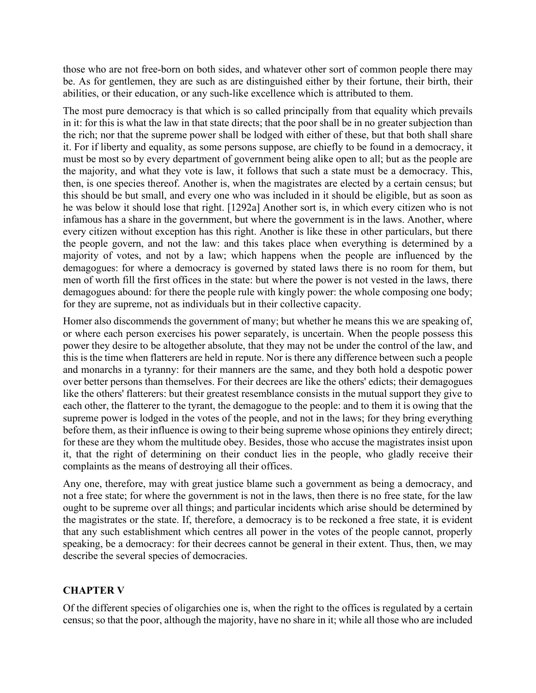those who are not free-born on both sides, and whatever other sort of common people there may be. As for gentlemen, they are such as are distinguished either by their fortune, their birth, their abilities, or their education, or any such-like excellence which is attributed to them.

The most pure democracy is that which is so called principally from that equality which prevails in it: for this is what the law in that state directs; that the poor shall be in no greater subjection than the rich; nor that the supreme power shall be lodged with either of these, but that both shall share it. For if liberty and equality, as some persons suppose, are chiefly to be found in a democracy, it must be most so by every department of government being alike open to all; but as the people are the majority, and what they vote is law, it follows that such a state must be a democracy. This, then, is one species thereof. Another is, when the magistrates are elected by a certain census; but this should be but small, and every one who was included in it should be eligible, but as soon as he was below it should lose that right. [1292a] Another sort is, in which every citizen who is not infamous has a share in the government, but where the government is in the laws. Another, where every citizen without exception has this right. Another is like these in other particulars, but there the people govern, and not the law: and this takes place when everything is determined by a majority of votes, and not by a law; which happens when the people are influenced by the demagogues: for where a democracy is governed by stated laws there is no room for them, but men of worth fill the first offices in the state: but where the power is not vested in the laws, there demagogues abound: for there the people rule with kingly power: the whole composing one body; for they are supreme, not as individuals but in their collective capacity.

Homer also discommends the government of many; but whether he means this we are speaking of, or where each person exercises his power separately, is uncertain. When the people possess this power they desire to be altogether absolute, that they may not be under the control of the law, and this is the time when flatterers are held in repute. Nor is there any difference between such a people and monarchs in a tyranny: for their manners are the same, and they both hold a despotic power over better persons than themselves. For their decrees are like the others' edicts; their demagogues like the others' flatterers: but their greatest resemblance consists in the mutual support they give to each other, the flatterer to the tyrant, the demagogue to the people: and to them it is owing that the supreme power is lodged in the votes of the people, and not in the laws; for they bring everything before them, as their influence is owing to their being supreme whose opinions they entirely direct; for these are they whom the multitude obey. Besides, those who accuse the magistrates insist upon it, that the right of determining on their conduct lies in the people, who gladly receive their complaints as the means of destroying all their offices.

Any one, therefore, may with great justice blame such a government as being a democracy, and not a free state; for where the government is not in the laws, then there is no free state, for the law ought to be supreme over all things; and particular incidents which arise should be determined by the magistrates or the state. If, therefore, a democracy is to be reckoned a free state, it is evident that any such establishment which centres all power in the votes of the people cannot, properly speaking, be a democracy: for their decrees cannot be general in their extent. Thus, then, we may describe the several species of democracies.

# **CHAPTER V**

Of the different species of oligarchies one is, when the right to the offices is regulated by a certain census; so that the poor, although the majority, have no share in it; while all those who are included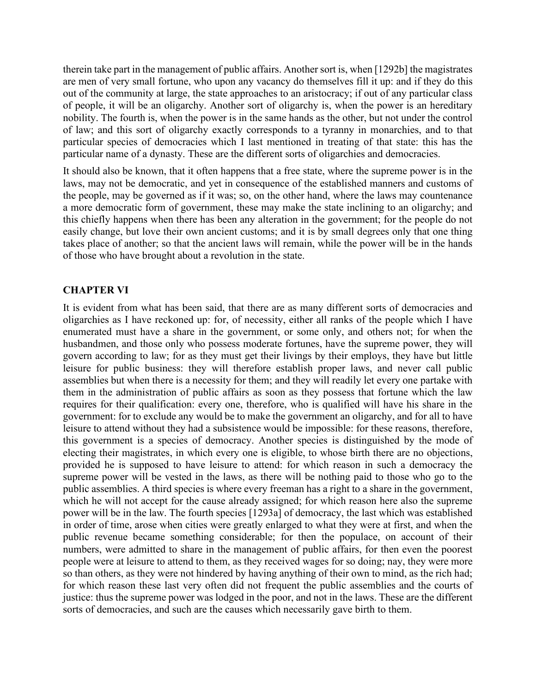therein take part in the management of public affairs. Another sort is, when [1292b] the magistrates are men of very small fortune, who upon any vacancy do themselves fill it up: and if they do this out of the community at large, the state approaches to an aristocracy; if out of any particular class of people, it will be an oligarchy. Another sort of oligarchy is, when the power is an hereditary nobility. The fourth is, when the power is in the same hands as the other, but not under the control of law; and this sort of oligarchy exactly corresponds to a tyranny in monarchies, and to that particular species of democracies which I last mentioned in treating of that state: this has the particular name of a dynasty. These are the different sorts of oligarchies and democracies.

It should also be known, that it often happens that a free state, where the supreme power is in the laws, may not be democratic, and yet in consequence of the established manners and customs of the people, may be governed as if it was; so, on the other hand, where the laws may countenance a more democratic form of government, these may make the state inclining to an oligarchy; and this chiefly happens when there has been any alteration in the government; for the people do not easily change, but love their own ancient customs; and it is by small degrees only that one thing takes place of another; so that the ancient laws will remain, while the power will be in the hands of those who have brought about a revolution in the state.

### **CHAPTER VI**

It is evident from what has been said, that there are as many different sorts of democracies and oligarchies as I have reckoned up: for, of necessity, either all ranks of the people which I have enumerated must have a share in the government, or some only, and others not; for when the husbandmen, and those only who possess moderate fortunes, have the supreme power, they will govern according to law; for as they must get their livings by their employs, they have but little leisure for public business: they will therefore establish proper laws, and never call public assemblies but when there is a necessity for them; and they will readily let every one partake with them in the administration of public affairs as soon as they possess that fortune which the law requires for their qualification: every one, therefore, who is qualified will have his share in the government: for to exclude any would be to make the government an oligarchy, and for all to have leisure to attend without they had a subsistence would be impossible: for these reasons, therefore, this government is a species of democracy. Another species is distinguished by the mode of electing their magistrates, in which every one is eligible, to whose birth there are no objections, provided he is supposed to have leisure to attend: for which reason in such a democracy the supreme power will be vested in the laws, as there will be nothing paid to those who go to the public assemblies. A third species is where every freeman has a right to a share in the government, which he will not accept for the cause already assigned; for which reason here also the supreme power will be in the law. The fourth species [1293a] of democracy, the last which was established in order of time, arose when cities were greatly enlarged to what they were at first, and when the public revenue became something considerable; for then the populace, on account of their numbers, were admitted to share in the management of public affairs, for then even the poorest people were at leisure to attend to them, as they received wages for so doing; nay, they were more so than others, as they were not hindered by having anything of their own to mind, as the rich had; for which reason these last very often did not frequent the public assemblies and the courts of justice: thus the supreme power was lodged in the poor, and not in the laws. These are the different sorts of democracies, and such are the causes which necessarily gave birth to them.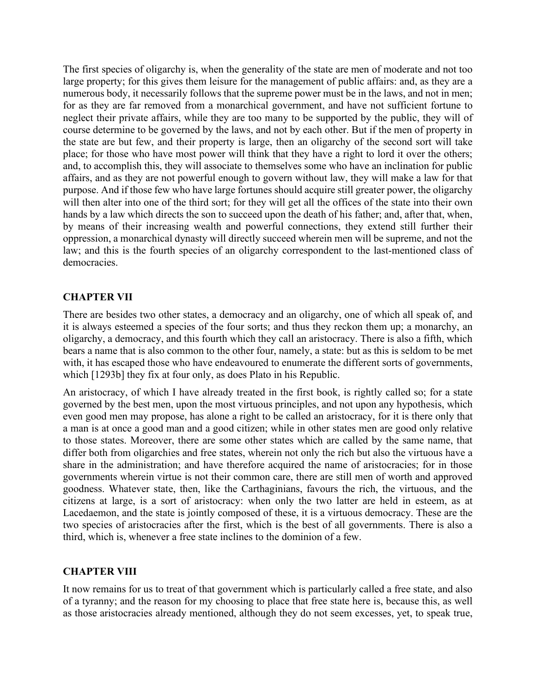The first species of oligarchy is, when the generality of the state are men of moderate and not too large property; for this gives them leisure for the management of public affairs: and, as they are a numerous body, it necessarily follows that the supreme power must be in the laws, and not in men; for as they are far removed from a monarchical government, and have not sufficient fortune to neglect their private affairs, while they are too many to be supported by the public, they will of course determine to be governed by the laws, and not by each other. But if the men of property in the state are but few, and their property is large, then an oligarchy of the second sort will take place; for those who have most power will think that they have a right to lord it over the others; and, to accomplish this, they will associate to themselves some who have an inclination for public affairs, and as they are not powerful enough to govern without law, they will make a law for that purpose. And if those few who have large fortunes should acquire still greater power, the oligarchy will then alter into one of the third sort; for they will get all the offices of the state into their own hands by a law which directs the son to succeed upon the death of his father; and, after that, when, by means of their increasing wealth and powerful connections, they extend still further their oppression, a monarchical dynasty will directly succeed wherein men will be supreme, and not the law; and this is the fourth species of an oligarchy correspondent to the last-mentioned class of democracies.

### **CHAPTER VII**

There are besides two other states, a democracy and an oligarchy, one of which all speak of, and it is always esteemed a species of the four sorts; and thus they reckon them up; a monarchy, an oligarchy, a democracy, and this fourth which they call an aristocracy. There is also a fifth, which bears a name that is also common to the other four, namely, a state: but as this is seldom to be met with, it has escaped those who have endeavoured to enumerate the different sorts of governments, which [1293b] they fix at four only, as does Plato in his Republic.

An aristocracy, of which I have already treated in the first book, is rightly called so; for a state governed by the best men, upon the most virtuous principles, and not upon any hypothesis, which even good men may propose, has alone a right to be called an aristocracy, for it is there only that a man is at once a good man and a good citizen; while in other states men are good only relative to those states. Moreover, there are some other states which are called by the same name, that differ both from oligarchies and free states, wherein not only the rich but also the virtuous have a share in the administration; and have therefore acquired the name of aristocracies; for in those governments wherein virtue is not their common care, there are still men of worth and approved goodness. Whatever state, then, like the Carthaginians, favours the rich, the virtuous, and the citizens at large, is a sort of aristocracy: when only the two latter are held in esteem, as at Lacedaemon, and the state is jointly composed of these, it is a virtuous democracy. These are the two species of aristocracies after the first, which is the best of all governments. There is also a third, which is, whenever a free state inclines to the dominion of a few.

#### **CHAPTER VIII**

It now remains for us to treat of that government which is particularly called a free state, and also of a tyranny; and the reason for my choosing to place that free state here is, because this, as well as those aristocracies already mentioned, although they do not seem excesses, yet, to speak true,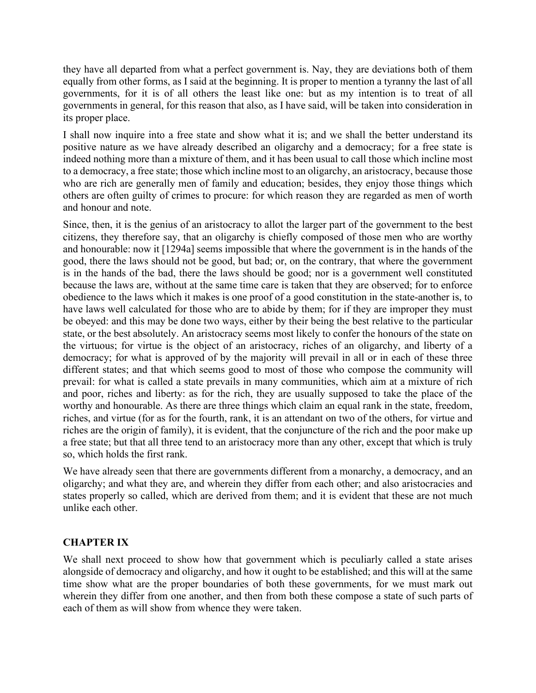they have all departed from what a perfect government is. Nay, they are deviations both of them equally from other forms, as I said at the beginning. It is proper to mention a tyranny the last of all governments, for it is of all others the least like one: but as my intention is to treat of all governments in general, for this reason that also, as I have said, will be taken into consideration in its proper place.

I shall now inquire into a free state and show what it is; and we shall the better understand its positive nature as we have already described an oligarchy and a democracy; for a free state is indeed nothing more than a mixture of them, and it has been usual to call those which incline most to a democracy, a free state; those which incline most to an oligarchy, an aristocracy, because those who are rich are generally men of family and education; besides, they enjoy those things which others are often guilty of crimes to procure: for which reason they are regarded as men of worth and honour and note.

Since, then, it is the genius of an aristocracy to allot the larger part of the government to the best citizens, they therefore say, that an oligarchy is chiefly composed of those men who are worthy and honourable: now it [1294a] seems impossible that where the government is in the hands of the good, there the laws should not be good, but bad; or, on the contrary, that where the government is in the hands of the bad, there the laws should be good; nor is a government well constituted because the laws are, without at the same time care is taken that they are observed; for to enforce obedience to the laws which it makes is one proof of a good constitution in the state-another is, to have laws well calculated for those who are to abide by them; for if they are improper they must be obeyed: and this may be done two ways, either by their being the best relative to the particular state, or the best absolutely. An aristocracy seems most likely to confer the honours of the state on the virtuous; for virtue is the object of an aristocracy, riches of an oligarchy, and liberty of a democracy; for what is approved of by the majority will prevail in all or in each of these three different states; and that which seems good to most of those who compose the community will prevail: for what is called a state prevails in many communities, which aim at a mixture of rich and poor, riches and liberty: as for the rich, they are usually supposed to take the place of the worthy and honourable. As there are three things which claim an equal rank in the state, freedom, riches, and virtue (for as for the fourth, rank, it is an attendant on two of the others, for virtue and riches are the origin of family), it is evident, that the conjuncture of the rich and the poor make up a free state; but that all three tend to an aristocracy more than any other, except that which is truly so, which holds the first rank.

We have already seen that there are governments different from a monarchy, a democracy, and an oligarchy; and what they are, and wherein they differ from each other; and also aristocracies and states properly so called, which are derived from them; and it is evident that these are not much unlike each other.

## **CHAPTER IX**

We shall next proceed to show how that government which is peculiarly called a state arises alongside of democracy and oligarchy, and how it ought to be established; and this will at the same time show what are the proper boundaries of both these governments, for we must mark out wherein they differ from one another, and then from both these compose a state of such parts of each of them as will show from whence they were taken.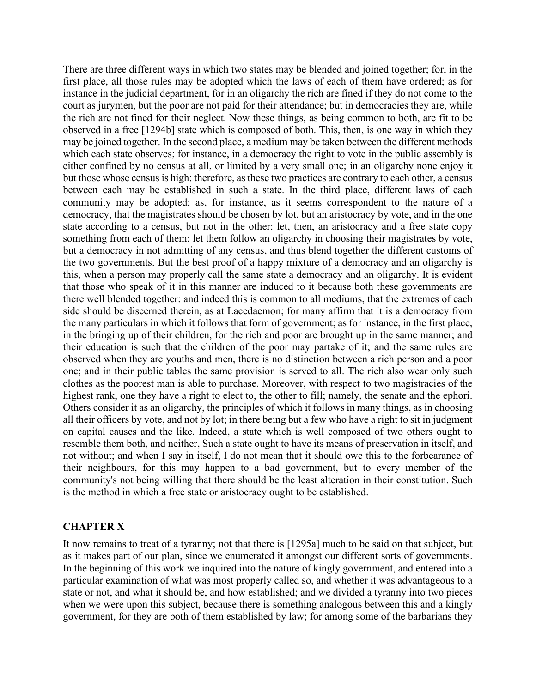There are three different ways in which two states may be blended and joined together; for, in the first place, all those rules may be adopted which the laws of each of them have ordered; as for instance in the judicial department, for in an oligarchy the rich are fined if they do not come to the court as jurymen, but the poor are not paid for their attendance; but in democracies they are, while the rich are not fined for their neglect. Now these things, as being common to both, are fit to be observed in a free [1294b] state which is composed of both. This, then, is one way in which they may be joined together. In the second place, a medium may be taken between the different methods which each state observes; for instance, in a democracy the right to vote in the public assembly is either confined by no census at all, or limited by a very small one; in an oligarchy none enjoy it but those whose census is high: therefore, as these two practices are contrary to each other, a census between each may be established in such a state. In the third place, different laws of each community may be adopted; as, for instance, as it seems correspondent to the nature of a democracy, that the magistrates should be chosen by lot, but an aristocracy by vote, and in the one state according to a census, but not in the other: let, then, an aristocracy and a free state copy something from each of them; let them follow an oligarchy in choosing their magistrates by vote, but a democracy in not admitting of any census, and thus blend together the different customs of the two governments. But the best proof of a happy mixture of a democracy and an oligarchy is this, when a person may properly call the same state a democracy and an oligarchy. It is evident that those who speak of it in this manner are induced to it because both these governments are there well blended together: and indeed this is common to all mediums, that the extremes of each side should be discerned therein, as at Lacedaemon; for many affirm that it is a democracy from the many particulars in which it follows that form of government; as for instance, in the first place, in the bringing up of their children, for the rich and poor are brought up in the same manner; and their education is such that the children of the poor may partake of it; and the same rules are observed when they are youths and men, there is no distinction between a rich person and a poor one; and in their public tables the same provision is served to all. The rich also wear only such clothes as the poorest man is able to purchase. Moreover, with respect to two magistracies of the highest rank, one they have a right to elect to, the other to fill; namely, the senate and the ephori. Others consider it as an oligarchy, the principles of which it follows in many things, as in choosing all their officers by vote, and not by lot; in there being but a few who have a right to sit in judgment on capital causes and the like. Indeed, a state which is well composed of two others ought to resemble them both, and neither, Such a state ought to have its means of preservation in itself, and not without; and when I say in itself, I do not mean that it should owe this to the forbearance of their neighbours, for this may happen to a bad government, but to every member of the community's not being willing that there should be the least alteration in their constitution. Such is the method in which a free state or aristocracy ought to be established.

#### **CHAPTER X**

It now remains to treat of a tyranny; not that there is [1295a] much to be said on that subject, but as it makes part of our plan, since we enumerated it amongst our different sorts of governments. In the beginning of this work we inquired into the nature of kingly government, and entered into a particular examination of what was most properly called so, and whether it was advantageous to a state or not, and what it should be, and how established; and we divided a tyranny into two pieces when we were upon this subject, because there is something analogous between this and a kingly government, for they are both of them established by law; for among some of the barbarians they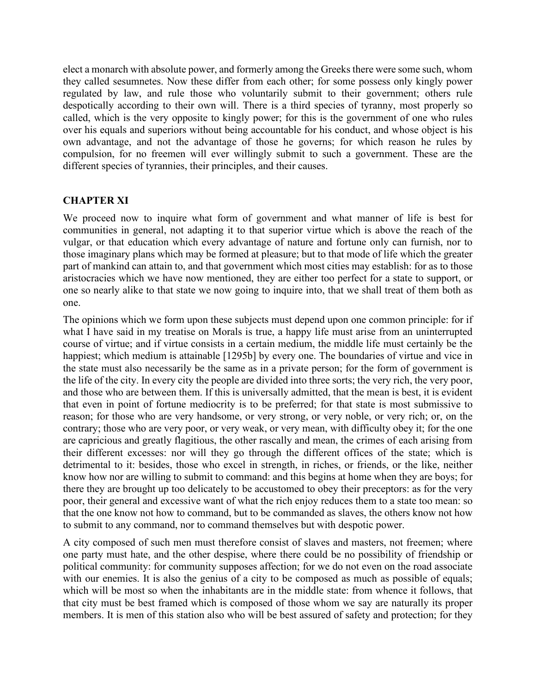elect a monarch with absolute power, and formerly among the Greeks there were some such, whom they called sesumnetes. Now these differ from each other; for some possess only kingly power regulated by law, and rule those who voluntarily submit to their government; others rule despotically according to their own will. There is a third species of tyranny, most properly so called, which is the very opposite to kingly power; for this is the government of one who rules over his equals and superiors without being accountable for his conduct, and whose object is his own advantage, and not the advantage of those he governs; for which reason he rules by compulsion, for no freemen will ever willingly submit to such a government. These are the different species of tyrannies, their principles, and their causes.

### **CHAPTER XI**

We proceed now to inquire what form of government and what manner of life is best for communities in general, not adapting it to that superior virtue which is above the reach of the vulgar, or that education which every advantage of nature and fortune only can furnish, nor to those imaginary plans which may be formed at pleasure; but to that mode of life which the greater part of mankind can attain to, and that government which most cities may establish: for as to those aristocracies which we have now mentioned, they are either too perfect for a state to support, or one so nearly alike to that state we now going to inquire into, that we shall treat of them both as one.

The opinions which we form upon these subjects must depend upon one common principle: for if what I have said in my treatise on Morals is true, a happy life must arise from an uninterrupted course of virtue; and if virtue consists in a certain medium, the middle life must certainly be the happiest; which medium is attainable [1295b] by every one. The boundaries of virtue and vice in the state must also necessarily be the same as in a private person; for the form of government is the life of the city. In every city the people are divided into three sorts; the very rich, the very poor, and those who are between them. If this is universally admitted, that the mean is best, it is evident that even in point of fortune mediocrity is to be preferred; for that state is most submissive to reason; for those who are very handsome, or very strong, or very noble, or very rich; or, on the contrary; those who are very poor, or very weak, or very mean, with difficulty obey it; for the one are capricious and greatly flagitious, the other rascally and mean, the crimes of each arising from their different excesses: nor will they go through the different offices of the state; which is detrimental to it: besides, those who excel in strength, in riches, or friends, or the like, neither know how nor are willing to submit to command: and this begins at home when they are boys; for there they are brought up too delicately to be accustomed to obey their preceptors: as for the very poor, their general and excessive want of what the rich enjoy reduces them to a state too mean: so that the one know not how to command, but to be commanded as slaves, the others know not how to submit to any command, nor to command themselves but with despotic power.

A city composed of such men must therefore consist of slaves and masters, not freemen; where one party must hate, and the other despise, where there could be no possibility of friendship or political community: for community supposes affection; for we do not even on the road associate with our enemies. It is also the genius of a city to be composed as much as possible of equals; which will be most so when the inhabitants are in the middle state: from whence it follows, that that city must be best framed which is composed of those whom we say are naturally its proper members. It is men of this station also who will be best assured of safety and protection; for they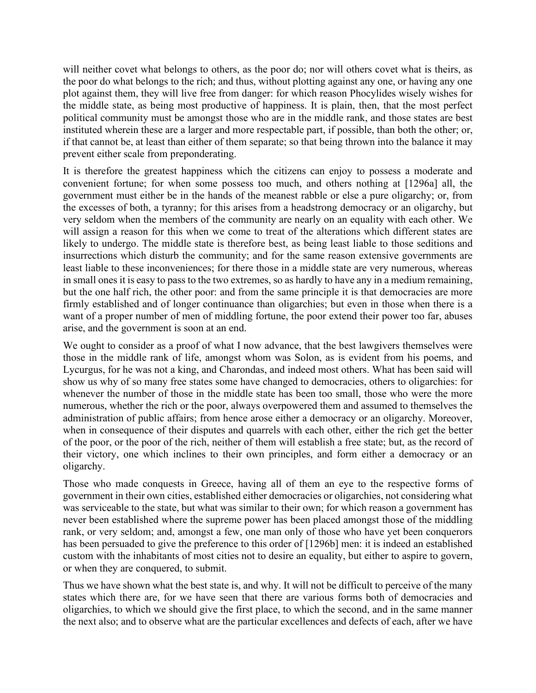will neither covet what belongs to others, as the poor do; nor will others covet what is theirs, as the poor do what belongs to the rich; and thus, without plotting against any one, or having any one plot against them, they will live free from danger: for which reason Phocylides wisely wishes for the middle state, as being most productive of happiness. It is plain, then, that the most perfect political community must be amongst those who are in the middle rank, and those states are best instituted wherein these are a larger and more respectable part, if possible, than both the other; or, if that cannot be, at least than either of them separate; so that being thrown into the balance it may prevent either scale from preponderating.

It is therefore the greatest happiness which the citizens can enjoy to possess a moderate and convenient fortune; for when some possess too much, and others nothing at [1296a] all, the government must either be in the hands of the meanest rabble or else a pure oligarchy; or, from the excesses of both, a tyranny; for this arises from a headstrong democracy or an oligarchy, but very seldom when the members of the community are nearly on an equality with each other. We will assign a reason for this when we come to treat of the alterations which different states are likely to undergo. The middle state is therefore best, as being least liable to those seditions and insurrections which disturb the community; and for the same reason extensive governments are least liable to these inconveniences; for there those in a middle state are very numerous, whereas in small ones it is easy to pass to the two extremes, so as hardly to have any in a medium remaining, but the one half rich, the other poor: and from the same principle it is that democracies are more firmly established and of longer continuance than oligarchies; but even in those when there is a want of a proper number of men of middling fortune, the poor extend their power too far, abuses arise, and the government is soon at an end.

We ought to consider as a proof of what I now advance, that the best lawgivers themselves were those in the middle rank of life, amongst whom was Solon, as is evident from his poems, and Lycurgus, for he was not a king, and Charondas, and indeed most others. What has been said will show us why of so many free states some have changed to democracies, others to oligarchies: for whenever the number of those in the middle state has been too small, those who were the more numerous, whether the rich or the poor, always overpowered them and assumed to themselves the administration of public affairs; from hence arose either a democracy or an oligarchy. Moreover, when in consequence of their disputes and quarrels with each other, either the rich get the better of the poor, or the poor of the rich, neither of them will establish a free state; but, as the record of their victory, one which inclines to their own principles, and form either a democracy or an oligarchy.

Those who made conquests in Greece, having all of them an eye to the respective forms of government in their own cities, established either democracies or oligarchies, not considering what was serviceable to the state, but what was similar to their own; for which reason a government has never been established where the supreme power has been placed amongst those of the middling rank, or very seldom; and, amongst a few, one man only of those who have yet been conquerors has been persuaded to give the preference to this order of [1296b] men: it is indeed an established custom with the inhabitants of most cities not to desire an equality, but either to aspire to govern, or when they are conquered, to submit.

Thus we have shown what the best state is, and why. It will not be difficult to perceive of the many states which there are, for we have seen that there are various forms both of democracies and oligarchies, to which we should give the first place, to which the second, and in the same manner the next also; and to observe what are the particular excellences and defects of each, after we have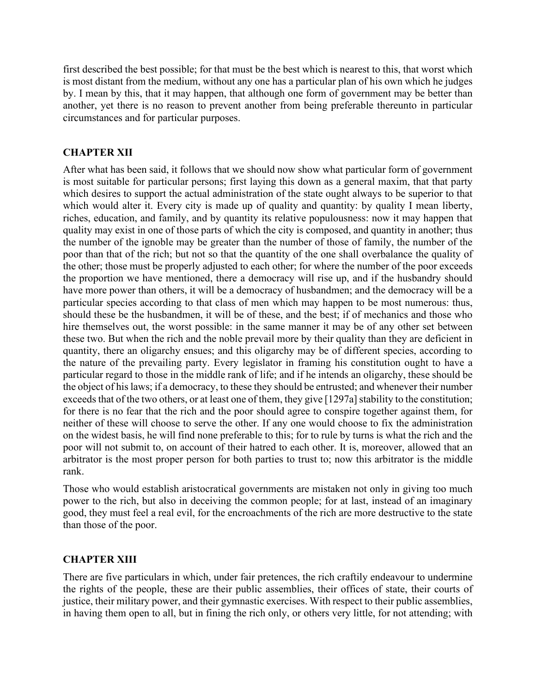first described the best possible; for that must be the best which is nearest to this, that worst which is most distant from the medium, without any one has a particular plan of his own which he judges by. I mean by this, that it may happen, that although one form of government may be better than another, yet there is no reason to prevent another from being preferable thereunto in particular circumstances and for particular purposes.

# **CHAPTER XII**

After what has been said, it follows that we should now show what particular form of government is most suitable for particular persons; first laying this down as a general maxim, that that party which desires to support the actual administration of the state ought always to be superior to that which would alter it. Every city is made up of quality and quantity: by quality I mean liberty, riches, education, and family, and by quantity its relative populousness: now it may happen that quality may exist in one of those parts of which the city is composed, and quantity in another; thus the number of the ignoble may be greater than the number of those of family, the number of the poor than that of the rich; but not so that the quantity of the one shall overbalance the quality of the other; those must be properly adjusted to each other; for where the number of the poor exceeds the proportion we have mentioned, there a democracy will rise up, and if the husbandry should have more power than others, it will be a democracy of husbandmen; and the democracy will be a particular species according to that class of men which may happen to be most numerous: thus, should these be the husbandmen, it will be of these, and the best; if of mechanics and those who hire themselves out, the worst possible: in the same manner it may be of any other set between these two. But when the rich and the noble prevail more by their quality than they are deficient in quantity, there an oligarchy ensues; and this oligarchy may be of different species, according to the nature of the prevailing party. Every legislator in framing his constitution ought to have a particular regard to those in the middle rank of life; and if he intends an oligarchy, these should be the object of his laws; if a democracy, to these they should be entrusted; and whenever their number exceeds that of the two others, or at least one of them, they give [1297a] stability to the constitution; for there is no fear that the rich and the poor should agree to conspire together against them, for neither of these will choose to serve the other. If any one would choose to fix the administration on the widest basis, he will find none preferable to this; for to rule by turns is what the rich and the poor will not submit to, on account of their hatred to each other. It is, moreover, allowed that an arbitrator is the most proper person for both parties to trust to; now this arbitrator is the middle rank.

Those who would establish aristocratical governments are mistaken not only in giving too much power to the rich, but also in deceiving the common people; for at last, instead of an imaginary good, they must feel a real evil, for the encroachments of the rich are more destructive to the state than those of the poor.

## **CHAPTER XIII**

There are five particulars in which, under fair pretences, the rich craftily endeavour to undermine the rights of the people, these are their public assemblies, their offices of state, their courts of justice, their military power, and their gymnastic exercises. With respect to their public assemblies, in having them open to all, but in fining the rich only, or others very little, for not attending; with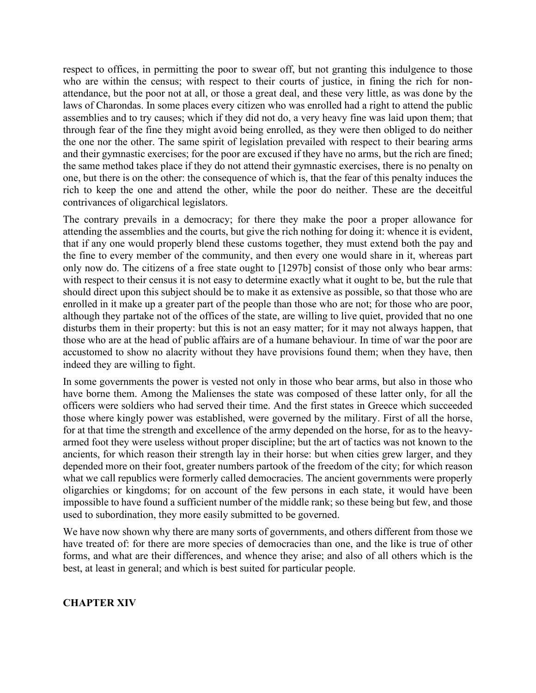respect to offices, in permitting the poor to swear off, but not granting this indulgence to those who are within the census; with respect to their courts of justice, in fining the rich for nonattendance, but the poor not at all, or those a great deal, and these very little, as was done by the laws of Charondas. In some places every citizen who was enrolled had a right to attend the public assemblies and to try causes; which if they did not do, a very heavy fine was laid upon them; that through fear of the fine they might avoid being enrolled, as they were then obliged to do neither the one nor the other. The same spirit of legislation prevailed with respect to their bearing arms and their gymnastic exercises; for the poor are excused if they have no arms, but the rich are fined; the same method takes place if they do not attend their gymnastic exercises, there is no penalty on one, but there is on the other: the consequence of which is, that the fear of this penalty induces the rich to keep the one and attend the other, while the poor do neither. These are the deceitful contrivances of oligarchical legislators.

The contrary prevails in a democracy; for there they make the poor a proper allowance for attending the assemblies and the courts, but give the rich nothing for doing it: whence it is evident, that if any one would properly blend these customs together, they must extend both the pay and the fine to every member of the community, and then every one would share in it, whereas part only now do. The citizens of a free state ought to [1297b] consist of those only who bear arms: with respect to their census it is not easy to determine exactly what it ought to be, but the rule that should direct upon this subject should be to make it as extensive as possible, so that those who are enrolled in it make up a greater part of the people than those who are not; for those who are poor, although they partake not of the offices of the state, are willing to live quiet, provided that no one disturbs them in their property: but this is not an easy matter; for it may not always happen, that those who are at the head of public affairs are of a humane behaviour. In time of war the poor are accustomed to show no alacrity without they have provisions found them; when they have, then indeed they are willing to fight.

In some governments the power is vested not only in those who bear arms, but also in those who have borne them. Among the Malienses the state was composed of these latter only, for all the officers were soldiers who had served their time. And the first states in Greece which succeeded those where kingly power was established, were governed by the military. First of all the horse, for at that time the strength and excellence of the army depended on the horse, for as to the heavyarmed foot they were useless without proper discipline; but the art of tactics was not known to the ancients, for which reason their strength lay in their horse: but when cities grew larger, and they depended more on their foot, greater numbers partook of the freedom of the city; for which reason what we call republics were formerly called democracies. The ancient governments were properly oligarchies or kingdoms; for on account of the few persons in each state, it would have been impossible to have found a sufficient number of the middle rank; so these being but few, and those used to subordination, they more easily submitted to be governed.

We have now shown why there are many sorts of governments, and others different from those we have treated of: for there are more species of democracies than one, and the like is true of other forms, and what are their differences, and whence they arise; and also of all others which is the best, at least in general; and which is best suited for particular people.

## **CHAPTER XIV**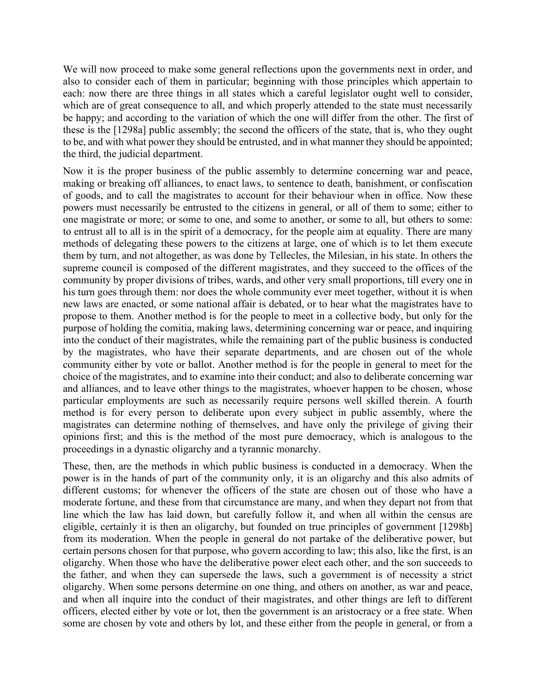We will now proceed to make some general reflections upon the governments next in order, and also to consider each of them in particular; beginning with those principles which appertain to each: now there are three things in all states which a careful legislator ought well to consider, which are of great consequence to all, and which properly attended to the state must necessarily be happy; and according to the variation of which the one will differ from the other. The first of these is the [1298a] public assembly; the second the officers of the state, that is, who they ought to be, and with what power they should be entrusted, and in what manner they should be appointed; the third, the judicial department.

Now it is the proper business of the public assembly to determine concerning war and peace, making or breaking off alliances, to enact laws, to sentence to death, banishment, or confiscation of goods, and to call the magistrates to account for their behaviour when in office. Now these powers must necessarily be entrusted to the citizens in general, or all of them to some; either to one magistrate or more; or some to one, and some to another, or some to all, but others to some: to entrust all to all is in the spirit of a democracy, for the people aim at equality. There are many methods of delegating these powers to the citizens at large, one of which is to let them execute them by turn, and not altogether, as was done by Tellecles, the Milesian, in his state. In others the supreme council is composed of the different magistrates, and they succeed to the offices of the community by proper divisions of tribes, wards, and other very small proportions, till every one in his turn goes through them: nor does the whole community ever meet together, without it is when new laws are enacted, or some national affair is debated, or to hear what the magistrates have to propose to them. Another method is for the people to meet in a collective body, but only for the purpose of holding the comitia, making laws, determining concerning war or peace, and inquiring into the conduct of their magistrates, while the remaining part of the public business is conducted by the magistrates, who have their separate departments, and are chosen out of the whole community either by vote or ballot. Another method is for the people in general to meet for the choice of the magistrates, and to examine into their conduct; and also to deliberate concerning war and alliances, and to leave other things to the magistrates, whoever happen to be chosen, whose particular employments are such as necessarily require persons well skilled therein. A fourth method is for every person to deliberate upon every subject in public assembly, where the magistrates can determine nothing of themselves, and have only the privilege of giving their opinions first; and this is the method of the most pure democracy, which is analogous to the proceedings in a dynastic oligarchy and a tyrannic monarchy.

These, then, are the methods in which public business is conducted in a democracy. When the power is in the hands of part of the community only, it is an oligarchy and this also admits of different customs; for whenever the officers of the state are chosen out of those who have a moderate fortune, and these from that circumstance are many, and when they depart not from that line which the law has laid down, but carefully follow it, and when all within the census are eligible, certainly it is then an oligarchy, but founded on true principles of government [1298b] from its moderation. When the people in general do not partake of the deliberative power, but certain persons chosen for that purpose, who govern according to law; this also, like the first, is an oligarchy. When those who have the deliberative power elect each other, and the son succeeds to the father, and when they can supersede the laws, such a government is of necessity a strict oligarchy. When some persons determine on one thing, and others on another, as war and peace, and when all inquire into the conduct of their magistrates, and other things are left to different officers, elected either by vote or lot, then the government is an aristocracy or a free state. When some are chosen by vote and others by lot, and these either from the people in general, or from a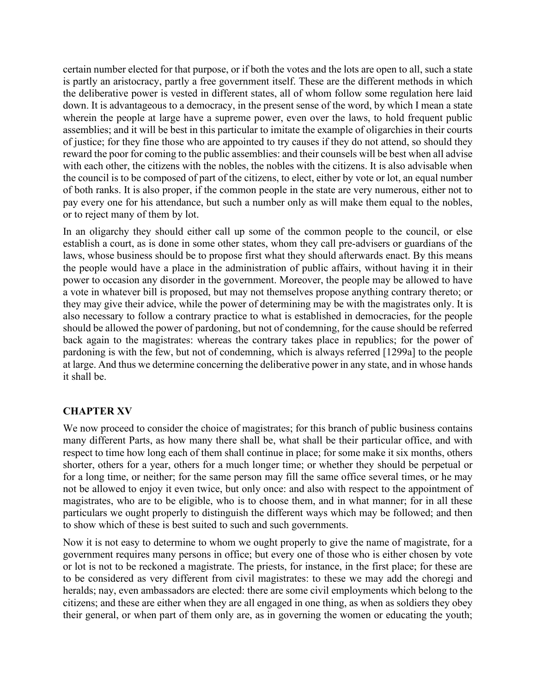certain number elected for that purpose, or if both the votes and the lots are open to all, such a state is partly an aristocracy, partly a free government itself. These are the different methods in which the deliberative power is vested in different states, all of whom follow some regulation here laid down. It is advantageous to a democracy, in the present sense of the word, by which I mean a state wherein the people at large have a supreme power, even over the laws, to hold frequent public assemblies; and it will be best in this particular to imitate the example of oligarchies in their courts of justice; for they fine those who are appointed to try causes if they do not attend, so should they reward the poor for coming to the public assemblies: and their counsels will be best when all advise with each other, the citizens with the nobles, the nobles with the citizens. It is also advisable when the council is to be composed of part of the citizens, to elect, either by vote or lot, an equal number of both ranks. It is also proper, if the common people in the state are very numerous, either not to pay every one for his attendance, but such a number only as will make them equal to the nobles, or to reject many of them by lot.

In an oligarchy they should either call up some of the common people to the council, or else establish a court, as is done in some other states, whom they call pre-advisers or guardians of the laws, whose business should be to propose first what they should afterwards enact. By this means the people would have a place in the administration of public affairs, without having it in their power to occasion any disorder in the government. Moreover, the people may be allowed to have a vote in whatever bill is proposed, but may not themselves propose anything contrary thereto; or they may give their advice, while the power of determining may be with the magistrates only. It is also necessary to follow a contrary practice to what is established in democracies, for the people should be allowed the power of pardoning, but not of condemning, for the cause should be referred back again to the magistrates: whereas the contrary takes place in republics; for the power of pardoning is with the few, but not of condemning, which is always referred [1299a] to the people at large. And thus we determine concerning the deliberative power in any state, and in whose hands it shall be.

# **CHAPTER XV**

We now proceed to consider the choice of magistrates; for this branch of public business contains many different Parts, as how many there shall be, what shall be their particular office, and with respect to time how long each of them shall continue in place; for some make it six months, others shorter, others for a year, others for a much longer time; or whether they should be perpetual or for a long time, or neither; for the same person may fill the same office several times, or he may not be allowed to enjoy it even twice, but only once: and also with respect to the appointment of magistrates, who are to be eligible, who is to choose them, and in what manner; for in all these particulars we ought properly to distinguish the different ways which may be followed; and then to show which of these is best suited to such and such governments.

Now it is not easy to determine to whom we ought properly to give the name of magistrate, for a government requires many persons in office; but every one of those who is either chosen by vote or lot is not to be reckoned a magistrate. The priests, for instance, in the first place; for these are to be considered as very different from civil magistrates: to these we may add the choregi and heralds; nay, even ambassadors are elected: there are some civil employments which belong to the citizens; and these are either when they are all engaged in one thing, as when as soldiers they obey their general, or when part of them only are, as in governing the women or educating the youth;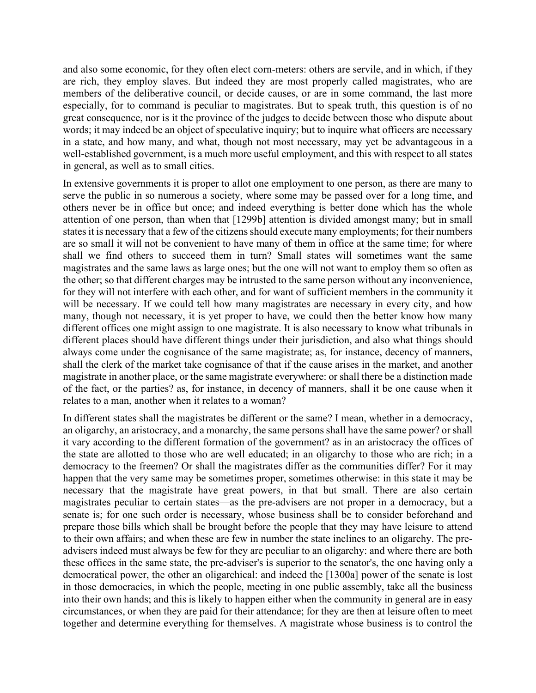and also some economic, for they often elect corn-meters: others are servile, and in which, if they are rich, they employ slaves. But indeed they are most properly called magistrates, who are members of the deliberative council, or decide causes, or are in some command, the last more especially, for to command is peculiar to magistrates. But to speak truth, this question is of no great consequence, nor is it the province of the judges to decide between those who dispute about words; it may indeed be an object of speculative inquiry; but to inquire what officers are necessary in a state, and how many, and what, though not most necessary, may yet be advantageous in a well-established government, is a much more useful employment, and this with respect to all states in general, as well as to small cities.

In extensive governments it is proper to allot one employment to one person, as there are many to serve the public in so numerous a society, where some may be passed over for a long time, and others never be in office but once; and indeed everything is better done which has the whole attention of one person, than when that [1299b] attention is divided amongst many; but in small states it is necessary that a few of the citizens should execute many employments; for their numbers are so small it will not be convenient to have many of them in office at the same time; for where shall we find others to succeed them in turn? Small states will sometimes want the same magistrates and the same laws as large ones; but the one will not want to employ them so often as the other; so that different charges may be intrusted to the same person without any inconvenience, for they will not interfere with each other, and for want of sufficient members in the community it will be necessary. If we could tell how many magistrates are necessary in every city, and how many, though not necessary, it is yet proper to have, we could then the better know how many different offices one might assign to one magistrate. It is also necessary to know what tribunals in different places should have different things under their jurisdiction, and also what things should always come under the cognisance of the same magistrate; as, for instance, decency of manners, shall the clerk of the market take cognisance of that if the cause arises in the market, and another magistrate in another place, or the same magistrate everywhere: or shall there be a distinction made of the fact, or the parties? as, for instance, in decency of manners, shall it be one cause when it relates to a man, another when it relates to a woman?

In different states shall the magistrates be different or the same? I mean, whether in a democracy, an oligarchy, an aristocracy, and a monarchy, the same persons shall have the same power? or shall it vary according to the different formation of the government? as in an aristocracy the offices of the state are allotted to those who are well educated; in an oligarchy to those who are rich; in a democracy to the freemen? Or shall the magistrates differ as the communities differ? For it may happen that the very same may be sometimes proper, sometimes otherwise: in this state it may be necessary that the magistrate have great powers, in that but small. There are also certain magistrates peculiar to certain states—as the pre-advisers are not proper in a democracy, but a senate is; for one such order is necessary, whose business shall be to consider beforehand and prepare those bills which shall be brought before the people that they may have leisure to attend to their own affairs; and when these are few in number the state inclines to an oligarchy. The preadvisers indeed must always be few for they are peculiar to an oligarchy: and where there are both these offices in the same state, the pre-adviser's is superior to the senator's, the one having only a democratical power, the other an oligarchical: and indeed the [1300a] power of the senate is lost in those democracies, in which the people, meeting in one public assembly, take all the business into their own hands; and this is likely to happen either when the community in general are in easy circumstances, or when they are paid for their attendance; for they are then at leisure often to meet together and determine everything for themselves. A magistrate whose business is to control the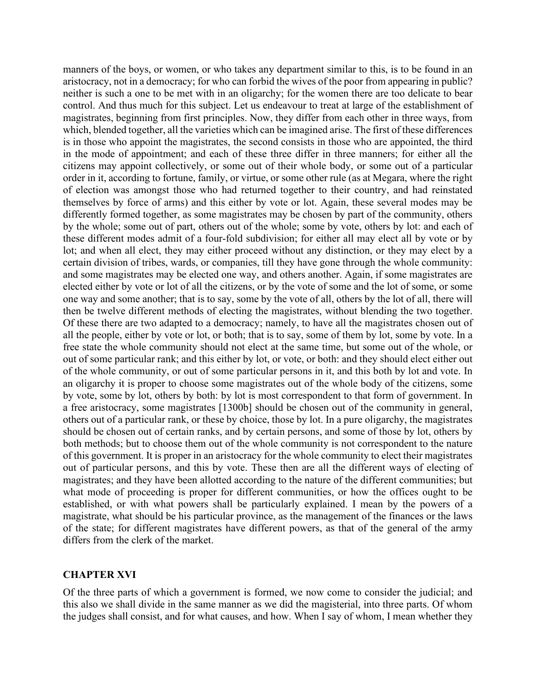manners of the boys, or women, or who takes any department similar to this, is to be found in an aristocracy, not in a democracy; for who can forbid the wives of the poor from appearing in public? neither is such a one to be met with in an oligarchy; for the women there are too delicate to bear control. And thus much for this subject. Let us endeavour to treat at large of the establishment of magistrates, beginning from first principles. Now, they differ from each other in three ways, from which, blended together, all the varieties which can be imagined arise. The first of these differences is in those who appoint the magistrates, the second consists in those who are appointed, the third in the mode of appointment; and each of these three differ in three manners; for either all the citizens may appoint collectively, or some out of their whole body, or some out of a particular order in it, according to fortune, family, or virtue, or some other rule (as at Megara, where the right of election was amongst those who had returned together to their country, and had reinstated themselves by force of arms) and this either by vote or lot. Again, these several modes may be differently formed together, as some magistrates may be chosen by part of the community, others by the whole; some out of part, others out of the whole; some by vote, others by lot: and each of these different modes admit of a four-fold subdivision; for either all may elect all by vote or by lot; and when all elect, they may either proceed without any distinction, or they may elect by a certain division of tribes, wards, or companies, till they have gone through the whole community: and some magistrates may be elected one way, and others another. Again, if some magistrates are elected either by vote or lot of all the citizens, or by the vote of some and the lot of some, or some one way and some another; that is to say, some by the vote of all, others by the lot of all, there will then be twelve different methods of electing the magistrates, without blending the two together. Of these there are two adapted to a democracy; namely, to have all the magistrates chosen out of all the people, either by vote or lot, or both; that is to say, some of them by lot, some by vote. In a free state the whole community should not elect at the same time, but some out of the whole, or out of some particular rank; and this either by lot, or vote, or both: and they should elect either out of the whole community, or out of some particular persons in it, and this both by lot and vote. In an oligarchy it is proper to choose some magistrates out of the whole body of the citizens, some by vote, some by lot, others by both: by lot is most correspondent to that form of government. In a free aristocracy, some magistrates [1300b] should be chosen out of the community in general, others out of a particular rank, or these by choice, those by lot. In a pure oligarchy, the magistrates should be chosen out of certain ranks, and by certain persons, and some of those by lot, others by both methods; but to choose them out of the whole community is not correspondent to the nature of this government. It is proper in an aristocracy for the whole community to elect their magistrates out of particular persons, and this by vote. These then are all the different ways of electing of magistrates; and they have been allotted according to the nature of the different communities; but what mode of proceeding is proper for different communities, or how the offices ought to be established, or with what powers shall be particularly explained. I mean by the powers of a magistrate, what should be his particular province, as the management of the finances or the laws of the state; for different magistrates have different powers, as that of the general of the army differs from the clerk of the market.

#### **CHAPTER XVI**

Of the three parts of which a government is formed, we now come to consider the judicial; and this also we shall divide in the same manner as we did the magisterial, into three parts. Of whom the judges shall consist, and for what causes, and how. When I say of whom, I mean whether they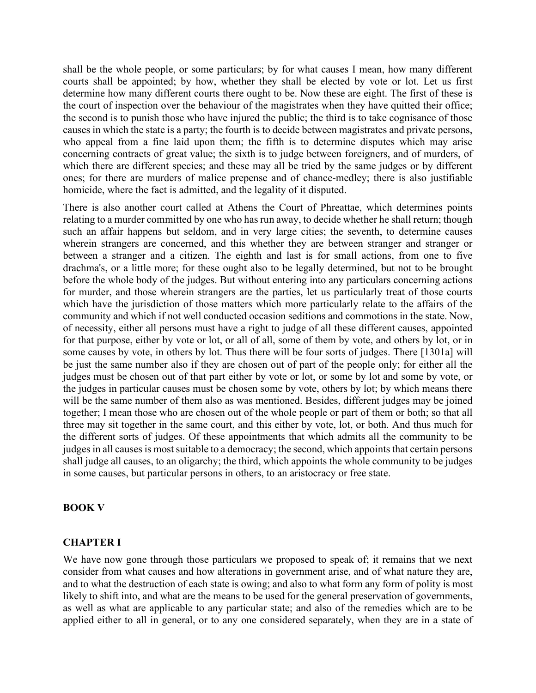shall be the whole people, or some particulars; by for what causes I mean, how many different courts shall be appointed; by how, whether they shall be elected by vote or lot. Let us first determine how many different courts there ought to be. Now these are eight. The first of these is the court of inspection over the behaviour of the magistrates when they have quitted their office; the second is to punish those who have injured the public; the third is to take cognisance of those causes in which the state is a party; the fourth is to decide between magistrates and private persons, who appeal from a fine laid upon them; the fifth is to determine disputes which may arise concerning contracts of great value; the sixth is to judge between foreigners, and of murders, of which there are different species; and these may all be tried by the same judges or by different ones; for there are murders of malice prepense and of chance-medley; there is also justifiable homicide, where the fact is admitted, and the legality of it disputed.

There is also another court called at Athens the Court of Phreattae, which determines points relating to a murder committed by one who has run away, to decide whether he shall return; though such an affair happens but seldom, and in very large cities; the seventh, to determine causes wherein strangers are concerned, and this whether they are between stranger and stranger or between a stranger and a citizen. The eighth and last is for small actions, from one to five drachma's, or a little more; for these ought also to be legally determined, but not to be brought before the whole body of the judges. But without entering into any particulars concerning actions for murder, and those wherein strangers are the parties, let us particularly treat of those courts which have the jurisdiction of those matters which more particularly relate to the affairs of the community and which if not well conducted occasion seditions and commotions in the state. Now, of necessity, either all persons must have a right to judge of all these different causes, appointed for that purpose, either by vote or lot, or all of all, some of them by vote, and others by lot, or in some causes by vote, in others by lot. Thus there will be four sorts of judges. There [1301a] will be just the same number also if they are chosen out of part of the people only; for either all the judges must be chosen out of that part either by vote or lot, or some by lot and some by vote, or the judges in particular causes must be chosen some by vote, others by lot; by which means there will be the same number of them also as was mentioned. Besides, different judges may be joined together; I mean those who are chosen out of the whole people or part of them or both; so that all three may sit together in the same court, and this either by vote, lot, or both. And thus much for the different sorts of judges. Of these appointments that which admits all the community to be judges in all causes is most suitable to a democracy; the second, which appoints that certain persons shall judge all causes, to an oligarchy; the third, which appoints the whole community to be judges in some causes, but particular persons in others, to an aristocracy or free state.

#### **BOOK V**

#### **CHAPTER I**

We have now gone through those particulars we proposed to speak of; it remains that we next consider from what causes and how alterations in government arise, and of what nature they are, and to what the destruction of each state is owing; and also to what form any form of polity is most likely to shift into, and what are the means to be used for the general preservation of governments, as well as what are applicable to any particular state; and also of the remedies which are to be applied either to all in general, or to any one considered separately, when they are in a state of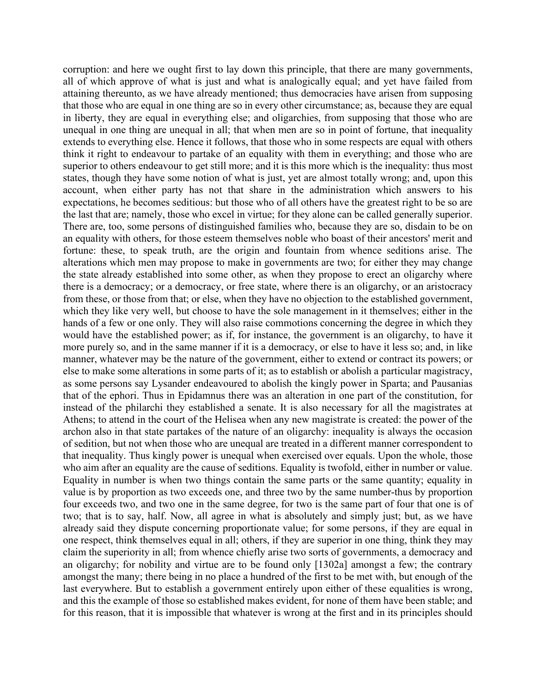corruption: and here we ought first to lay down this principle, that there are many governments, all of which approve of what is just and what is analogically equal; and yet have failed from attaining thereunto, as we have already mentioned; thus democracies have arisen from supposing that those who are equal in one thing are so in every other circumstance; as, because they are equal in liberty, they are equal in everything else; and oligarchies, from supposing that those who are unequal in one thing are unequal in all; that when men are so in point of fortune, that inequality extends to everything else. Hence it follows, that those who in some respects are equal with others think it right to endeavour to partake of an equality with them in everything; and those who are superior to others endeavour to get still more; and it is this more which is the inequality: thus most states, though they have some notion of what is just, yet are almost totally wrong; and, upon this account, when either party has not that share in the administration which answers to his expectations, he becomes seditious: but those who of all others have the greatest right to be so are the last that are; namely, those who excel in virtue; for they alone can be called generally superior. There are, too, some persons of distinguished families who, because they are so, disdain to be on an equality with others, for those esteem themselves noble who boast of their ancestors' merit and fortune: these, to speak truth, are the origin and fountain from whence seditions arise. The alterations which men may propose to make in governments are two; for either they may change the state already established into some other, as when they propose to erect an oligarchy where there is a democracy; or a democracy, or free state, where there is an oligarchy, or an aristocracy from these, or those from that; or else, when they have no objection to the established government, which they like very well, but choose to have the sole management in it themselves; either in the hands of a few or one only. They will also raise commotions concerning the degree in which they would have the established power; as if, for instance, the government is an oligarchy, to have it more purely so, and in the same manner if it is a democracy, or else to have it less so; and, in like manner, whatever may be the nature of the government, either to extend or contract its powers; or else to make some alterations in some parts of it; as to establish or abolish a particular magistracy, as some persons say Lysander endeavoured to abolish the kingly power in Sparta; and Pausanias that of the ephori. Thus in Epidamnus there was an alteration in one part of the constitution, for instead of the philarchi they established a senate. It is also necessary for all the magistrates at Athens; to attend in the court of the Helisea when any new magistrate is created: the power of the archon also in that state partakes of the nature of an oligarchy: inequality is always the occasion of sedition, but not when those who are unequal are treated in a different manner correspondent to that inequality. Thus kingly power is unequal when exercised over equals. Upon the whole, those who aim after an equality are the cause of seditions. Equality is twofold, either in number or value. Equality in number is when two things contain the same parts or the same quantity; equality in value is by proportion as two exceeds one, and three two by the same number-thus by proportion four exceeds two, and two one in the same degree, for two is the same part of four that one is of two; that is to say, half. Now, all agree in what is absolutely and simply just; but, as we have already said they dispute concerning proportionate value; for some persons, if they are equal in one respect, think themselves equal in all; others, if they are superior in one thing, think they may claim the superiority in all; from whence chiefly arise two sorts of governments, a democracy and an oligarchy; for nobility and virtue are to be found only [1302a] amongst a few; the contrary amongst the many; there being in no place a hundred of the first to be met with, but enough of the last everywhere. But to establish a government entirely upon either of these equalities is wrong, and this the example of those so established makes evident, for none of them have been stable; and for this reason, that it is impossible that whatever is wrong at the first and in its principles should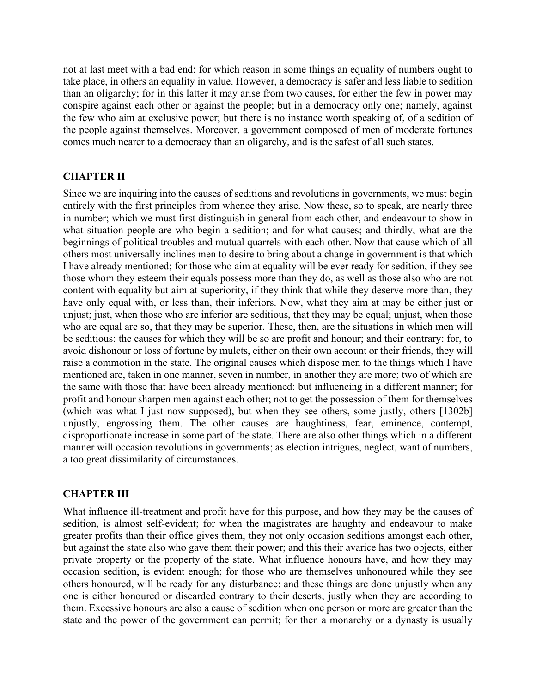not at last meet with a bad end: for which reason in some things an equality of numbers ought to take place, in others an equality in value. However, a democracy is safer and less liable to sedition than an oligarchy; for in this latter it may arise from two causes, for either the few in power may conspire against each other or against the people; but in a democracy only one; namely, against the few who aim at exclusive power; but there is no instance worth speaking of, of a sedition of the people against themselves. Moreover, a government composed of men of moderate fortunes comes much nearer to a democracy than an oligarchy, and is the safest of all such states.

## **CHAPTER II**

Since we are inquiring into the causes of seditions and revolutions in governments, we must begin entirely with the first principles from whence they arise. Now these, so to speak, are nearly three in number; which we must first distinguish in general from each other, and endeavour to show in what situation people are who begin a sedition; and for what causes; and thirdly, what are the beginnings of political troubles and mutual quarrels with each other. Now that cause which of all others most universally inclines men to desire to bring about a change in government is that which I have already mentioned; for those who aim at equality will be ever ready for sedition, if they see those whom they esteem their equals possess more than they do, as well as those also who are not content with equality but aim at superiority, if they think that while they deserve more than, they have only equal with, or less than, their inferiors. Now, what they aim at may be either just or unjust; just, when those who are inferior are seditious, that they may be equal; unjust, when those who are equal are so, that they may be superior. These, then, are the situations in which men will be seditious: the causes for which they will be so are profit and honour; and their contrary: for, to avoid dishonour or loss of fortune by mulcts, either on their own account or their friends, they will raise a commotion in the state. The original causes which dispose men to the things which I have mentioned are, taken in one manner, seven in number, in another they are more; two of which are the same with those that have been already mentioned: but influencing in a different manner; for profit and honour sharpen men against each other; not to get the possession of them for themselves (which was what I just now supposed), but when they see others, some justly, others [1302b] unjustly, engrossing them. The other causes are haughtiness, fear, eminence, contempt, disproportionate increase in some part of the state. There are also other things which in a different manner will occasion revolutions in governments; as election intrigues, neglect, want of numbers, a too great dissimilarity of circumstances.

### **CHAPTER III**

What influence ill-treatment and profit have for this purpose, and how they may be the causes of sedition, is almost self-evident; for when the magistrates are haughty and endeavour to make greater profits than their office gives them, they not only occasion seditions amongst each other, but against the state also who gave them their power; and this their avarice has two objects, either private property or the property of the state. What influence honours have, and how they may occasion sedition, is evident enough; for those who are themselves unhonoured while they see others honoured, will be ready for any disturbance: and these things are done unjustly when any one is either honoured or discarded contrary to their deserts, justly when they are according to them. Excessive honours are also a cause of sedition when one person or more are greater than the state and the power of the government can permit; for then a monarchy or a dynasty is usually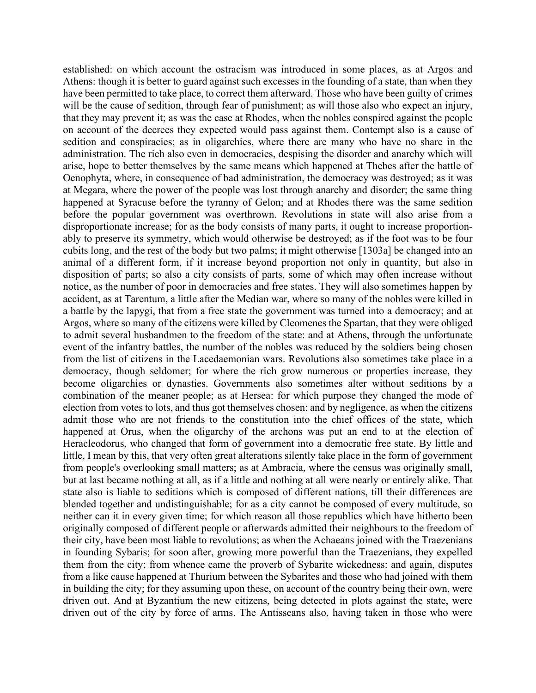established: on which account the ostracism was introduced in some places, as at Argos and Athens: though it is better to guard against such excesses in the founding of a state, than when they have been permitted to take place, to correct them afterward. Those who have been guilty of crimes will be the cause of sedition, through fear of punishment; as will those also who expect an injury, that they may prevent it; as was the case at Rhodes, when the nobles conspired against the people on account of the decrees they expected would pass against them. Contempt also is a cause of sedition and conspiracies; as in oligarchies, where there are many who have no share in the administration. The rich also even in democracies, despising the disorder and anarchy which will arise, hope to better themselves by the same means which happened at Thebes after the battle of Oenophyta, where, in consequence of bad administration, the democracy was destroyed; as it was at Megara, where the power of the people was lost through anarchy and disorder; the same thing happened at Syracuse before the tyranny of Gelon; and at Rhodes there was the same sedition before the popular government was overthrown. Revolutions in state will also arise from a disproportionate increase; for as the body consists of many parts, it ought to increase proportionably to preserve its symmetry, which would otherwise be destroyed; as if the foot was to be four cubits long, and the rest of the body but two palms; it might otherwise [1303a] be changed into an animal of a different form, if it increase beyond proportion not only in quantity, but also in disposition of parts; so also a city consists of parts, some of which may often increase without notice, as the number of poor in democracies and free states. They will also sometimes happen by accident, as at Tarentum, a little after the Median war, where so many of the nobles were killed in a battle by the lapygi, that from a free state the government was turned into a democracy; and at Argos, where so many of the citizens were killed by Cleomenes the Spartan, that they were obliged to admit several husbandmen to the freedom of the state: and at Athens, through the unfortunate event of the infantry battles, the number of the nobles was reduced by the soldiers being chosen from the list of citizens in the Lacedaemonian wars. Revolutions also sometimes take place in a democracy, though seldomer; for where the rich grow numerous or properties increase, they become oligarchies or dynasties. Governments also sometimes alter without seditions by a combination of the meaner people; as at Hersea: for which purpose they changed the mode of election from votes to lots, and thus got themselves chosen: and by negligence, as when the citizens admit those who are not friends to the constitution into the chief offices of the state, which happened at Orus, when the oligarchy of the archons was put an end to at the election of Heracleodorus, who changed that form of government into a democratic free state. By little and little, I mean by this, that very often great alterations silently take place in the form of government from people's overlooking small matters; as at Ambracia, where the census was originally small, but at last became nothing at all, as if a little and nothing at all were nearly or entirely alike. That state also is liable to seditions which is composed of different nations, till their differences are blended together and undistinguishable; for as a city cannot be composed of every multitude, so neither can it in every given time; for which reason all those republics which have hitherto been originally composed of different people or afterwards admitted their neighbours to the freedom of their city, have been most liable to revolutions; as when the Achaeans joined with the Traezenians in founding Sybaris; for soon after, growing more powerful than the Traezenians, they expelled them from the city; from whence came the proverb of Sybarite wickedness: and again, disputes from a like cause happened at Thurium between the Sybarites and those who had joined with them in building the city; for they assuming upon these, on account of the country being their own, were driven out. And at Byzantium the new citizens, being detected in plots against the state, were driven out of the city by force of arms. The Antisseans also, having taken in those who were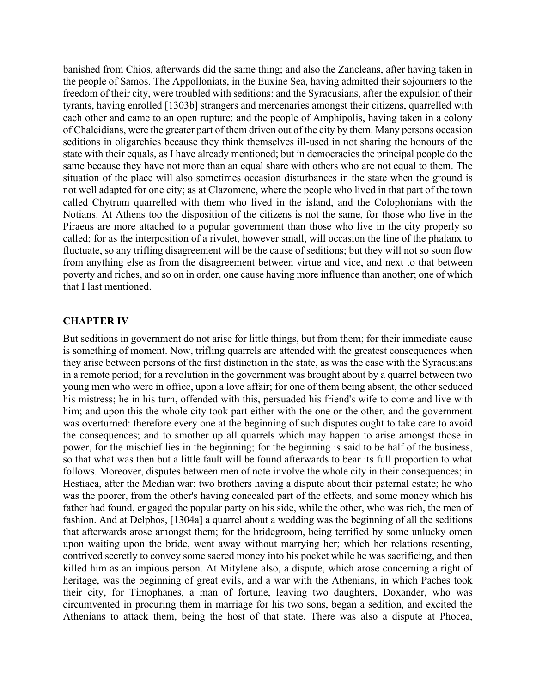banished from Chios, afterwards did the same thing; and also the Zancleans, after having taken in the people of Samos. The Appolloniats, in the Euxine Sea, having admitted their sojourners to the freedom of their city, were troubled with seditions: and the Syracusians, after the expulsion of their tyrants, having enrolled [1303b] strangers and mercenaries amongst their citizens, quarrelled with each other and came to an open rupture: and the people of Amphipolis, having taken in a colony of Chalcidians, were the greater part of them driven out of the city by them. Many persons occasion seditions in oligarchies because they think themselves ill-used in not sharing the honours of the state with their equals, as I have already mentioned; but in democracies the principal people do the same because they have not more than an equal share with others who are not equal to them. The situation of the place will also sometimes occasion disturbances in the state when the ground is not well adapted for one city; as at Clazomene, where the people who lived in that part of the town called Chytrum quarrelled with them who lived in the island, and the Colophonians with the Notians. At Athens too the disposition of the citizens is not the same, for those who live in the Piraeus are more attached to a popular government than those who live in the city properly so called; for as the interposition of a rivulet, however small, will occasion the line of the phalanx to fluctuate, so any trifling disagreement will be the cause of seditions; but they will not so soon flow from anything else as from the disagreement between virtue and vice, and next to that between poverty and riches, and so on in order, one cause having more influence than another; one of which that I last mentioned.

#### **CHAPTER IV**

But seditions in government do not arise for little things, but from them; for their immediate cause is something of moment. Now, trifling quarrels are attended with the greatest consequences when they arise between persons of the first distinction in the state, as was the case with the Syracusians in a remote period; for a revolution in the government was brought about by a quarrel between two young men who were in office, upon a love affair; for one of them being absent, the other seduced his mistress; he in his turn, offended with this, persuaded his friend's wife to come and live with him; and upon this the whole city took part either with the one or the other, and the government was overturned: therefore every one at the beginning of such disputes ought to take care to avoid the consequences; and to smother up all quarrels which may happen to arise amongst those in power, for the mischief lies in the beginning; for the beginning is said to be half of the business, so that what was then but a little fault will be found afterwards to bear its full proportion to what follows. Moreover, disputes between men of note involve the whole city in their consequences; in Hestiaea, after the Median war: two brothers having a dispute about their paternal estate; he who was the poorer, from the other's having concealed part of the effects, and some money which his father had found, engaged the popular party on his side, while the other, who was rich, the men of fashion. And at Delphos, [1304a] a quarrel about a wedding was the beginning of all the seditions that afterwards arose amongst them; for the bridegroom, being terrified by some unlucky omen upon waiting upon the bride, went away without marrying her; which her relations resenting, contrived secretly to convey some sacred money into his pocket while he was sacrificing, and then killed him as an impious person. At Mitylene also, a dispute, which arose concerning a right of heritage, was the beginning of great evils, and a war with the Athenians, in which Paches took their city, for Timophanes, a man of fortune, leaving two daughters, Doxander, who was circumvented in procuring them in marriage for his two sons, began a sedition, and excited the Athenians to attack them, being the host of that state. There was also a dispute at Phocea,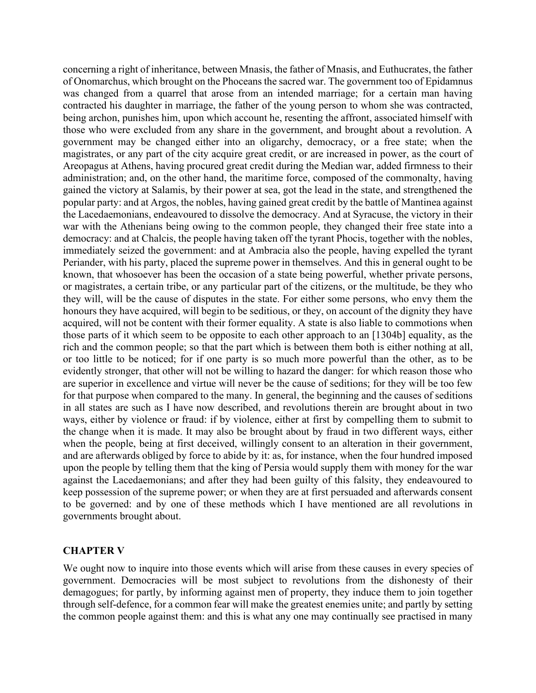concerning a right of inheritance, between Mnasis, the father of Mnasis, and Euthucrates, the father of Onomarchus, which brought on the Phoceans the sacred war. The government too of Epidamnus was changed from a quarrel that arose from an intended marriage; for a certain man having contracted his daughter in marriage, the father of the young person to whom she was contracted, being archon, punishes him, upon which account he, resenting the affront, associated himself with those who were excluded from any share in the government, and brought about a revolution. A government may be changed either into an oligarchy, democracy, or a free state; when the magistrates, or any part of the city acquire great credit, or are increased in power, as the court of Areopagus at Athens, having procured great credit during the Median war, added firmness to their administration; and, on the other hand, the maritime force, composed of the commonalty, having gained the victory at Salamis, by their power at sea, got the lead in the state, and strengthened the popular party: and at Argos, the nobles, having gained great credit by the battle of Mantinea against the Lacedaemonians, endeavoured to dissolve the democracy. And at Syracuse, the victory in their war with the Athenians being owing to the common people, they changed their free state into a democracy: and at Chalcis, the people having taken off the tyrant Phocis, together with the nobles, immediately seized the government: and at Ambracia also the people, having expelled the tyrant Periander, with his party, placed the supreme power in themselves. And this in general ought to be known, that whosoever has been the occasion of a state being powerful, whether private persons, or magistrates, a certain tribe, or any particular part of the citizens, or the multitude, be they who they will, will be the cause of disputes in the state. For either some persons, who envy them the honours they have acquired, will begin to be seditious, or they, on account of the dignity they have acquired, will not be content with their former equality. A state is also liable to commotions when those parts of it which seem to be opposite to each other approach to an [1304b] equality, as the rich and the common people; so that the part which is between them both is either nothing at all, or too little to be noticed; for if one party is so much more powerful than the other, as to be evidently stronger, that other will not be willing to hazard the danger: for which reason those who are superior in excellence and virtue will never be the cause of seditions; for they will be too few for that purpose when compared to the many. In general, the beginning and the causes of seditions in all states are such as I have now described, and revolutions therein are brought about in two ways, either by violence or fraud: if by violence, either at first by compelling them to submit to the change when it is made. It may also be brought about by fraud in two different ways, either when the people, being at first deceived, willingly consent to an alteration in their government, and are afterwards obliged by force to abide by it: as, for instance, when the four hundred imposed upon the people by telling them that the king of Persia would supply them with money for the war against the Lacedaemonians; and after they had been guilty of this falsity, they endeavoured to keep possession of the supreme power; or when they are at first persuaded and afterwards consent to be governed: and by one of these methods which I have mentioned are all revolutions in governments brought about.

### **CHAPTER V**

We ought now to inquire into those events which will arise from these causes in every species of government. Democracies will be most subject to revolutions from the dishonesty of their demagogues; for partly, by informing against men of property, they induce them to join together through self-defence, for a common fear will make the greatest enemies unite; and partly by setting the common people against them: and this is what any one may continually see practised in many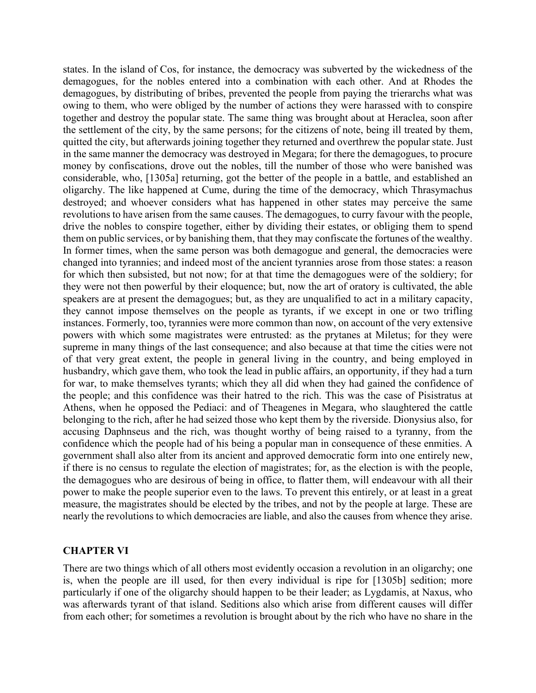states. In the island of Cos, for instance, the democracy was subverted by the wickedness of the demagogues, for the nobles entered into a combination with each other. And at Rhodes the demagogues, by distributing of bribes, prevented the people from paying the trierarchs what was owing to them, who were obliged by the number of actions they were harassed with to conspire together and destroy the popular state. The same thing was brought about at Heraclea, soon after the settlement of the city, by the same persons; for the citizens of note, being ill treated by them, quitted the city, but afterwards joining together they returned and overthrew the popular state. Just in the same manner the democracy was destroyed in Megara; for there the demagogues, to procure money by confiscations, drove out the nobles, till the number of those who were banished was considerable, who, [1305a] returning, got the better of the people in a battle, and established an oligarchy. The like happened at Cume, during the time of the democracy, which Thrasymachus destroyed; and whoever considers what has happened in other states may perceive the same revolutions to have arisen from the same causes. The demagogues, to curry favour with the people, drive the nobles to conspire together, either by dividing their estates, or obliging them to spend them on public services, or by banishing them, that they may confiscate the fortunes of the wealthy. In former times, when the same person was both demagogue and general, the democracies were changed into tyrannies; and indeed most of the ancient tyrannies arose from those states: a reason for which then subsisted, but not now; for at that time the demagogues were of the soldiery; for they were not then powerful by their eloquence; but, now the art of oratory is cultivated, the able speakers are at present the demagogues; but, as they are unqualified to act in a military capacity, they cannot impose themselves on the people as tyrants, if we except in one or two trifling instances. Formerly, too, tyrannies were more common than now, on account of the very extensive powers with which some magistrates were entrusted: as the prytanes at Miletus; for they were supreme in many things of the last consequence; and also because at that time the cities were not of that very great extent, the people in general living in the country, and being employed in husbandry, which gave them, who took the lead in public affairs, an opportunity, if they had a turn for war, to make themselves tyrants; which they all did when they had gained the confidence of the people; and this confidence was their hatred to the rich. This was the case of Pisistratus at Athens, when he opposed the Pediaci: and of Theagenes in Megara, who slaughtered the cattle belonging to the rich, after he had seized those who kept them by the riverside. Dionysius also, for accusing Daphnseus and the rich, was thought worthy of being raised to a tyranny, from the confidence which the people had of his being a popular man in consequence of these enmities. A government shall also alter from its ancient and approved democratic form into one entirely new, if there is no census to regulate the election of magistrates; for, as the election is with the people, the demagogues who are desirous of being in office, to flatter them, will endeavour with all their power to make the people superior even to the laws. To prevent this entirely, or at least in a great measure, the magistrates should be elected by the tribes, and not by the people at large. These are nearly the revolutions to which democracies are liable, and also the causes from whence they arise.

### **CHAPTER VI**

There are two things which of all others most evidently occasion a revolution in an oligarchy; one is, when the people are ill used, for then every individual is ripe for [1305b] sedition; more particularly if one of the oligarchy should happen to be their leader; as Lygdamis, at Naxus, who was afterwards tyrant of that island. Seditions also which arise from different causes will differ from each other; for sometimes a revolution is brought about by the rich who have no share in the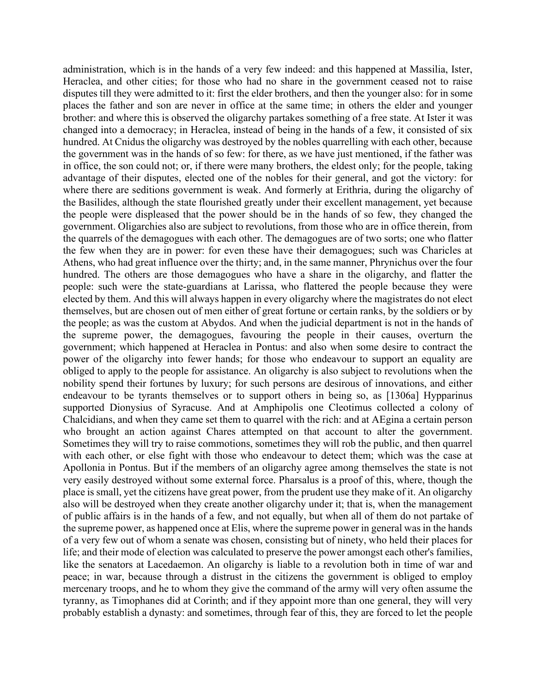administration, which is in the hands of a very few indeed: and this happened at Massilia, Ister, Heraclea, and other cities; for those who had no share in the government ceased not to raise disputes till they were admitted to it: first the elder brothers, and then the younger also: for in some places the father and son are never in office at the same time; in others the elder and younger brother: and where this is observed the oligarchy partakes something of a free state. At Ister it was changed into a democracy; in Heraclea, instead of being in the hands of a few, it consisted of six hundred. At Cnidus the oligarchy was destroyed by the nobles quarrelling with each other, because the government was in the hands of so few: for there, as we have just mentioned, if the father was in office, the son could not; or, if there were many brothers, the eldest only; for the people, taking advantage of their disputes, elected one of the nobles for their general, and got the victory: for where there are seditions government is weak. And formerly at Erithria, during the oligarchy of the Basilides, although the state flourished greatly under their excellent management, yet because the people were displeased that the power should be in the hands of so few, they changed the government. Oligarchies also are subject to revolutions, from those who are in office therein, from the quarrels of the demagogues with each other. The demagogues are of two sorts; one who flatter the few when they are in power: for even these have their demagogues; such was Charicles at Athens, who had great influence over the thirty; and, in the same manner, Phrynichus over the four hundred. The others are those demagogues who have a share in the oligarchy, and flatter the people: such were the state-guardians at Larissa, who flattered the people because they were elected by them. And this will always happen in every oligarchy where the magistrates do not elect themselves, but are chosen out of men either of great fortune or certain ranks, by the soldiers or by the people; as was the custom at Abydos. And when the judicial department is not in the hands of the supreme power, the demagogues, favouring the people in their causes, overturn the government; which happened at Heraclea in Pontus: and also when some desire to contract the power of the oligarchy into fewer hands; for those who endeavour to support an equality are obliged to apply to the people for assistance. An oligarchy is also subject to revolutions when the nobility spend their fortunes by luxury; for such persons are desirous of innovations, and either endeavour to be tyrants themselves or to support others in being so, as [1306a] Hypparinus supported Dionysius of Syracuse. And at Amphipolis one Cleotimus collected a colony of Chalcidians, and when they came set them to quarrel with the rich: and at AEgina a certain person who brought an action against Chares attempted on that account to alter the government. Sometimes they will try to raise commotions, sometimes they will rob the public, and then quarrel with each other, or else fight with those who endeavour to detect them; which was the case at Apollonia in Pontus. But if the members of an oligarchy agree among themselves the state is not very easily destroyed without some external force. Pharsalus is a proof of this, where, though the place is small, yet the citizens have great power, from the prudent use they make of it. An oligarchy also will be destroyed when they create another oligarchy under it; that is, when the management of public affairs is in the hands of a few, and not equally, but when all of them do not partake of the supreme power, as happened once at Elis, where the supreme power in general was in the hands of a very few out of whom a senate was chosen, consisting but of ninety, who held their places for life; and their mode of election was calculated to preserve the power amongst each other's families, like the senators at Lacedaemon. An oligarchy is liable to a revolution both in time of war and peace; in war, because through a distrust in the citizens the government is obliged to employ mercenary troops, and he to whom they give the command of the army will very often assume the tyranny, as Timophanes did at Corinth; and if they appoint more than one general, they will very probably establish a dynasty: and sometimes, through fear of this, they are forced to let the people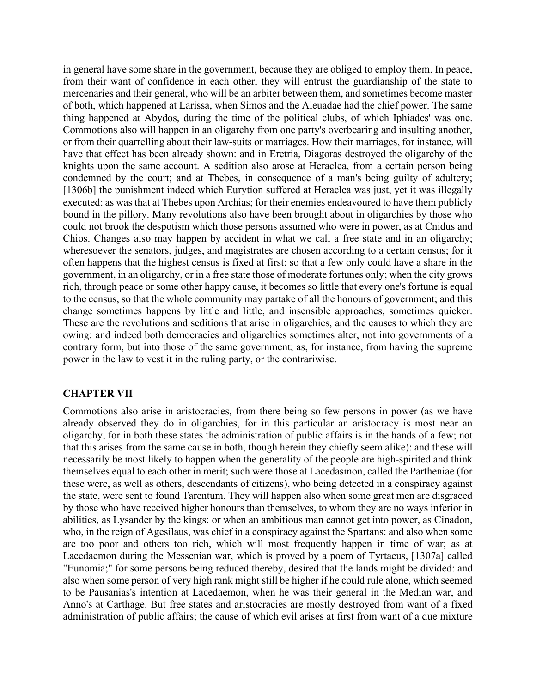in general have some share in the government, because they are obliged to employ them. In peace, from their want of confidence in each other, they will entrust the guardianship of the state to mercenaries and their general, who will be an arbiter between them, and sometimes become master of both, which happened at Larissa, when Simos and the Aleuadae had the chief power. The same thing happened at Abydos, during the time of the political clubs, of which Iphiades' was one. Commotions also will happen in an oligarchy from one party's overbearing and insulting another, or from their quarrelling about their law-suits or marriages. How their marriages, for instance, will have that effect has been already shown: and in Eretria, Diagoras destroyed the oligarchy of the knights upon the same account. A sedition also arose at Heraclea, from a certain person being condemned by the court; and at Thebes, in consequence of a man's being guilty of adultery; [1306b] the punishment indeed which Eurytion suffered at Heraclea was just, yet it was illegally executed: as was that at Thebes upon Archias; for their enemies endeavoured to have them publicly bound in the pillory. Many revolutions also have been brought about in oligarchies by those who could not brook the despotism which those persons assumed who were in power, as at Cnidus and Chios. Changes also may happen by accident in what we call a free state and in an oligarchy; wheresoever the senators, judges, and magistrates are chosen according to a certain census; for it often happens that the highest census is fixed at first; so that a few only could have a share in the government, in an oligarchy, or in a free state those of moderate fortunes only; when the city grows rich, through peace or some other happy cause, it becomes so little that every one's fortune is equal to the census, so that the whole community may partake of all the honours of government; and this change sometimes happens by little and little, and insensible approaches, sometimes quicker. These are the revolutions and seditions that arise in oligarchies, and the causes to which they are owing: and indeed both democracies and oligarchies sometimes alter, not into governments of a contrary form, but into those of the same government; as, for instance, from having the supreme power in the law to vest it in the ruling party, or the contrariwise.

#### **CHAPTER VII**

Commotions also arise in aristocracies, from there being so few persons in power (as we have already observed they do in oligarchies, for in this particular an aristocracy is most near an oligarchy, for in both these states the administration of public affairs is in the hands of a few; not that this arises from the same cause in both, though herein they chiefly seem alike): and these will necessarily be most likely to happen when the generality of the people are high-spirited and think themselves equal to each other in merit; such were those at Lacedasmon, called the Partheniae (for these were, as well as others, descendants of citizens), who being detected in a conspiracy against the state, were sent to found Tarentum. They will happen also when some great men are disgraced by those who have received higher honours than themselves, to whom they are no ways inferior in abilities, as Lysander by the kings: or when an ambitious man cannot get into power, as Cinadon, who, in the reign of Agesilaus, was chief in a conspiracy against the Spartans: and also when some are too poor and others too rich, which will most frequently happen in time of war; as at Lacedaemon during the Messenian war, which is proved by a poem of Tyrtaeus, [1307a] called "Eunomia;" for some persons being reduced thereby, desired that the lands might be divided: and also when some person of very high rank might still be higher if he could rule alone, which seemed to be Pausanias's intention at Lacedaemon, when he was their general in the Median war, and Anno's at Carthage. But free states and aristocracies are mostly destroyed from want of a fixed administration of public affairs; the cause of which evil arises at first from want of a due mixture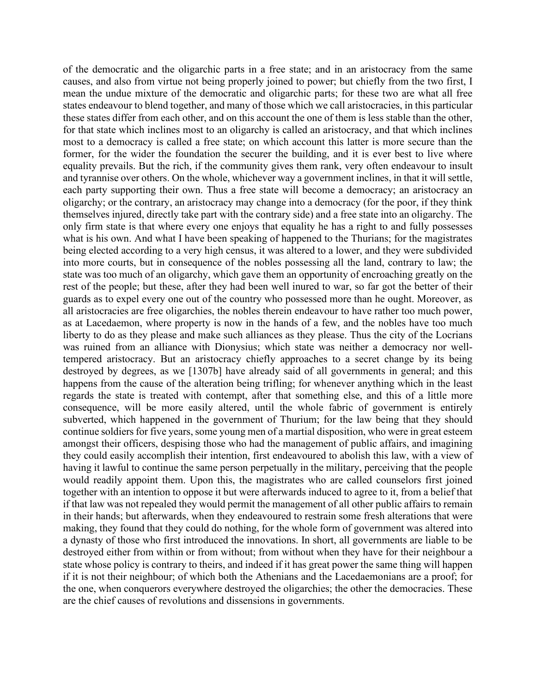of the democratic and the oligarchic parts in a free state; and in an aristocracy from the same causes, and also from virtue not being properly joined to power; but chiefly from the two first, I mean the undue mixture of the democratic and oligarchic parts; for these two are what all free states endeavour to blend together, and many of those which we call aristocracies, in this particular these states differ from each other, and on this account the one of them is less stable than the other, for that state which inclines most to an oligarchy is called an aristocracy, and that which inclines most to a democracy is called a free state; on which account this latter is more secure than the former, for the wider the foundation the securer the building, and it is ever best to live where equality prevails. But the rich, if the community gives them rank, very often endeavour to insult and tyrannise over others. On the whole, whichever way a government inclines, in that it will settle, each party supporting their own. Thus a free state will become a democracy; an aristocracy an oligarchy; or the contrary, an aristocracy may change into a democracy (for the poor, if they think themselves injured, directly take part with the contrary side) and a free state into an oligarchy. The only firm state is that where every one enjoys that equality he has a right to and fully possesses what is his own. And what I have been speaking of happened to the Thurians; for the magistrates being elected according to a very high census, it was altered to a lower, and they were subdivided into more courts, but in consequence of the nobles possessing all the land, contrary to law; the state was too much of an oligarchy, which gave them an opportunity of encroaching greatly on the rest of the people; but these, after they had been well inured to war, so far got the better of their guards as to expel every one out of the country who possessed more than he ought. Moreover, as all aristocracies are free oligarchies, the nobles therein endeavour to have rather too much power, as at Lacedaemon, where property is now in the hands of a few, and the nobles have too much liberty to do as they please and make such alliances as they please. Thus the city of the Locrians was ruined from an alliance with Dionysius; which state was neither a democracy nor welltempered aristocracy. But an aristocracy chiefly approaches to a secret change by its being destroyed by degrees, as we [1307b] have already said of all governments in general; and this happens from the cause of the alteration being trifling; for whenever anything which in the least regards the state is treated with contempt, after that something else, and this of a little more consequence, will be more easily altered, until the whole fabric of government is entirely subverted, which happened in the government of Thurium; for the law being that they should continue soldiers for five years, some young men of a martial disposition, who were in great esteem amongst their officers, despising those who had the management of public affairs, and imagining they could easily accomplish their intention, first endeavoured to abolish this law, with a view of having it lawful to continue the same person perpetually in the military, perceiving that the people would readily appoint them. Upon this, the magistrates who are called counselors first joined together with an intention to oppose it but were afterwards induced to agree to it, from a belief that if that law was not repealed they would permit the management of all other public affairs to remain in their hands; but afterwards, when they endeavoured to restrain some fresh alterations that were making, they found that they could do nothing, for the whole form of government was altered into a dynasty of those who first introduced the innovations. In short, all governments are liable to be destroyed either from within or from without; from without when they have for their neighbour a state whose policy is contrary to theirs, and indeed if it has great power the same thing will happen if it is not their neighbour; of which both the Athenians and the Lacedaemonians are a proof; for the one, when conquerors everywhere destroyed the oligarchies; the other the democracies. These are the chief causes of revolutions and dissensions in governments.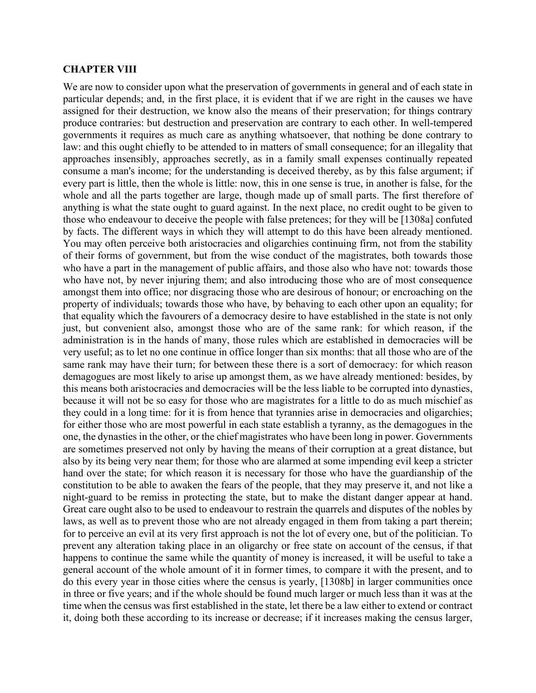#### **CHAPTER VIII**

We are now to consider upon what the preservation of governments in general and of each state in particular depends; and, in the first place, it is evident that if we are right in the causes we have assigned for their destruction, we know also the means of their preservation; for things contrary produce contraries: but destruction and preservation are contrary to each other. In well-tempered governments it requires as much care as anything whatsoever, that nothing be done contrary to law: and this ought chiefly to be attended to in matters of small consequence; for an illegality that approaches insensibly, approaches secretly, as in a family small expenses continually repeated consume a man's income; for the understanding is deceived thereby, as by this false argument; if every part is little, then the whole is little: now, this in one sense is true, in another is false, for the whole and all the parts together are large, though made up of small parts. The first therefore of anything is what the state ought to guard against. In the next place, no credit ought to be given to those who endeavour to deceive the people with false pretences; for they will be [1308a] confuted by facts. The different ways in which they will attempt to do this have been already mentioned. You may often perceive both aristocracies and oligarchies continuing firm, not from the stability of their forms of government, but from the wise conduct of the magistrates, both towards those who have a part in the management of public affairs, and those also who have not: towards those who have not, by never injuring them; and also introducing those who are of most consequence amongst them into office; nor disgracing those who are desirous of honour; or encroaching on the property of individuals; towards those who have, by behaving to each other upon an equality; for that equality which the favourers of a democracy desire to have established in the state is not only just, but convenient also, amongst those who are of the same rank: for which reason, if the administration is in the hands of many, those rules which are established in democracies will be very useful; as to let no one continue in office longer than six months: that all those who are of the same rank may have their turn; for between these there is a sort of democracy: for which reason demagogues are most likely to arise up amongst them, as we have already mentioned: besides, by this means both aristocracies and democracies will be the less liable to be corrupted into dynasties, because it will not be so easy for those who are magistrates for a little to do as much mischief as they could in a long time: for it is from hence that tyrannies arise in democracies and oligarchies; for either those who are most powerful in each state establish a tyranny, as the demagogues in the one, the dynasties in the other, or the chief magistrates who have been long in power. Governments are sometimes preserved not only by having the means of their corruption at a great distance, but also by its being very near them; for those who are alarmed at some impending evil keep a stricter hand over the state; for which reason it is necessary for those who have the guardianship of the constitution to be able to awaken the fears of the people, that they may preserve it, and not like a night-guard to be remiss in protecting the state, but to make the distant danger appear at hand. Great care ought also to be used to endeavour to restrain the quarrels and disputes of the nobles by laws, as well as to prevent those who are not already engaged in them from taking a part therein; for to perceive an evil at its very first approach is not the lot of every one, but of the politician. To prevent any alteration taking place in an oligarchy or free state on account of the census, if that happens to continue the same while the quantity of money is increased, it will be useful to take a general account of the whole amount of it in former times, to compare it with the present, and to do this every year in those cities where the census is yearly, [1308b] in larger communities once in three or five years; and if the whole should be found much larger or much less than it was at the time when the census was first established in the state, let there be a law either to extend or contract it, doing both these according to its increase or decrease; if it increases making the census larger,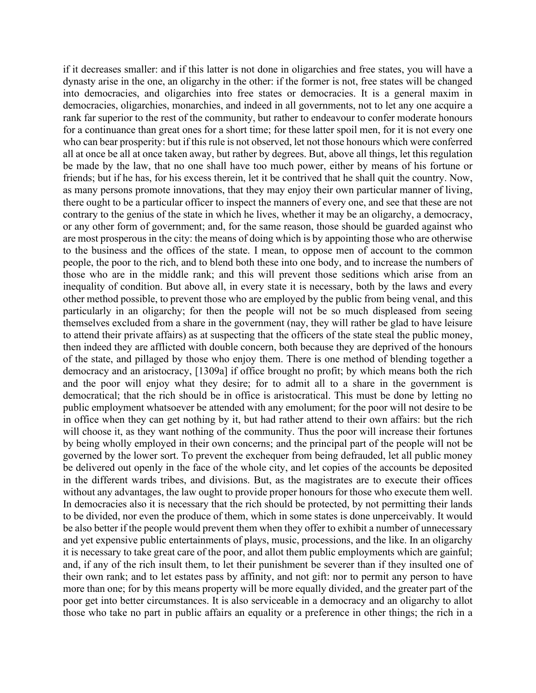if it decreases smaller: and if this latter is not done in oligarchies and free states, you will have a dynasty arise in the one, an oligarchy in the other: if the former is not, free states will be changed into democracies, and oligarchies into free states or democracies. It is a general maxim in democracies, oligarchies, monarchies, and indeed in all governments, not to let any one acquire a rank far superior to the rest of the community, but rather to endeavour to confer moderate honours for a continuance than great ones for a short time; for these latter spoil men, for it is not every one who can bear prosperity: but if this rule is not observed, let not those honours which were conferred all at once be all at once taken away, but rather by degrees. But, above all things, let this regulation be made by the law, that no one shall have too much power, either by means of his fortune or friends; but if he has, for his excess therein, let it be contrived that he shall quit the country. Now, as many persons promote innovations, that they may enjoy their own particular manner of living, there ought to be a particular officer to inspect the manners of every one, and see that these are not contrary to the genius of the state in which he lives, whether it may be an oligarchy, a democracy, or any other form of government; and, for the same reason, those should be guarded against who are most prosperous in the city: the means of doing which is by appointing those who are otherwise to the business and the offices of the state. I mean, to oppose men of account to the common people, the poor to the rich, and to blend both these into one body, and to increase the numbers of those who are in the middle rank; and this will prevent those seditions which arise from an inequality of condition. But above all, in every state it is necessary, both by the laws and every other method possible, to prevent those who are employed by the public from being venal, and this particularly in an oligarchy; for then the people will not be so much displeased from seeing themselves excluded from a share in the government (nay, they will rather be glad to have leisure to attend their private affairs) as at suspecting that the officers of the state steal the public money, then indeed they are afflicted with double concern, both because they are deprived of the honours of the state, and pillaged by those who enjoy them. There is one method of blending together a democracy and an aristocracy, [1309a] if office brought no profit; by which means both the rich and the poor will enjoy what they desire; for to admit all to a share in the government is democratical; that the rich should be in office is aristocratical. This must be done by letting no public employment whatsoever be attended with any emolument; for the poor will not desire to be in office when they can get nothing by it, but had rather attend to their own affairs: but the rich will choose it, as they want nothing of the community. Thus the poor will increase their fortunes by being wholly employed in their own concerns; and the principal part of the people will not be governed by the lower sort. To prevent the exchequer from being defrauded, let all public money be delivered out openly in the face of the whole city, and let copies of the accounts be deposited in the different wards tribes, and divisions. But, as the magistrates are to execute their offices without any advantages, the law ought to provide proper honours for those who execute them well. In democracies also it is necessary that the rich should be protected, by not permitting their lands to be divided, nor even the produce of them, which in some states is done unperceivably. It would be also better if the people would prevent them when they offer to exhibit a number of unnecessary and yet expensive public entertainments of plays, music, processions, and the like. In an oligarchy it is necessary to take great care of the poor, and allot them public employments which are gainful; and, if any of the rich insult them, to let their punishment be severer than if they insulted one of their own rank; and to let estates pass by affinity, and not gift: nor to permit any person to have more than one; for by this means property will be more equally divided, and the greater part of the poor get into better circumstances. It is also serviceable in a democracy and an oligarchy to allot those who take no part in public affairs an equality or a preference in other things; the rich in a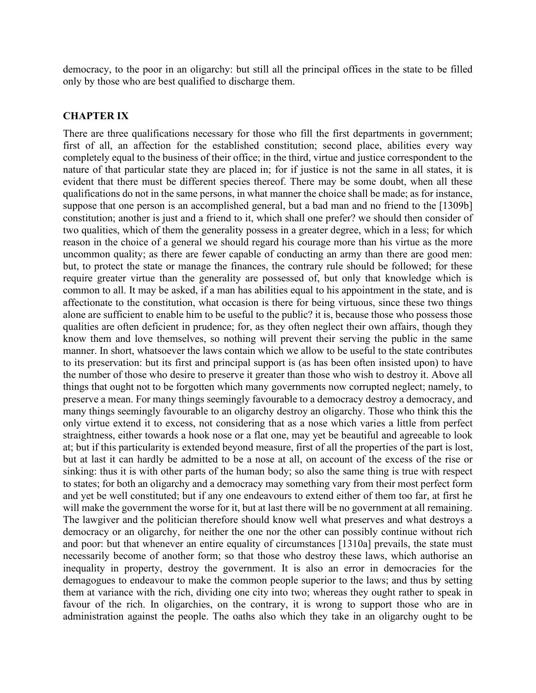democracy, to the poor in an oligarchy: but still all the principal offices in the state to be filled only by those who are best qualified to discharge them.

#### **CHAPTER IX**

There are three qualifications necessary for those who fill the first departments in government; first of all, an affection for the established constitution; second place, abilities every way completely equal to the business of their office; in the third, virtue and justice correspondent to the nature of that particular state they are placed in; for if justice is not the same in all states, it is evident that there must be different species thereof. There may be some doubt, when all these qualifications do not in the same persons, in what manner the choice shall be made; as for instance, suppose that one person is an accomplished general, but a bad man and no friend to the [1309b] constitution; another is just and a friend to it, which shall one prefer? we should then consider of two qualities, which of them the generality possess in a greater degree, which in a less; for which reason in the choice of a general we should regard his courage more than his virtue as the more uncommon quality; as there are fewer capable of conducting an army than there are good men: but, to protect the state or manage the finances, the contrary rule should be followed; for these require greater virtue than the generality are possessed of, but only that knowledge which is common to all. It may be asked, if a man has abilities equal to his appointment in the state, and is affectionate to the constitution, what occasion is there for being virtuous, since these two things alone are sufficient to enable him to be useful to the public? it is, because those who possess those qualities are often deficient in prudence; for, as they often neglect their own affairs, though they know them and love themselves, so nothing will prevent their serving the public in the same manner. In short, whatsoever the laws contain which we allow to be useful to the state contributes to its preservation: but its first and principal support is (as has been often insisted upon) to have the number of those who desire to preserve it greater than those who wish to destroy it. Above all things that ought not to be forgotten which many governments now corrupted neglect; namely, to preserve a mean. For many things seemingly favourable to a democracy destroy a democracy, and many things seemingly favourable to an oligarchy destroy an oligarchy. Those who think this the only virtue extend it to excess, not considering that as a nose which varies a little from perfect straightness, either towards a hook nose or a flat one, may yet be beautiful and agreeable to look at; but if this particularity is extended beyond measure, first of all the properties of the part is lost, but at last it can hardly be admitted to be a nose at all, on account of the excess of the rise or sinking: thus it is with other parts of the human body; so also the same thing is true with respect to states; for both an oligarchy and a democracy may something vary from their most perfect form and yet be well constituted; but if any one endeavours to extend either of them too far, at first he will make the government the worse for it, but at last there will be no government at all remaining. The lawgiver and the politician therefore should know well what preserves and what destroys a democracy or an oligarchy, for neither the one nor the other can possibly continue without rich and poor: but that whenever an entire equality of circumstances [1310a] prevails, the state must necessarily become of another form; so that those who destroy these laws, which authorise an inequality in property, destroy the government. It is also an error in democracies for the demagogues to endeavour to make the common people superior to the laws; and thus by setting them at variance with the rich, dividing one city into two; whereas they ought rather to speak in favour of the rich. In oligarchies, on the contrary, it is wrong to support those who are in administration against the people. The oaths also which they take in an oligarchy ought to be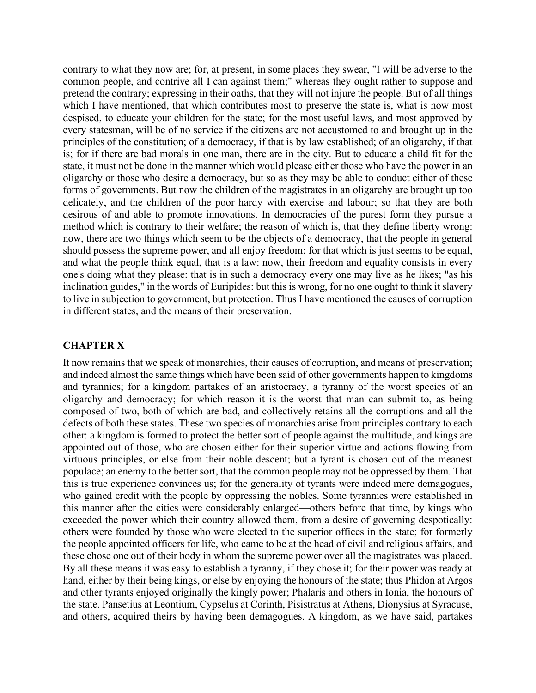contrary to what they now are; for, at present, in some places they swear, "I will be adverse to the common people, and contrive all I can against them;" whereas they ought rather to suppose and pretend the contrary; expressing in their oaths, that they will not injure the people. But of all things which I have mentioned, that which contributes most to preserve the state is, what is now most despised, to educate your children for the state; for the most useful laws, and most approved by every statesman, will be of no service if the citizens are not accustomed to and brought up in the principles of the constitution; of a democracy, if that is by law established; of an oligarchy, if that is; for if there are bad morals in one man, there are in the city. But to educate a child fit for the state, it must not be done in the manner which would please either those who have the power in an oligarchy or those who desire a democracy, but so as they may be able to conduct either of these forms of governments. But now the children of the magistrates in an oligarchy are brought up too delicately, and the children of the poor hardy with exercise and labour; so that they are both desirous of and able to promote innovations. In democracies of the purest form they pursue a method which is contrary to their welfare; the reason of which is, that they define liberty wrong: now, there are two things which seem to be the objects of a democracy, that the people in general should possess the supreme power, and all enjoy freedom; for that which is just seems to be equal, and what the people think equal, that is a law: now, their freedom and equality consists in every one's doing what they please: that is in such a democracy every one may live as he likes; "as his inclination guides," in the words of Euripides: but this is wrong, for no one ought to think it slavery to live in subjection to government, but protection. Thus I have mentioned the causes of corruption in different states, and the means of their preservation.

### **CHAPTER X**

It now remains that we speak of monarchies, their causes of corruption, and means of preservation; and indeed almost the same things which have been said of other governments happen to kingdoms and tyrannies; for a kingdom partakes of an aristocracy, a tyranny of the worst species of an oligarchy and democracy; for which reason it is the worst that man can submit to, as being composed of two, both of which are bad, and collectively retains all the corruptions and all the defects of both these states. These two species of monarchies arise from principles contrary to each other: a kingdom is formed to protect the better sort of people against the multitude, and kings are appointed out of those, who are chosen either for their superior virtue and actions flowing from virtuous principles, or else from their noble descent; but a tyrant is chosen out of the meanest populace; an enemy to the better sort, that the common people may not be oppressed by them. That this is true experience convinces us; for the generality of tyrants were indeed mere demagogues, who gained credit with the people by oppressing the nobles. Some tyrannies were established in this manner after the cities were considerably enlarged—others before that time, by kings who exceeded the power which their country allowed them, from a desire of governing despotically: others were founded by those who were elected to the superior offices in the state; for formerly the people appointed officers for life, who came to be at the head of civil and religious affairs, and these chose one out of their body in whom the supreme power over all the magistrates was placed. By all these means it was easy to establish a tyranny, if they chose it; for their power was ready at hand, either by their being kings, or else by enjoying the honours of the state; thus Phidon at Argos and other tyrants enjoyed originally the kingly power; Phalaris and others in Ionia, the honours of the state. Pansetius at Leontium, Cypselus at Corinth, Pisistratus at Athens, Dionysius at Syracuse, and others, acquired theirs by having been demagogues. A kingdom, as we have said, partakes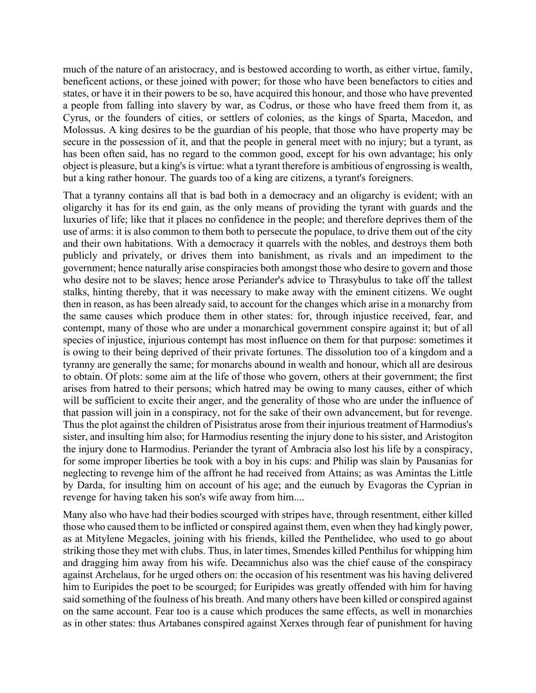much of the nature of an aristocracy, and is bestowed according to worth, as either virtue, family, beneficent actions, or these joined with power; for those who have been benefactors to cities and states, or have it in their powers to be so, have acquired this honour, and those who have prevented a people from falling into slavery by war, as Codrus, or those who have freed them from it, as Cyrus, or the founders of cities, or settlers of colonies, as the kings of Sparta, Macedon, and Molossus. A king desires to be the guardian of his people, that those who have property may be secure in the possession of it, and that the people in general meet with no injury; but a tyrant, as has been often said, has no regard to the common good, except for his own advantage; his only object is pleasure, but a king's is virtue: what a tyrant therefore is ambitious of engrossing is wealth, but a king rather honour. The guards too of a king are citizens, a tyrant's foreigners.

That a tyranny contains all that is bad both in a democracy and an oligarchy is evident; with an oligarchy it has for its end gain, as the only means of providing the tyrant with guards and the luxuries of life; like that it places no confidence in the people; and therefore deprives them of the use of arms: it is also common to them both to persecute the populace, to drive them out of the city and their own habitations. With a democracy it quarrels with the nobles, and destroys them both publicly and privately, or drives them into banishment, as rivals and an impediment to the government; hence naturally arise conspiracies both amongst those who desire to govern and those who desire not to be slaves; hence arose Periander's advice to Thrasybulus to take off the tallest stalks, hinting thereby, that it was necessary to make away with the eminent citizens. We ought then in reason, as has been already said, to account for the changes which arise in a monarchy from the same causes which produce them in other states: for, through injustice received, fear, and contempt, many of those who are under a monarchical government conspire against it; but of all species of injustice, injurious contempt has most influence on them for that purpose: sometimes it is owing to their being deprived of their private fortunes. The dissolution too of a kingdom and a tyranny are generally the same; for monarchs abound in wealth and honour, which all are desirous to obtain. Of plots: some aim at the life of those who govern, others at their government; the first arises from hatred to their persons; which hatred may be owing to many causes, either of which will be sufficient to excite their anger, and the generality of those who are under the influence of that passion will join in a conspiracy, not for the sake of their own advancement, but for revenge. Thus the plot against the children of Pisistratus arose from their injurious treatment of Harmodius's sister, and insulting him also; for Harmodius resenting the injury done to his sister, and Aristogiton the injury done to Harmodius. Periander the tyrant of Ambracia also lost his life by a conspiracy, for some improper liberties he took with a boy in his cups: and Philip was slain by Pausanias for neglecting to revenge him of the affront he had received from Attains; as was Amintas the Little by Darda, for insulting him on account of his age; and the eunuch by Evagoras the Cyprian in revenge for having taken his son's wife away from him....

Many also who have had their bodies scourged with stripes have, through resentment, either killed those who caused them to be inflicted or conspired against them, even when they had kingly power, as at Mitylene Megacles, joining with his friends, killed the Penthelidee, who used to go about striking those they met with clubs. Thus, in later times, Smendes killed Penthilus for whipping him and dragging him away from his wife. Decamnichus also was the chief cause of the conspiracy against Archelaus, for he urged others on: the occasion of his resentment was his having delivered him to Euripides the poet to be scourged; for Euripides was greatly offended with him for having said something of the foulness of his breath. And many others have been killed or conspired against on the same account. Fear too is a cause which produces the same effects, as well in monarchies as in other states: thus Artabanes conspired against Xerxes through fear of punishment for having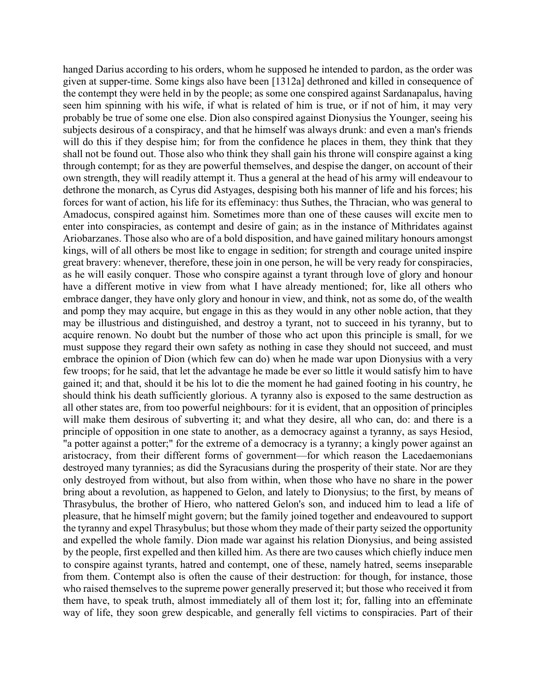hanged Darius according to his orders, whom he supposed he intended to pardon, as the order was given at supper-time. Some kings also have been [1312a] dethroned and killed in consequence of the contempt they were held in by the people; as some one conspired against Sardanapalus, having seen him spinning with his wife, if what is related of him is true, or if not of him, it may very probably be true of some one else. Dion also conspired against Dionysius the Younger, seeing his subjects desirous of a conspiracy, and that he himself was always drunk: and even a man's friends will do this if they despise him; for from the confidence he places in them, they think that they shall not be found out. Those also who think they shall gain his throne will conspire against a king through contempt; for as they are powerful themselves, and despise the danger, on account of their own strength, they will readily attempt it. Thus a general at the head of his army will endeavour to dethrone the monarch, as Cyrus did Astyages, despising both his manner of life and his forces; his forces for want of action, his life for its effeminacy: thus Suthes, the Thracian, who was general to Amadocus, conspired against him. Sometimes more than one of these causes will excite men to enter into conspiracies, as contempt and desire of gain; as in the instance of Mithridates against Ariobarzanes. Those also who are of a bold disposition, and have gained military honours amongst kings, will of all others be most like to engage in sedition; for strength and courage united inspire great bravery: whenever, therefore, these join in one person, he will be very ready for conspiracies, as he will easily conquer. Those who conspire against a tyrant through love of glory and honour have a different motive in view from what I have already mentioned; for, like all others who embrace danger, they have only glory and honour in view, and think, not as some do, of the wealth and pomp they may acquire, but engage in this as they would in any other noble action, that they may be illustrious and distinguished, and destroy a tyrant, not to succeed in his tyranny, but to acquire renown. No doubt but the number of those who act upon this principle is small, for we must suppose they regard their own safety as nothing in case they should not succeed, and must embrace the opinion of Dion (which few can do) when he made war upon Dionysius with a very few troops; for he said, that let the advantage he made be ever so little it would satisfy him to have gained it; and that, should it be his lot to die the moment he had gained footing in his country, he should think his death sufficiently glorious. A tyranny also is exposed to the same destruction as all other states are, from too powerful neighbours: for it is evident, that an opposition of principles will make them desirous of subverting it; and what they desire, all who can, do: and there is a principle of opposition in one state to another, as a democracy against a tyranny, as says Hesiod, "a potter against a potter;" for the extreme of a democracy is a tyranny; a kingly power against an aristocracy, from their different forms of government—for which reason the Lacedaemonians destroyed many tyrannies; as did the Syracusians during the prosperity of their state. Nor are they only destroyed from without, but also from within, when those who have no share in the power bring about a revolution, as happened to Gelon, and lately to Dionysius; to the first, by means of Thrasybulus, the brother of Hiero, who nattered Gelon's son, and induced him to lead a life of pleasure, that he himself might govern; but the family joined together and endeavoured to support the tyranny and expel Thrasybulus; but those whom they made of their party seized the opportunity and expelled the whole family. Dion made war against his relation Dionysius, and being assisted by the people, first expelled and then killed him. As there are two causes which chiefly induce men to conspire against tyrants, hatred and contempt, one of these, namely hatred, seems inseparable from them. Contempt also is often the cause of their destruction: for though, for instance, those who raised themselves to the supreme power generally preserved it; but those who received it from them have, to speak truth, almost immediately all of them lost it; for, falling into an effeminate way of life, they soon grew despicable, and generally fell victims to conspiracies. Part of their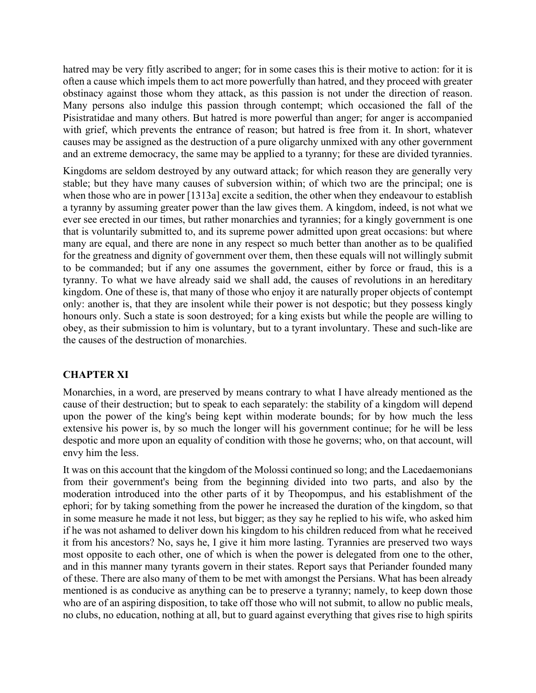hatred may be very fitly ascribed to anger; for in some cases this is their motive to action: for it is often a cause which impels them to act more powerfully than hatred, and they proceed with greater obstinacy against those whom they attack, as this passion is not under the direction of reason. Many persons also indulge this passion through contempt; which occasioned the fall of the Pisistratidae and many others. But hatred is more powerful than anger; for anger is accompanied with grief, which prevents the entrance of reason; but hatred is free from it. In short, whatever causes may be assigned as the destruction of a pure oligarchy unmixed with any other government and an extreme democracy, the same may be applied to a tyranny; for these are divided tyrannies.

Kingdoms are seldom destroyed by any outward attack; for which reason they are generally very stable; but they have many causes of subversion within; of which two are the principal; one is when those who are in power [1313a] excite a sedition, the other when they endeavour to establish a tyranny by assuming greater power than the law gives them. A kingdom, indeed, is not what we ever see erected in our times, but rather monarchies and tyrannies; for a kingly government is one that is voluntarily submitted to, and its supreme power admitted upon great occasions: but where many are equal, and there are none in any respect so much better than another as to be qualified for the greatness and dignity of government over them, then these equals will not willingly submit to be commanded; but if any one assumes the government, either by force or fraud, this is a tyranny. To what we have already said we shall add, the causes of revolutions in an hereditary kingdom. One of these is, that many of those who enjoy it are naturally proper objects of contempt only: another is, that they are insolent while their power is not despotic; but they possess kingly honours only. Such a state is soon destroyed; for a king exists but while the people are willing to obey, as their submission to him is voluntary, but to a tyrant involuntary. These and such-like are the causes of the destruction of monarchies.

# **CHAPTER XI**

Monarchies, in a word, are preserved by means contrary to what I have already mentioned as the cause of their destruction; but to speak to each separately: the stability of a kingdom will depend upon the power of the king's being kept within moderate bounds; for by how much the less extensive his power is, by so much the longer will his government continue; for he will be less despotic and more upon an equality of condition with those he governs; who, on that account, will envy him the less.

It was on this account that the kingdom of the Molossi continued so long; and the Lacedaemonians from their government's being from the beginning divided into two parts, and also by the moderation introduced into the other parts of it by Theopompus, and his establishment of the ephori; for by taking something from the power he increased the duration of the kingdom, so that in some measure he made it not less, but bigger; as they say he replied to his wife, who asked him if he was not ashamed to deliver down his kingdom to his children reduced from what he received it from his ancestors? No, says he, I give it him more lasting. Tyrannies are preserved two ways most opposite to each other, one of which is when the power is delegated from one to the other, and in this manner many tyrants govern in their states. Report says that Periander founded many of these. There are also many of them to be met with amongst the Persians. What has been already mentioned is as conducive as anything can be to preserve a tyranny; namely, to keep down those who are of an aspiring disposition, to take off those who will not submit, to allow no public meals, no clubs, no education, nothing at all, but to guard against everything that gives rise to high spirits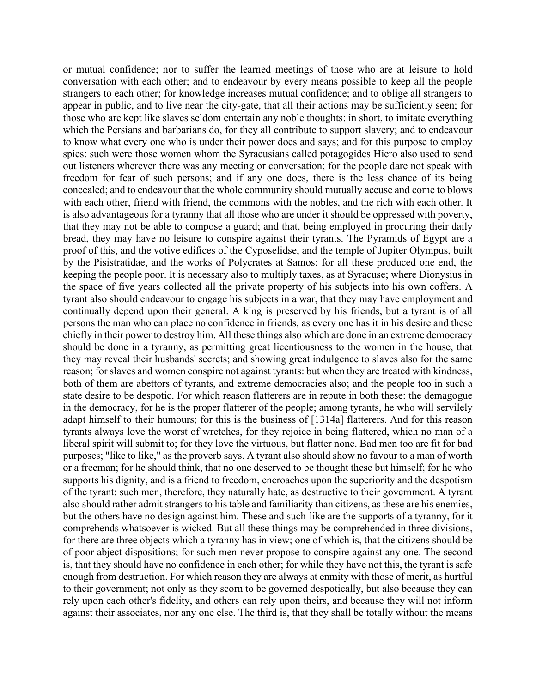or mutual confidence; nor to suffer the learned meetings of those who are at leisure to hold conversation with each other; and to endeavour by every means possible to keep all the people strangers to each other; for knowledge increases mutual confidence; and to oblige all strangers to appear in public, and to live near the city-gate, that all their actions may be sufficiently seen; for those who are kept like slaves seldom entertain any noble thoughts: in short, to imitate everything which the Persians and barbarians do, for they all contribute to support slavery; and to endeavour to know what every one who is under their power does and says; and for this purpose to employ spies: such were those women whom the Syracusians called potagogides Hiero also used to send out listeners wherever there was any meeting or conversation; for the people dare not speak with freedom for fear of such persons; and if any one does, there is the less chance of its being concealed; and to endeavour that the whole community should mutually accuse and come to blows with each other, friend with friend, the commons with the nobles, and the rich with each other. It is also advantageous for a tyranny that all those who are under it should be oppressed with poverty, that they may not be able to compose a guard; and that, being employed in procuring their daily bread, they may have no leisure to conspire against their tyrants. The Pyramids of Egypt are a proof of this, and the votive edifices of the Cyposelidse, and the temple of Jupiter Olympus, built by the Pisistratidae, and the works of Polycrates at Samos; for all these produced one end, the keeping the people poor. It is necessary also to multiply taxes, as at Syracuse; where Dionysius in the space of five years collected all the private property of his subjects into his own coffers. A tyrant also should endeavour to engage his subjects in a war, that they may have employment and continually depend upon their general. A king is preserved by his friends, but a tyrant is of all persons the man who can place no confidence in friends, as every one has it in his desire and these chiefly in their power to destroy him. All these things also which are done in an extreme democracy should be done in a tyranny, as permitting great licentiousness to the women in the house, that they may reveal their husbands' secrets; and showing great indulgence to slaves also for the same reason; for slaves and women conspire not against tyrants: but when they are treated with kindness, both of them are abettors of tyrants, and extreme democracies also; and the people too in such a state desire to be despotic. For which reason flatterers are in repute in both these: the demagogue in the democracy, for he is the proper flatterer of the people; among tyrants, he who will servilely adapt himself to their humours; for this is the business of [1314a] flatterers. And for this reason tyrants always love the worst of wretches, for they rejoice in being flattered, which no man of a liberal spirit will submit to; for they love the virtuous, but flatter none. Bad men too are fit for bad purposes; "like to like," as the proverb says. A tyrant also should show no favour to a man of worth or a freeman; for he should think, that no one deserved to be thought these but himself; for he who supports his dignity, and is a friend to freedom, encroaches upon the superiority and the despotism of the tyrant: such men, therefore, they naturally hate, as destructive to their government. A tyrant also should rather admit strangers to his table and familiarity than citizens, as these are his enemies, but the others have no design against him. These and such-like are the supports of a tyranny, for it comprehends whatsoever is wicked. But all these things may be comprehended in three divisions, for there are three objects which a tyranny has in view; one of which is, that the citizens should be of poor abject dispositions; for such men never propose to conspire against any one. The second is, that they should have no confidence in each other; for while they have not this, the tyrant is safe enough from destruction. For which reason they are always at enmity with those of merit, as hurtful to their government; not only as they scorn to be governed despotically, but also because they can rely upon each other's fidelity, and others can rely upon theirs, and because they will not inform against their associates, nor any one else. The third is, that they shall be totally without the means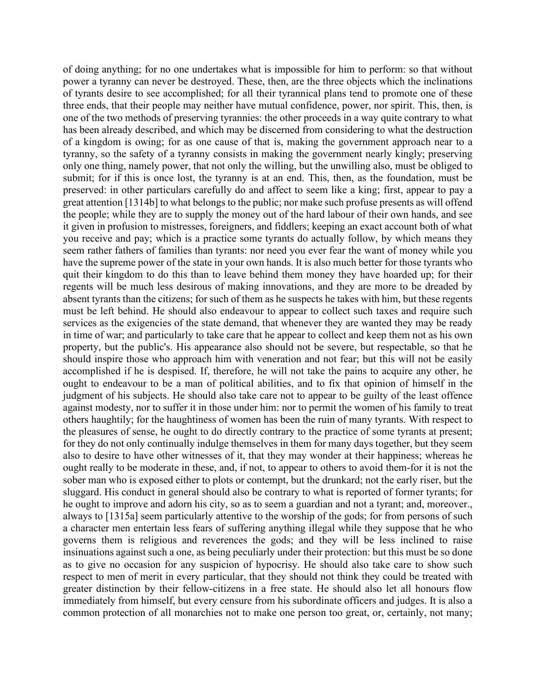of doing anything; for no one undertakes what is impossible for him to perform: so that without power a tyranny can never be destroyed. These, then, are the three objects which the inclinations of tyrants desire to see accomplished; for all their tyrannical plans tend to promote one of these three ends, that their people may neither have mutual confidence, power, nor spirit. This, then, is one of the two methods of preserving tyrannies: the other proceeds in a way quite contrary to what has been already described, and which may be discerned from considering to what the destruction of a kingdom is owing; for as one cause of that is, making the government approach near to a tyranny, so the safety of a tyranny consists in making the government nearly kingly; preserving only one thing, namely power, that not only the willing, but the unwilling also, must be obliged to submit; for if this is once lost, the tyranny is at an end. This, then, as the foundation, must be preserved: in other particulars carefully do and affect to seem like a king; first, appear to pay a great attention [1314b] to what belongs to the public; nor make such profuse presents as will offend the people; while they are to supply the money out of the hard labour of their own hands, and see it given in profusion to mistresses, foreigners, and fiddlers; keeping an exact account both of what you receive and pay; which is a practice some tyrants do actually follow, by which means they seem rather fathers of families than tyrants: nor need you ever fear the want of money while you have the supreme power of the state in your own hands. It is also much better for those tyrants who quit their kingdom to do this than to leave behind them money they have hoarded up; for their regents will be much less desirous of making innovations, and they are more to be dreaded by absent tyrants than the citizens; for such of them as he suspects he takes with him, but these regents must be left behind. He should also endeavour to appear to collect such taxes and require such services as the exigencies of the state demand, that whenever they are wanted they may be ready in time of war; and particularly to take care that he appear to collect and keep them not as his own property, but the public's. His appearance also should not be severe, but respectable, so that he should inspire those who approach him with veneration and not fear; but this will not be easily accomplished if he is despised. If, therefore, he will not take the pains to acquire any other, he ought to endeavour to be a man of political abilities, and to fix that opinion of himself in the judgment of his subjects. He should also take care not to appear to be guilty of the least offence against modesty, nor to suffer it in those under him: nor to permit the women of his family to treat others haughtily; for the haughtiness of women has been the ruin of many tyrants. With respect to the pleasures of sense, he ought to do directly contrary to the practice of some tyrants at present; for they do not only continually indulge themselves in them for many days together, but they seem also to desire to have other witnesses of it, that they may wonder at their happiness; whereas he ought really to be moderate in these, and, if not, to appear to others to avoid them-for it is not the sober man who is exposed either to plots or contempt, but the drunkard; not the early riser, but the sluggard. His conduct in general should also be contrary to what is reported of former tyrants; for he ought to improve and adorn his city, so as to seem a guardian and not a tyrant; and, moreover., always to [1315a] seem particularly attentive to the worship of the gods; for from persons of such a character men entertain less fears of suffering anything illegal while they suppose that he who governs them is religious and reverences the gods; and they will be less inclined to raise insinuations against such a one, as being peculiarly under their protection: but this must be so done as to give no occasion for any suspicion of hypocrisy. He should also take care to show such respect to men of merit in every particular, that they should not think they could be treated with greater distinction by their fellow-citizens in a free state. He should also let all honours flow immediately from himself, but every censure from his subordinate officers and judges. It is also a common protection of all monarchies not to make one person too great, or, certainly, not many;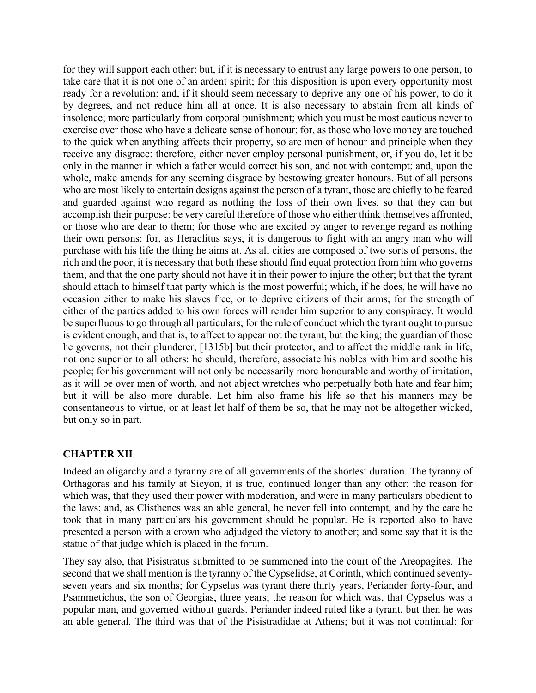for they will support each other: but, if it is necessary to entrust any large powers to one person, to take care that it is not one of an ardent spirit; for this disposition is upon every opportunity most ready for a revolution: and, if it should seem necessary to deprive any one of his power, to do it by degrees, and not reduce him all at once. It is also necessary to abstain from all kinds of insolence; more particularly from corporal punishment; which you must be most cautious never to exercise over those who have a delicate sense of honour; for, as those who love money are touched to the quick when anything affects their property, so are men of honour and principle when they receive any disgrace: therefore, either never employ personal punishment, or, if you do, let it be only in the manner in which a father would correct his son, and not with contempt; and, upon the whole, make amends for any seeming disgrace by bestowing greater honours. But of all persons who are most likely to entertain designs against the person of a tyrant, those are chiefly to be feared and guarded against who regard as nothing the loss of their own lives, so that they can but accomplish their purpose: be very careful therefore of those who either think themselves affronted, or those who are dear to them; for those who are excited by anger to revenge regard as nothing their own persons: for, as Heraclitus says, it is dangerous to fight with an angry man who will purchase with his life the thing he aims at. As all cities are composed of two sorts of persons, the rich and the poor, it is necessary that both these should find equal protection from him who governs them, and that the one party should not have it in their power to injure the other; but that the tyrant should attach to himself that party which is the most powerful; which, if he does, he will have no occasion either to make his slaves free, or to deprive citizens of their arms; for the strength of either of the parties added to his own forces will render him superior to any conspiracy. It would be superfluous to go through all particulars; for the rule of conduct which the tyrant ought to pursue is evident enough, and that is, to affect to appear not the tyrant, but the king; the guardian of those he governs, not their plunderer, [1315b] but their protector, and to affect the middle rank in life, not one superior to all others: he should, therefore, associate his nobles with him and soothe his people; for his government will not only be necessarily more honourable and worthy of imitation, as it will be over men of worth, and not abject wretches who perpetually both hate and fear him; but it will be also more durable. Let him also frame his life so that his manners may be consentaneous to virtue, or at least let half of them be so, that he may not be altogether wicked, but only so in part.

### **CHAPTER XII**

Indeed an oligarchy and a tyranny are of all governments of the shortest duration. The tyranny of Orthagoras and his family at Sicyon, it is true, continued longer than any other: the reason for which was, that they used their power with moderation, and were in many particulars obedient to the laws; and, as Clisthenes was an able general, he never fell into contempt, and by the care he took that in many particulars his government should be popular. He is reported also to have presented a person with a crown who adjudged the victory to another; and some say that it is the statue of that judge which is placed in the forum.

They say also, that Pisistratus submitted to be summoned into the court of the Areopagites. The second that we shall mention is the tyranny of the Cypselidse, at Corinth, which continued seventyseven years and six months; for Cypselus was tyrant there thirty years, Periander forty-four, and Psammetichus, the son of Georgias, three years; the reason for which was, that Cypselus was a popular man, and governed without guards. Periander indeed ruled like a tyrant, but then he was an able general. The third was that of the Pisistradidae at Athens; but it was not continual: for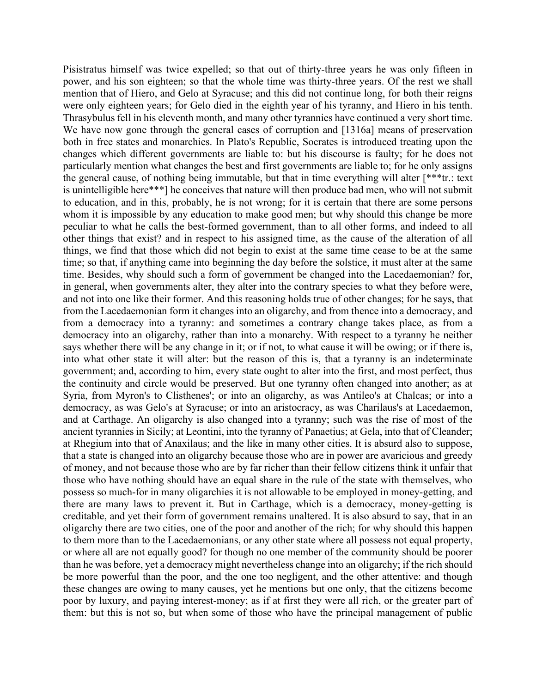Pisistratus himself was twice expelled; so that out of thirty-three years he was only fifteen in power, and his son eighteen; so that the whole time was thirty-three years. Of the rest we shall mention that of Hiero, and Gelo at Syracuse; and this did not continue long, for both their reigns were only eighteen years; for Gelo died in the eighth year of his tyranny, and Hiero in his tenth. Thrasybulus fell in his eleventh month, and many other tyrannies have continued a very short time. We have now gone through the general cases of corruption and [1316a] means of preservation both in free states and monarchies. In Plato's Republic, Socrates is introduced treating upon the changes which different governments are liable to: but his discourse is faulty; for he does not particularly mention what changes the best and first governments are liable to; for he only assigns the general cause, of nothing being immutable, but that in time everything will alter [\*\*\*tr.: text is unintelligible here\*\*\*] he conceives that nature will then produce bad men, who will not submit to education, and in this, probably, he is not wrong; for it is certain that there are some persons whom it is impossible by any education to make good men; but why should this change be more peculiar to what he calls the best-formed government, than to all other forms, and indeed to all other things that exist? and in respect to his assigned time, as the cause of the alteration of all things, we find that those which did not begin to exist at the same time cease to be at the same time; so that, if anything came into beginning the day before the solstice, it must alter at the same time. Besides, why should such a form of government be changed into the Lacedaemonian? for, in general, when governments alter, they alter into the contrary species to what they before were, and not into one like their former. And this reasoning holds true of other changes; for he says, that from the Lacedaemonian form it changes into an oligarchy, and from thence into a democracy, and from a democracy into a tyranny: and sometimes a contrary change takes place, as from a democracy into an oligarchy, rather than into a monarchy. With respect to a tyranny he neither says whether there will be any change in it; or if not, to what cause it will be owing; or if there is, into what other state it will alter: but the reason of this is, that a tyranny is an indeterminate government; and, according to him, every state ought to alter into the first, and most perfect, thus the continuity and circle would be preserved. But one tyranny often changed into another; as at Syria, from Myron's to Clisthenes'; or into an oligarchy, as was Antileo's at Chalcas; or into a democracy, as was Gelo's at Syracuse; or into an aristocracy, as was Charilaus's at Lacedaemon, and at Carthage. An oligarchy is also changed into a tyranny; such was the rise of most of the ancient tyrannies in Sicily; at Leontini, into the tyranny of Panaetius; at Gela, into that of Cleander; at Rhegium into that of Anaxilaus; and the like in many other cities. It is absurd also to suppose, that a state is changed into an oligarchy because those who are in power are avaricious and greedy of money, and not because those who are by far richer than their fellow citizens think it unfair that those who have nothing should have an equal share in the rule of the state with themselves, who possess so much-for in many oligarchies it is not allowable to be employed in money-getting, and there are many laws to prevent it. But in Carthage, which is a democracy, money-getting is creditable, and yet their form of government remains unaltered. It is also absurd to say, that in an oligarchy there are two cities, one of the poor and another of the rich; for why should this happen to them more than to the Lacedaemonians, or any other state where all possess not equal property, or where all are not equally good? for though no one member of the community should be poorer than he was before, yet a democracy might nevertheless change into an oligarchy; if the rich should be more powerful than the poor, and the one too negligent, and the other attentive: and though these changes are owing to many causes, yet he mentions but one only, that the citizens become poor by luxury, and paying interest-money; as if at first they were all rich, or the greater part of them: but this is not so, but when some of those who have the principal management of public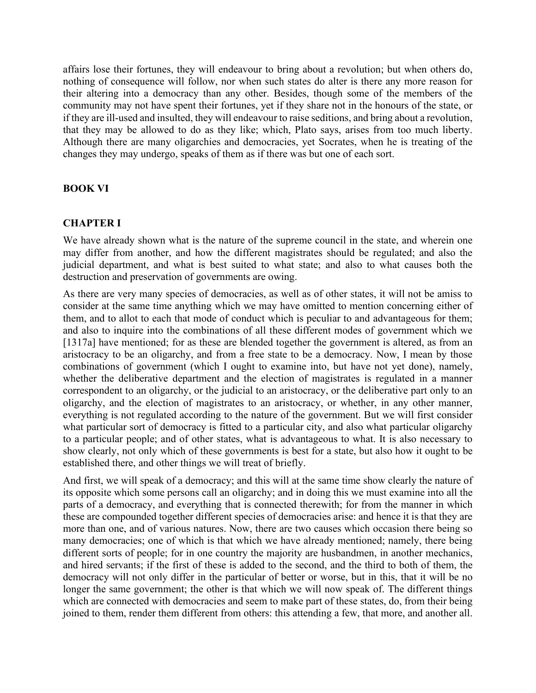affairs lose their fortunes, they will endeavour to bring about a revolution; but when others do, nothing of consequence will follow, nor when such states do alter is there any more reason for their altering into a democracy than any other. Besides, though some of the members of the community may not have spent their fortunes, yet if they share not in the honours of the state, or if they are ill-used and insulted, they will endeavour to raise seditions, and bring about a revolution, that they may be allowed to do as they like; which, Plato says, arises from too much liberty. Although there are many oligarchies and democracies, yet Socrates, when he is treating of the changes they may undergo, speaks of them as if there was but one of each sort.

## **BOOK VI**

#### **CHAPTER I**

We have already shown what is the nature of the supreme council in the state, and wherein one may differ from another, and how the different magistrates should be regulated; and also the judicial department, and what is best suited to what state; and also to what causes both the destruction and preservation of governments are owing.

As there are very many species of democracies, as well as of other states, it will not be amiss to consider at the same time anything which we may have omitted to mention concerning either of them, and to allot to each that mode of conduct which is peculiar to and advantageous for them; and also to inquire into the combinations of all these different modes of government which we [1317a] have mentioned; for as these are blended together the government is altered, as from an aristocracy to be an oligarchy, and from a free state to be a democracy. Now, I mean by those combinations of government (which I ought to examine into, but have not yet done), namely, whether the deliberative department and the election of magistrates is regulated in a manner correspondent to an oligarchy, or the judicial to an aristocracy, or the deliberative part only to an oligarchy, and the election of magistrates to an aristocracy, or whether, in any other manner, everything is not regulated according to the nature of the government. But we will first consider what particular sort of democracy is fitted to a particular city, and also what particular oligarchy to a particular people; and of other states, what is advantageous to what. It is also necessary to show clearly, not only which of these governments is best for a state, but also how it ought to be established there, and other things we will treat of briefly.

And first, we will speak of a democracy; and this will at the same time show clearly the nature of its opposite which some persons call an oligarchy; and in doing this we must examine into all the parts of a democracy, and everything that is connected therewith; for from the manner in which these are compounded together different species of democracies arise: and hence it is that they are more than one, and of various natures. Now, there are two causes which occasion there being so many democracies; one of which is that which we have already mentioned; namely, there being different sorts of people; for in one country the majority are husbandmen, in another mechanics, and hired servants; if the first of these is added to the second, and the third to both of them, the democracy will not only differ in the particular of better or worse, but in this, that it will be no longer the same government; the other is that which we will now speak of. The different things which are connected with democracies and seem to make part of these states, do, from their being joined to them, render them different from others: this attending a few, that more, and another all.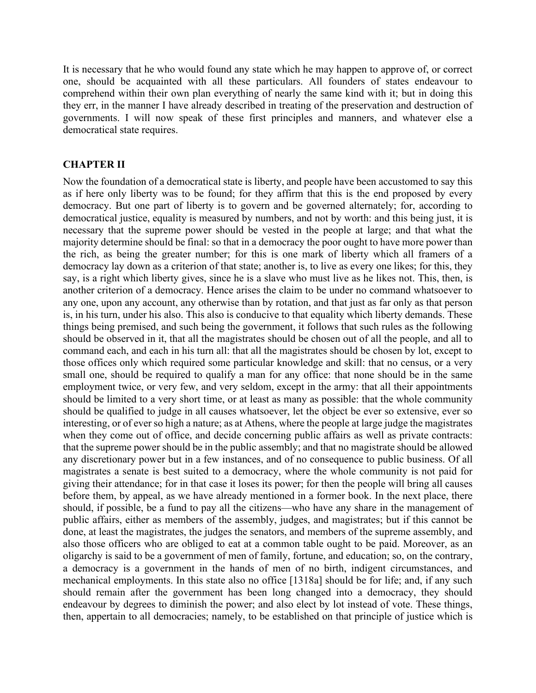It is necessary that he who would found any state which he may happen to approve of, or correct one, should be acquainted with all these particulars. All founders of states endeavour to comprehend within their own plan everything of nearly the same kind with it; but in doing this they err, in the manner I have already described in treating of the preservation and destruction of governments. I will now speak of these first principles and manners, and whatever else a democratical state requires.

#### **CHAPTER II**

Now the foundation of a democratical state is liberty, and people have been accustomed to say this as if here only liberty was to be found; for they affirm that this is the end proposed by every democracy. But one part of liberty is to govern and be governed alternately; for, according to democratical justice, equality is measured by numbers, and not by worth: and this being just, it is necessary that the supreme power should be vested in the people at large; and that what the majority determine should be final: so that in a democracy the poor ought to have more power than the rich, as being the greater number; for this is one mark of liberty which all framers of a democracy lay down as a criterion of that state; another is, to live as every one likes; for this, they say, is a right which liberty gives, since he is a slave who must live as he likes not. This, then, is another criterion of a democracy. Hence arises the claim to be under no command whatsoever to any one, upon any account, any otherwise than by rotation, and that just as far only as that person is, in his turn, under his also. This also is conducive to that equality which liberty demands. These things being premised, and such being the government, it follows that such rules as the following should be observed in it, that all the magistrates should be chosen out of all the people, and all to command each, and each in his turn all: that all the magistrates should be chosen by lot, except to those offices only which required some particular knowledge and skill: that no census, or a very small one, should be required to qualify a man for any office: that none should be in the same employment twice, or very few, and very seldom, except in the army: that all their appointments should be limited to a very short time, or at least as many as possible: that the whole community should be qualified to judge in all causes whatsoever, let the object be ever so extensive, ever so interesting, or of ever so high a nature; as at Athens, where the people at large judge the magistrates when they come out of office, and decide concerning public affairs as well as private contracts: that the supreme power should be in the public assembly; and that no magistrate should be allowed any discretionary power but in a few instances, and of no consequence to public business. Of all magistrates a senate is best suited to a democracy, where the whole community is not paid for giving their attendance; for in that case it loses its power; for then the people will bring all causes before them, by appeal, as we have already mentioned in a former book. In the next place, there should, if possible, be a fund to pay all the citizens—who have any share in the management of public affairs, either as members of the assembly, judges, and magistrates; but if this cannot be done, at least the magistrates, the judges the senators, and members of the supreme assembly, and also those officers who are obliged to eat at a common table ought to be paid. Moreover, as an oligarchy is said to be a government of men of family, fortune, and education; so, on the contrary, a democracy is a government in the hands of men of no birth, indigent circumstances, and mechanical employments. In this state also no office [1318a] should be for life; and, if any such should remain after the government has been long changed into a democracy, they should endeavour by degrees to diminish the power; and also elect by lot instead of vote. These things, then, appertain to all democracies; namely, to be established on that principle of justice which is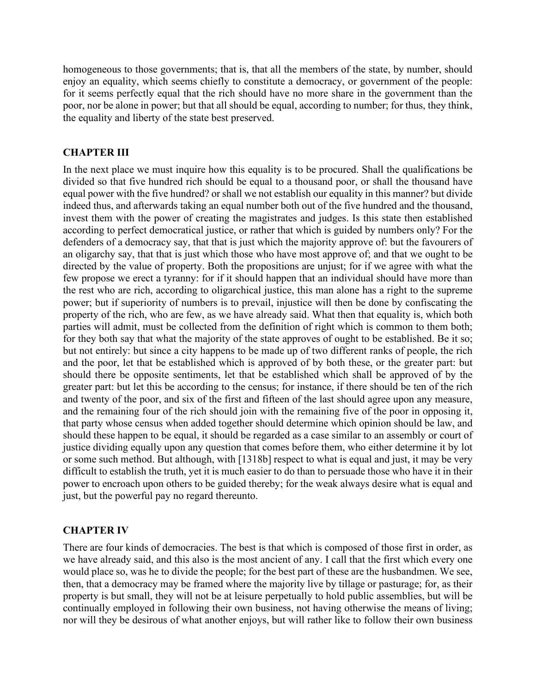homogeneous to those governments; that is, that all the members of the state, by number, should enjoy an equality, which seems chiefly to constitute a democracy, or government of the people: for it seems perfectly equal that the rich should have no more share in the government than the poor, nor be alone in power; but that all should be equal, according to number; for thus, they think, the equality and liberty of the state best preserved.

## **CHAPTER III**

In the next place we must inquire how this equality is to be procured. Shall the qualifications be divided so that five hundred rich should be equal to a thousand poor, or shall the thousand have equal power with the five hundred? or shall we not establish our equality in this manner? but divide indeed thus, and afterwards taking an equal number both out of the five hundred and the thousand, invest them with the power of creating the magistrates and judges. Is this state then established according to perfect democratical justice, or rather that which is guided by numbers only? For the defenders of a democracy say, that that is just which the majority approve of: but the favourers of an oligarchy say, that that is just which those who have most approve of; and that we ought to be directed by the value of property. Both the propositions are unjust; for if we agree with what the few propose we erect a tyranny: for if it should happen that an individual should have more than the rest who are rich, according to oligarchical justice, this man alone has a right to the supreme power; but if superiority of numbers is to prevail, injustice will then be done by confiscating the property of the rich, who are few, as we have already said. What then that equality is, which both parties will admit, must be collected from the definition of right which is common to them both; for they both say that what the majority of the state approves of ought to be established. Be it so; but not entirely: but since a city happens to be made up of two different ranks of people, the rich and the poor, let that be established which is approved of by both these, or the greater part: but should there be opposite sentiments, let that be established which shall be approved of by the greater part: but let this be according to the census; for instance, if there should be ten of the rich and twenty of the poor, and six of the first and fifteen of the last should agree upon any measure, and the remaining four of the rich should join with the remaining five of the poor in opposing it, that party whose census when added together should determine which opinion should be law, and should these happen to be equal, it should be regarded as a case similar to an assembly or court of justice dividing equally upon any question that comes before them, who either determine it by lot or some such method. But although, with [1318b] respect to what is equal and just, it may be very difficult to establish the truth, yet it is much easier to do than to persuade those who have it in their power to encroach upon others to be guided thereby; for the weak always desire what is equal and just, but the powerful pay no regard thereunto.

### **CHAPTER IV**

There are four kinds of democracies. The best is that which is composed of those first in order, as we have already said, and this also is the most ancient of any. I call that the first which every one would place so, was he to divide the people; for the best part of these are the husbandmen. We see, then, that a democracy may be framed where the majority live by tillage or pasturage; for, as their property is but small, they will not be at leisure perpetually to hold public assemblies, but will be continually employed in following their own business, not having otherwise the means of living; nor will they be desirous of what another enjoys, but will rather like to follow their own business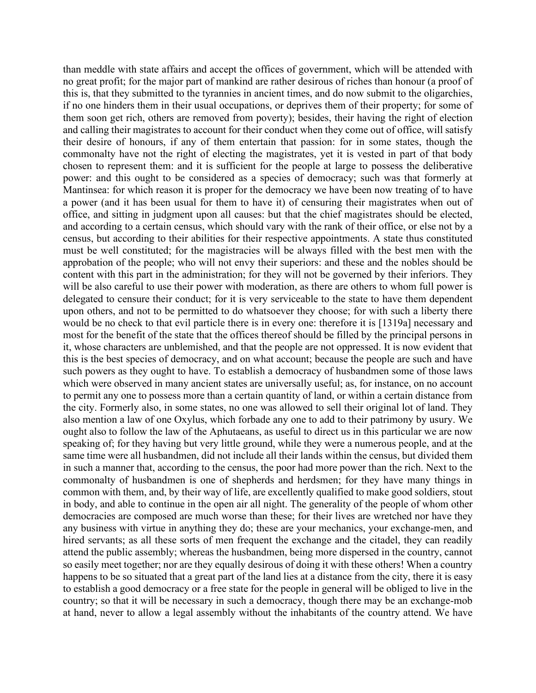than meddle with state affairs and accept the offices of government, which will be attended with no great profit; for the major part of mankind are rather desirous of riches than honour (a proof of this is, that they submitted to the tyrannies in ancient times, and do now submit to the oligarchies, if no one hinders them in their usual occupations, or deprives them of their property; for some of them soon get rich, others are removed from poverty); besides, their having the right of election and calling their magistrates to account for their conduct when they come out of office, will satisfy their desire of honours, if any of them entertain that passion: for in some states, though the commonalty have not the right of electing the magistrates, yet it is vested in part of that body chosen to represent them: and it is sufficient for the people at large to possess the deliberative power: and this ought to be considered as a species of democracy; such was that formerly at Mantinsea: for which reason it is proper for the democracy we have been now treating of to have a power (and it has been usual for them to have it) of censuring their magistrates when out of office, and sitting in judgment upon all causes: but that the chief magistrates should be elected, and according to a certain census, which should vary with the rank of their office, or else not by a census, but according to their abilities for their respective appointments. A state thus constituted must be well constituted; for the magistracies will be always filled with the best men with the approbation of the people; who will not envy their superiors: and these and the nobles should be content with this part in the administration; for they will not be governed by their inferiors. They will be also careful to use their power with moderation, as there are others to whom full power is delegated to censure their conduct; for it is very serviceable to the state to have them dependent upon others, and not to be permitted to do whatsoever they choose; for with such a liberty there would be no check to that evil particle there is in every one: therefore it is [1319a] necessary and most for the benefit of the state that the offices thereof should be filled by the principal persons in it, whose characters are unblemished, and that the people are not oppressed. It is now evident that this is the best species of democracy, and on what account; because the people are such and have such powers as they ought to have. To establish a democracy of husbandmen some of those laws which were observed in many ancient states are universally useful; as, for instance, on no account to permit any one to possess more than a certain quantity of land, or within a certain distance from the city. Formerly also, in some states, no one was allowed to sell their original lot of land. They also mention a law of one Oxylus, which forbade any one to add to their patrimony by usury. We ought also to follow the law of the Aphutaeans, as useful to direct us in this particular we are now speaking of; for they having but very little ground, while they were a numerous people, and at the same time were all husbandmen, did not include all their lands within the census, but divided them in such a manner that, according to the census, the poor had more power than the rich. Next to the commonalty of husbandmen is one of shepherds and herdsmen; for they have many things in common with them, and, by their way of life, are excellently qualified to make good soldiers, stout in body, and able to continue in the open air all night. The generality of the people of whom other democracies are composed are much worse than these; for their lives are wretched nor have they any business with virtue in anything they do; these are your mechanics, your exchange-men, and hired servants; as all these sorts of men frequent the exchange and the citadel, they can readily attend the public assembly; whereas the husbandmen, being more dispersed in the country, cannot so easily meet together; nor are they equally desirous of doing it with these others! When a country happens to be so situated that a great part of the land lies at a distance from the city, there it is easy to establish a good democracy or a free state for the people in general will be obliged to live in the country; so that it will be necessary in such a democracy, though there may be an exchange-mob at hand, never to allow a legal assembly without the inhabitants of the country attend. We have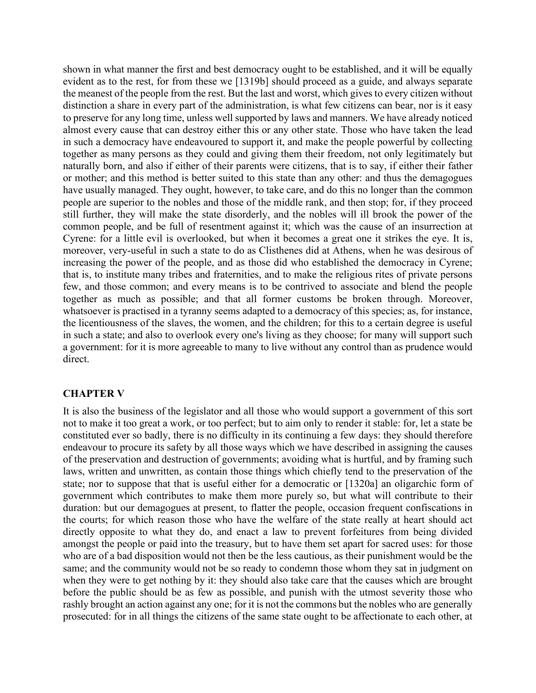shown in what manner the first and best democracy ought to be established, and it will be equally evident as to the rest, for from these we [1319b] should proceed as a guide, and always separate the meanest of the people from the rest. But the last and worst, which gives to every citizen without distinction a share in every part of the administration, is what few citizens can bear, nor is it easy to preserve for any long time, unless well supported by laws and manners. We have already noticed almost every cause that can destroy either this or any other state. Those who have taken the lead in such a democracy have endeavoured to support it, and make the people powerful by collecting together as many persons as they could and giving them their freedom, not only legitimately but naturally born, and also if either of their parents were citizens, that is to say, if either their father or mother; and this method is better suited to this state than any other: and thus the demagogues have usually managed. They ought, however, to take care, and do this no longer than the common people are superior to the nobles and those of the middle rank, and then stop; for, if they proceed still further, they will make the state disorderly, and the nobles will ill brook the power of the common people, and be full of resentment against it; which was the cause of an insurrection at Cyrene: for a little evil is overlooked, but when it becomes a great one it strikes the eye. It is, moreover, very-useful in such a state to do as Clisthenes did at Athens, when he was desirous of increasing the power of the people, and as those did who established the democracy in Cyrene; that is, to institute many tribes and fraternities, and to make the religious rites of private persons few, and those common; and every means is to be contrived to associate and blend the people together as much as possible; and that all former customs be broken through. Moreover, whatsoever is practised in a tyranny seems adapted to a democracy of this species; as, for instance, the licentiousness of the slaves, the women, and the children; for this to a certain degree is useful in such a state; and also to overlook every one's living as they choose; for many will support such a government: for it is more agreeable to many to live without any control than as prudence would direct.

### **CHAPTER V**

It is also the business of the legislator and all those who would support a government of this sort not to make it too great a work, or too perfect; but to aim only to render it stable: for, let a state be constituted ever so badly, there is no difficulty in its continuing a few days: they should therefore endeavour to procure its safety by all those ways which we have described in assigning the causes of the preservation and destruction of governments; avoiding what is hurtful, and by framing such laws, written and unwritten, as contain those things which chiefly tend to the preservation of the state; nor to suppose that that is useful either for a democratic or [1320a] an oligarchic form of government which contributes to make them more purely so, but what will contribute to their duration: but our demagogues at present, to flatter the people, occasion frequent confiscations in the courts; for which reason those who have the welfare of the state really at heart should act directly opposite to what they do, and enact a law to prevent forfeitures from being divided amongst the people or paid into the treasury, but to have them set apart for sacred uses: for those who are of a bad disposition would not then be the less cautious, as their punishment would be the same; and the community would not be so ready to condemn those whom they sat in judgment on when they were to get nothing by it: they should also take care that the causes which are brought before the public should be as few as possible, and punish with the utmost severity those who rashly brought an action against any one; for it is not the commons but the nobles who are generally prosecuted: for in all things the citizens of the same state ought to be affectionate to each other, at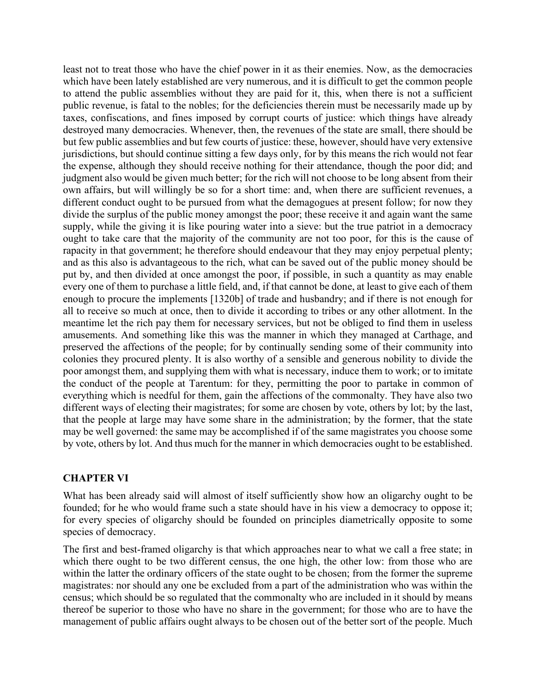least not to treat those who have the chief power in it as their enemies. Now, as the democracies which have been lately established are very numerous, and it is difficult to get the common people to attend the public assemblies without they are paid for it, this, when there is not a sufficient public revenue, is fatal to the nobles; for the deficiencies therein must be necessarily made up by taxes, confiscations, and fines imposed by corrupt courts of justice: which things have already destroyed many democracies. Whenever, then, the revenues of the state are small, there should be but few public assemblies and but few courts of justice: these, however, should have very extensive jurisdictions, but should continue sitting a few days only, for by this means the rich would not fear the expense, although they should receive nothing for their attendance, though the poor did; and judgment also would be given much better; for the rich will not choose to be long absent from their own affairs, but will willingly be so for a short time: and, when there are sufficient revenues, a different conduct ought to be pursued from what the demagogues at present follow; for now they divide the surplus of the public money amongst the poor; these receive it and again want the same supply, while the giving it is like pouring water into a sieve: but the true patriot in a democracy ought to take care that the majority of the community are not too poor, for this is the cause of rapacity in that government; he therefore should endeavour that they may enjoy perpetual plenty; and as this also is advantageous to the rich, what can be saved out of the public money should be put by, and then divided at once amongst the poor, if possible, in such a quantity as may enable every one of them to purchase a little field, and, if that cannot be done, at least to give each of them enough to procure the implements [1320b] of trade and husbandry; and if there is not enough for all to receive so much at once, then to divide it according to tribes or any other allotment. In the meantime let the rich pay them for necessary services, but not be obliged to find them in useless amusements. And something like this was the manner in which they managed at Carthage, and preserved the affections of the people; for by continually sending some of their community into colonies they procured plenty. It is also worthy of a sensible and generous nobility to divide the poor amongst them, and supplying them with what is necessary, induce them to work; or to imitate the conduct of the people at Tarentum: for they, permitting the poor to partake in common of everything which is needful for them, gain the affections of the commonalty. They have also two different ways of electing their magistrates; for some are chosen by vote, others by lot; by the last, that the people at large may have some share in the administration; by the former, that the state may be well governed: the same may be accomplished if of the same magistrates you choose some by vote, others by lot. And thus much for the manner in which democracies ought to be established.

### **CHAPTER VI**

What has been already said will almost of itself sufficiently show how an oligarchy ought to be founded; for he who would frame such a state should have in his view a democracy to oppose it; for every species of oligarchy should be founded on principles diametrically opposite to some species of democracy.

The first and best-framed oligarchy is that which approaches near to what we call a free state; in which there ought to be two different census, the one high, the other low: from those who are within the latter the ordinary officers of the state ought to be chosen; from the former the supreme magistrates: nor should any one be excluded from a part of the administration who was within the census; which should be so regulated that the commonalty who are included in it should by means thereof be superior to those who have no share in the government; for those who are to have the management of public affairs ought always to be chosen out of the better sort of the people. Much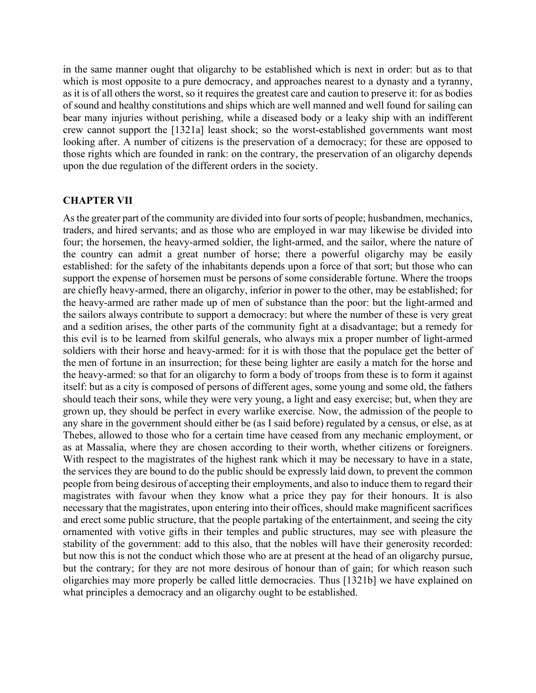in the same manner ought that oligarchy to be established which is next in order: but as to that which is most opposite to a pure democracy, and approaches nearest to a dynasty and a tyranny, as it is of all others the worst, so it requires the greatest care and caution to preserve it: for as bodies of sound and healthy constitutions and ships which are well manned and well found for sailing can bear many injuries without perishing, while a diseased body or a leaky ship with an indifferent crew cannot support the [1321a] least shock; so the worst-established governments want most looking after. A number of citizens is the preservation of a democracy; for these are opposed to those rights which are founded in rank: on the contrary, the preservation of an oligarchy depends upon the due regulation of the different orders in the society.

#### **CHAPTER VII**

As the greater part of the community are divided into four sorts of people; husbandmen, mechanics, traders, and hired servants; and as those who are employed in war may likewise be divided into four; the horsemen, the heavy-armed soldier, the light-armed, and the sailor, where the nature of the country can admit a great number of horse; there a powerful oligarchy may be easily established: for the safety of the inhabitants depends upon a force of that sort; but those who can support the expense of horsemen must be persons of some considerable fortune. Where the troops are chiefly heavy-armed, there an oligarchy, inferior in power to the other, may be established; for the heavy-armed are rather made up of men of substance than the poor: but the light-armed and the sailors always contribute to support a democracy: but where the number of these is very great and a sedition arises, the other parts of the community fight at a disadvantage; but a remedy for this evil is to be learned from skilful generals, who always mix a proper number of light-armed soldiers with their horse and heavy-armed: for it is with those that the populace get the better of the men of fortune in an insurrection; for these being lighter are easily a match for the horse and the heavy-armed: so that for an oligarchy to form a body of troops from these is to form it against itself: but as a city is composed of persons of different ages, some young and some old, the fathers should teach their sons, while they were very young, a light and easy exercise; but, when they are grown up, they should be perfect in every warlike exercise. Now, the admission of the people to any share in the government should either be (as I said before) regulated by a census, or else, as at Thebes, allowed to those who for a certain time have ceased from any mechanic employment, or as at Massalia, where they are chosen according to their worth, whether citizens or foreigners. With respect to the magistrates of the highest rank which it may be necessary to have in a state, the services they are bound to do the public should be expressly laid down, to prevent the common people from being desirous of accepting their employments, and also to induce them to regard their magistrates with favour when they know what a price they pay for their honours. It is also necessary that the magistrates, upon entering into their offices, should make magnificent sacrifices and erect some public structure, that the people partaking of the entertainment, and seeing the city ornamented with votive gifts in their temples and public structures, may see with pleasure the stability of the government: add to this also, that the nobles will have their generosity recorded: but now this is not the conduct which those who are at present at the head of an oligarchy pursue, but the contrary; for they are not more desirous of honour than of gain; for which reason such oligarchies may more properly be called little democracies. Thus [1321b] we have explained on what principles a democracy and an oligarchy ought to be established.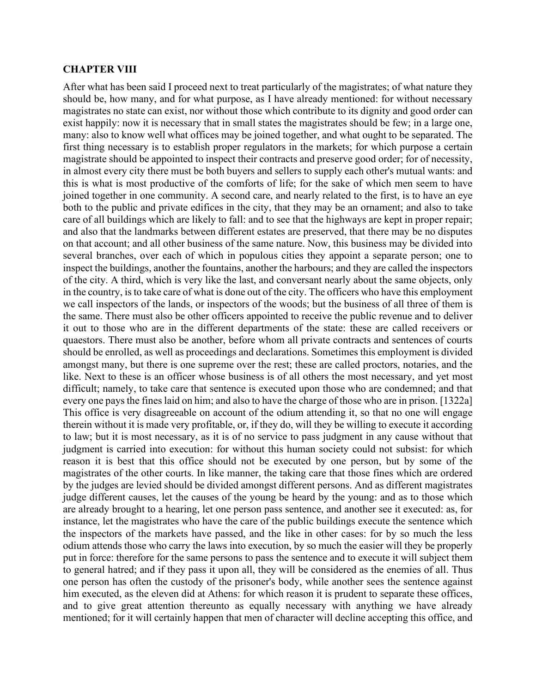#### **CHAPTER VIII**

After what has been said I proceed next to treat particularly of the magistrates; of what nature they should be, how many, and for what purpose, as I have already mentioned: for without necessary magistrates no state can exist, nor without those which contribute to its dignity and good order can exist happily: now it is necessary that in small states the magistrates should be few; in a large one, many: also to know well what offices may be joined together, and what ought to be separated. The first thing necessary is to establish proper regulators in the markets; for which purpose a certain magistrate should be appointed to inspect their contracts and preserve good order; for of necessity, in almost every city there must be both buyers and sellers to supply each other's mutual wants: and this is what is most productive of the comforts of life; for the sake of which men seem to have joined together in one community. A second care, and nearly related to the first, is to have an eye both to the public and private edifices in the city, that they may be an ornament; and also to take care of all buildings which are likely to fall: and to see that the highways are kept in proper repair; and also that the landmarks between different estates are preserved, that there may be no disputes on that account; and all other business of the same nature. Now, this business may be divided into several branches, over each of which in populous cities they appoint a separate person; one to inspect the buildings, another the fountains, another the harbours; and they are called the inspectors of the city. A third, which is very like the last, and conversant nearly about the same objects, only in the country, is to take care of what is done out of the city. The officers who have this employment we call inspectors of the lands, or inspectors of the woods; but the business of all three of them is the same. There must also be other officers appointed to receive the public revenue and to deliver it out to those who are in the different departments of the state: these are called receivers or quaestors. There must also be another, before whom all private contracts and sentences of courts should be enrolled, as well as proceedings and declarations. Sometimes this employment is divided amongst many, but there is one supreme over the rest; these are called proctors, notaries, and the like. Next to these is an officer whose business is of all others the most necessary, and yet most difficult; namely, to take care that sentence is executed upon those who are condemned; and that every one pays the fines laid on him; and also to have the charge of those who are in prison. [1322a] This office is very disagreeable on account of the odium attending it, so that no one will engage therein without it is made very profitable, or, if they do, will they be willing to execute it according to law; but it is most necessary, as it is of no service to pass judgment in any cause without that judgment is carried into execution: for without this human society could not subsist: for which reason it is best that this office should not be executed by one person, but by some of the magistrates of the other courts. In like manner, the taking care that those fines which are ordered by the judges are levied should be divided amongst different persons. And as different magistrates judge different causes, let the causes of the young be heard by the young: and as to those which are already brought to a hearing, let one person pass sentence, and another see it executed: as, for instance, let the magistrates who have the care of the public buildings execute the sentence which the inspectors of the markets have passed, and the like in other cases: for by so much the less odium attends those who carry the laws into execution, by so much the easier will they be properly put in force: therefore for the same persons to pass the sentence and to execute it will subject them to general hatred; and if they pass it upon all, they will be considered as the enemies of all. Thus one person has often the custody of the prisoner's body, while another sees the sentence against him executed, as the eleven did at Athens: for which reason it is prudent to separate these offices, and to give great attention thereunto as equally necessary with anything we have already mentioned; for it will certainly happen that men of character will decline accepting this office, and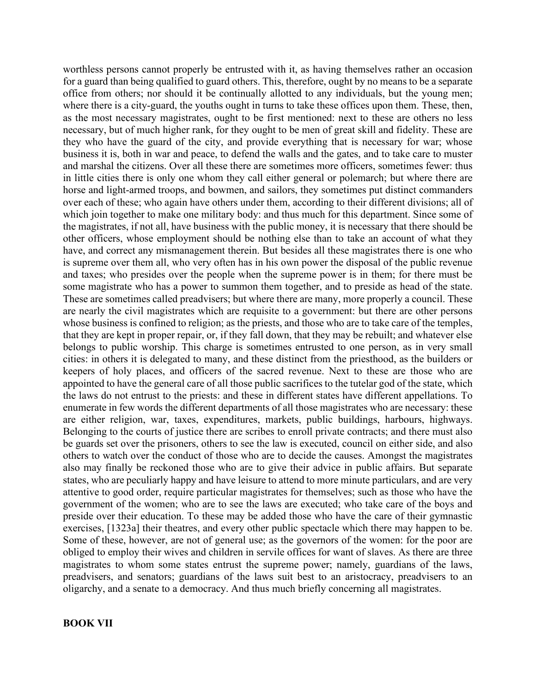worthless persons cannot properly be entrusted with it, as having themselves rather an occasion for a guard than being qualified to guard others. This, therefore, ought by no means to be a separate office from others; nor should it be continually allotted to any individuals, but the young men; where there is a city-guard, the youths ought in turns to take these offices upon them. These, then, as the most necessary magistrates, ought to be first mentioned: next to these are others no less necessary, but of much higher rank, for they ought to be men of great skill and fidelity. These are they who have the guard of the city, and provide everything that is necessary for war; whose business it is, both in war and peace, to defend the walls and the gates, and to take care to muster and marshal the citizens. Over all these there are sometimes more officers, sometimes fewer: thus in little cities there is only one whom they call either general or polemarch; but where there are horse and light-armed troops, and bowmen, and sailors, they sometimes put distinct commanders over each of these; who again have others under them, according to their different divisions; all of which join together to make one military body: and thus much for this department. Since some of the magistrates, if not all, have business with the public money, it is necessary that there should be other officers, whose employment should be nothing else than to take an account of what they have, and correct any mismanagement therein. But besides all these magistrates there is one who is supreme over them all, who very often has in his own power the disposal of the public revenue and taxes; who presides over the people when the supreme power is in them; for there must be some magistrate who has a power to summon them together, and to preside as head of the state. These are sometimes called preadvisers; but where there are many, more properly a council. These are nearly the civil magistrates which are requisite to a government: but there are other persons whose business is confined to religion; as the priests, and those who are to take care of the temples, that they are kept in proper repair, or, if they fall down, that they may be rebuilt; and whatever else belongs to public worship. This charge is sometimes entrusted to one person, as in very small cities: in others it is delegated to many, and these distinct from the priesthood, as the builders or keepers of holy places, and officers of the sacred revenue. Next to these are those who are appointed to have the general care of all those public sacrifices to the tutelar god of the state, which the laws do not entrust to the priests: and these in different states have different appellations. To enumerate in few words the different departments of all those magistrates who are necessary: these are either religion, war, taxes, expenditures, markets, public buildings, harbours, highways. Belonging to the courts of justice there are scribes to enroll private contracts; and there must also be guards set over the prisoners, others to see the law is executed, council on either side, and also others to watch over the conduct of those who are to decide the causes. Amongst the magistrates also may finally be reckoned those who are to give their advice in public affairs. But separate states, who are peculiarly happy and have leisure to attend to more minute particulars, and are very attentive to good order, require particular magistrates for themselves; such as those who have the government of the women; who are to see the laws are executed; who take care of the boys and preside over their education. To these may be added those who have the care of their gymnastic exercises, [1323a] their theatres, and every other public spectacle which there may happen to be. Some of these, however, are not of general use; as the governors of the women: for the poor are obliged to employ their wives and children in servile offices for want of slaves. As there are three magistrates to whom some states entrust the supreme power; namely, guardians of the laws, preadvisers, and senators; guardians of the laws suit best to an aristocracy, preadvisers to an oligarchy, and a senate to a democracy. And thus much briefly concerning all magistrates.

#### **BOOK VII**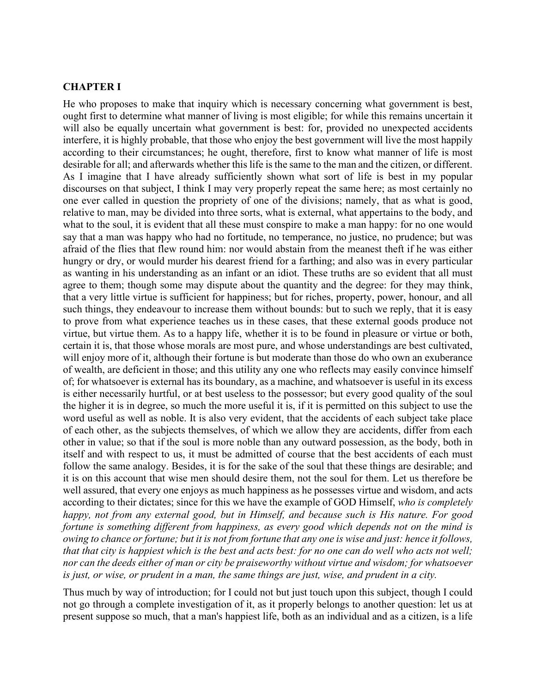#### **CHAPTER I**

He who proposes to make that inquiry which is necessary concerning what government is best, ought first to determine what manner of living is most eligible; for while this remains uncertain it will also be equally uncertain what government is best: for, provided no unexpected accidents interfere, it is highly probable, that those who enjoy the best government will live the most happily according to their circumstances; he ought, therefore, first to know what manner of life is most desirable for all; and afterwards whether this life is the same to the man and the citizen, or different. As I imagine that I have already sufficiently shown what sort of life is best in my popular discourses on that subject, I think I may very properly repeat the same here; as most certainly no one ever called in question the propriety of one of the divisions; namely, that as what is good, relative to man, may be divided into three sorts, what is external, what appertains to the body, and what to the soul, it is evident that all these must conspire to make a man happy: for no one would say that a man was happy who had no fortitude, no temperance, no justice, no prudence; but was afraid of the flies that flew round him: nor would abstain from the meanest theft if he was either hungry or dry, or would murder his dearest friend for a farthing; and also was in every particular as wanting in his understanding as an infant or an idiot. These truths are so evident that all must agree to them; though some may dispute about the quantity and the degree: for they may think, that a very little virtue is sufficient for happiness; but for riches, property, power, honour, and all such things, they endeavour to increase them without bounds: but to such we reply, that it is easy to prove from what experience teaches us in these cases, that these external goods produce not virtue, but virtue them. As to a happy life, whether it is to be found in pleasure or virtue or both, certain it is, that those whose morals are most pure, and whose understandings are best cultivated, will enjoy more of it, although their fortune is but moderate than those do who own an exuberance of wealth, are deficient in those; and this utility any one who reflects may easily convince himself of; for whatsoever is external has its boundary, as a machine, and whatsoever is useful in its excess is either necessarily hurtful, or at best useless to the possessor; but every good quality of the soul the higher it is in degree, so much the more useful it is, if it is permitted on this subject to use the word useful as well as noble. It is also very evident, that the accidents of each subject take place of each other, as the subjects themselves, of which we allow they are accidents, differ from each other in value; so that if the soul is more noble than any outward possession, as the body, both in itself and with respect to us, it must be admitted of course that the best accidents of each must follow the same analogy. Besides, it is for the sake of the soul that these things are desirable; and it is on this account that wise men should desire them, not the soul for them. Let us therefore be well assured, that every one enjoys as much happiness as he possesses virtue and wisdom, and acts according to their dictates; since for this we have the example of GOD Himself, *who is completely happy, not from any external good, but in Himself, and because such is His nature. For good fortune is something different from happiness, as every good which depends not on the mind is owing to chance or fortune; but it is not from fortune that any one is wise and just: hence it follows, that that city is happiest which is the best and acts best: for no one can do well who acts not well; nor can the deeds either of man or city be praiseworthy without virtue and wisdom; for whatsoever is just, or wise, or prudent in a man, the same things are just, wise, and prudent in a city.*

Thus much by way of introduction; for I could not but just touch upon this subject, though I could not go through a complete investigation of it, as it properly belongs to another question: let us at present suppose so much, that a man's happiest life, both as an individual and as a citizen, is a life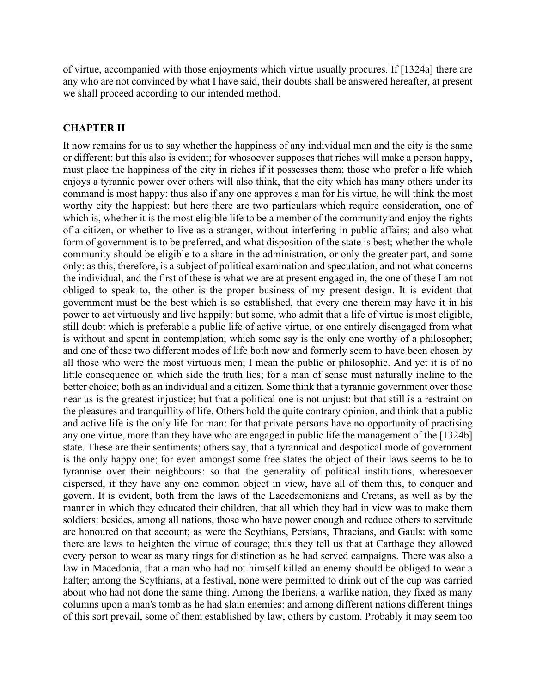of virtue, accompanied with those enjoyments which virtue usually procures. If [1324a] there are any who are not convinced by what I have said, their doubts shall be answered hereafter, at present we shall proceed according to our intended method.

## **CHAPTER II**

It now remains for us to say whether the happiness of any individual man and the city is the same or different: but this also is evident; for whosoever supposes that riches will make a person happy, must place the happiness of the city in riches if it possesses them; those who prefer a life which enjoys a tyrannic power over others will also think, that the city which has many others under its command is most happy: thus also if any one approves a man for his virtue, he will think the most worthy city the happiest: but here there are two particulars which require consideration, one of which is, whether it is the most eligible life to be a member of the community and enjoy the rights of a citizen, or whether to live as a stranger, without interfering in public affairs; and also what form of government is to be preferred, and what disposition of the state is best; whether the whole community should be eligible to a share in the administration, or only the greater part, and some only: as this, therefore, is a subject of political examination and speculation, and not what concerns the individual, and the first of these is what we are at present engaged in, the one of these I am not obliged to speak to, the other is the proper business of my present design. It is evident that government must be the best which is so established, that every one therein may have it in his power to act virtuously and live happily: but some, who admit that a life of virtue is most eligible, still doubt which is preferable a public life of active virtue, or one entirely disengaged from what is without and spent in contemplation; which some say is the only one worthy of a philosopher; and one of these two different modes of life both now and formerly seem to have been chosen by all those who were the most virtuous men; I mean the public or philosophic. And yet it is of no little consequence on which side the truth lies; for a man of sense must naturally incline to the better choice; both as an individual and a citizen. Some think that a tyrannic government over those near us is the greatest injustice; but that a political one is not unjust: but that still is a restraint on the pleasures and tranquillity of life. Others hold the quite contrary opinion, and think that a public and active life is the only life for man: for that private persons have no opportunity of practising any one virtue, more than they have who are engaged in public life the management of the [1324b] state. These are their sentiments; others say, that a tyrannical and despotical mode of government is the only happy one; for even amongst some free states the object of their laws seems to be to tyrannise over their neighbours: so that the generality of political institutions, wheresoever dispersed, if they have any one common object in view, have all of them this, to conquer and govern. It is evident, both from the laws of the Lacedaemonians and Cretans, as well as by the manner in which they educated their children, that all which they had in view was to make them soldiers: besides, among all nations, those who have power enough and reduce others to servitude are honoured on that account; as were the Scythians, Persians, Thracians, and Gauls: with some there are laws to heighten the virtue of courage; thus they tell us that at Carthage they allowed every person to wear as many rings for distinction as he had served campaigns. There was also a law in Macedonia, that a man who had not himself killed an enemy should be obliged to wear a halter; among the Scythians, at a festival, none were permitted to drink out of the cup was carried about who had not done the same thing. Among the Iberians, a warlike nation, they fixed as many columns upon a man's tomb as he had slain enemies: and among different nations different things of this sort prevail, some of them established by law, others by custom. Probably it may seem too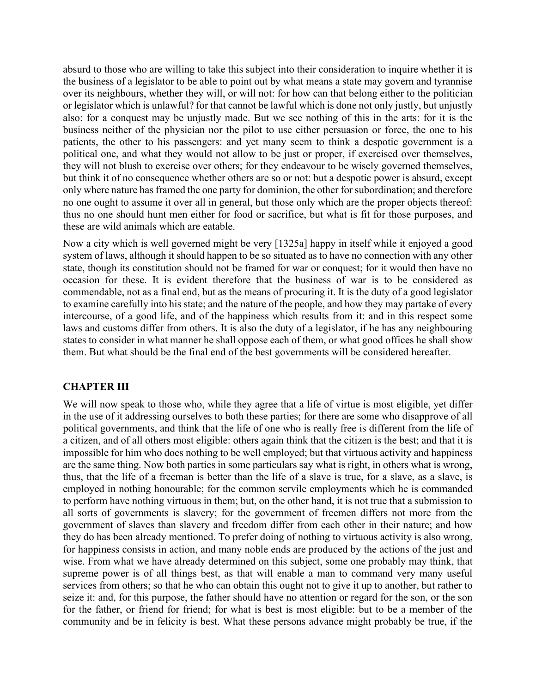absurd to those who are willing to take this subject into their consideration to inquire whether it is the business of a legislator to be able to point out by what means a state may govern and tyrannise over its neighbours, whether they will, or will not: for how can that belong either to the politician or legislator which is unlawful? for that cannot be lawful which is done not only justly, but unjustly also: for a conquest may be unjustly made. But we see nothing of this in the arts: for it is the business neither of the physician nor the pilot to use either persuasion or force, the one to his patients, the other to his passengers: and yet many seem to think a despotic government is a political one, and what they would not allow to be just or proper, if exercised over themselves, they will not blush to exercise over others; for they endeavour to be wisely governed themselves, but think it of no consequence whether others are so or not: but a despotic power is absurd, except only where nature has framed the one party for dominion, the other for subordination; and therefore no one ought to assume it over all in general, but those only which are the proper objects thereof: thus no one should hunt men either for food or sacrifice, but what is fit for those purposes, and these are wild animals which are eatable.

Now a city which is well governed might be very [1325a] happy in itself while it enjoyed a good system of laws, although it should happen to be so situated as to have no connection with any other state, though its constitution should not be framed for war or conquest; for it would then have no occasion for these. It is evident therefore that the business of war is to be considered as commendable, not as a final end, but as the means of procuring it. It is the duty of a good legislator to examine carefully into his state; and the nature of the people, and how they may partake of every intercourse, of a good life, and of the happiness which results from it: and in this respect some laws and customs differ from others. It is also the duty of a legislator, if he has any neighbouring states to consider in what manner he shall oppose each of them, or what good offices he shall show them. But what should be the final end of the best governments will be considered hereafter.

# **CHAPTER III**

We will now speak to those who, while they agree that a life of virtue is most eligible, yet differ in the use of it addressing ourselves to both these parties; for there are some who disapprove of all political governments, and think that the life of one who is really free is different from the life of a citizen, and of all others most eligible: others again think that the citizen is the best; and that it is impossible for him who does nothing to be well employed; but that virtuous activity and happiness are the same thing. Now both parties in some particulars say what is right, in others what is wrong, thus, that the life of a freeman is better than the life of a slave is true, for a slave, as a slave, is employed in nothing honourable; for the common servile employments which he is commanded to perform have nothing virtuous in them; but, on the other hand, it is not true that a submission to all sorts of governments is slavery; for the government of freemen differs not more from the government of slaves than slavery and freedom differ from each other in their nature; and how they do has been already mentioned. To prefer doing of nothing to virtuous activity is also wrong, for happiness consists in action, and many noble ends are produced by the actions of the just and wise. From what we have already determined on this subject, some one probably may think, that supreme power is of all things best, as that will enable a man to command very many useful services from others; so that he who can obtain this ought not to give it up to another, but rather to seize it: and, for this purpose, the father should have no attention or regard for the son, or the son for the father, or friend for friend; for what is best is most eligible: but to be a member of the community and be in felicity is best. What these persons advance might probably be true, if the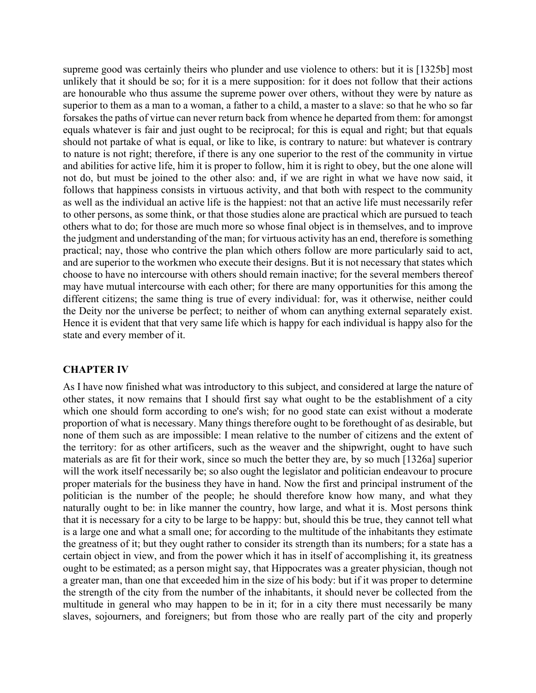supreme good was certainly theirs who plunder and use violence to others: but it is [1325b] most unlikely that it should be so; for it is a mere supposition: for it does not follow that their actions are honourable who thus assume the supreme power over others, without they were by nature as superior to them as a man to a woman, a father to a child, a master to a slave: so that he who so far forsakes the paths of virtue can never return back from whence he departed from them: for amongst equals whatever is fair and just ought to be reciprocal; for this is equal and right; but that equals should not partake of what is equal, or like to like, is contrary to nature: but whatever is contrary to nature is not right; therefore, if there is any one superior to the rest of the community in virtue and abilities for active life, him it is proper to follow, him it is right to obey, but the one alone will not do, but must be joined to the other also: and, if we are right in what we have now said, it follows that happiness consists in virtuous activity, and that both with respect to the community as well as the individual an active life is the happiest: not that an active life must necessarily refer to other persons, as some think, or that those studies alone are practical which are pursued to teach others what to do; for those are much more so whose final object is in themselves, and to improve the judgment and understanding of the man; for virtuous activity has an end, therefore is something practical; nay, those who contrive the plan which others follow are more particularly said to act, and are superior to the workmen who execute their designs. But it is not necessary that states which choose to have no intercourse with others should remain inactive; for the several members thereof may have mutual intercourse with each other; for there are many opportunities for this among the different citizens; the same thing is true of every individual: for, was it otherwise, neither could the Deity nor the universe be perfect; to neither of whom can anything external separately exist. Hence it is evident that that very same life which is happy for each individual is happy also for the state and every member of it.

### **CHAPTER IV**

As I have now finished what was introductory to this subject, and considered at large the nature of other states, it now remains that I should first say what ought to be the establishment of a city which one should form according to one's wish; for no good state can exist without a moderate proportion of what is necessary. Many things therefore ought to be forethought of as desirable, but none of them such as are impossible: I mean relative to the number of citizens and the extent of the territory: for as other artificers, such as the weaver and the shipwright, ought to have such materials as are fit for their work, since so much the better they are, by so much [1326a] superior will the work itself necessarily be; so also ought the legislator and politician endeavour to procure proper materials for the business they have in hand. Now the first and principal instrument of the politician is the number of the people; he should therefore know how many, and what they naturally ought to be: in like manner the country, how large, and what it is. Most persons think that it is necessary for a city to be large to be happy: but, should this be true, they cannot tell what is a large one and what a small one; for according to the multitude of the inhabitants they estimate the greatness of it; but they ought rather to consider its strength than its numbers; for a state has a certain object in view, and from the power which it has in itself of accomplishing it, its greatness ought to be estimated; as a person might say, that Hippocrates was a greater physician, though not a greater man, than one that exceeded him in the size of his body: but if it was proper to determine the strength of the city from the number of the inhabitants, it should never be collected from the multitude in general who may happen to be in it; for in a city there must necessarily be many slaves, sojourners, and foreigners; but from those who are really part of the city and properly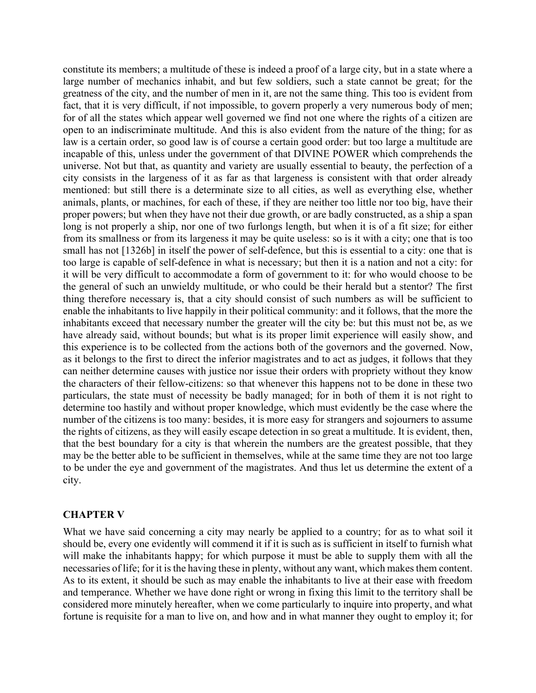constitute its members; a multitude of these is indeed a proof of a large city, but in a state where a large number of mechanics inhabit, and but few soldiers, such a state cannot be great; for the greatness of the city, and the number of men in it, are not the same thing. This too is evident from fact, that it is very difficult, if not impossible, to govern properly a very numerous body of men; for of all the states which appear well governed we find not one where the rights of a citizen are open to an indiscriminate multitude. And this is also evident from the nature of the thing; for as law is a certain order, so good law is of course a certain good order: but too large a multitude are incapable of this, unless under the government of that DIVINE POWER which comprehends the universe. Not but that, as quantity and variety are usually essential to beauty, the perfection of a city consists in the largeness of it as far as that largeness is consistent with that order already mentioned: but still there is a determinate size to all cities, as well as everything else, whether animals, plants, or machines, for each of these, if they are neither too little nor too big, have their proper powers; but when they have not their due growth, or are badly constructed, as a ship a span long is not properly a ship, nor one of two furlongs length, but when it is of a fit size; for either from its smallness or from its largeness it may be quite useless: so is it with a city; one that is too small has not [1326b] in itself the power of self-defence, but this is essential to a city: one that is too large is capable of self-defence in what is necessary; but then it is a nation and not a city: for it will be very difficult to accommodate a form of government to it: for who would choose to be the general of such an unwieldy multitude, or who could be their herald but a stentor? The first thing therefore necessary is, that a city should consist of such numbers as will be sufficient to enable the inhabitants to live happily in their political community: and it follows, that the more the inhabitants exceed that necessary number the greater will the city be: but this must not be, as we have already said, without bounds; but what is its proper limit experience will easily show, and this experience is to be collected from the actions both of the governors and the governed. Now, as it belongs to the first to direct the inferior magistrates and to act as judges, it follows that they can neither determine causes with justice nor issue their orders with propriety without they know the characters of their fellow-citizens: so that whenever this happens not to be done in these two particulars, the state must of necessity be badly managed; for in both of them it is not right to determine too hastily and without proper knowledge, which must evidently be the case where the number of the citizens is too many: besides, it is more easy for strangers and sojourners to assume the rights of citizens, as they will easily escape detection in so great a multitude. It is evident, then, that the best boundary for a city is that wherein the numbers are the greatest possible, that they may be the better able to be sufficient in themselves, while at the same time they are not too large to be under the eye and government of the magistrates. And thus let us determine the extent of a city.

#### **CHAPTER V**

What we have said concerning a city may nearly be applied to a country; for as to what soil it should be, every one evidently will commend it if it is such as is sufficient in itself to furnish what will make the inhabitants happy; for which purpose it must be able to supply them with all the necessaries of life; for it is the having these in plenty, without any want, which makes them content. As to its extent, it should be such as may enable the inhabitants to live at their ease with freedom and temperance. Whether we have done right or wrong in fixing this limit to the territory shall be considered more minutely hereafter, when we come particularly to inquire into property, and what fortune is requisite for a man to live on, and how and in what manner they ought to employ it; for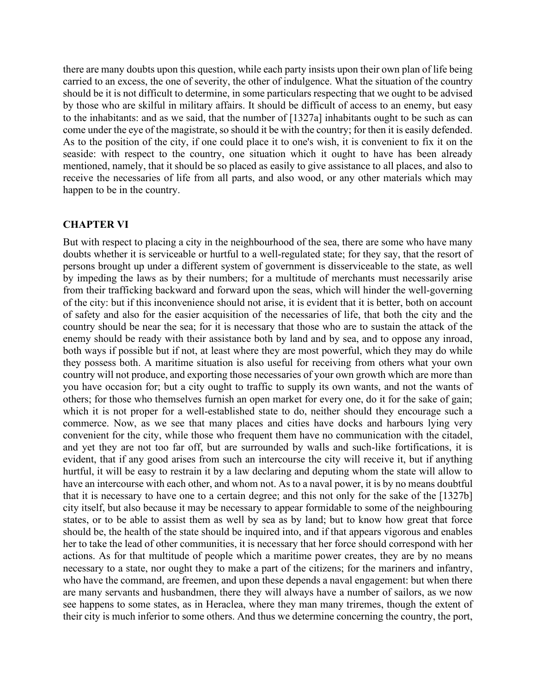there are many doubts upon this question, while each party insists upon their own plan of life being carried to an excess, the one of severity, the other of indulgence. What the situation of the country should be it is not difficult to determine, in some particulars respecting that we ought to be advised by those who are skilful in military affairs. It should be difficult of access to an enemy, but easy to the inhabitants: and as we said, that the number of [1327a] inhabitants ought to be such as can come under the eye of the magistrate, so should it be with the country; for then it is easily defended. As to the position of the city, if one could place it to one's wish, it is convenient to fix it on the seaside: with respect to the country, one situation which it ought to have has been already mentioned, namely, that it should be so placed as easily to give assistance to all places, and also to receive the necessaries of life from all parts, and also wood, or any other materials which may happen to be in the country.

### **CHAPTER VI**

But with respect to placing a city in the neighbourhood of the sea, there are some who have many doubts whether it is serviceable or hurtful to a well-regulated state; for they say, that the resort of persons brought up under a different system of government is disserviceable to the state, as well by impeding the laws as by their numbers; for a multitude of merchants must necessarily arise from their trafficking backward and forward upon the seas, which will hinder the well-governing of the city: but if this inconvenience should not arise, it is evident that it is better, both on account of safety and also for the easier acquisition of the necessaries of life, that both the city and the country should be near the sea; for it is necessary that those who are to sustain the attack of the enemy should be ready with their assistance both by land and by sea, and to oppose any inroad, both ways if possible but if not, at least where they are most powerful, which they may do while they possess both. A maritime situation is also useful for receiving from others what your own country will not produce, and exporting those necessaries of your own growth which are more than you have occasion for; but a city ought to traffic to supply its own wants, and not the wants of others; for those who themselves furnish an open market for every one, do it for the sake of gain; which it is not proper for a well-established state to do, neither should they encourage such a commerce. Now, as we see that many places and cities have docks and harbours lying very convenient for the city, while those who frequent them have no communication with the citadel, and yet they are not too far off, but are surrounded by walls and such-like fortifications, it is evident, that if any good arises from such an intercourse the city will receive it, but if anything hurtful, it will be easy to restrain it by a law declaring and deputing whom the state will allow to have an intercourse with each other, and whom not. As to a naval power, it is by no means doubtful that it is necessary to have one to a certain degree; and this not only for the sake of the [1327b] city itself, but also because it may be necessary to appear formidable to some of the neighbouring states, or to be able to assist them as well by sea as by land; but to know how great that force should be, the health of the state should be inquired into, and if that appears vigorous and enables her to take the lead of other communities, it is necessary that her force should correspond with her actions. As for that multitude of people which a maritime power creates, they are by no means necessary to a state, nor ought they to make a part of the citizens; for the mariners and infantry, who have the command, are freemen, and upon these depends a naval engagement: but when there are many servants and husbandmen, there they will always have a number of sailors, as we now see happens to some states, as in Heraclea, where they man many triremes, though the extent of their city is much inferior to some others. And thus we determine concerning the country, the port,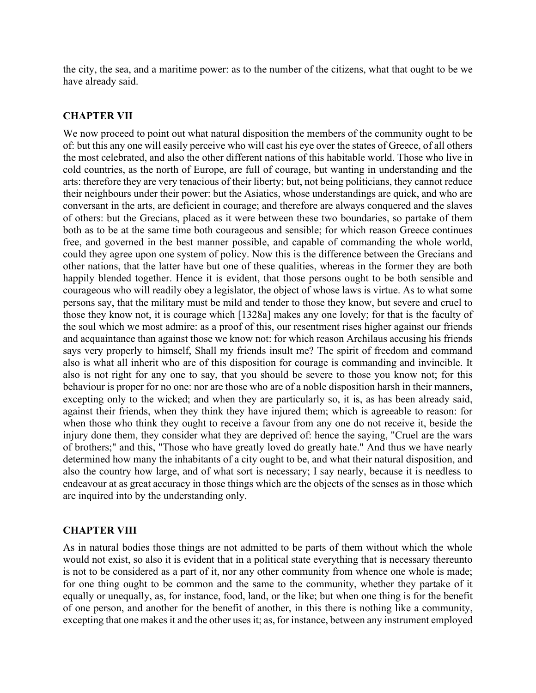the city, the sea, and a maritime power: as to the number of the citizens, what that ought to be we have already said.

## **CHAPTER VII**

We now proceed to point out what natural disposition the members of the community ought to be of: but this any one will easily perceive who will cast his eye over the states of Greece, of all others the most celebrated, and also the other different nations of this habitable world. Those who live in cold countries, as the north of Europe, are full of courage, but wanting in understanding and the arts: therefore they are very tenacious of their liberty; but, not being politicians, they cannot reduce their neighbours under their power: but the Asiatics, whose understandings are quick, and who are conversant in the arts, are deficient in courage; and therefore are always conquered and the slaves of others: but the Grecians, placed as it were between these two boundaries, so partake of them both as to be at the same time both courageous and sensible; for which reason Greece continues free, and governed in the best manner possible, and capable of commanding the whole world, could they agree upon one system of policy. Now this is the difference between the Grecians and other nations, that the latter have but one of these qualities, whereas in the former they are both happily blended together. Hence it is evident, that those persons ought to be both sensible and courageous who will readily obey a legislator, the object of whose laws is virtue. As to what some persons say, that the military must be mild and tender to those they know, but severe and cruel to those they know not, it is courage which [1328a] makes any one lovely; for that is the faculty of the soul which we most admire: as a proof of this, our resentment rises higher against our friends and acquaintance than against those we know not: for which reason Archilaus accusing his friends says very properly to himself, Shall my friends insult me? The spirit of freedom and command also is what all inherit who are of this disposition for courage is commanding and invincible. It also is not right for any one to say, that you should be severe to those you know not; for this behaviour is proper for no one: nor are those who are of a noble disposition harsh in their manners, excepting only to the wicked; and when they are particularly so, it is, as has been already said, against their friends, when they think they have injured them; which is agreeable to reason: for when those who think they ought to receive a favour from any one do not receive it, beside the injury done them, they consider what they are deprived of: hence the saying, "Cruel are the wars of brothers;" and this, "Those who have greatly loved do greatly hate." And thus we have nearly determined how many the inhabitants of a city ought to be, and what their natural disposition, and also the country how large, and of what sort is necessary; I say nearly, because it is needless to endeavour at as great accuracy in those things which are the objects of the senses as in those which are inquired into by the understanding only.

### **CHAPTER VIII**

As in natural bodies those things are not admitted to be parts of them without which the whole would not exist, so also it is evident that in a political state everything that is necessary thereunto is not to be considered as a part of it, nor any other community from whence one whole is made; for one thing ought to be common and the same to the community, whether they partake of it equally or unequally, as, for instance, food, land, or the like; but when one thing is for the benefit of one person, and another for the benefit of another, in this there is nothing like a community, excepting that one makes it and the other uses it; as, for instance, between any instrument employed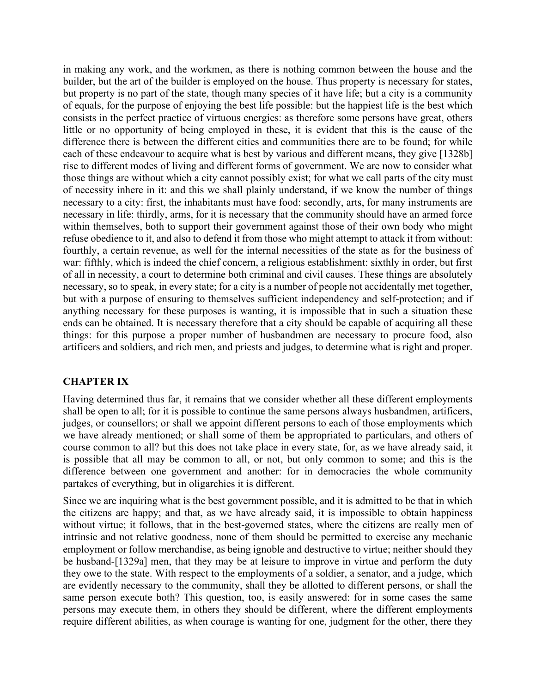in making any work, and the workmen, as there is nothing common between the house and the builder, but the art of the builder is employed on the house. Thus property is necessary for states, but property is no part of the state, though many species of it have life; but a city is a community of equals, for the purpose of enjoying the best life possible: but the happiest life is the best which consists in the perfect practice of virtuous energies: as therefore some persons have great, others little or no opportunity of being employed in these, it is evident that this is the cause of the difference there is between the different cities and communities there are to be found; for while each of these endeavour to acquire what is best by various and different means, they give [1328b] rise to different modes of living and different forms of government. We are now to consider what those things are without which a city cannot possibly exist; for what we call parts of the city must of necessity inhere in it: and this we shall plainly understand, if we know the number of things necessary to a city: first, the inhabitants must have food: secondly, arts, for many instruments are necessary in life: thirdly, arms, for it is necessary that the community should have an armed force within themselves, both to support their government against those of their own body who might refuse obedience to it, and also to defend it from those who might attempt to attack it from without: fourthly, a certain revenue, as well for the internal necessities of the state as for the business of war: fifthly, which is indeed the chief concern, a religious establishment: sixthly in order, but first of all in necessity, a court to determine both criminal and civil causes. These things are absolutely necessary, so to speak, in every state; for a city is a number of people not accidentally met together, but with a purpose of ensuring to themselves sufficient independency and self-protection; and if anything necessary for these purposes is wanting, it is impossible that in such a situation these ends can be obtained. It is necessary therefore that a city should be capable of acquiring all these things: for this purpose a proper number of husbandmen are necessary to procure food, also artificers and soldiers, and rich men, and priests and judges, to determine what is right and proper.

# **CHAPTER IX**

Having determined thus far, it remains that we consider whether all these different employments shall be open to all; for it is possible to continue the same persons always husbandmen, artificers, judges, or counsellors; or shall we appoint different persons to each of those employments which we have already mentioned; or shall some of them be appropriated to particulars, and others of course common to all? but this does not take place in every state, for, as we have already said, it is possible that all may be common to all, or not, but only common to some; and this is the difference between one government and another: for in democracies the whole community partakes of everything, but in oligarchies it is different.

Since we are inquiring what is the best government possible, and it is admitted to be that in which the citizens are happy; and that, as we have already said, it is impossible to obtain happiness without virtue; it follows, that in the best-governed states, where the citizens are really men of intrinsic and not relative goodness, none of them should be permitted to exercise any mechanic employment or follow merchandise, as being ignoble and destructive to virtue; neither should they be husband-[1329a] men, that they may be at leisure to improve in virtue and perform the duty they owe to the state. With respect to the employments of a soldier, a senator, and a judge, which are evidently necessary to the community, shall they be allotted to different persons, or shall the same person execute both? This question, too, is easily answered: for in some cases the same persons may execute them, in others they should be different, where the different employments require different abilities, as when courage is wanting for one, judgment for the other, there they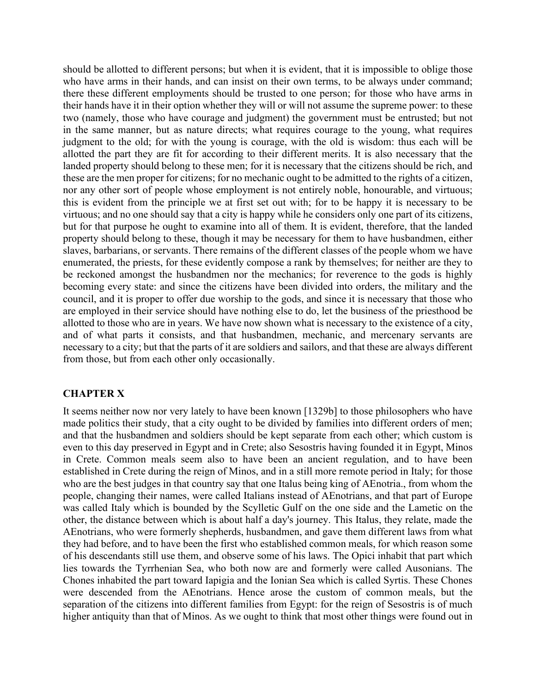should be allotted to different persons; but when it is evident, that it is impossible to oblige those who have arms in their hands, and can insist on their own terms, to be always under command; there these different employments should be trusted to one person; for those who have arms in their hands have it in their option whether they will or will not assume the supreme power: to these two (namely, those who have courage and judgment) the government must be entrusted; but not in the same manner, but as nature directs; what requires courage to the young, what requires judgment to the old; for with the young is courage, with the old is wisdom: thus each will be allotted the part they are fit for according to their different merits. It is also necessary that the landed property should belong to these men; for it is necessary that the citizens should be rich, and these are the men proper for citizens; for no mechanic ought to be admitted to the rights of a citizen, nor any other sort of people whose employment is not entirely noble, honourable, and virtuous; this is evident from the principle we at first set out with; for to be happy it is necessary to be virtuous; and no one should say that a city is happy while he considers only one part of its citizens, but for that purpose he ought to examine into all of them. It is evident, therefore, that the landed property should belong to these, though it may be necessary for them to have husbandmen, either slaves, barbarians, or servants. There remains of the different classes of the people whom we have enumerated, the priests, for these evidently compose a rank by themselves; for neither are they to be reckoned amongst the husbandmen nor the mechanics; for reverence to the gods is highly becoming every state: and since the citizens have been divided into orders, the military and the council, and it is proper to offer due worship to the gods, and since it is necessary that those who are employed in their service should have nothing else to do, let the business of the priesthood be allotted to those who are in years. We have now shown what is necessary to the existence of a city, and of what parts it consists, and that husbandmen, mechanic, and mercenary servants are necessary to a city; but that the parts of it are soldiers and sailors, and that these are always different from those, but from each other only occasionally.

# **CHAPTER X**

It seems neither now nor very lately to have been known [1329b] to those philosophers who have made politics their study, that a city ought to be divided by families into different orders of men; and that the husbandmen and soldiers should be kept separate from each other; which custom is even to this day preserved in Egypt and in Crete; also Sesostris having founded it in Egypt, Minos in Crete. Common meals seem also to have been an ancient regulation, and to have been established in Crete during the reign of Minos, and in a still more remote period in Italy; for those who are the best judges in that country say that one Italus being king of AEnotria., from whom the people, changing their names, were called Italians instead of AEnotrians, and that part of Europe was called Italy which is bounded by the Scylletic Gulf on the one side and the Lametic on the other, the distance between which is about half a day's journey. This Italus, they relate, made the AEnotrians, who were formerly shepherds, husbandmen, and gave them different laws from what they had before, and to have been the first who established common meals, for which reason some of his descendants still use them, and observe some of his laws. The Opici inhabit that part which lies towards the Tyrrhenian Sea, who both now are and formerly were called Ausonians. The Chones inhabited the part toward Iapigia and the Ionian Sea which is called Syrtis. These Chones were descended from the AEnotrians. Hence arose the custom of common meals, but the separation of the citizens into different families from Egypt: for the reign of Sesostris is of much higher antiquity than that of Minos. As we ought to think that most other things were found out in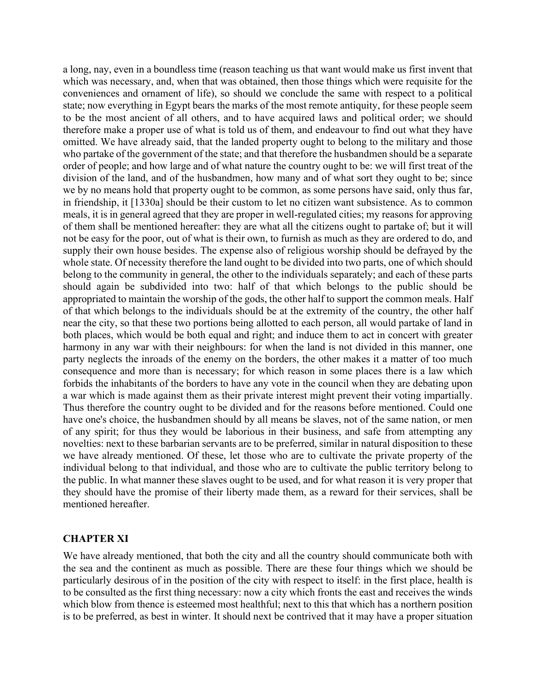a long, nay, even in a boundless time (reason teaching us that want would make us first invent that which was necessary, and, when that was obtained, then those things which were requisite for the conveniences and ornament of life), so should we conclude the same with respect to a political state; now everything in Egypt bears the marks of the most remote antiquity, for these people seem to be the most ancient of all others, and to have acquired laws and political order; we should therefore make a proper use of what is told us of them, and endeavour to find out what they have omitted. We have already said, that the landed property ought to belong to the military and those who partake of the government of the state; and that therefore the husbandmen should be a separate order of people; and how large and of what nature the country ought to be: we will first treat of the division of the land, and of the husbandmen, how many and of what sort they ought to be; since we by no means hold that property ought to be common, as some persons have said, only thus far, in friendship, it [1330a] should be their custom to let no citizen want subsistence. As to common meals, it is in general agreed that they are proper in well-regulated cities; my reasons for approving of them shall be mentioned hereafter: they are what all the citizens ought to partake of; but it will not be easy for the poor, out of what is their own, to furnish as much as they are ordered to do, and supply their own house besides. The expense also of religious worship should be defrayed by the whole state. Of necessity therefore the land ought to be divided into two parts, one of which should belong to the community in general, the other to the individuals separately; and each of these parts should again be subdivided into two: half of that which belongs to the public should be appropriated to maintain the worship of the gods, the other half to support the common meals. Half of that which belongs to the individuals should be at the extremity of the country, the other half near the city, so that these two portions being allotted to each person, all would partake of land in both places, which would be both equal and right; and induce them to act in concert with greater harmony in any war with their neighbours: for when the land is not divided in this manner, one party neglects the inroads of the enemy on the borders, the other makes it a matter of too much consequence and more than is necessary; for which reason in some places there is a law which forbids the inhabitants of the borders to have any vote in the council when they are debating upon a war which is made against them as their private interest might prevent their voting impartially. Thus therefore the country ought to be divided and for the reasons before mentioned. Could one have one's choice, the husbandmen should by all means be slaves, not of the same nation, or men of any spirit; for thus they would be laborious in their business, and safe from attempting any novelties: next to these barbarian servants are to be preferred, similar in natural disposition to these we have already mentioned. Of these, let those who are to cultivate the private property of the individual belong to that individual, and those who are to cultivate the public territory belong to the public. In what manner these slaves ought to be used, and for what reason it is very proper that they should have the promise of their liberty made them, as a reward for their services, shall be mentioned hereafter.

# **CHAPTER XI**

We have already mentioned, that both the city and all the country should communicate both with the sea and the continent as much as possible. There are these four things which we should be particularly desirous of in the position of the city with respect to itself: in the first place, health is to be consulted as the first thing necessary: now a city which fronts the east and receives the winds which blow from thence is esteemed most healthful; next to this that which has a northern position is to be preferred, as best in winter. It should next be contrived that it may have a proper situation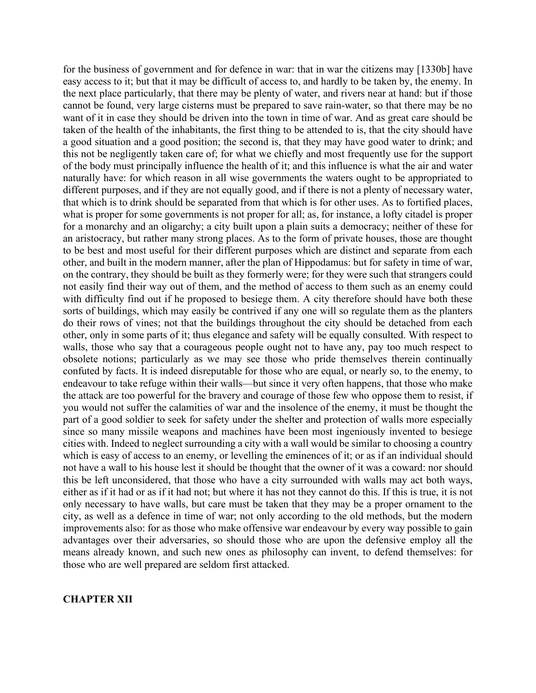for the business of government and for defence in war: that in war the citizens may [1330b] have easy access to it; but that it may be difficult of access to, and hardly to be taken by, the enemy. In the next place particularly, that there may be plenty of water, and rivers near at hand: but if those cannot be found, very large cisterns must be prepared to save rain-water, so that there may be no want of it in case they should be driven into the town in time of war. And as great care should be taken of the health of the inhabitants, the first thing to be attended to is, that the city should have a good situation and a good position; the second is, that they may have good water to drink; and this not be negligently taken care of; for what we chiefly and most frequently use for the support of the body must principally influence the health of it; and this influence is what the air and water naturally have: for which reason in all wise governments the waters ought to be appropriated to different purposes, and if they are not equally good, and if there is not a plenty of necessary water, that which is to drink should be separated from that which is for other uses. As to fortified places, what is proper for some governments is not proper for all; as, for instance, a lofty citadel is proper for a monarchy and an oligarchy; a city built upon a plain suits a democracy; neither of these for an aristocracy, but rather many strong places. As to the form of private houses, those are thought to be best and most useful for their different purposes which are distinct and separate from each other, and built in the modern manner, after the plan of Hippodamus: but for safety in time of war, on the contrary, they should be built as they formerly were; for they were such that strangers could not easily find their way out of them, and the method of access to them such as an enemy could with difficulty find out if he proposed to besiege them. A city therefore should have both these sorts of buildings, which may easily be contrived if any one will so regulate them as the planters do their rows of vines; not that the buildings throughout the city should be detached from each other, only in some parts of it; thus elegance and safety will be equally consulted. With respect to walls, those who say that a courageous people ought not to have any, pay too much respect to obsolete notions; particularly as we may see those who pride themselves therein continually confuted by facts. It is indeed disreputable for those who are equal, or nearly so, to the enemy, to endeavour to take refuge within their walls—but since it very often happens, that those who make the attack are too powerful for the bravery and courage of those few who oppose them to resist, if you would not suffer the calamities of war and the insolence of the enemy, it must be thought the part of a good soldier to seek for safety under the shelter and protection of walls more especially since so many missile weapons and machines have been most ingeniously invented to besiege cities with. Indeed to neglect surrounding a city with a wall would be similar to choosing a country which is easy of access to an enemy, or levelling the eminences of it; or as if an individual should not have a wall to his house lest it should be thought that the owner of it was a coward: nor should this be left unconsidered, that those who have a city surrounded with walls may act both ways, either as if it had or as if it had not; but where it has not they cannot do this. If this is true, it is not only necessary to have walls, but care must be taken that they may be a proper ornament to the city, as well as a defence in time of war; not only according to the old methods, but the modern improvements also: for as those who make offensive war endeavour by every way possible to gain advantages over their adversaries, so should those who are upon the defensive employ all the means already known, and such new ones as philosophy can invent, to defend themselves: for those who are well prepared are seldom first attacked.

# **CHAPTER XII**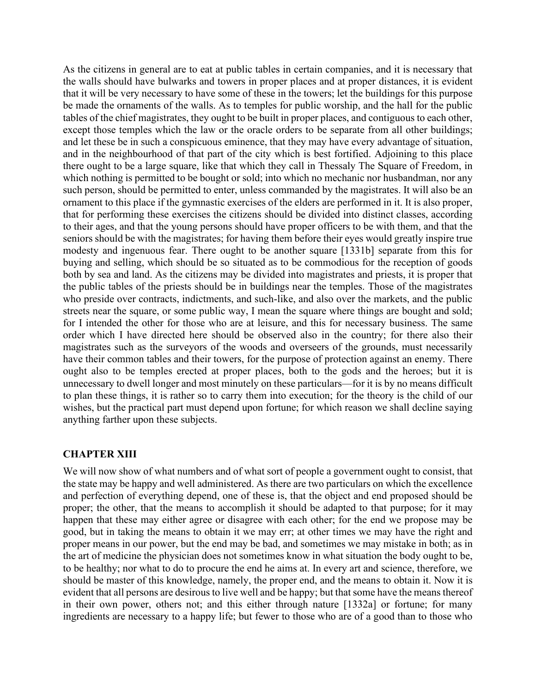As the citizens in general are to eat at public tables in certain companies, and it is necessary that the walls should have bulwarks and towers in proper places and at proper distances, it is evident that it will be very necessary to have some of these in the towers; let the buildings for this purpose be made the ornaments of the walls. As to temples for public worship, and the hall for the public tables of the chief magistrates, they ought to be built in proper places, and contiguous to each other, except those temples which the law or the oracle orders to be separate from all other buildings; and let these be in such a conspicuous eminence, that they may have every advantage of situation, and in the neighbourhood of that part of the city which is best fortified. Adjoining to this place there ought to be a large square, like that which they call in Thessaly The Square of Freedom, in which nothing is permitted to be bought or sold; into which no mechanic nor husbandman, nor any such person, should be permitted to enter, unless commanded by the magistrates. It will also be an ornament to this place if the gymnastic exercises of the elders are performed in it. It is also proper, that for performing these exercises the citizens should be divided into distinct classes, according to their ages, and that the young persons should have proper officers to be with them, and that the seniors should be with the magistrates; for having them before their eyes would greatly inspire true modesty and ingenuous fear. There ought to be another square [1331b] separate from this for buying and selling, which should be so situated as to be commodious for the reception of goods both by sea and land. As the citizens may be divided into magistrates and priests, it is proper that the public tables of the priests should be in buildings near the temples. Those of the magistrates who preside over contracts, indictments, and such-like, and also over the markets, and the public streets near the square, or some public way, I mean the square where things are bought and sold; for I intended the other for those who are at leisure, and this for necessary business. The same order which I have directed here should be observed also in the country; for there also their magistrates such as the surveyors of the woods and overseers of the grounds, must necessarily have their common tables and their towers, for the purpose of protection against an enemy. There ought also to be temples erected at proper places, both to the gods and the heroes; but it is unnecessary to dwell longer and most minutely on these particulars—for it is by no means difficult to plan these things, it is rather so to carry them into execution; for the theory is the child of our wishes, but the practical part must depend upon fortune; for which reason we shall decline saying anything farther upon these subjects.

# **CHAPTER XIII**

We will now show of what numbers and of what sort of people a government ought to consist, that the state may be happy and well administered. As there are two particulars on which the excellence and perfection of everything depend, one of these is, that the object and end proposed should be proper; the other, that the means to accomplish it should be adapted to that purpose; for it may happen that these may either agree or disagree with each other; for the end we propose may be good, but in taking the means to obtain it we may err; at other times we may have the right and proper means in our power, but the end may be bad, and sometimes we may mistake in both; as in the art of medicine the physician does not sometimes know in what situation the body ought to be, to be healthy; nor what to do to procure the end he aims at. In every art and science, therefore, we should be master of this knowledge, namely, the proper end, and the means to obtain it. Now it is evident that all persons are desirous to live well and be happy; but that some have the means thereof in their own power, others not; and this either through nature [1332a] or fortune; for many ingredients are necessary to a happy life; but fewer to those who are of a good than to those who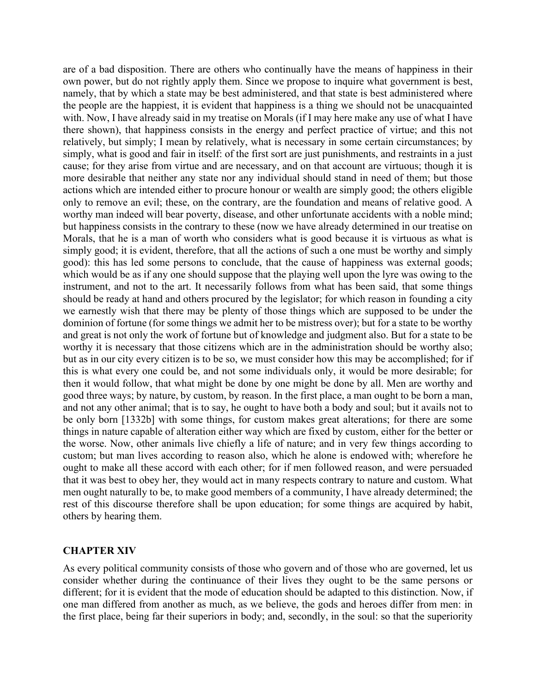are of a bad disposition. There are others who continually have the means of happiness in their own power, but do not rightly apply them. Since we propose to inquire what government is best, namely, that by which a state may be best administered, and that state is best administered where the people are the happiest, it is evident that happiness is a thing we should not be unacquainted with. Now, I have already said in my treatise on Morals (if I may here make any use of what I have there shown), that happiness consists in the energy and perfect practice of virtue; and this not relatively, but simply; I mean by relatively, what is necessary in some certain circumstances; by simply, what is good and fair in itself: of the first sort are just punishments, and restraints in a just cause; for they arise from virtue and are necessary, and on that account are virtuous; though it is more desirable that neither any state nor any individual should stand in need of them; but those actions which are intended either to procure honour or wealth are simply good; the others eligible only to remove an evil; these, on the contrary, are the foundation and means of relative good. A worthy man indeed will bear poverty, disease, and other unfortunate accidents with a noble mind; but happiness consists in the contrary to these (now we have already determined in our treatise on Morals, that he is a man of worth who considers what is good because it is virtuous as what is simply good; it is evident, therefore, that all the actions of such a one must be worthy and simply good): this has led some persons to conclude, that the cause of happiness was external goods; which would be as if any one should suppose that the playing well upon the lyre was owing to the instrument, and not to the art. It necessarily follows from what has been said, that some things should be ready at hand and others procured by the legislator; for which reason in founding a city we earnestly wish that there may be plenty of those things which are supposed to be under the dominion of fortune (for some things we admit her to be mistress over); but for a state to be worthy and great is not only the work of fortune but of knowledge and judgment also. But for a state to be worthy it is necessary that those citizens which are in the administration should be worthy also; but as in our city every citizen is to be so, we must consider how this may be accomplished; for if this is what every one could be, and not some individuals only, it would be more desirable; for then it would follow, that what might be done by one might be done by all. Men are worthy and good three ways; by nature, by custom, by reason. In the first place, a man ought to be born a man, and not any other animal; that is to say, he ought to have both a body and soul; but it avails not to be only born [1332b] with some things, for custom makes great alterations; for there are some things in nature capable of alteration either way which are fixed by custom, either for the better or the worse. Now, other animals live chiefly a life of nature; and in very few things according to custom; but man lives according to reason also, which he alone is endowed with; wherefore he ought to make all these accord with each other; for if men followed reason, and were persuaded that it was best to obey her, they would act in many respects contrary to nature and custom. What men ought naturally to be, to make good members of a community, I have already determined; the rest of this discourse therefore shall be upon education; for some things are acquired by habit, others by hearing them.

#### **CHAPTER XIV**

As every political community consists of those who govern and of those who are governed, let us consider whether during the continuance of their lives they ought to be the same persons or different; for it is evident that the mode of education should be adapted to this distinction. Now, if one man differed from another as much, as we believe, the gods and heroes differ from men: in the first place, being far their superiors in body; and, secondly, in the soul: so that the superiority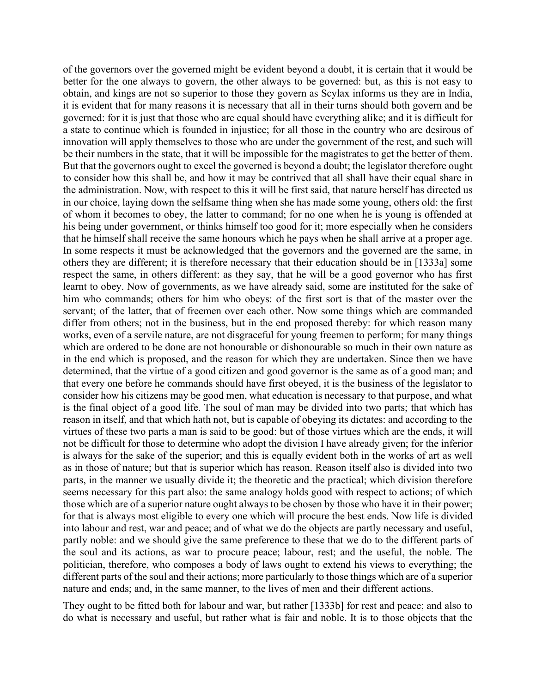of the governors over the governed might be evident beyond a doubt, it is certain that it would be better for the one always to govern, the other always to be governed: but, as this is not easy to obtain, and kings are not so superior to those they govern as Scylax informs us they are in India, it is evident that for many reasons it is necessary that all in their turns should both govern and be governed: for it is just that those who are equal should have everything alike; and it is difficult for a state to continue which is founded in injustice; for all those in the country who are desirous of innovation will apply themselves to those who are under the government of the rest, and such will be their numbers in the state, that it will be impossible for the magistrates to get the better of them. But that the governors ought to excel the governed is beyond a doubt; the legislator therefore ought to consider how this shall be, and how it may be contrived that all shall have their equal share in the administration. Now, with respect to this it will be first said, that nature herself has directed us in our choice, laying down the selfsame thing when she has made some young, others old: the first of whom it becomes to obey, the latter to command; for no one when he is young is offended at his being under government, or thinks himself too good for it; more especially when he considers that he himself shall receive the same honours which he pays when he shall arrive at a proper age. In some respects it must be acknowledged that the governors and the governed are the same, in others they are different; it is therefore necessary that their education should be in [1333a] some respect the same, in others different: as they say, that he will be a good governor who has first learnt to obey. Now of governments, as we have already said, some are instituted for the sake of him who commands; others for him who obeys: of the first sort is that of the master over the servant; of the latter, that of freemen over each other. Now some things which are commanded differ from others; not in the business, but in the end proposed thereby: for which reason many works, even of a servile nature, are not disgraceful for young freemen to perform; for many things which are ordered to be done are not honourable or dishonourable so much in their own nature as in the end which is proposed, and the reason for which they are undertaken. Since then we have determined, that the virtue of a good citizen and good governor is the same as of a good man; and that every one before he commands should have first obeyed, it is the business of the legislator to consider how his citizens may be good men, what education is necessary to that purpose, and what is the final object of a good life. The soul of man may be divided into two parts; that which has reason in itself, and that which hath not, but is capable of obeying its dictates: and according to the virtues of these two parts a man is said to be good: but of those virtues which are the ends, it will not be difficult for those to determine who adopt the division I have already given; for the inferior is always for the sake of the superior; and this is equally evident both in the works of art as well as in those of nature; but that is superior which has reason. Reason itself also is divided into two parts, in the manner we usually divide it; the theoretic and the practical; which division therefore seems necessary for this part also: the same analogy holds good with respect to actions; of which those which are of a superior nature ought always to be chosen by those who have it in their power; for that is always most eligible to every one which will procure the best ends. Now life is divided into labour and rest, war and peace; and of what we do the objects are partly necessary and useful, partly noble: and we should give the same preference to these that we do to the different parts of the soul and its actions, as war to procure peace; labour, rest; and the useful, the noble. The politician, therefore, who composes a body of laws ought to extend his views to everything; the different parts of the soul and their actions; more particularly to those things which are of a superior nature and ends; and, in the same manner, to the lives of men and their different actions.

They ought to be fitted both for labour and war, but rather [1333b] for rest and peace; and also to do what is necessary and useful, but rather what is fair and noble. It is to those objects that the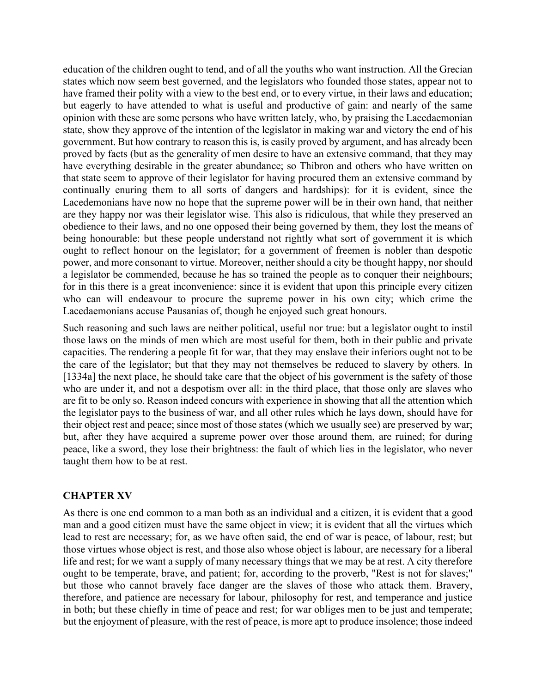education of the children ought to tend, and of all the youths who want instruction. All the Grecian states which now seem best governed, and the legislators who founded those states, appear not to have framed their polity with a view to the best end, or to every virtue, in their laws and education; but eagerly to have attended to what is useful and productive of gain: and nearly of the same opinion with these are some persons who have written lately, who, by praising the Lacedaemonian state, show they approve of the intention of the legislator in making war and victory the end of his government. But how contrary to reason this is, is easily proved by argument, and has already been proved by facts (but as the generality of men desire to have an extensive command, that they may have everything desirable in the greater abundance; so Thibron and others who have written on that state seem to approve of their legislator for having procured them an extensive command by continually enuring them to all sorts of dangers and hardships): for it is evident, since the Lacedemonians have now no hope that the supreme power will be in their own hand, that neither are they happy nor was their legislator wise. This also is ridiculous, that while they preserved an obedience to their laws, and no one opposed their being governed by them, they lost the means of being honourable: but these people understand not rightly what sort of government it is which ought to reflect honour on the legislator; for a government of freemen is nobler than despotic power, and more consonant to virtue. Moreover, neither should a city be thought happy, nor should a legislator be commended, because he has so trained the people as to conquer their neighbours; for in this there is a great inconvenience: since it is evident that upon this principle every citizen who can will endeavour to procure the supreme power in his own city; which crime the Lacedaemonians accuse Pausanias of, though he enjoyed such great honours.

Such reasoning and such laws are neither political, useful nor true: but a legislator ought to instil those laws on the minds of men which are most useful for them, both in their public and private capacities. The rendering a people fit for war, that they may enslave their inferiors ought not to be the care of the legislator; but that they may not themselves be reduced to slavery by others. In [1334a] the next place, he should take care that the object of his government is the safety of those who are under it, and not a despotism over all: in the third place, that those only are slaves who are fit to be only so. Reason indeed concurs with experience in showing that all the attention which the legislator pays to the business of war, and all other rules which he lays down, should have for their object rest and peace; since most of those states (which we usually see) are preserved by war; but, after they have acquired a supreme power over those around them, are ruined; for during peace, like a sword, they lose their brightness: the fault of which lies in the legislator, who never taught them how to be at rest.

# **CHAPTER XV**

As there is one end common to a man both as an individual and a citizen, it is evident that a good man and a good citizen must have the same object in view; it is evident that all the virtues which lead to rest are necessary; for, as we have often said, the end of war is peace, of labour, rest; but those virtues whose object is rest, and those also whose object is labour, are necessary for a liberal life and rest; for we want a supply of many necessary things that we may be at rest. A city therefore ought to be temperate, brave, and patient; for, according to the proverb, "Rest is not for slaves;" but those who cannot bravely face danger are the slaves of those who attack them. Bravery, therefore, and patience are necessary for labour, philosophy for rest, and temperance and justice in both; but these chiefly in time of peace and rest; for war obliges men to be just and temperate; but the enjoyment of pleasure, with the rest of peace, is more apt to produce insolence; those indeed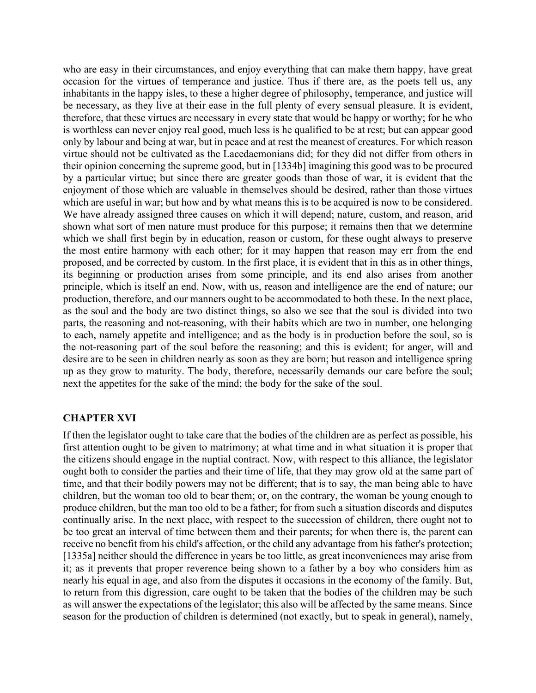who are easy in their circumstances, and enjoy everything that can make them happy, have great occasion for the virtues of temperance and justice. Thus if there are, as the poets tell us, any inhabitants in the happy isles, to these a higher degree of philosophy, temperance, and justice will be necessary, as they live at their ease in the full plenty of every sensual pleasure. It is evident, therefore, that these virtues are necessary in every state that would be happy or worthy; for he who is worthless can never enjoy real good, much less is he qualified to be at rest; but can appear good only by labour and being at war, but in peace and at rest the meanest of creatures. For which reason virtue should not be cultivated as the Lacedaemonians did; for they did not differ from others in their opinion concerning the supreme good, but in [1334b] imagining this good was to be procured by a particular virtue; but since there are greater goods than those of war, it is evident that the enjoyment of those which are valuable in themselves should be desired, rather than those virtues which are useful in war; but how and by what means this is to be acquired is now to be considered. We have already assigned three causes on which it will depend; nature, custom, and reason, arid shown what sort of men nature must produce for this purpose; it remains then that we determine which we shall first begin by in education, reason or custom, for these ought always to preserve the most entire harmony with each other; for it may happen that reason may err from the end proposed, and be corrected by custom. In the first place, it is evident that in this as in other things, its beginning or production arises from some principle, and its end also arises from another principle, which is itself an end. Now, with us, reason and intelligence are the end of nature; our production, therefore, and our manners ought to be accommodated to both these. In the next place, as the soul and the body are two distinct things, so also we see that the soul is divided into two parts, the reasoning and not-reasoning, with their habits which are two in number, one belonging to each, namely appetite and intelligence; and as the body is in production before the soul, so is the not-reasoning part of the soul before the reasoning; and this is evident; for anger, will and desire are to be seen in children nearly as soon as they are born; but reason and intelligence spring up as they grow to maturity. The body, therefore, necessarily demands our care before the soul; next the appetites for the sake of the mind; the body for the sake of the soul.

# **CHAPTER XVI**

If then the legislator ought to take care that the bodies of the children are as perfect as possible, his first attention ought to be given to matrimony; at what time and in what situation it is proper that the citizens should engage in the nuptial contract. Now, with respect to this alliance, the legislator ought both to consider the parties and their time of life, that they may grow old at the same part of time, and that their bodily powers may not be different; that is to say, the man being able to have children, but the woman too old to bear them; or, on the contrary, the woman be young enough to produce children, but the man too old to be a father; for from such a situation discords and disputes continually arise. In the next place, with respect to the succession of children, there ought not to be too great an interval of time between them and their parents; for when there is, the parent can receive no benefit from his child's affection, or the child any advantage from his father's protection; [1335a] neither should the difference in years be too little, as great inconveniences may arise from it; as it prevents that proper reverence being shown to a father by a boy who considers him as nearly his equal in age, and also from the disputes it occasions in the economy of the family. But, to return from this digression, care ought to be taken that the bodies of the children may be such as will answer the expectations of the legislator; this also will be affected by the same means. Since season for the production of children is determined (not exactly, but to speak in general), namely,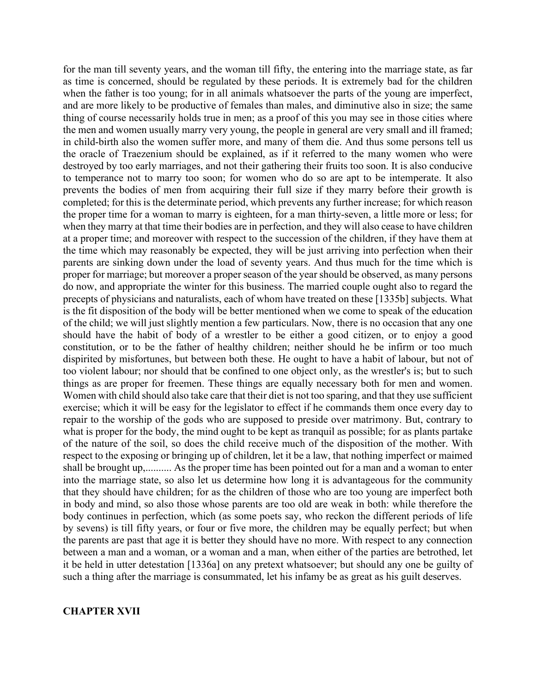for the man till seventy years, and the woman till fifty, the entering into the marriage state, as far as time is concerned, should be regulated by these periods. It is extremely bad for the children when the father is too young; for in all animals whatsoever the parts of the young are imperfect, and are more likely to be productive of females than males, and diminutive also in size; the same thing of course necessarily holds true in men; as a proof of this you may see in those cities where the men and women usually marry very young, the people in general are very small and ill framed; in child-birth also the women suffer more, and many of them die. And thus some persons tell us the oracle of Traezenium should be explained, as if it referred to the many women who were destroyed by too early marriages, and not their gathering their fruits too soon. It is also conducive to temperance not to marry too soon; for women who do so are apt to be intemperate. It also prevents the bodies of men from acquiring their full size if they marry before their growth is completed; for this is the determinate period, which prevents any further increase; for which reason the proper time for a woman to marry is eighteen, for a man thirty-seven, a little more or less; for when they marry at that time their bodies are in perfection, and they will also cease to have children at a proper time; and moreover with respect to the succession of the children, if they have them at the time which may reasonably be expected, they will be just arriving into perfection when their parents are sinking down under the load of seventy years. And thus much for the time which is proper for marriage; but moreover a proper season of the year should be observed, as many persons do now, and appropriate the winter for this business. The married couple ought also to regard the precepts of physicians and naturalists, each of whom have treated on these [1335b] subjects. What is the fit disposition of the body will be better mentioned when we come to speak of the education of the child; we will just slightly mention a few particulars. Now, there is no occasion that any one should have the habit of body of a wrestler to be either a good citizen, or to enjoy a good constitution, or to be the father of healthy children; neither should he be infirm or too much dispirited by misfortunes, but between both these. He ought to have a habit of labour, but not of too violent labour; nor should that be confined to one object only, as the wrestler's is; but to such things as are proper for freemen. These things are equally necessary both for men and women. Women with child should also take care that their diet is not too sparing, and that they use sufficient exercise; which it will be easy for the legislator to effect if he commands them once every day to repair to the worship of the gods who are supposed to preside over matrimony. But, contrary to what is proper for the body, the mind ought to be kept as tranquil as possible; for as plants partake of the nature of the soil, so does the child receive much of the disposition of the mother. With respect to the exposing or bringing up of children, let it be a law, that nothing imperfect or maimed shall be brought up,.......... As the proper time has been pointed out for a man and a woman to enter into the marriage state, so also let us determine how long it is advantageous for the community that they should have children; for as the children of those who are too young are imperfect both in body and mind, so also those whose parents are too old are weak in both: while therefore the body continues in perfection, which (as some poets say, who reckon the different periods of life by sevens) is till fifty years, or four or five more, the children may be equally perfect; but when the parents are past that age it is better they should have no more. With respect to any connection between a man and a woman, or a woman and a man, when either of the parties are betrothed, let it be held in utter detestation [1336a] on any pretext whatsoever; but should any one be guilty of such a thing after the marriage is consummated, let his infamy be as great as his guilt deserves.

#### **CHAPTER XVII**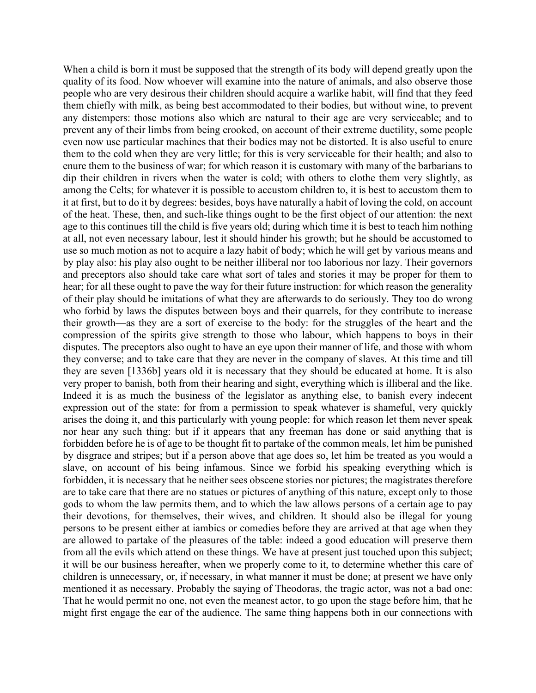When a child is born it must be supposed that the strength of its body will depend greatly upon the quality of its food. Now whoever will examine into the nature of animals, and also observe those people who are very desirous their children should acquire a warlike habit, will find that they feed them chiefly with milk, as being best accommodated to their bodies, but without wine, to prevent any distempers: those motions also which are natural to their age are very serviceable; and to prevent any of their limbs from being crooked, on account of their extreme ductility, some people even now use particular machines that their bodies may not be distorted. It is also useful to enure them to the cold when they are very little; for this is very serviceable for their health; and also to enure them to the business of war; for which reason it is customary with many of the barbarians to dip their children in rivers when the water is cold; with others to clothe them very slightly, as among the Celts; for whatever it is possible to accustom children to, it is best to accustom them to it at first, but to do it by degrees: besides, boys have naturally a habit of loving the cold, on account of the heat. These, then, and such-like things ought to be the first object of our attention: the next age to this continues till the child is five years old; during which time it is best to teach him nothing at all, not even necessary labour, lest it should hinder his growth; but he should be accustomed to use so much motion as not to acquire a lazy habit of body; which he will get by various means and by play also: his play also ought to be neither illiberal nor too laborious nor lazy. Their governors and preceptors also should take care what sort of tales and stories it may be proper for them to hear; for all these ought to pave the way for their future instruction: for which reason the generality of their play should be imitations of what they are afterwards to do seriously. They too do wrong who forbid by laws the disputes between boys and their quarrels, for they contribute to increase their growth—as they are a sort of exercise to the body: for the struggles of the heart and the compression of the spirits give strength to those who labour, which happens to boys in their disputes. The preceptors also ought to have an eye upon their manner of life, and those with whom they converse; and to take care that they are never in the company of slaves. At this time and till they are seven [1336b] years old it is necessary that they should be educated at home. It is also very proper to banish, both from their hearing and sight, everything which is illiberal and the like. Indeed it is as much the business of the legislator as anything else, to banish every indecent expression out of the state: for from a permission to speak whatever is shameful, very quickly arises the doing it, and this particularly with young people: for which reason let them never speak nor hear any such thing: but if it appears that any freeman has done or said anything that is forbidden before he is of age to be thought fit to partake of the common meals, let him be punished by disgrace and stripes; but if a person above that age does so, let him be treated as you would a slave, on account of his being infamous. Since we forbid his speaking everything which is forbidden, it is necessary that he neither sees obscene stories nor pictures; the magistrates therefore are to take care that there are no statues or pictures of anything of this nature, except only to those gods to whom the law permits them, and to which the law allows persons of a certain age to pay their devotions, for themselves, their wives, and children. It should also be illegal for young persons to be present either at iambics or comedies before they are arrived at that age when they are allowed to partake of the pleasures of the table: indeed a good education will preserve them from all the evils which attend on these things. We have at present just touched upon this subject; it will be our business hereafter, when we properly come to it, to determine whether this care of children is unnecessary, or, if necessary, in what manner it must be done; at present we have only mentioned it as necessary. Probably the saying of Theodoras, the tragic actor, was not a bad one: That he would permit no one, not even the meanest actor, to go upon the stage before him, that he might first engage the ear of the audience. The same thing happens both in our connections with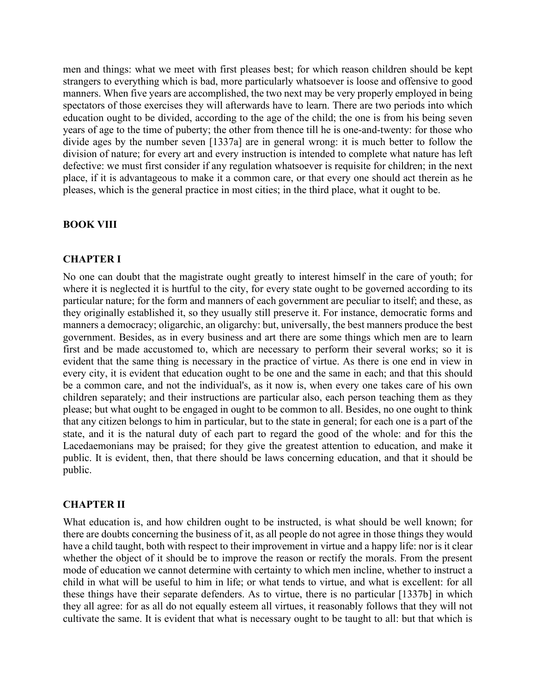men and things: what we meet with first pleases best; for which reason children should be kept strangers to everything which is bad, more particularly whatsoever is loose and offensive to good manners. When five years are accomplished, the two next may be very properly employed in being spectators of those exercises they will afterwards have to learn. There are two periods into which education ought to be divided, according to the age of the child; the one is from his being seven years of age to the time of puberty; the other from thence till he is one-and-twenty: for those who divide ages by the number seven [1337a] are in general wrong: it is much better to follow the division of nature; for every art and every instruction is intended to complete what nature has left defective: we must first consider if any regulation whatsoever is requisite for children; in the next place, if it is advantageous to make it a common care, or that every one should act therein as he pleases, which is the general practice in most cities; in the third place, what it ought to be.

# **BOOK VIII**

#### **CHAPTER I**

No one can doubt that the magistrate ought greatly to interest himself in the care of youth; for where it is neglected it is hurtful to the city, for every state ought to be governed according to its particular nature; for the form and manners of each government are peculiar to itself; and these, as they originally established it, so they usually still preserve it. For instance, democratic forms and manners a democracy; oligarchic, an oligarchy: but, universally, the best manners produce the best government. Besides, as in every business and art there are some things which men are to learn first and be made accustomed to, which are necessary to perform their several works; so it is evident that the same thing is necessary in the practice of virtue. As there is one end in view in every city, it is evident that education ought to be one and the same in each; and that this should be a common care, and not the individual's, as it now is, when every one takes care of his own children separately; and their instructions are particular also, each person teaching them as they please; but what ought to be engaged in ought to be common to all. Besides, no one ought to think that any citizen belongs to him in particular, but to the state in general; for each one is a part of the state, and it is the natural duty of each part to regard the good of the whole: and for this the Lacedaemonians may be praised; for they give the greatest attention to education, and make it public. It is evident, then, that there should be laws concerning education, and that it should be public.

#### **CHAPTER II**

What education is, and how children ought to be instructed, is what should be well known; for there are doubts concerning the business of it, as all people do not agree in those things they would have a child taught, both with respect to their improvement in virtue and a happy life: nor is it clear whether the object of it should be to improve the reason or rectify the morals. From the present mode of education we cannot determine with certainty to which men incline, whether to instruct a child in what will be useful to him in life; or what tends to virtue, and what is excellent: for all these things have their separate defenders. As to virtue, there is no particular [1337b] in which they all agree: for as all do not equally esteem all virtues, it reasonably follows that they will not cultivate the same. It is evident that what is necessary ought to be taught to all: but that which is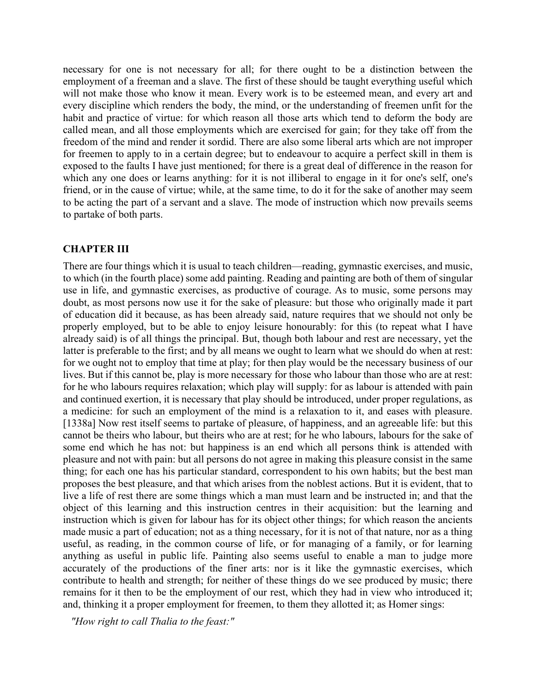necessary for one is not necessary for all; for there ought to be a distinction between the employment of a freeman and a slave. The first of these should be taught everything useful which will not make those who know it mean. Every work is to be esteemed mean, and every art and every discipline which renders the body, the mind, or the understanding of freemen unfit for the habit and practice of virtue: for which reason all those arts which tend to deform the body are called mean, and all those employments which are exercised for gain; for they take off from the freedom of the mind and render it sordid. There are also some liberal arts which are not improper for freemen to apply to in a certain degree; but to endeavour to acquire a perfect skill in them is exposed to the faults I have just mentioned; for there is a great deal of difference in the reason for which any one does or learns anything: for it is not illiberal to engage in it for one's self, one's friend, or in the cause of virtue; while, at the same time, to do it for the sake of another may seem to be acting the part of a servant and a slave. The mode of instruction which now prevails seems to partake of both parts.

# **CHAPTER III**

There are four things which it is usual to teach children—reading, gymnastic exercises, and music, to which (in the fourth place) some add painting. Reading and painting are both of them of singular use in life, and gymnastic exercises, as productive of courage. As to music, some persons may doubt, as most persons now use it for the sake of pleasure: but those who originally made it part of education did it because, as has been already said, nature requires that we should not only be properly employed, but to be able to enjoy leisure honourably: for this (to repeat what I have already said) is of all things the principal. But, though both labour and rest are necessary, yet the latter is preferable to the first; and by all means we ought to learn what we should do when at rest: for we ought not to employ that time at play; for then play would be the necessary business of our lives. But if this cannot be, play is more necessary for those who labour than those who are at rest: for he who labours requires relaxation; which play will supply: for as labour is attended with pain and continued exertion, it is necessary that play should be introduced, under proper regulations, as a medicine: for such an employment of the mind is a relaxation to it, and eases with pleasure. [1338a] Now rest itself seems to partake of pleasure, of happiness, and an agreeable life: but this cannot be theirs who labour, but theirs who are at rest; for he who labours, labours for the sake of some end which he has not: but happiness is an end which all persons think is attended with pleasure and not with pain: but all persons do not agree in making this pleasure consist in the same thing; for each one has his particular standard, correspondent to his own habits; but the best man proposes the best pleasure, and that which arises from the noblest actions. But it is evident, that to live a life of rest there are some things which a man must learn and be instructed in; and that the object of this learning and this instruction centres in their acquisition: but the learning and instruction which is given for labour has for its object other things; for which reason the ancients made music a part of education; not as a thing necessary, for it is not of that nature, nor as a thing useful, as reading, in the common course of life, or for managing of a family, or for learning anything as useful in public life. Painting also seems useful to enable a man to judge more accurately of the productions of the finer arts: nor is it like the gymnastic exercises, which contribute to health and strength; for neither of these things do we see produced by music; there remains for it then to be the employment of our rest, which they had in view who introduced it; and, thinking it a proper employment for freemen, to them they allotted it; as Homer sings:

 *"How right to call Thalia to the feast:"*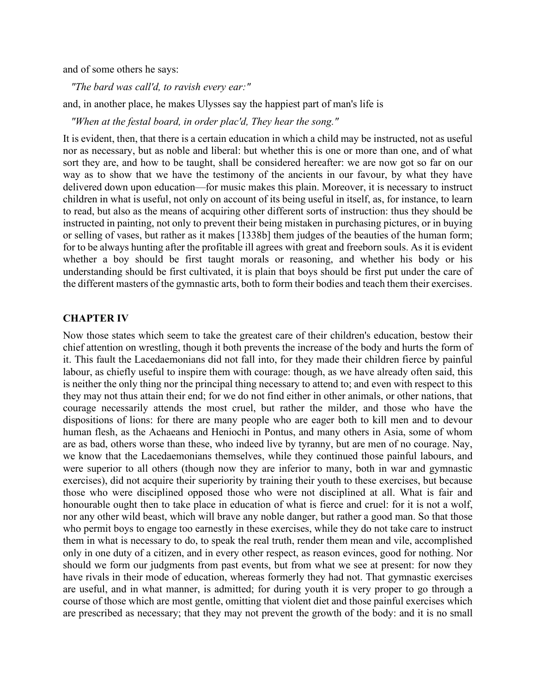and of some others he says:

 *"The bard was call'd, to ravish every ear:"*

and, in another place, he makes Ulysses say the happiest part of man's life is

 *"When at the festal board, in order plac'd, They hear the song."*

It is evident, then, that there is a certain education in which a child may be instructed, not as useful nor as necessary, but as noble and liberal: but whether this is one or more than one, and of what sort they are, and how to be taught, shall be considered hereafter: we are now got so far on our way as to show that we have the testimony of the ancients in our favour, by what they have delivered down upon education—for music makes this plain. Moreover, it is necessary to instruct children in what is useful, not only on account of its being useful in itself, as, for instance, to learn to read, but also as the means of acquiring other different sorts of instruction: thus they should be instructed in painting, not only to prevent their being mistaken in purchasing pictures, or in buying or selling of vases, but rather as it makes [1338b] them judges of the beauties of the human form; for to be always hunting after the profitable ill agrees with great and freeborn souls. As it is evident whether a boy should be first taught morals or reasoning, and whether his body or his understanding should be first cultivated, it is plain that boys should be first put under the care of the different masters of the gymnastic arts, both to form their bodies and teach them their exercises.

#### **CHAPTER IV**

Now those states which seem to take the greatest care of their children's education, bestow their chief attention on wrestling, though it both prevents the increase of the body and hurts the form of it. This fault the Lacedaemonians did not fall into, for they made their children fierce by painful labour, as chiefly useful to inspire them with courage: though, as we have already often said, this is neither the only thing nor the principal thing necessary to attend to; and even with respect to this they may not thus attain their end; for we do not find either in other animals, or other nations, that courage necessarily attends the most cruel, but rather the milder, and those who have the dispositions of lions: for there are many people who are eager both to kill men and to devour human flesh, as the Achaeans and Heniochi in Pontus, and many others in Asia, some of whom are as bad, others worse than these, who indeed live by tyranny, but are men of no courage. Nay, we know that the Lacedaemonians themselves, while they continued those painful labours, and were superior to all others (though now they are inferior to many, both in war and gymnastic exercises), did not acquire their superiority by training their youth to these exercises, but because those who were disciplined opposed those who were not disciplined at all. What is fair and honourable ought then to take place in education of what is fierce and cruel: for it is not a wolf, nor any other wild beast, which will brave any noble danger, but rather a good man. So that those who permit boys to engage too earnestly in these exercises, while they do not take care to instruct them in what is necessary to do, to speak the real truth, render them mean and vile, accomplished only in one duty of a citizen, and in every other respect, as reason evinces, good for nothing. Nor should we form our judgments from past events, but from what we see at present: for now they have rivals in their mode of education, whereas formerly they had not. That gymnastic exercises are useful, and in what manner, is admitted; for during youth it is very proper to go through a course of those which are most gentle, omitting that violent diet and those painful exercises which are prescribed as necessary; that they may not prevent the growth of the body: and it is no small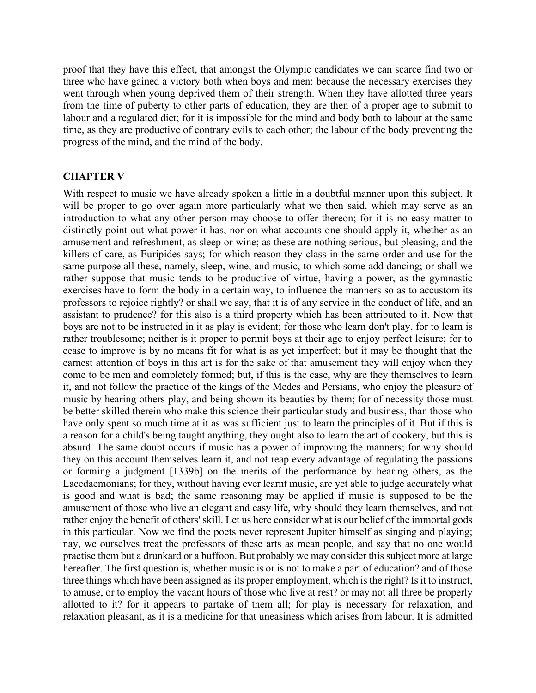proof that they have this effect, that amongst the Olympic candidates we can scarce find two or three who have gained a victory both when boys and men: because the necessary exercises they went through when young deprived them of their strength. When they have allotted three years from the time of puberty to other parts of education, they are then of a proper age to submit to labour and a regulated diet; for it is impossible for the mind and body both to labour at the same time, as they are productive of contrary evils to each other; the labour of the body preventing the progress of the mind, and the mind of the body.

#### **CHAPTER V**

With respect to music we have already spoken a little in a doubtful manner upon this subject. It will be proper to go over again more particularly what we then said, which may serve as an introduction to what any other person may choose to offer thereon; for it is no easy matter to distinctly point out what power it has, nor on what accounts one should apply it, whether as an amusement and refreshment, as sleep or wine; as these are nothing serious, but pleasing, and the killers of care, as Euripides says; for which reason they class in the same order and use for the same purpose all these, namely, sleep, wine, and music, to which some add dancing; or shall we rather suppose that music tends to be productive of virtue, having a power, as the gymnastic exercises have to form the body in a certain way, to influence the manners so as to accustom its professors to rejoice rightly? or shall we say, that it is of any service in the conduct of life, and an assistant to prudence? for this also is a third property which has been attributed to it. Now that boys are not to be instructed in it as play is evident; for those who learn don't play, for to learn is rather troublesome; neither is it proper to permit boys at their age to enjoy perfect leisure; for to cease to improve is by no means fit for what is as yet imperfect; but it may be thought that the earnest attention of boys in this art is for the sake of that amusement they will enjoy when they come to be men and completely formed; but, if this is the case, why are they themselves to learn it, and not follow the practice of the kings of the Medes and Persians, who enjoy the pleasure of music by hearing others play, and being shown its beauties by them; for of necessity those must be better skilled therein who make this science their particular study and business, than those who have only spent so much time at it as was sufficient just to learn the principles of it. But if this is a reason for a child's being taught anything, they ought also to learn the art of cookery, but this is absurd. The same doubt occurs if music has a power of improving the manners; for why should they on this account themselves learn it, and not reap every advantage of regulating the passions or forming a judgment [1339b] on the merits of the performance by hearing others, as the Lacedaemonians; for they, without having ever learnt music, are yet able to judge accurately what is good and what is bad; the same reasoning may be applied if music is supposed to be the amusement of those who live an elegant and easy life, why should they learn themselves, and not rather enjoy the benefit of others' skill. Let us here consider what is our belief of the immortal gods in this particular. Now we find the poets never represent Jupiter himself as singing and playing; nay, we ourselves treat the professors of these arts as mean people, and say that no one would practise them but a drunkard or a buffoon. But probably we may consider this subject more at large hereafter. The first question is, whether music is or is not to make a part of education? and of those three things which have been assigned as its proper employment, which is the right? Is it to instruct, to amuse, or to employ the vacant hours of those who live at rest? or may not all three be properly allotted to it? for it appears to partake of them all; for play is necessary for relaxation, and relaxation pleasant, as it is a medicine for that uneasiness which arises from labour. It is admitted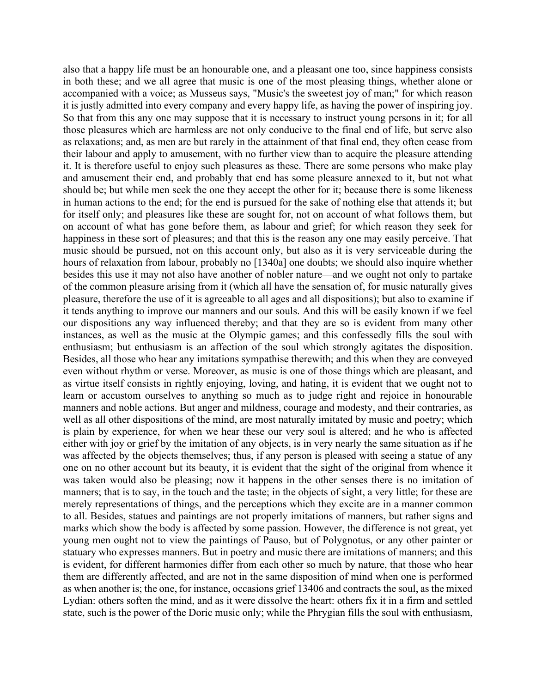also that a happy life must be an honourable one, and a pleasant one too, since happiness consists in both these; and we all agree that music is one of the most pleasing things, whether alone or accompanied with a voice; as Musseus says, "Music's the sweetest joy of man;" for which reason it is justly admitted into every company and every happy life, as having the power of inspiring joy. So that from this any one may suppose that it is necessary to instruct young persons in it; for all those pleasures which are harmless are not only conducive to the final end of life, but serve also as relaxations; and, as men are but rarely in the attainment of that final end, they often cease from their labour and apply to amusement, with no further view than to acquire the pleasure attending it. It is therefore useful to enjoy such pleasures as these. There are some persons who make play and amusement their end, and probably that end has some pleasure annexed to it, but not what should be; but while men seek the one they accept the other for it; because there is some likeness in human actions to the end; for the end is pursued for the sake of nothing else that attends it; but for itself only; and pleasures like these are sought for, not on account of what follows them, but on account of what has gone before them, as labour and grief; for which reason they seek for happiness in these sort of pleasures; and that this is the reason any one may easily perceive. That music should be pursued, not on this account only, but also as it is very serviceable during the hours of relaxation from labour, probably no [1340a] one doubts; we should also inquire whether besides this use it may not also have another of nobler nature—and we ought not only to partake of the common pleasure arising from it (which all have the sensation of, for music naturally gives pleasure, therefore the use of it is agreeable to all ages and all dispositions); but also to examine if it tends anything to improve our manners and our souls. And this will be easily known if we feel our dispositions any way influenced thereby; and that they are so is evident from many other instances, as well as the music at the Olympic games; and this confessedly fills the soul with enthusiasm; but enthusiasm is an affection of the soul which strongly agitates the disposition. Besides, all those who hear any imitations sympathise therewith; and this when they are conveyed even without rhythm or verse. Moreover, as music is one of those things which are pleasant, and as virtue itself consists in rightly enjoying, loving, and hating, it is evident that we ought not to learn or accustom ourselves to anything so much as to judge right and rejoice in honourable manners and noble actions. But anger and mildness, courage and modesty, and their contraries, as well as all other dispositions of the mind, are most naturally imitated by music and poetry; which is plain by experience, for when we hear these our very soul is altered; and he who is affected either with joy or grief by the imitation of any objects, is in very nearly the same situation as if he was affected by the objects themselves; thus, if any person is pleased with seeing a statue of any one on no other account but its beauty, it is evident that the sight of the original from whence it was taken would also be pleasing; now it happens in the other senses there is no imitation of manners; that is to say, in the touch and the taste; in the objects of sight, a very little; for these are merely representations of things, and the perceptions which they excite are in a manner common to all. Besides, statues and paintings are not properly imitations of manners, but rather signs and marks which show the body is affected by some passion. However, the difference is not great, yet young men ought not to view the paintings of Pauso, but of Polygnotus, or any other painter or statuary who expresses manners. But in poetry and music there are imitations of manners; and this is evident, for different harmonies differ from each other so much by nature, that those who hear them are differently affected, and are not in the same disposition of mind when one is performed as when another is; the one, for instance, occasions grief 13406 and contracts the soul, as the mixed Lydian: others soften the mind, and as it were dissolve the heart: others fix it in a firm and settled state, such is the power of the Doric music only; while the Phrygian fills the soul with enthusiasm,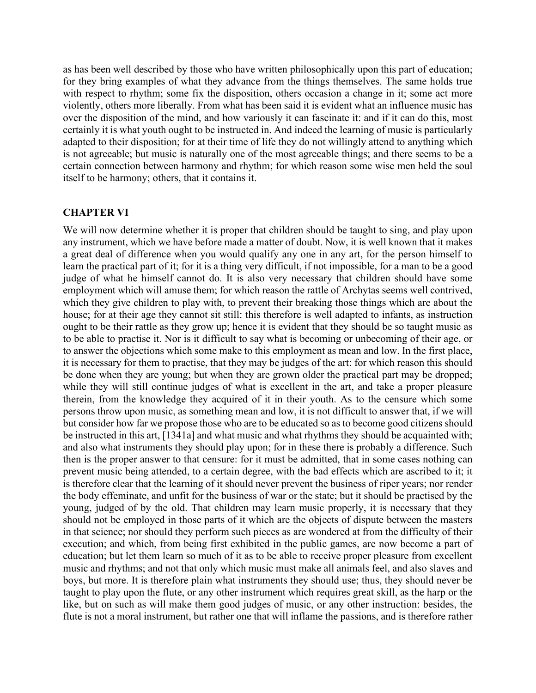as has been well described by those who have written philosophically upon this part of education; for they bring examples of what they advance from the things themselves. The same holds true with respect to rhythm; some fix the disposition, others occasion a change in it; some act more violently, others more liberally. From what has been said it is evident what an influence music has over the disposition of the mind, and how variously it can fascinate it: and if it can do this, most certainly it is what youth ought to be instructed in. And indeed the learning of music is particularly adapted to their disposition; for at their time of life they do not willingly attend to anything which is not agreeable; but music is naturally one of the most agreeable things; and there seems to be a certain connection between harmony and rhythm; for which reason some wise men held the soul itself to be harmony; others, that it contains it.

#### **CHAPTER VI**

We will now determine whether it is proper that children should be taught to sing, and play upon any instrument, which we have before made a matter of doubt. Now, it is well known that it makes a great deal of difference when you would qualify any one in any art, for the person himself to learn the practical part of it; for it is a thing very difficult, if not impossible, for a man to be a good judge of what he himself cannot do. It is also very necessary that children should have some employment which will amuse them; for which reason the rattle of Archytas seems well contrived, which they give children to play with, to prevent their breaking those things which are about the house; for at their age they cannot sit still: this therefore is well adapted to infants, as instruction ought to be their rattle as they grow up; hence it is evident that they should be so taught music as to be able to practise it. Nor is it difficult to say what is becoming or unbecoming of their age, or to answer the objections which some make to this employment as mean and low. In the first place, it is necessary for them to practise, that they may be judges of the art: for which reason this should be done when they are young; but when they are grown older the practical part may be dropped; while they will still continue judges of what is excellent in the art, and take a proper pleasure therein, from the knowledge they acquired of it in their youth. As to the censure which some persons throw upon music, as something mean and low, it is not difficult to answer that, if we will but consider how far we propose those who are to be educated so as to become good citizens should be instructed in this art, [1341a] and what music and what rhythms they should be acquainted with; and also what instruments they should play upon; for in these there is probably a difference. Such then is the proper answer to that censure: for it must be admitted, that in some cases nothing can prevent music being attended, to a certain degree, with the bad effects which are ascribed to it; it is therefore clear that the learning of it should never prevent the business of riper years; nor render the body effeminate, and unfit for the business of war or the state; but it should be practised by the young, judged of by the old. That children may learn music properly, it is necessary that they should not be employed in those parts of it which are the objects of dispute between the masters in that science; nor should they perform such pieces as are wondered at from the difficulty of their execution; and which, from being first exhibited in the public games, are now become a part of education; but let them learn so much of it as to be able to receive proper pleasure from excellent music and rhythms; and not that only which music must make all animals feel, and also slaves and boys, but more. It is therefore plain what instruments they should use; thus, they should never be taught to play upon the flute, or any other instrument which requires great skill, as the harp or the like, but on such as will make them good judges of music, or any other instruction: besides, the flute is not a moral instrument, but rather one that will inflame the passions, and is therefore rather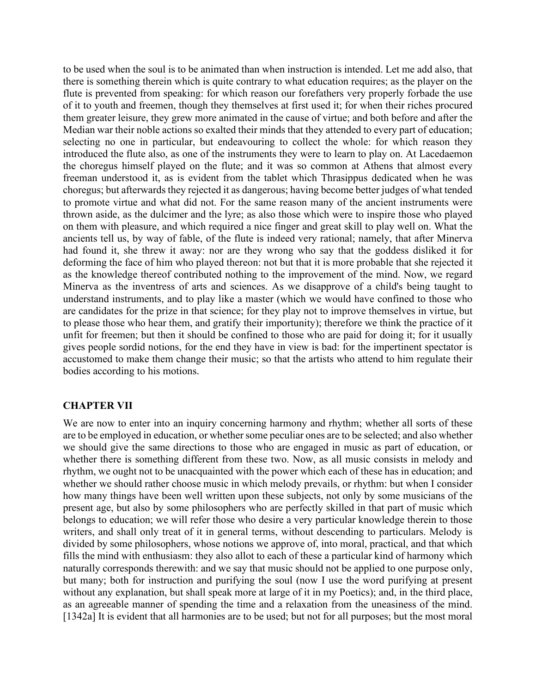to be used when the soul is to be animated than when instruction is intended. Let me add also, that there is something therein which is quite contrary to what education requires; as the player on the flute is prevented from speaking: for which reason our forefathers very properly forbade the use of it to youth and freemen, though they themselves at first used it; for when their riches procured them greater leisure, they grew more animated in the cause of virtue; and both before and after the Median war their noble actions so exalted their minds that they attended to every part of education; selecting no one in particular, but endeavouring to collect the whole: for which reason they introduced the flute also, as one of the instruments they were to learn to play on. At Lacedaemon the choregus himself played on the flute; and it was so common at Athens that almost every freeman understood it, as is evident from the tablet which Thrasippus dedicated when he was choregus; but afterwards they rejected it as dangerous; having become better judges of what tended to promote virtue and what did not. For the same reason many of the ancient instruments were thrown aside, as the dulcimer and the lyre; as also those which were to inspire those who played on them with pleasure, and which required a nice finger and great skill to play well on. What the ancients tell us, by way of fable, of the flute is indeed very rational; namely, that after Minerva had found it, she threw it away: nor are they wrong who say that the goddess disliked it for deforming the face of him who played thereon: not but that it is more probable that she rejected it as the knowledge thereof contributed nothing to the improvement of the mind. Now, we regard Minerva as the inventress of arts and sciences. As we disapprove of a child's being taught to understand instruments, and to play like a master (which we would have confined to those who are candidates for the prize in that science; for they play not to improve themselves in virtue, but to please those who hear them, and gratify their importunity); therefore we think the practice of it unfit for freemen; but then it should be confined to those who are paid for doing it; for it usually gives people sordid notions, for the end they have in view is bad: for the impertinent spectator is accustomed to make them change their music; so that the artists who attend to him regulate their bodies according to his motions.

# **CHAPTER VII**

We are now to enter into an inquiry concerning harmony and rhythm; whether all sorts of these are to be employed in education, or whether some peculiar ones are to be selected; and also whether we should give the same directions to those who are engaged in music as part of education, or whether there is something different from these two. Now, as all music consists in melody and rhythm, we ought not to be unacquainted with the power which each of these has in education; and whether we should rather choose music in which melody prevails, or rhythm: but when I consider how many things have been well written upon these subjects, not only by some musicians of the present age, but also by some philosophers who are perfectly skilled in that part of music which belongs to education; we will refer those who desire a very particular knowledge therein to those writers, and shall only treat of it in general terms, without descending to particulars. Melody is divided by some philosophers, whose notions we approve of, into moral, practical, and that which fills the mind with enthusiasm: they also allot to each of these a particular kind of harmony which naturally corresponds therewith: and we say that music should not be applied to one purpose only, but many; both for instruction and purifying the soul (now I use the word purifying at present without any explanation, but shall speak more at large of it in my Poetics); and, in the third place, as an agreeable manner of spending the time and a relaxation from the uneasiness of the mind. [1342a] It is evident that all harmonies are to be used; but not for all purposes; but the most moral